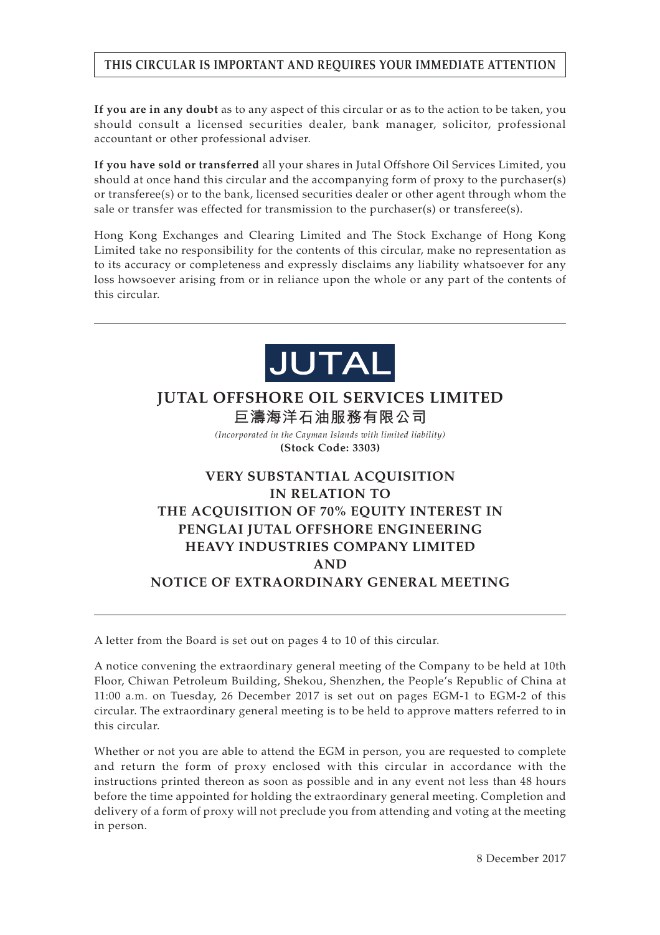# **THIS CIRCULAR IS IMPORTANT AND REQUIRES YOUR IMMEDIATE ATTENTION**

**If you are in any doubt** as to any aspect of this circular or as to the action to be taken, you should consult a licensed securities dealer, bank manager, solicitor, professional accountant or other professional adviser.

**If you have sold or transferred** all your shares in Jutal Offshore Oil Services Limited, you should at once hand this circular and the accompanying form of proxy to the purchaser(s) or transferee(s) or to the bank, licensed securities dealer or other agent through whom the sale or transfer was effected for transmission to the purchaser(s) or transferee(s).

Hong Kong Exchanges and Clearing Limited and The Stock Exchange of Hong Kong Limited take no responsibility for the contents of this circular, make no representation as to its accuracy or completeness and expressly disclaims any liability whatsoever for any loss howsoever arising from or in reliance upon the whole or any part of the contents of this circular.



# **JUTAL OFFSHORE OIL SERVICES LIMITED 巨濤海洋石油服務有限公司**

*(Incorporated in the Cayman Islands with limited liability)* **(Stock Code: 3303)**

# **VERY SUBSTANTIAL ACQUISITION IN RELATION TO THE ACQUISITION OF 70% EQUITY INTEREST IN PENGLAI JUTAL OFFSHORE ENGINEERING HEAVY INDUSTRIES COMPANY LIMITED AND NOTICE OF EXTRAORDINARY GENERAL MEETING**

A letter from the Board is set out on pages 4 to 10 of this circular.

A notice convening the extraordinary general meeting of the Company to be held at 10th Floor, Chiwan Petroleum Building, Shekou, Shenzhen, the People's Republic of China at 11:00 a.m. on Tuesday, 26 December 2017 is set out on pages EGM-1 to EGM-2 of this circular. The extraordinary general meeting is to be held to approve matters referred to in this circular.

Whether or not you are able to attend the EGM in person, you are requested to complete and return the form of proxy enclosed with this circular in accordance with the instructions printed thereon as soon as possible and in any event not less than 48 hours before the time appointed for holding the extraordinary general meeting. Completion and delivery of a form of proxy will not preclude you from attending and voting at the meeting in person.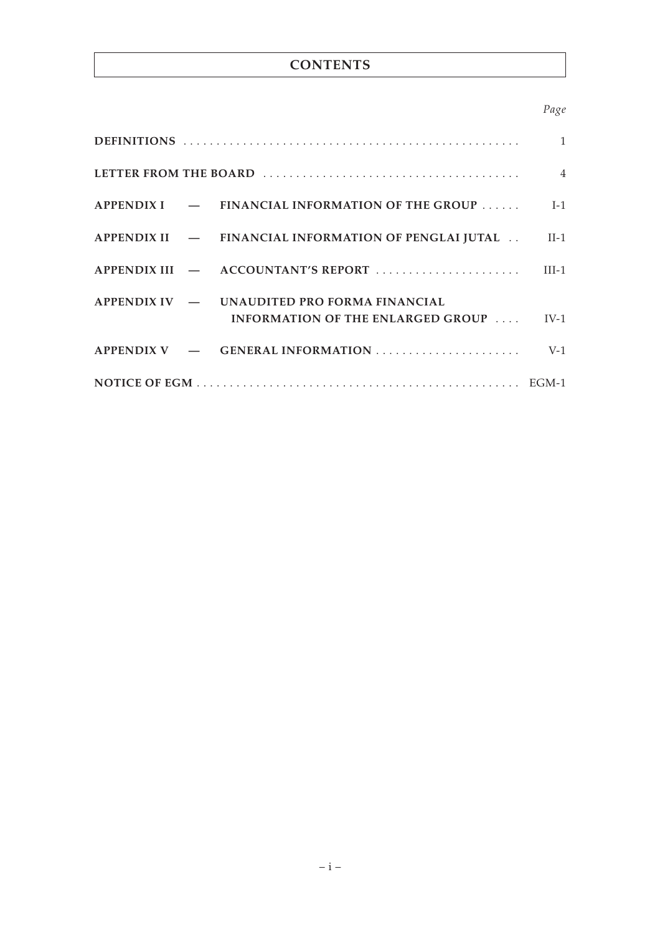# **CONTENTS**

# *Page*

|  |  |                                                                                        | $\mathbf{1}$ |
|--|--|----------------------------------------------------------------------------------------|--------------|
|  |  |                                                                                        |              |
|  |  | $APPENDIX I$ $-$ FINANCIAL INFORMATION OF THE GROUP                                    | $I-1$        |
|  |  | APPENDIX II — FINANCIAL INFORMATION OF PENGLAI JUTAL                                   | $II-1$       |
|  |  |                                                                                        |              |
|  |  | APPENDIX IV - UNAUDITED PRO FORMA FINANCIAL<br>INFORMATION OF THE ENLARGED GROUP  IV-1 |              |
|  |  |                                                                                        | $V-1$        |
|  |  |                                                                                        |              |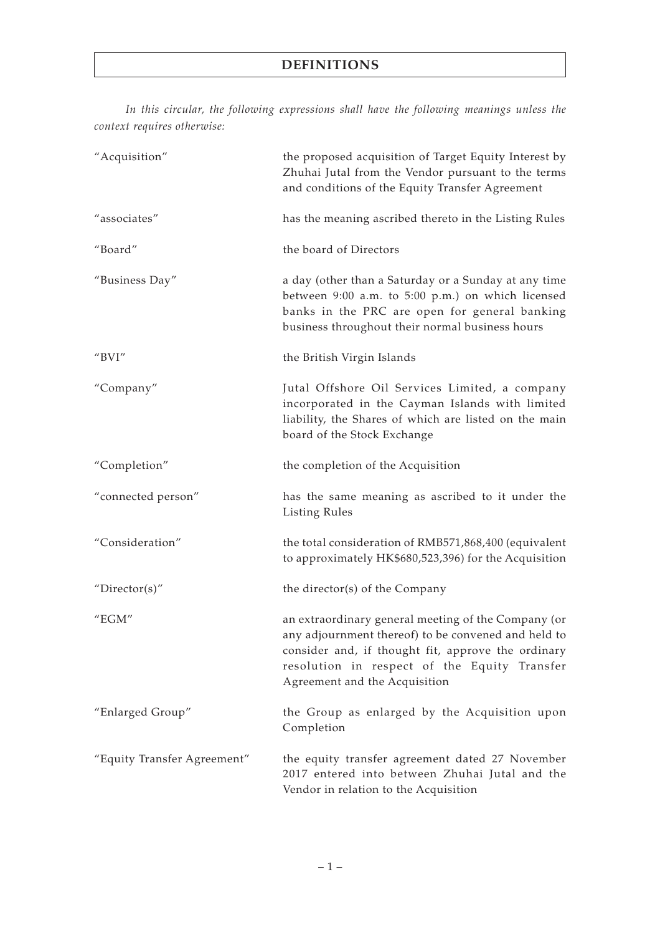*In this circular, the following expressions shall have the following meanings unless the context requires otherwise:*

| "Acquisition"                           | the proposed acquisition of Target Equity Interest by<br>Zhuhai Jutal from the Vendor pursuant to the terms<br>and conditions of the Equity Transfer Agreement                                                                                    |
|-----------------------------------------|---------------------------------------------------------------------------------------------------------------------------------------------------------------------------------------------------------------------------------------------------|
| "associates"                            | has the meaning ascribed thereto in the Listing Rules                                                                                                                                                                                             |
| "Board"                                 | the board of Directors                                                                                                                                                                                                                            |
| "Business Day"                          | a day (other than a Saturday or a Sunday at any time<br>between 9:00 a.m. to 5:00 p.m.) on which licensed<br>banks in the PRC are open for general banking<br>business throughout their normal business hours                                     |
| $^{\prime\prime}$ BVI $^{\prime\prime}$ | the British Virgin Islands                                                                                                                                                                                                                        |
| "Company"                               | Jutal Offshore Oil Services Limited, a company<br>incorporated in the Cayman Islands with limited<br>liability, the Shares of which are listed on the main<br>board of the Stock Exchange                                                         |
| "Completion"                            | the completion of the Acquisition                                                                                                                                                                                                                 |
| "connected person"                      | has the same meaning as ascribed to it under the<br><b>Listing Rules</b>                                                                                                                                                                          |
| "Consideration"                         | the total consideration of RMB571,868,400 (equivalent<br>to approximately HK\$680,523,396) for the Acquisition                                                                                                                                    |
| "Director(s)"                           | the director(s) of the Company                                                                                                                                                                                                                    |
| "EGM"                                   | an extraordinary general meeting of the Company (or<br>any adjournment thereof) to be convened and held to<br>consider and, if thought fit, approve the ordinary<br>resolution in respect of the Equity Transfer<br>Agreement and the Acquisition |
| "Enlarged Group"                        | the Group as enlarged by the Acquisition upon<br>Completion                                                                                                                                                                                       |
| "Equity Transfer Agreement"             | the equity transfer agreement dated 27 November<br>2017 entered into between Zhuhai Jutal and the<br>Vendor in relation to the Acquisition                                                                                                        |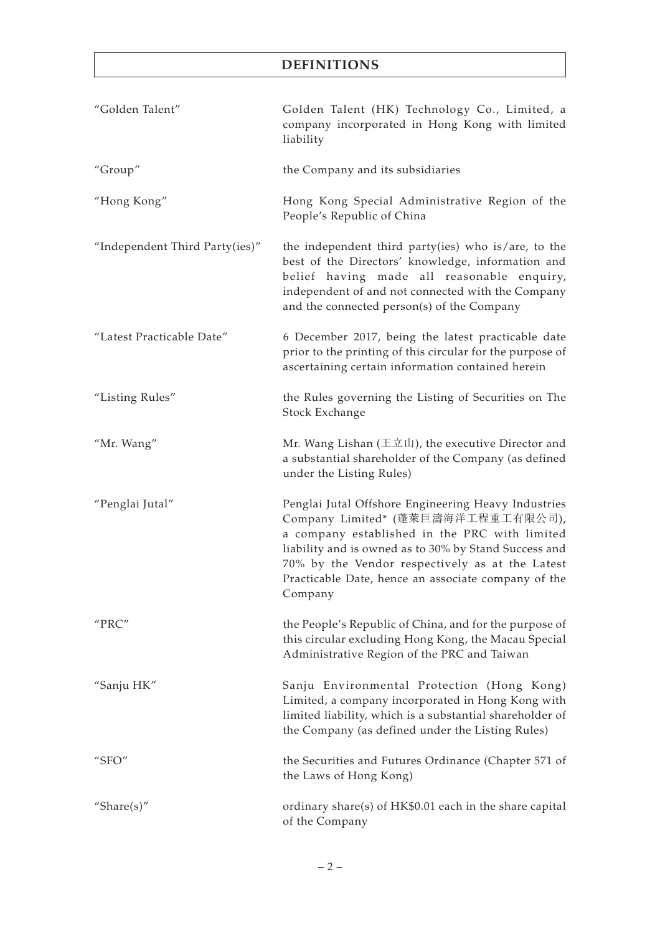# **DEFINITIONS**

| "Golden Talent"                | Golden Talent (HK) Technology Co., Limited, a<br>company incorporated in Hong Kong with limited<br>liability                                                                                                                                                                                                             |
|--------------------------------|--------------------------------------------------------------------------------------------------------------------------------------------------------------------------------------------------------------------------------------------------------------------------------------------------------------------------|
| "Group"                        | the Company and its subsidiaries                                                                                                                                                                                                                                                                                         |
| "Hong Kong"                    | Hong Kong Special Administrative Region of the<br>People's Republic of China                                                                                                                                                                                                                                             |
| "Independent Third Party(ies)" | the independent third party(ies) who is/are, to the<br>best of the Directors' knowledge, information and<br>belief having made all reasonable enquiry,<br>independent of and not connected with the Company<br>and the connected person(s) of the Company                                                                |
| "Latest Practicable Date"      | 6 December 2017, being the latest practicable date<br>prior to the printing of this circular for the purpose of<br>ascertaining certain information contained herein                                                                                                                                                     |
| "Listing Rules"                | the Rules governing the Listing of Securities on The<br>Stock Exchange                                                                                                                                                                                                                                                   |
| "Mr. Wang"                     | Mr. Wang Lishan ( $\pm \overline{x} \mathbf{\perp}$ ), the executive Director and<br>a substantial shareholder of the Company (as defined<br>under the Listing Rules)                                                                                                                                                    |
| "Penglai Jutal"                | Penglai Jutal Offshore Engineering Heavy Industries<br>Company Limited* (蓬萊巨濤海洋工程重工有限公司),<br>a company established in the PRC with limited<br>liability and is owned as to 30% by Stand Success and<br>70% by the Vendor respectively as at the Latest<br>Practicable Date, hence an associate company of the<br>Company |
| "PRC"                          | the People's Republic of China, and for the purpose of<br>this circular excluding Hong Kong, the Macau Special<br>Administrative Region of the PRC and Taiwan                                                                                                                                                            |
| "Sanju HK"                     | Sanju Environmental Protection (Hong Kong)<br>Limited, a company incorporated in Hong Kong with<br>limited liability, which is a substantial shareholder of<br>the Company (as defined under the Listing Rules)                                                                                                          |
| " $SFO"$                       | the Securities and Futures Ordinance (Chapter 571 of<br>the Laws of Hong Kong)                                                                                                                                                                                                                                           |
| "Share $(s)$ "                 | ordinary share(s) of HK\$0.01 each in the share capital<br>of the Company                                                                                                                                                                                                                                                |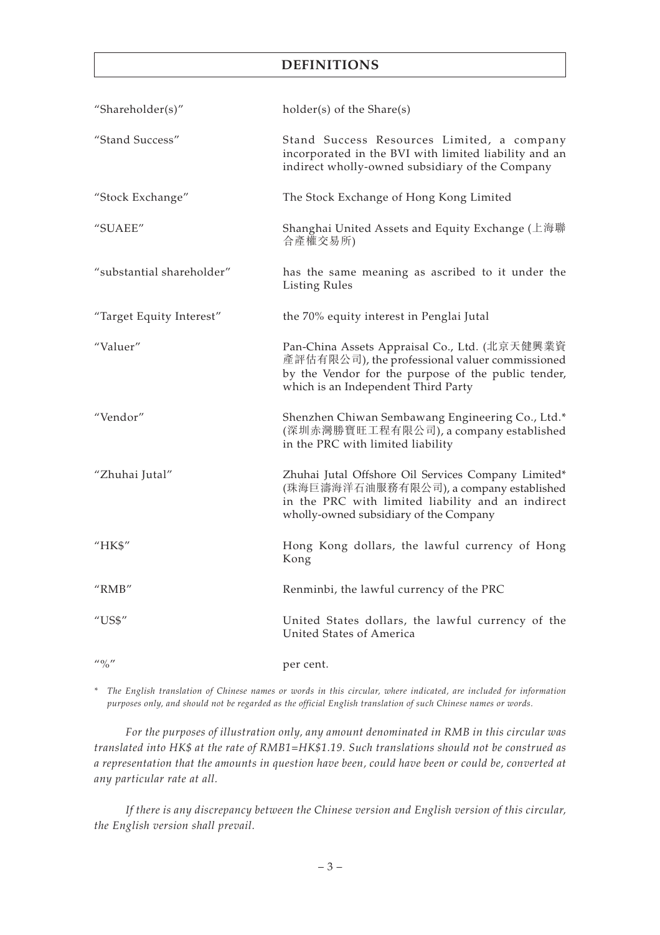# **DEFINITIONS**

| "Shareholder(s)"                                                                                                                                                                                                                                                                                                    | holder(s) of the Share(s)                                                                                                                                                                     |
|---------------------------------------------------------------------------------------------------------------------------------------------------------------------------------------------------------------------------------------------------------------------------------------------------------------------|-----------------------------------------------------------------------------------------------------------------------------------------------------------------------------------------------|
| "Stand Success"                                                                                                                                                                                                                                                                                                     | Stand Success Resources Limited, a company<br>incorporated in the BVI with limited liability and an<br>indirect wholly-owned subsidiary of the Company                                        |
| "Stock Exchange"                                                                                                                                                                                                                                                                                                    | The Stock Exchange of Hong Kong Limited                                                                                                                                                       |
| "SUAEE"                                                                                                                                                                                                                                                                                                             | Shanghai United Assets and Equity Exchange (上海聯<br>合產權交易所)                                                                                                                                    |
| "substantial shareholder"                                                                                                                                                                                                                                                                                           | has the same meaning as ascribed to it under the<br><b>Listing Rules</b>                                                                                                                      |
| "Target Equity Interest"                                                                                                                                                                                                                                                                                            | the 70% equity interest in Penglai Jutal                                                                                                                                                      |
| "Valuer"                                                                                                                                                                                                                                                                                                            | Pan-China Assets Appraisal Co., Ltd. (北京天健興業資<br>產評估有限公司), the professional valuer commissioned<br>by the Vendor for the purpose of the public tender,<br>which is an Independent Third Party |
| "Vendor"                                                                                                                                                                                                                                                                                                            | Shenzhen Chiwan Sembawang Engineering Co., Ltd.*<br>(深圳赤灣勝寶旺工程有限公司), a company established<br>in the PRC with limited liability                                                               |
| "Zhuhai Jutal"                                                                                                                                                                                                                                                                                                      | Zhuhai Jutal Offshore Oil Services Company Limited*<br>(珠海巨濤海洋石油服務有限公司), a company established<br>in the PRC with limited liability and an indirect<br>wholly-owned subsidiary of the Company |
| "HK\$"                                                                                                                                                                                                                                                                                                              | Hong Kong dollars, the lawful currency of Hong<br>Kong                                                                                                                                        |
| $^{\prime\prime}$ RMB $^{\prime\prime}$                                                                                                                                                                                                                                                                             | Renminbi, the lawful currency of the PRC                                                                                                                                                      |
| $^{\prime\prime}$ US\$"                                                                                                                                                                                                                                                                                             | United States dollars, the lawful currency of the<br>United States of America                                                                                                                 |
| $\frac{1}{2}$ $\frac{1}{2}$ $\frac{1}{2}$ $\frac{1}{2}$ $\frac{1}{2}$ $\frac{1}{2}$ $\frac{1}{2}$ $\frac{1}{2}$ $\frac{1}{2}$ $\frac{1}{2}$ $\frac{1}{2}$ $\frac{1}{2}$ $\frac{1}{2}$ $\frac{1}{2}$ $\frac{1}{2}$ $\frac{1}{2}$ $\frac{1}{2}$ $\frac{1}{2}$ $\frac{1}{2}$ $\frac{1}{2}$ $\frac{1}{2}$ $\frac{1}{2}$ | per cent.                                                                                                                                                                                     |

*\* The English translation of Chinese names or words in this circular, where indicated, are included for information purposes only, and should not be regarded as the official English translation of such Chinese names or words.*

*For the purposes of illustration only, any amount denominated in RMB in this circular was translated into HK\$ at the rate of RMB1=HK\$1.19. Such translations should not be construed as a representation that the amounts in question have been, could have been or could be, converted at any particular rate at all.*

*If there is any discrepancy between the Chinese version and English version of this circular, the English version shall prevail.*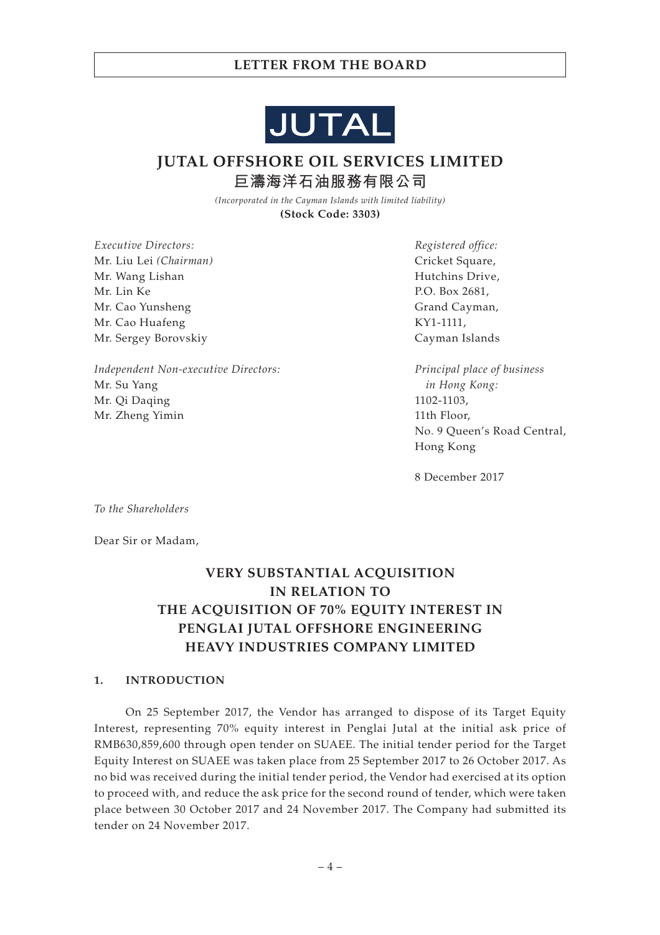

**JUTAL OFFSHORE OIL SERVICES LIMITED 巨濤海洋石油服務有限公司**

> *(Incorporated in the Cayman Islands with limited liability)* **(Stock Code: 3303)**

*Executive Directors:* Mr. Liu Lei *(Chairman)* Mr. Wang Lishan Mr. Lin Ke Mr. Cao Yunsheng Mr. Cao Huafeng Mr. Sergey Borovskiy

*Independent Non-executive Directors:* Mr. Su Yang Mr. Qi Daqing Mr. Zheng Yimin

*Registered office:* Cricket Square, Hutchins Drive, P.O. Box 2681, Grand Cayman, KY1-1111, Cayman Islands

*Principal place of business in Hong Kong:* 1102-1103, 11th Floor, No. 9 Queen's Road Central, Hong Kong

8 December 2017

*To the Shareholders*

Dear Sir or Madam,

# **VERY SUBSTANTIAL ACQUISITION IN RELATION TO THE ACQUISITION OF 70% EQUITY INTEREST IN PENGLAI JUTAL OFFSHORE ENGINEERING HEAVY INDUSTRIES COMPANY LIMITED**

## **1. INTRODUCTION**

On 25 September 2017, the Vendor has arranged to dispose of its Target Equity Interest, representing 70% equity interest in Penglai Jutal at the initial ask price of RMB630,859,600 through open tender on SUAEE. The initial tender period for the Target Equity Interest on SUAEE was taken place from 25 September 2017 to 26 October 2017. As no bid was received during the initial tender period, the Vendor had exercised at its option to proceed with, and reduce the ask price for the second round of tender, which were taken place between 30 October 2017 and 24 November 2017. The Company had submitted its tender on 24 November 2017.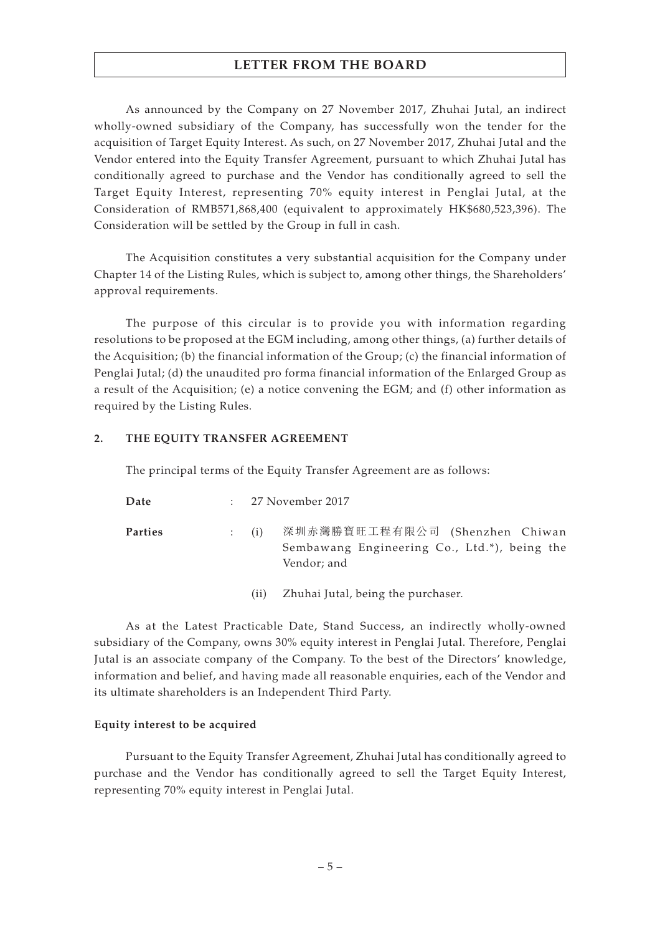As announced by the Company on 27 November 2017, Zhuhai Jutal, an indirect wholly-owned subsidiary of the Company, has successfully won the tender for the acquisition of Target Equity Interest. As such, on 27 November 2017, Zhuhai Jutal and the Vendor entered into the Equity Transfer Agreement, pursuant to which Zhuhai Jutal has conditionally agreed to purchase and the Vendor has conditionally agreed to sell the Target Equity Interest, representing 70% equity interest in Penglai Jutal, at the Consideration of RMB571,868,400 (equivalent to approximately HK\$680,523,396). The Consideration will be settled by the Group in full in cash.

The Acquisition constitutes a very substantial acquisition for the Company under Chapter 14 of the Listing Rules, which is subject to, among other things, the Shareholders' approval requirements.

The purpose of this circular is to provide you with information regarding resolutions to be proposed at the EGM including, among other things, (a) further details of the Acquisition; (b) the financial information of the Group; (c) the financial information of Penglai Jutal; (d) the unaudited pro forma financial information of the Enlarged Group as a result of the Acquisition; (e) a notice convening the EGM; and (f) other information as required by the Listing Rules.

## **2. THE EQUITY TRANSFER AGREEMENT**

The principal terms of the Equity Transfer Agreement are as follows:

| Date           | $\mathbb{R}^n$ | – 27 November 2017                                                                                            |
|----------------|----------------|---------------------------------------------------------------------------------------------------------------|
| <b>Parties</b> |                | 深圳赤灣勝寶旺工程有限公司 (Shenzhen Chiwan<br>$\colon$ (i)<br>Sembawang Engineering Co., Ltd.*), being the<br>Vendor; and |

(ii) Zhuhai Jutal, being the purchaser.

As at the Latest Practicable Date, Stand Success, an indirectly wholly-owned subsidiary of the Company, owns 30% equity interest in Penglai Jutal. Therefore, Penglai Jutal is an associate company of the Company. To the best of the Directors' knowledge, information and belief, and having made all reasonable enquiries, each of the Vendor and its ultimate shareholders is an Independent Third Party.

## **Equity interest to be acquired**

Pursuant to the Equity Transfer Agreement, Zhuhai Jutal has conditionally agreed to purchase and the Vendor has conditionally agreed to sell the Target Equity Interest, representing 70% equity interest in Penglai Jutal.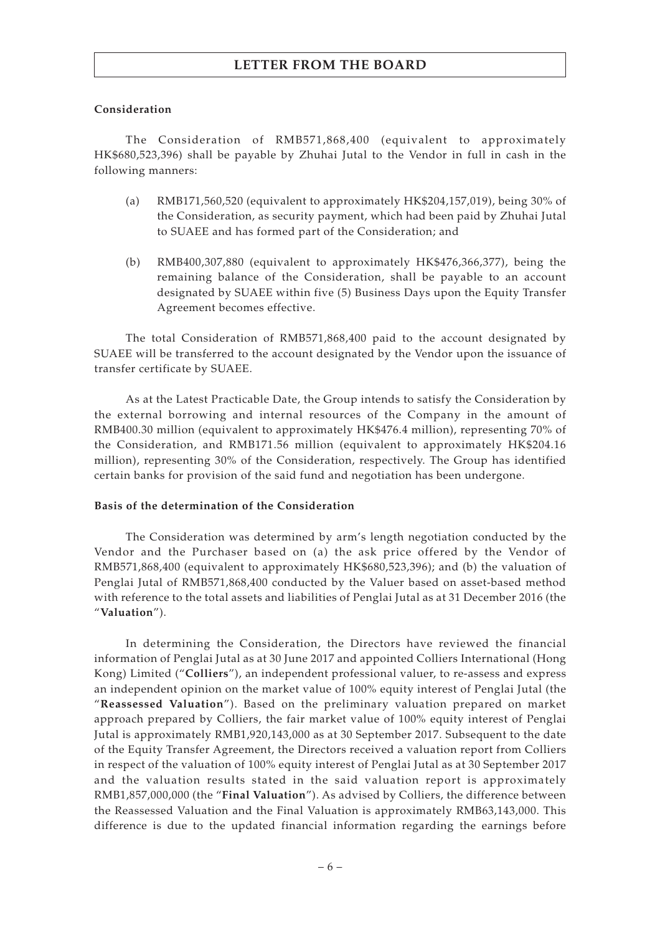## **Consideration**

The Consideration of RMB571,868,400 (equivalent to approximately HK\$680,523,396) shall be payable by Zhuhai Jutal to the Vendor in full in cash in the following manners:

- (a) RMB171,560,520 (equivalent to approximately HK\$204,157,019), being 30% of the Consideration, as security payment, which had been paid by Zhuhai Jutal to SUAEE and has formed part of the Consideration; and
- (b) RMB400,307,880 (equivalent to approximately HK\$476,366,377), being the remaining balance of the Consideration, shall be payable to an account designated by SUAEE within five (5) Business Days upon the Equity Transfer Agreement becomes effective.

The total Consideration of RMB571,868,400 paid to the account designated by SUAEE will be transferred to the account designated by the Vendor upon the issuance of transfer certificate by SUAEE.

As at the Latest Practicable Date, the Group intends to satisfy the Consideration by the external borrowing and internal resources of the Company in the amount of RMB400.30 million (equivalent to approximately HK\$476.4 million), representing 70% of the Consideration, and RMB171.56 million (equivalent to approximately HK\$204.16 million), representing 30% of the Consideration, respectively. The Group has identified certain banks for provision of the said fund and negotiation has been undergone.

# **Basis of the determination of the Consideration**

The Consideration was determined by arm's length negotiation conducted by the Vendor and the Purchaser based on (a) the ask price offered by the Vendor of RMB571,868,400 (equivalent to approximately HK\$680,523,396); and (b) the valuation of Penglai Jutal of RMB571,868,400 conducted by the Valuer based on asset-based method with reference to the total assets and liabilities of Penglai Jutal as at 31 December 2016 (the "**Valuation**").

In determining the Consideration, the Directors have reviewed the financial information of Penglai Jutal as at 30 June 2017 and appointed Colliers International (Hong Kong) Limited ("**Colliers**"), an independent professional valuer, to re-assess and express an independent opinion on the market value of 100% equity interest of Penglai Jutal (the "**Reassessed Valuation**"). Based on the preliminary valuation prepared on market approach prepared by Colliers, the fair market value of 100% equity interest of Penglai Jutal is approximately RMB1,920,143,000 as at 30 September 2017. Subsequent to the date of the Equity Transfer Agreement, the Directors received a valuation report from Colliers in respect of the valuation of 100% equity interest of Penglai Jutal as at 30 September 2017 and the valuation results stated in the said valuation report is approximately RMB1,857,000,000 (the "**Final Valuation**"). As advised by Colliers, the difference between the Reassessed Valuation and the Final Valuation is approximately RMB63,143,000. This difference is due to the updated financial information regarding the earnings before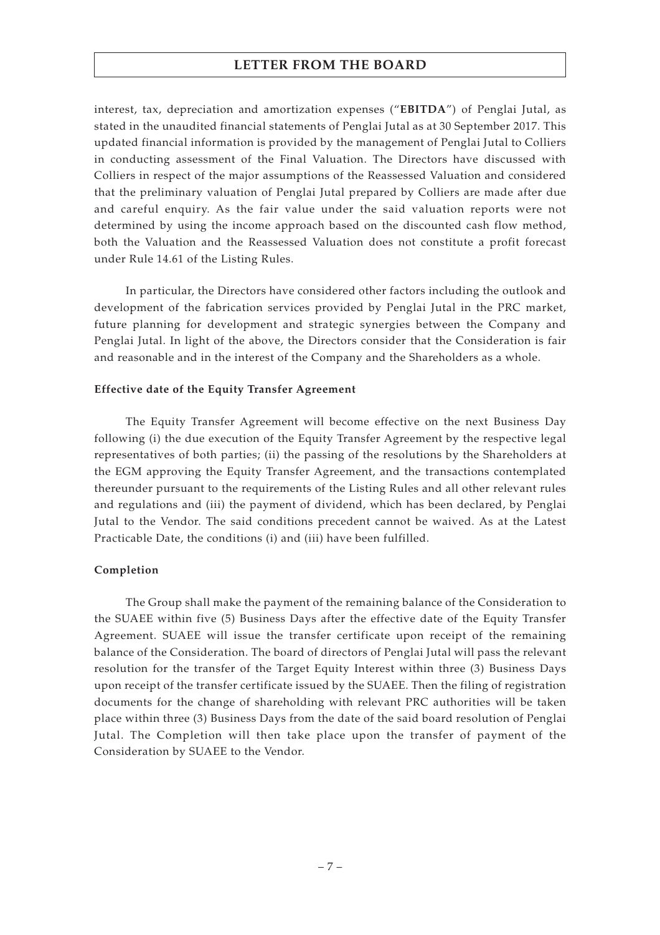interest, tax, depreciation and amortization expenses ("**EBITDA**") of Penglai Jutal, as stated in the unaudited financial statements of Penglai Jutal as at 30 September 2017. This updated financial information is provided by the management of Penglai Jutal to Colliers in conducting assessment of the Final Valuation. The Directors have discussed with Colliers in respect of the major assumptions of the Reassessed Valuation and considered that the preliminary valuation of Penglai Jutal prepared by Colliers are made after due and careful enquiry. As the fair value under the said valuation reports were not determined by using the income approach based on the discounted cash flow method, both the Valuation and the Reassessed Valuation does not constitute a profit forecast under Rule 14.61 of the Listing Rules.

In particular, the Directors have considered other factors including the outlook and development of the fabrication services provided by Penglai Jutal in the PRC market, future planning for development and strategic synergies between the Company and Penglai Jutal. In light of the above, the Directors consider that the Consideration is fair and reasonable and in the interest of the Company and the Shareholders as a whole.

## **Effective date of the Equity Transfer Agreement**

The Equity Transfer Agreement will become effective on the next Business Day following (i) the due execution of the Equity Transfer Agreement by the respective legal representatives of both parties; (ii) the passing of the resolutions by the Shareholders at the EGM approving the Equity Transfer Agreement, and the transactions contemplated thereunder pursuant to the requirements of the Listing Rules and all other relevant rules and regulations and (iii) the payment of dividend, which has been declared, by Penglai Jutal to the Vendor. The said conditions precedent cannot be waived. As at the Latest Practicable Date, the conditions (i) and (iii) have been fulfilled.

# **Completion**

The Group shall make the payment of the remaining balance of the Consideration to the SUAEE within five (5) Business Days after the effective date of the Equity Transfer Agreement. SUAEE will issue the transfer certificate upon receipt of the remaining balance of the Consideration. The board of directors of Penglai Jutal will pass the relevant resolution for the transfer of the Target Equity Interest within three (3) Business Days upon receipt of the transfer certificate issued by the SUAEE. Then the filing of registration documents for the change of shareholding with relevant PRC authorities will be taken place within three (3) Business Days from the date of the said board resolution of Penglai Jutal. The Completion will then take place upon the transfer of payment of the Consideration by SUAEE to the Vendor.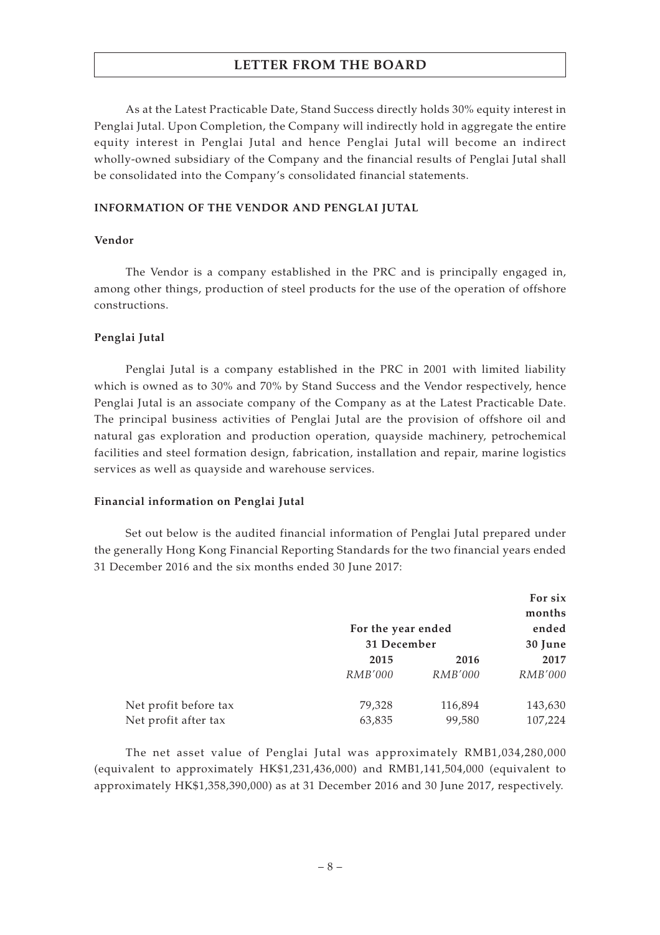As at the Latest Practicable Date, Stand Success directly holds 30% equity interest in Penglai Jutal. Upon Completion, the Company will indirectly hold in aggregate the entire equity interest in Penglai Jutal and hence Penglai Jutal will become an indirect wholly-owned subsidiary of the Company and the financial results of Penglai Jutal shall be consolidated into the Company's consolidated financial statements.

#### **INFORMATION OF THE VENDOR AND PENGLAI JUTAL**

#### **Vendor**

The Vendor is a company established in the PRC and is principally engaged in, among other things, production of steel products for the use of the operation of offshore constructions.

#### **Penglai Jutal**

Penglai Jutal is a company established in the PRC in 2001 with limited liability which is owned as to 30% and 70% by Stand Success and the Vendor respectively, hence Penglai Jutal is an associate company of the Company as at the Latest Practicable Date. The principal business activities of Penglai Jutal are the provision of offshore oil and natural gas exploration and production operation, quayside machinery, petrochemical facilities and steel formation design, fabrication, installation and repair, marine logistics services as well as quayside and warehouse services.

#### **Financial information on Penglai Jutal**

Set out below is the audited financial information of Penglai Jutal prepared under the generally Hong Kong Financial Reporting Standards for the two financial years ended 31 December 2016 and the six months ended 30 June 2017:

|                       |                                   | For six<br>months |                  |  |
|-----------------------|-----------------------------------|-------------------|------------------|--|
|                       | For the year ended<br>31 December |                   | ended<br>30 June |  |
|                       |                                   |                   |                  |  |
|                       | 2015                              | 2016              | 2017             |  |
|                       | <i>RMB'000</i>                    | <i>RMB'000</i>    | <i>RMB'000</i>   |  |
| Net profit before tax | 79,328                            | 116,894           | 143,630          |  |
| Net profit after tax  | 63,835                            | 99,580            | 107,224          |  |

The net asset value of Penglai Jutal was approximately RMB1,034,280,000 (equivalent to approximately HK\$1,231,436,000) and RMB1,141,504,000 (equivalent to approximately HK\$1,358,390,000) as at 31 December 2016 and 30 June 2017, respectively.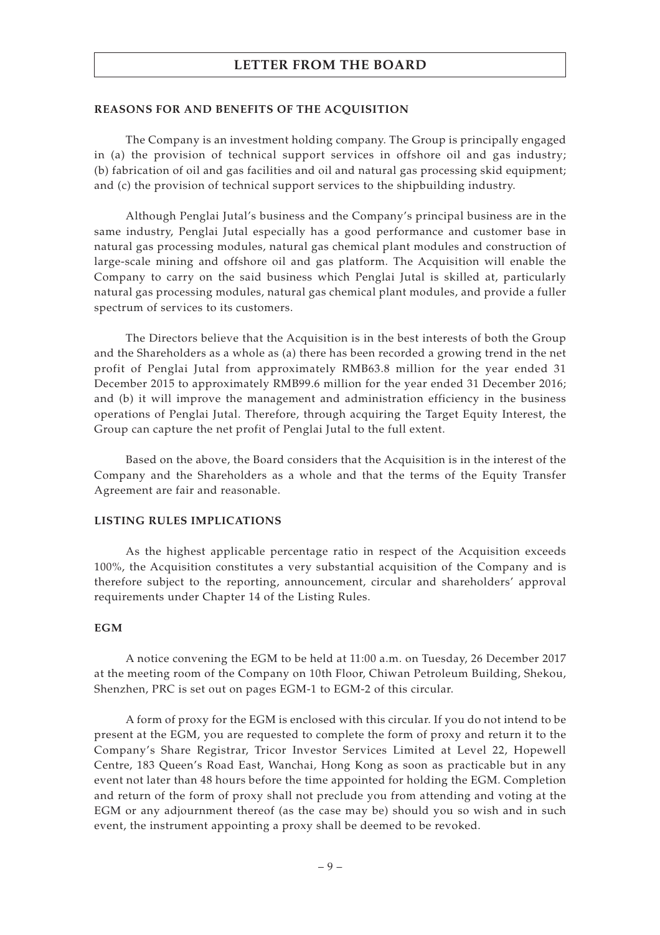#### **REASONS FOR AND BENEFITS OF THE ACQUISITION**

The Company is an investment holding company. The Group is principally engaged in (a) the provision of technical support services in offshore oil and gas industry; (b) fabrication of oil and gas facilities and oil and natural gas processing skid equipment; and (c) the provision of technical support services to the shipbuilding industry.

Although Penglai Jutal's business and the Company's principal business are in the same industry, Penglai Jutal especially has a good performance and customer base in natural gas processing modules, natural gas chemical plant modules and construction of large-scale mining and offshore oil and gas platform. The Acquisition will enable the Company to carry on the said business which Penglai Jutal is skilled at, particularly natural gas processing modules, natural gas chemical plant modules, and provide a fuller spectrum of services to its customers.

The Directors believe that the Acquisition is in the best interests of both the Group and the Shareholders as a whole as (a) there has been recorded a growing trend in the net profit of Penglai Jutal from approximately RMB63.8 million for the year ended 31 December 2015 to approximately RMB99.6 million for the year ended 31 December 2016; and (b) it will improve the management and administration efficiency in the business operations of Penglai Jutal. Therefore, through acquiring the Target Equity Interest, the Group can capture the net profit of Penglai Jutal to the full extent.

Based on the above, the Board considers that the Acquisition is in the interest of the Company and the Shareholders as a whole and that the terms of the Equity Transfer Agreement are fair and reasonable.

## **LISTING RULES IMPLICATIONS**

As the highest applicable percentage ratio in respect of the Acquisition exceeds 100%, the Acquisition constitutes a very substantial acquisition of the Company and is therefore subject to the reporting, announcement, circular and shareholders' approval requirements under Chapter 14 of the Listing Rules.

#### **EGM**

A notice convening the EGM to be held at 11:00 a.m. on Tuesday, 26 December 2017 at the meeting room of the Company on 10th Floor, Chiwan Petroleum Building, Shekou, Shenzhen, PRC is set out on pages EGM-1 to EGM-2 of this circular.

A form of proxy for the EGM is enclosed with this circular. If you do not intend to be present at the EGM, you are requested to complete the form of proxy and return it to the Company's Share Registrar, Tricor Investor Services Limited at Level 22, Hopewell Centre, 183 Queen's Road East, Wanchai, Hong Kong as soon as practicable but in any event not later than 48 hours before the time appointed for holding the EGM. Completion and return of the form of proxy shall not preclude you from attending and voting at the EGM or any adjournment thereof (as the case may be) should you so wish and in such event, the instrument appointing a proxy shall be deemed to be revoked.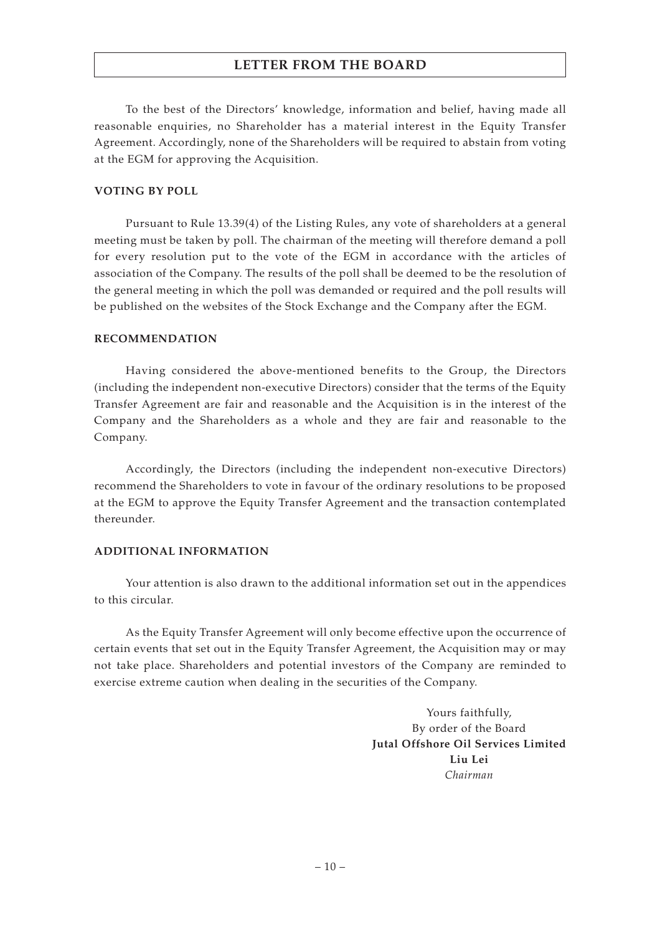To the best of the Directors' knowledge, information and belief, having made all reasonable enquiries, no Shareholder has a material interest in the Equity Transfer Agreement. Accordingly, none of the Shareholders will be required to abstain from voting at the EGM for approving the Acquisition.

#### **VOTING BY POLL**

Pursuant to Rule 13.39(4) of the Listing Rules, any vote of shareholders at a general meeting must be taken by poll. The chairman of the meeting will therefore demand a poll for every resolution put to the vote of the EGM in accordance with the articles of association of the Company. The results of the poll shall be deemed to be the resolution of the general meeting in which the poll was demanded or required and the poll results will be published on the websites of the Stock Exchange and the Company after the EGM.

## **RECOMMENDATION**

Having considered the above-mentioned benefits to the Group, the Directors (including the independent non-executive Directors) consider that the terms of the Equity Transfer Agreement are fair and reasonable and the Acquisition is in the interest of the Company and the Shareholders as a whole and they are fair and reasonable to the Company.

Accordingly, the Directors (including the independent non-executive Directors) recommend the Shareholders to vote in favour of the ordinary resolutions to be proposed at the EGM to approve the Equity Transfer Agreement and the transaction contemplated thereunder.

## **ADDITIONAL INFORMATION**

Your attention is also drawn to the additional information set out in the appendices to this circular.

As the Equity Transfer Agreement will only become effective upon the occurrence of certain events that set out in the Equity Transfer Agreement, the Acquisition may or may not take place. Shareholders and potential investors of the Company are reminded to exercise extreme caution when dealing in the securities of the Company.

> Yours faithfully, By order of the Board **Jutal Offshore Oil Services Limited Liu Lei** *Chairman*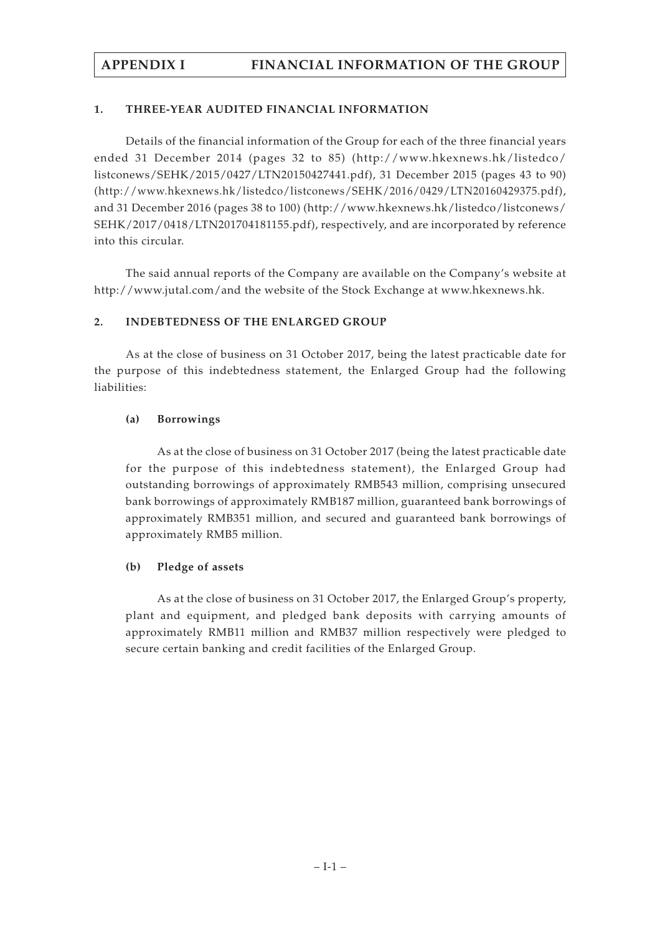# **1. THREE-YEAR AUDITED FINANCIAL INFORMATION**

Details of the financial information of the Group for each of the three financial years ended 31 December 2014 (pages 32 to 85) (http://www.hkexnews.hk/listedco/ listconews/SEHK/2015/0427/LTN20150427441.pdf), 31 December 2015 (pages 43 to 90) (http://www.hkexnews.hk/listedco/listconews/SEHK/2016/0429/LTN20160429375.pdf), and 31 December 2016 (pages 38 to 100) (http://www.hkexnews.hk/listedco/listconews/ SEHK/2017/0418/LTN201704181155.pdf), respectively, and are incorporated by reference into this circular.

The said annual reports of the Company are available on the Company's website at http://www.jutal.com/and the website of the Stock Exchange at www.hkexnews.hk.

# **2. INDEBTEDNESS OF THE ENLARGED GROUP**

As at the close of business on 31 October 2017, being the latest practicable date for the purpose of this indebtedness statement, the Enlarged Group had the following liabilities:

# **(a) Borrowings**

As at the close of business on 31 October 2017 (being the latest practicable date for the purpose of this indebtedness statement), the Enlarged Group had outstanding borrowings of approximately RMB543 million, comprising unsecured bank borrowings of approximately RMB187 million, guaranteed bank borrowings of approximately RMB351 million, and secured and guaranteed bank borrowings of approximately RMB5 million.

# **(b) Pledge of assets**

As at the close of business on 31 October 2017, the Enlarged Group's property, plant and equipment, and pledged bank deposits with carrying amounts of approximately RMB11 million and RMB37 million respectively were pledged to secure certain banking and credit facilities of the Enlarged Group.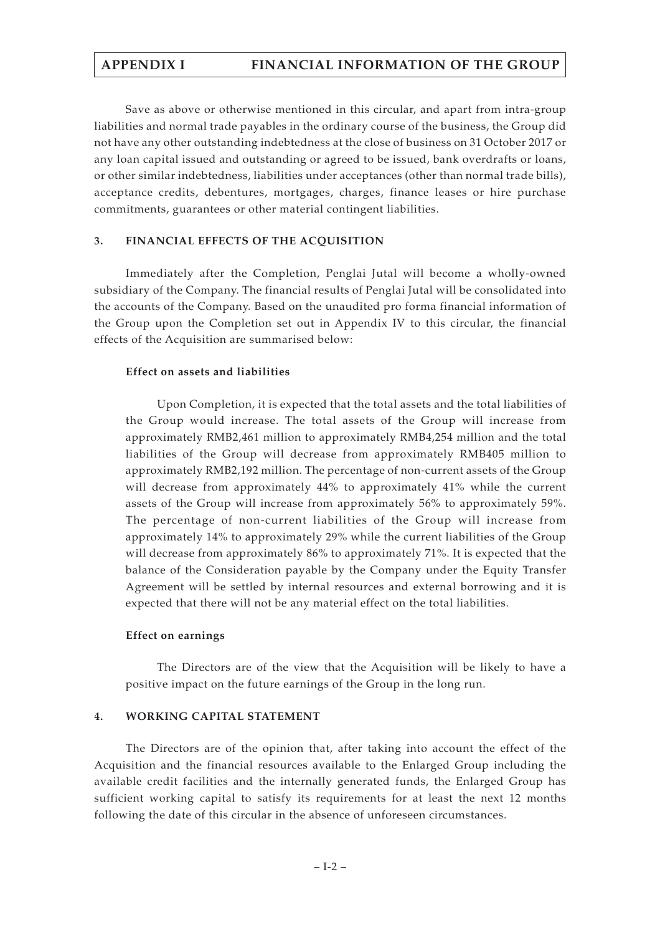Save as above or otherwise mentioned in this circular, and apart from intra-group liabilities and normal trade payables in the ordinary course of the business, the Group did not have any other outstanding indebtedness at the close of business on 31 October 2017 or any loan capital issued and outstanding or agreed to be issued, bank overdrafts or loans, or other similar indebtedness, liabilities under acceptances (other than normal trade bills), acceptance credits, debentures, mortgages, charges, finance leases or hire purchase commitments, guarantees or other material contingent liabilities.

## **3. FINANCIAL EFFECTS OF THE ACQUISITION**

Immediately after the Completion, Penglai Jutal will become a wholly-owned subsidiary of the Company. The financial results of Penglai Jutal will be consolidated into the accounts of the Company. Based on the unaudited pro forma financial information of the Group upon the Completion set out in Appendix IV to this circular, the financial effects of the Acquisition are summarised below:

## **Effect on assets and liabilities**

Upon Completion, it is expected that the total assets and the total liabilities of the Group would increase. The total assets of the Group will increase from approximately RMB2,461 million to approximately RMB4,254 million and the total liabilities of the Group will decrease from approximately RMB405 million to approximately RMB2,192 million. The percentage of non-current assets of the Group will decrease from approximately 44% to approximately 41% while the current assets of the Group will increase from approximately 56% to approximately 59%. The percentage of non-current liabilities of the Group will increase from approximately 14% to approximately 29% while the current liabilities of the Group will decrease from approximately 86% to approximately 71%. It is expected that the balance of the Consideration payable by the Company under the Equity Transfer Agreement will be settled by internal resources and external borrowing and it is expected that there will not be any material effect on the total liabilities.

## **Effect on earnings**

The Directors are of the view that the Acquisition will be likely to have a positive impact on the future earnings of the Group in the long run.

## **4. WORKING CAPITAL STATEMENT**

The Directors are of the opinion that, after taking into account the effect of the Acquisition and the financial resources available to the Enlarged Group including the available credit facilities and the internally generated funds, the Enlarged Group has sufficient working capital to satisfy its requirements for at least the next 12 months following the date of this circular in the absence of unforeseen circumstances.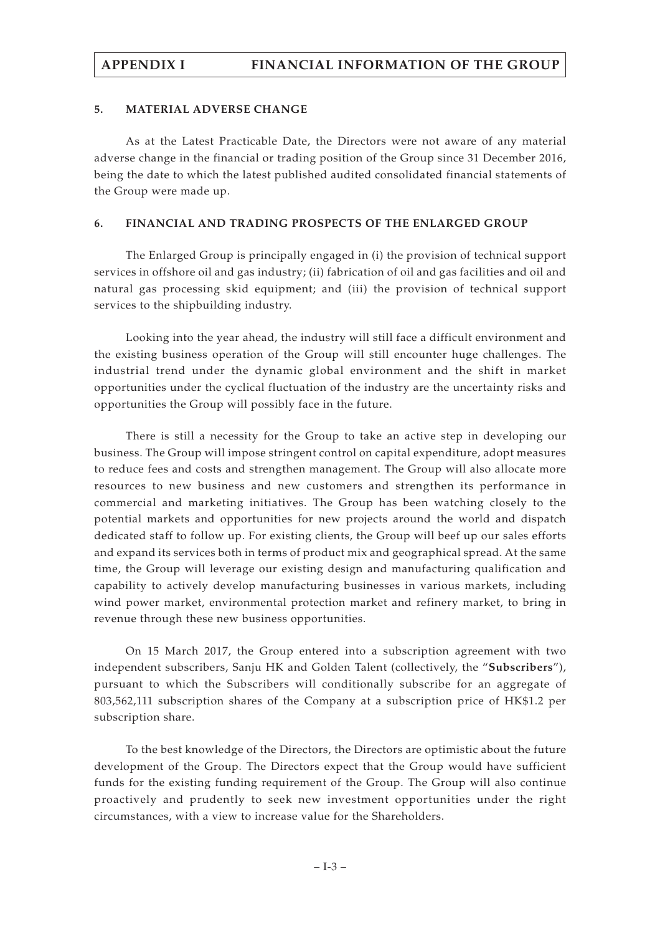## **5. MATERIAL ADVERSE CHANGE**

As at the Latest Practicable Date, the Directors were not aware of any material adverse change in the financial or trading position of the Group since 31 December 2016, being the date to which the latest published audited consolidated financial statements of the Group were made up.

## **6. FINANCIAL AND TRADING PROSPECTS OF THE ENLARGED GROUP**

The Enlarged Group is principally engaged in (i) the provision of technical support services in offshore oil and gas industry; (ii) fabrication of oil and gas facilities and oil and natural gas processing skid equipment; and (iii) the provision of technical support services to the shipbuilding industry.

Looking into the year ahead, the industry will still face a difficult environment and the existing business operation of the Group will still encounter huge challenges. The industrial trend under the dynamic global environment and the shift in market opportunities under the cyclical fluctuation of the industry are the uncertainty risks and opportunities the Group will possibly face in the future.

There is still a necessity for the Group to take an active step in developing our business. The Group will impose stringent control on capital expenditure, adopt measures to reduce fees and costs and strengthen management. The Group will also allocate more resources to new business and new customers and strengthen its performance in commercial and marketing initiatives. The Group has been watching closely to the potential markets and opportunities for new projects around the world and dispatch dedicated staff to follow up. For existing clients, the Group will beef up our sales efforts and expand its services both in terms of product mix and geographical spread. At the same time, the Group will leverage our existing design and manufacturing qualification and capability to actively develop manufacturing businesses in various markets, including wind power market, environmental protection market and refinery market, to bring in revenue through these new business opportunities.

On 15 March 2017, the Group entered into a subscription agreement with two independent subscribers, Sanju HK and Golden Talent (collectively, the "**Subscribers**"), pursuant to which the Subscribers will conditionally subscribe for an aggregate of 803,562,111 subscription shares of the Company at a subscription price of HK\$1.2 per subscription share.

To the best knowledge of the Directors, the Directors are optimistic about the future development of the Group. The Directors expect that the Group would have sufficient funds for the existing funding requirement of the Group. The Group will also continue proactively and prudently to seek new investment opportunities under the right circumstances, with a view to increase value for the Shareholders.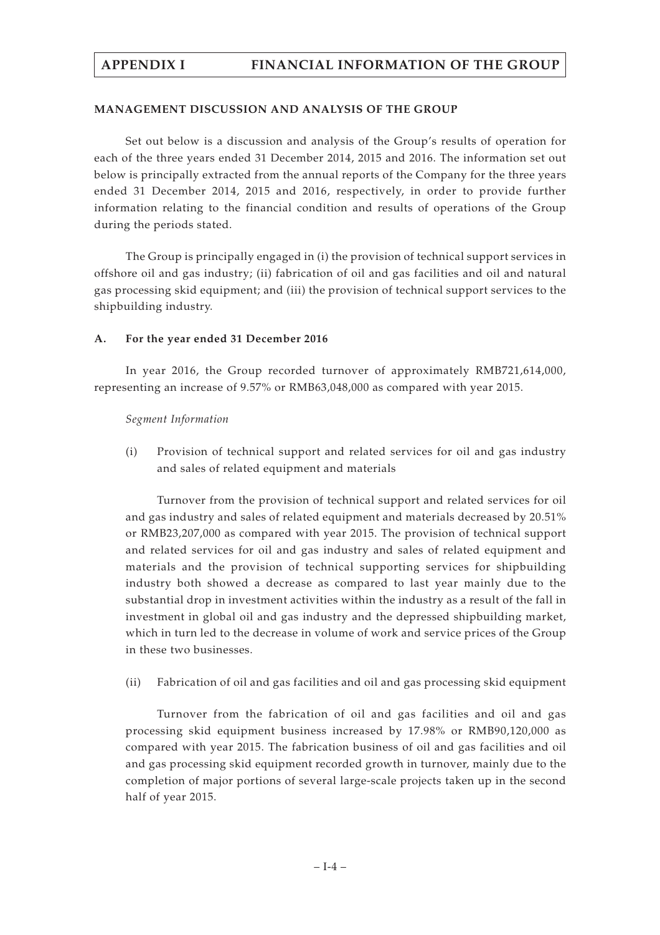## **MANAGEMENT DISCUSSION AND ANALYSIS OF THE GROUP**

Set out below is a discussion and analysis of the Group's results of operation for each of the three years ended 31 December 2014, 2015 and 2016. The information set out below is principally extracted from the annual reports of the Company for the three years ended 31 December 2014, 2015 and 2016, respectively, in order to provide further information relating to the financial condition and results of operations of the Group during the periods stated.

The Group is principally engaged in (i) the provision of technical support services in offshore oil and gas industry; (ii) fabrication of oil and gas facilities and oil and natural gas processing skid equipment; and (iii) the provision of technical support services to the shipbuilding industry.

# **A. For the year ended 31 December 2016**

In year 2016, the Group recorded turnover of approximately RMB721,614,000, representing an increase of 9.57% or RMB63,048,000 as compared with year 2015.

## *Segment Information*

(i) Provision of technical support and related services for oil and gas industry and sales of related equipment and materials

Turnover from the provision of technical support and related services for oil and gas industry and sales of related equipment and materials decreased by 20.51% or RMB23,207,000 as compared with year 2015. The provision of technical support and related services for oil and gas industry and sales of related equipment and materials and the provision of technical supporting services for shipbuilding industry both showed a decrease as compared to last year mainly due to the substantial drop in investment activities within the industry as a result of the fall in investment in global oil and gas industry and the depressed shipbuilding market, which in turn led to the decrease in volume of work and service prices of the Group in these two businesses.

(ii) Fabrication of oil and gas facilities and oil and gas processing skid equipment

Turnover from the fabrication of oil and gas facilities and oil and gas processing skid equipment business increased by 17.98% or RMB90,120,000 as compared with year 2015. The fabrication business of oil and gas facilities and oil and gas processing skid equipment recorded growth in turnover, mainly due to the completion of major portions of several large-scale projects taken up in the second half of year 2015.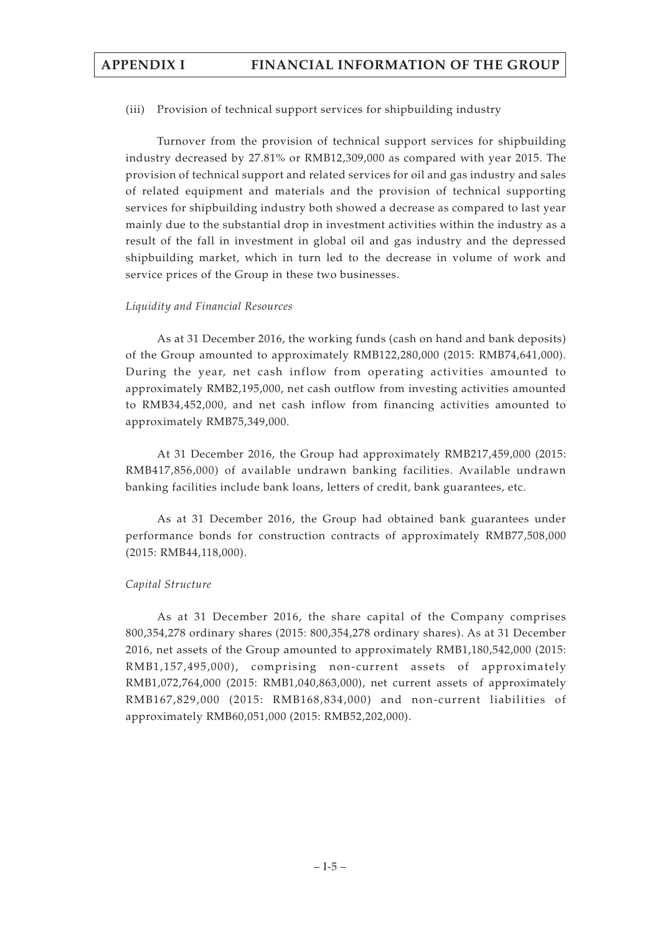(iii) Provision of technical support services for shipbuilding industry

Turnover from the provision of technical support services for shipbuilding industry decreased by 27.81% or RMB12,309,000 as compared with year 2015. The provision of technical support and related services for oil and gas industry and sales of related equipment and materials and the provision of technical supporting services for shipbuilding industry both showed a decrease as compared to last year mainly due to the substantial drop in investment activities within the industry as a result of the fall in investment in global oil and gas industry and the depressed shipbuilding market, which in turn led to the decrease in volume of work and service prices of the Group in these two businesses.

## *Liquidity and Financial Resources*

As at 31 December 2016, the working funds (cash on hand and bank deposits) of the Group amounted to approximately RMB122,280,000 (2015: RMB74,641,000). During the year, net cash inflow from operating activities amounted to approximately RMB2,195,000, net cash outflow from investing activities amounted to RMB34,452,000, and net cash inflow from financing activities amounted to approximately RMB75,349,000.

At 31 December 2016, the Group had approximately RMB217,459,000 (2015: RMB417,856,000) of available undrawn banking facilities. Available undrawn banking facilities include bank loans, letters of credit, bank guarantees, etc.

As at 31 December 2016, the Group had obtained bank guarantees under performance bonds for construction contracts of approximately RMB77,508,000 (2015: RMB44,118,000).

# *Capital Structure*

As at 31 December 2016, the share capital of the Company comprises 800,354,278 ordinary shares (2015: 800,354,278 ordinary shares). As at 31 December 2016, net assets of the Group amounted to approximately RMB1,180,542,000 (2015: RMB1,157,495,000), comprising non-current assets of approximately RMB1,072,764,000 (2015: RMB1,040,863,000), net current assets of approximately RMB167,829,000 (2015: RMB168,834,000) and non-current liabilities of approximately RMB60,051,000 (2015: RMB52,202,000).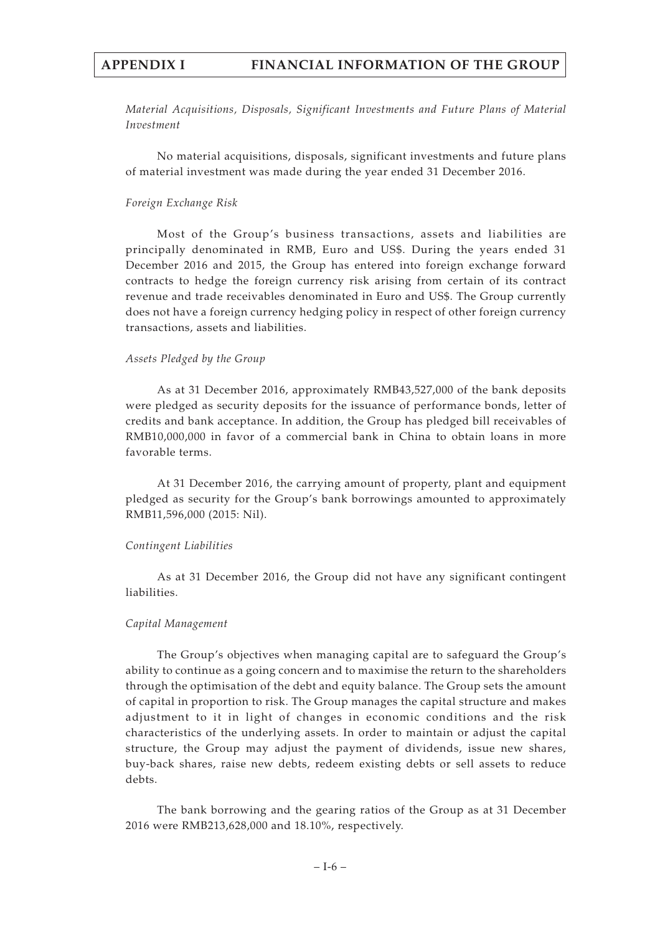*Material Acquisitions, Disposals, Significant Investments and Future Plans of Material Investment*

No material acquisitions, disposals, significant investments and future plans of material investment was made during the year ended 31 December 2016.

#### *Foreign Exchange Risk*

Most of the Group's business transactions, assets and liabilities are principally denominated in RMB, Euro and US\$. During the years ended 31 December 2016 and 2015, the Group has entered into foreign exchange forward contracts to hedge the foreign currency risk arising from certain of its contract revenue and trade receivables denominated in Euro and US\$. The Group currently does not have a foreign currency hedging policy in respect of other foreign currency transactions, assets and liabilities.

#### *Assets Pledged by the Group*

As at 31 December 2016, approximately RMB43,527,000 of the bank deposits were pledged as security deposits for the issuance of performance bonds, letter of credits and bank acceptance. In addition, the Group has pledged bill receivables of RMB10,000,000 in favor of a commercial bank in China to obtain loans in more favorable terms.

At 31 December 2016, the carrying amount of property, plant and equipment pledged as security for the Group's bank borrowings amounted to approximately RMB11,596,000 (2015: Nil).

#### *Contingent Liabilities*

As at 31 December 2016, the Group did not have any significant contingent liabilities.

#### *Capital Management*

The Group's objectives when managing capital are to safeguard the Group's ability to continue as a going concern and to maximise the return to the shareholders through the optimisation of the debt and equity balance. The Group sets the amount of capital in proportion to risk. The Group manages the capital structure and makes adjustment to it in light of changes in economic conditions and the risk characteristics of the underlying assets. In order to maintain or adjust the capital structure, the Group may adjust the payment of dividends, issue new shares, buy-back shares, raise new debts, redeem existing debts or sell assets to reduce debts.

The bank borrowing and the gearing ratios of the Group as at 31 December 2016 were RMB213,628,000 and 18.10%, respectively.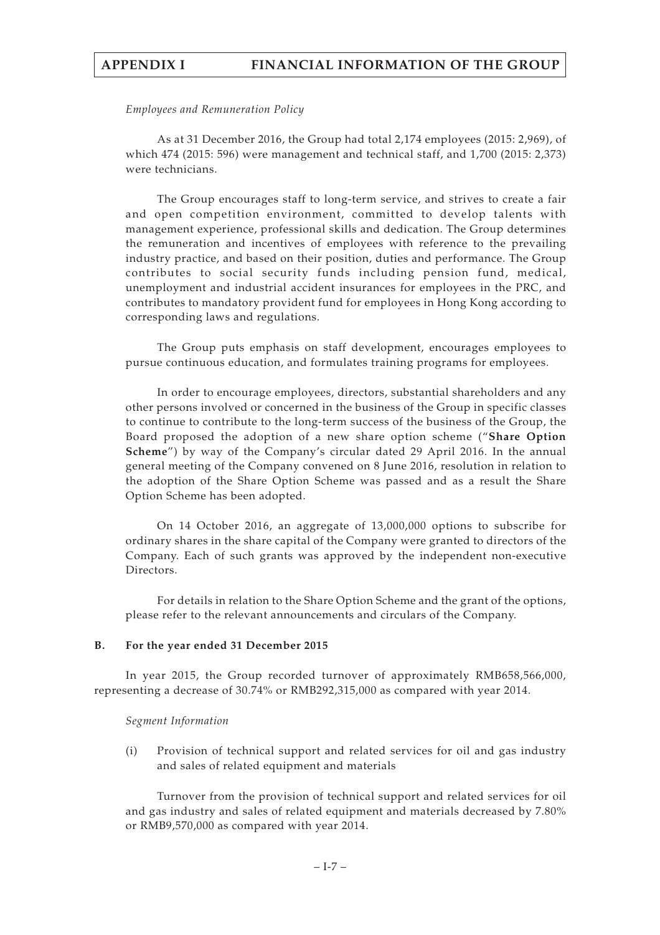#### *Employees and Remuneration Policy*

As at 31 December 2016, the Group had total 2,174 employees (2015: 2,969), of which 474 (2015: 596) were management and technical staff, and 1,700 (2015: 2,373) were technicians.

The Group encourages staff to long-term service, and strives to create a fair and open competition environment, committed to develop talents with management experience, professional skills and dedication. The Group determines the remuneration and incentives of employees with reference to the prevailing industry practice, and based on their position, duties and performance. The Group contributes to social security funds including pension fund, medical, unemployment and industrial accident insurances for employees in the PRC, and contributes to mandatory provident fund for employees in Hong Kong according to corresponding laws and regulations.

The Group puts emphasis on staff development, encourages employees to pursue continuous education, and formulates training programs for employees.

In order to encourage employees, directors, substantial shareholders and any other persons involved or concerned in the business of the Group in specific classes to continue to contribute to the long-term success of the business of the Group, the Board proposed the adoption of a new share option scheme ("**Share Option Scheme**") by way of the Company's circular dated 29 April 2016. In the annual general meeting of the Company convened on 8 June 2016, resolution in relation to the adoption of the Share Option Scheme was passed and as a result the Share Option Scheme has been adopted.

On 14 October 2016, an aggregate of 13,000,000 options to subscribe for ordinary shares in the share capital of the Company were granted to directors of the Company. Each of such grants was approved by the independent non-executive Directors.

For details in relation to the Share Option Scheme and the grant of the options, please refer to the relevant announcements and circulars of the Company.

#### **B. For the year ended 31 December 2015**

In year 2015, the Group recorded turnover of approximately RMB658,566,000, representing a decrease of 30.74% or RMB292,315,000 as compared with year 2014.

#### *Segment Information*

(i) Provision of technical support and related services for oil and gas industry and sales of related equipment and materials

Turnover from the provision of technical support and related services for oil and gas industry and sales of related equipment and materials decreased by 7.80% or RMB9,570,000 as compared with year 2014.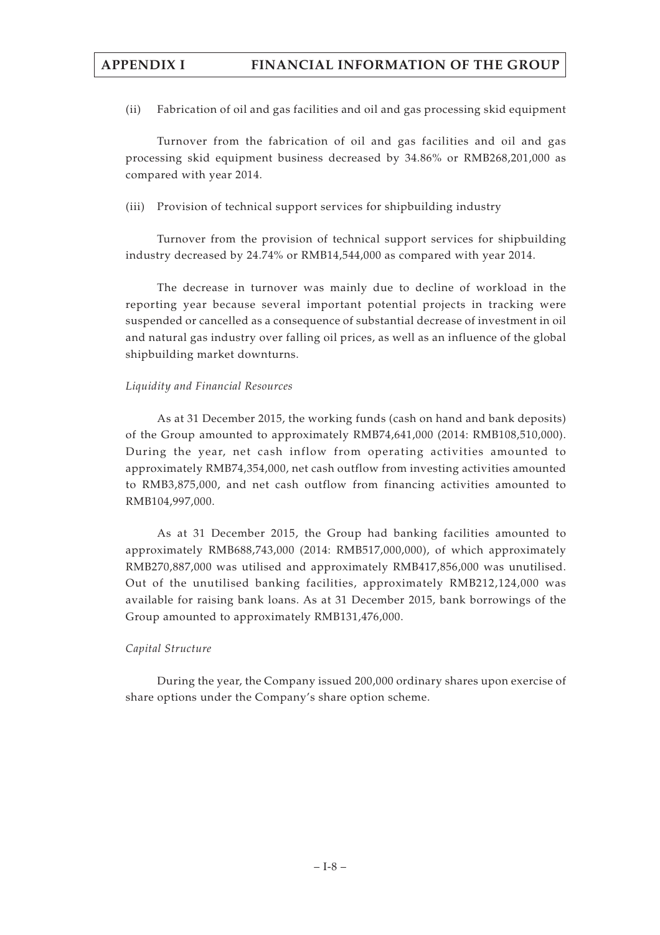(ii) Fabrication of oil and gas facilities and oil and gas processing skid equipment

Turnover from the fabrication of oil and gas facilities and oil and gas processing skid equipment business decreased by 34.86% or RMB268,201,000 as compared with year 2014.

(iii) Provision of technical support services for shipbuilding industry

Turnover from the provision of technical support services for shipbuilding industry decreased by 24.74% or RMB14,544,000 as compared with year 2014.

The decrease in turnover was mainly due to decline of workload in the reporting year because several important potential projects in tracking were suspended or cancelled as a consequence of substantial decrease of investment in oil and natural gas industry over falling oil prices, as well as an influence of the global shipbuilding market downturns.

## *Liquidity and Financial Resources*

As at 31 December 2015, the working funds (cash on hand and bank deposits) of the Group amounted to approximately RMB74,641,000 (2014: RMB108,510,000). During the year, net cash inflow from operating activities amounted to approximately RMB74,354,000, net cash outflow from investing activities amounted to RMB3,875,000, and net cash outflow from financing activities amounted to RMB104,997,000.

As at 31 December 2015, the Group had banking facilities amounted to approximately RMB688,743,000 (2014: RMB517,000,000), of which approximately RMB270,887,000 was utilised and approximately RMB417,856,000 was unutilised. Out of the unutilised banking facilities, approximately RMB212,124,000 was available for raising bank loans. As at 31 December 2015, bank borrowings of the Group amounted to approximately RMB131,476,000.

# *Capital Structure*

During the year, the Company issued 200,000 ordinary shares upon exercise of share options under the Company's share option scheme.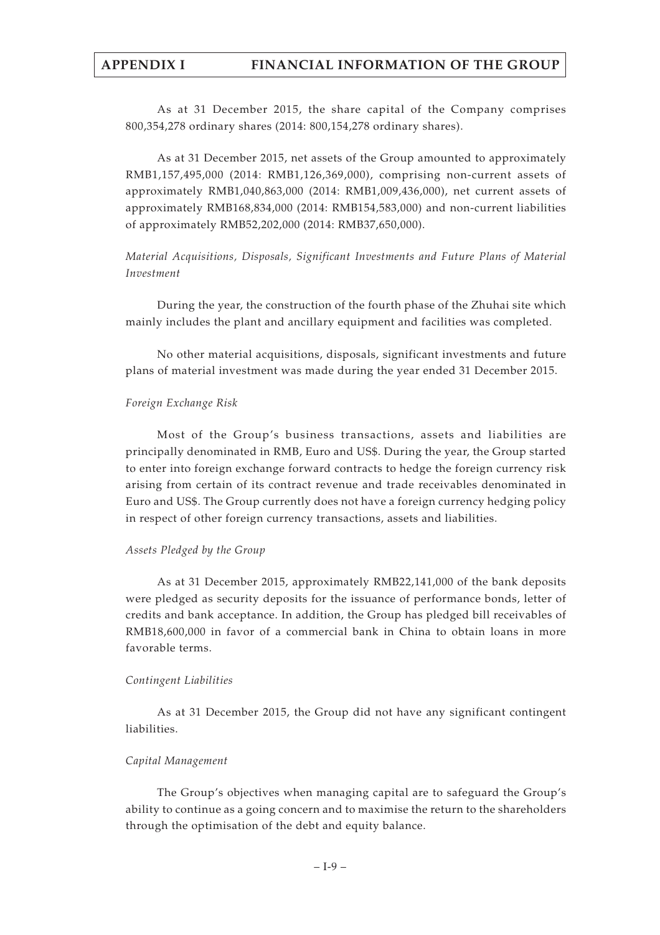As at 31 December 2015, the share capital of the Company comprises 800,354,278 ordinary shares (2014: 800,154,278 ordinary shares).

As at 31 December 2015, net assets of the Group amounted to approximately RMB1,157,495,000 (2014: RMB1,126,369,000), comprising non-current assets of approximately RMB1,040,863,000 (2014: RMB1,009,436,000), net current assets of approximately RMB168,834,000 (2014: RMB154,583,000) and non-current liabilities of approximately RMB52,202,000 (2014: RMB37,650,000).

# *Material Acquisitions, Disposals, Significant Investments and Future Plans of Material Investment*

During the year, the construction of the fourth phase of the Zhuhai site which mainly includes the plant and ancillary equipment and facilities was completed.

No other material acquisitions, disposals, significant investments and future plans of material investment was made during the year ended 31 December 2015.

# *Foreign Exchange Risk*

Most of the Group's business transactions, assets and liabilities are principally denominated in RMB, Euro and US\$. During the year, the Group started to enter into foreign exchange forward contracts to hedge the foreign currency risk arising from certain of its contract revenue and trade receivables denominated in Euro and US\$. The Group currently does not have a foreign currency hedging policy in respect of other foreign currency transactions, assets and liabilities.

# *Assets Pledged by the Group*

As at 31 December 2015, approximately RMB22,141,000 of the bank deposits were pledged as security deposits for the issuance of performance bonds, letter of credits and bank acceptance. In addition, the Group has pledged bill receivables of RMB18,600,000 in favor of a commercial bank in China to obtain loans in more favorable terms.

# *Contingent Liabilities*

As at 31 December 2015, the Group did not have any significant contingent liabilities.

# *Capital Management*

The Group's objectives when managing capital are to safeguard the Group's ability to continue as a going concern and to maximise the return to the shareholders through the optimisation of the debt and equity balance.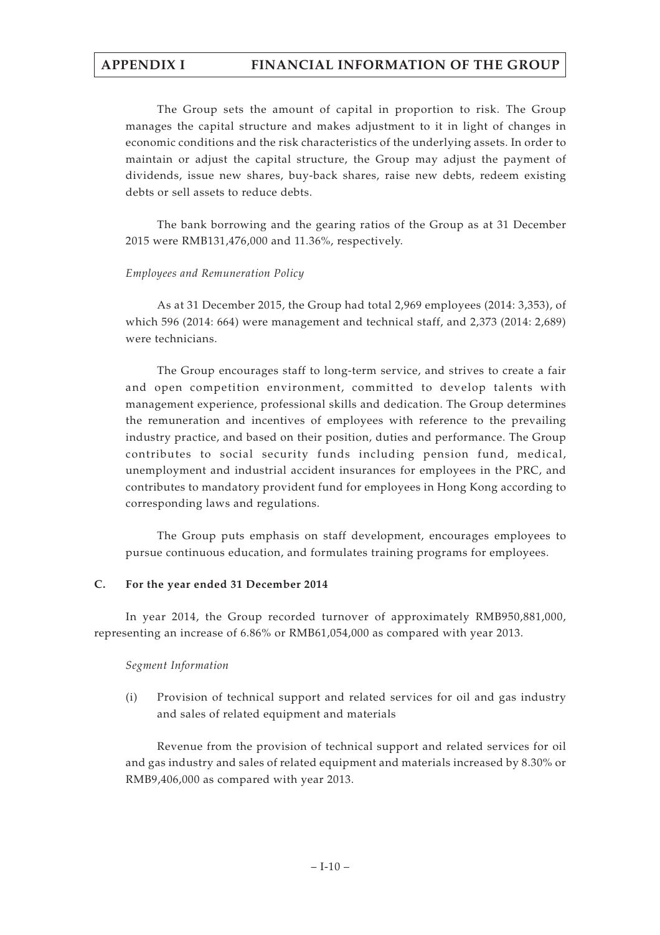The Group sets the amount of capital in proportion to risk. The Group manages the capital structure and makes adjustment to it in light of changes in economic conditions and the risk characteristics of the underlying assets. In order to maintain or adjust the capital structure, the Group may adjust the payment of dividends, issue new shares, buy-back shares, raise new debts, redeem existing debts or sell assets to reduce debts.

The bank borrowing and the gearing ratios of the Group as at 31 December 2015 were RMB131,476,000 and 11.36%, respectively.

## *Employees and Remuneration Policy*

As at 31 December 2015, the Group had total 2,969 employees (2014: 3,353), of which 596 (2014: 664) were management and technical staff, and 2,373 (2014: 2,689) were technicians.

The Group encourages staff to long-term service, and strives to create a fair and open competition environment, committed to develop talents with management experience, professional skills and dedication. The Group determines the remuneration and incentives of employees with reference to the prevailing industry practice, and based on their position, duties and performance. The Group contributes to social security funds including pension fund, medical, unemployment and industrial accident insurances for employees in the PRC, and contributes to mandatory provident fund for employees in Hong Kong according to corresponding laws and regulations.

The Group puts emphasis on staff development, encourages employees to pursue continuous education, and formulates training programs for employees.

# **C. For the year ended 31 December 2014**

In year 2014, the Group recorded turnover of approximately RMB950,881,000, representing an increase of 6.86% or RMB61,054,000 as compared with year 2013.

# *Segment Information*

(i) Provision of technical support and related services for oil and gas industry and sales of related equipment and materials

Revenue from the provision of technical support and related services for oil and gas industry and sales of related equipment and materials increased by 8.30% or RMB9,406,000 as compared with year 2013.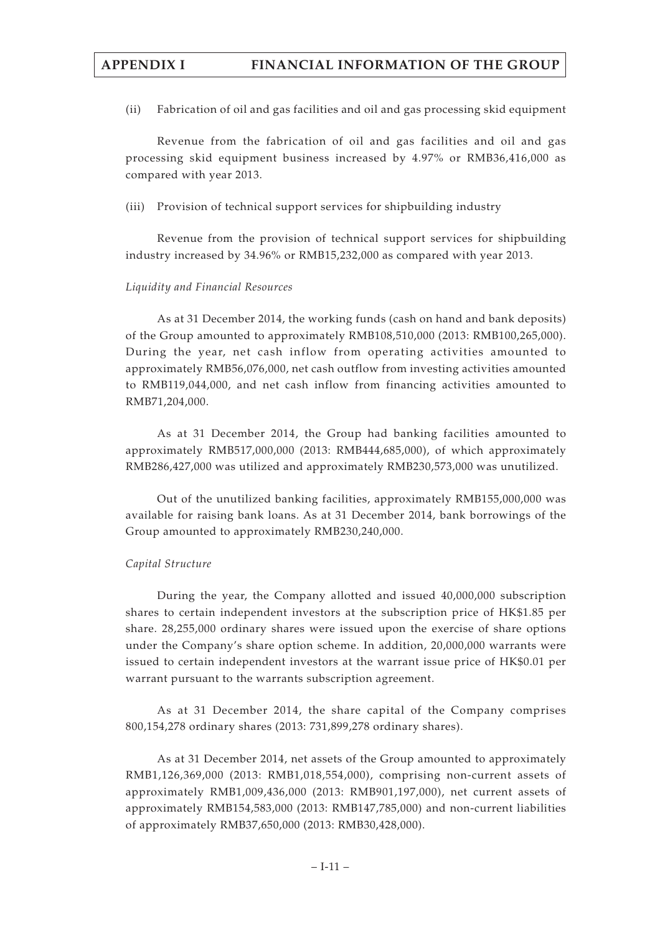(ii) Fabrication of oil and gas facilities and oil and gas processing skid equipment

Revenue from the fabrication of oil and gas facilities and oil and gas processing skid equipment business increased by 4.97% or RMB36,416,000 as compared with year 2013.

(iii) Provision of technical support services for shipbuilding industry

Revenue from the provision of technical support services for shipbuilding industry increased by 34.96% or RMB15,232,000 as compared with year 2013.

#### *Liquidity and Financial Resources*

As at 31 December 2014, the working funds (cash on hand and bank deposits) of the Group amounted to approximately RMB108,510,000 (2013: RMB100,265,000). During the year, net cash inflow from operating activities amounted to approximately RMB56,076,000, net cash outflow from investing activities amounted to RMB119,044,000, and net cash inflow from financing activities amounted to RMB71,204,000.

As at 31 December 2014, the Group had banking facilities amounted to approximately RMB517,000,000 (2013: RMB444,685,000), of which approximately RMB286,427,000 was utilized and approximately RMB230,573,000 was unutilized.

Out of the unutilized banking facilities, approximately RMB155,000,000 was available for raising bank loans. As at 31 December 2014, bank borrowings of the Group amounted to approximately RMB230,240,000.

#### *Capital Structure*

During the year, the Company allotted and issued 40,000,000 subscription shares to certain independent investors at the subscription price of HK\$1.85 per share. 28,255,000 ordinary shares were issued upon the exercise of share options under the Company's share option scheme. In addition, 20,000,000 warrants were issued to certain independent investors at the warrant issue price of HK\$0.01 per warrant pursuant to the warrants subscription agreement.

As at 31 December 2014, the share capital of the Company comprises 800,154,278 ordinary shares (2013: 731,899,278 ordinary shares).

As at 31 December 2014, net assets of the Group amounted to approximately RMB1,126,369,000 (2013: RMB1,018,554,000), comprising non-current assets of approximately RMB1,009,436,000 (2013: RMB901,197,000), net current assets of approximately RMB154,583,000 (2013: RMB147,785,000) and non-current liabilities of approximately RMB37,650,000 (2013: RMB30,428,000).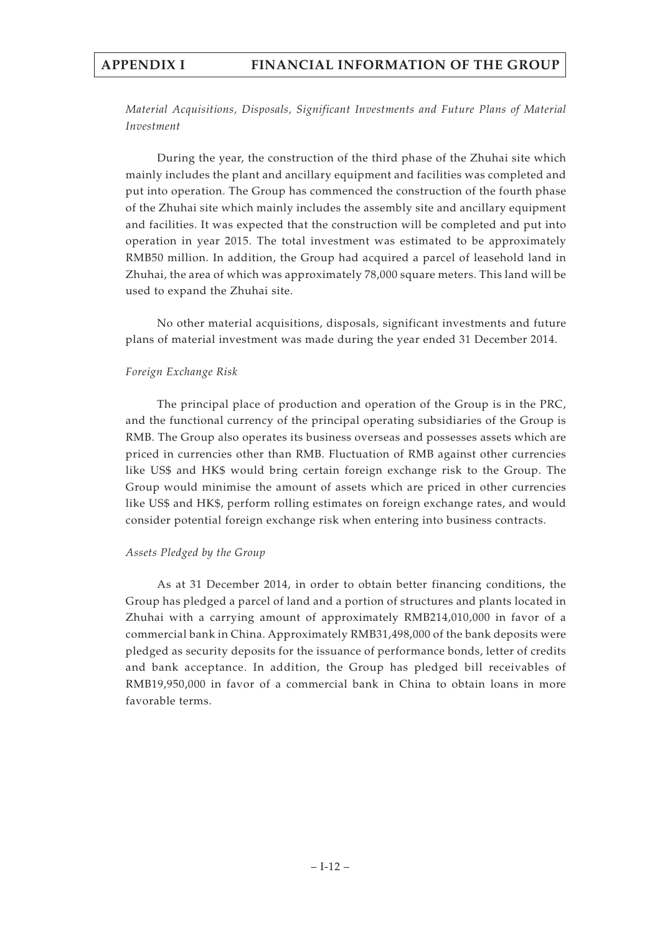*Material Acquisitions, Disposals, Significant Investments and Future Plans of Material Investment*

During the year, the construction of the third phase of the Zhuhai site which mainly includes the plant and ancillary equipment and facilities was completed and put into operation. The Group has commenced the construction of the fourth phase of the Zhuhai site which mainly includes the assembly site and ancillary equipment and facilities. It was expected that the construction will be completed and put into operation in year 2015. The total investment was estimated to be approximately RMB50 million. In addition, the Group had acquired a parcel of leasehold land in Zhuhai, the area of which was approximately 78,000 square meters. This land will be used to expand the Zhuhai site.

No other material acquisitions, disposals, significant investments and future plans of material investment was made during the year ended 31 December 2014.

# *Foreign Exchange Risk*

The principal place of production and operation of the Group is in the PRC, and the functional currency of the principal operating subsidiaries of the Group is RMB. The Group also operates its business overseas and possesses assets which are priced in currencies other than RMB. Fluctuation of RMB against other currencies like US\$ and HK\$ would bring certain foreign exchange risk to the Group. The Group would minimise the amount of assets which are priced in other currencies like US\$ and HK\$, perform rolling estimates on foreign exchange rates, and would consider potential foreign exchange risk when entering into business contracts.

# *Assets Pledged by the Group*

As at 31 December 2014, in order to obtain better financing conditions, the Group has pledged a parcel of land and a portion of structures and plants located in Zhuhai with a carrying amount of approximately RMB214,010,000 in favor of a commercial bank in China. Approximately RMB31,498,000 of the bank deposits were pledged as security deposits for the issuance of performance bonds, letter of credits and bank acceptance. In addition, the Group has pledged bill receivables of RMB19,950,000 in favor of a commercial bank in China to obtain loans in more favorable terms.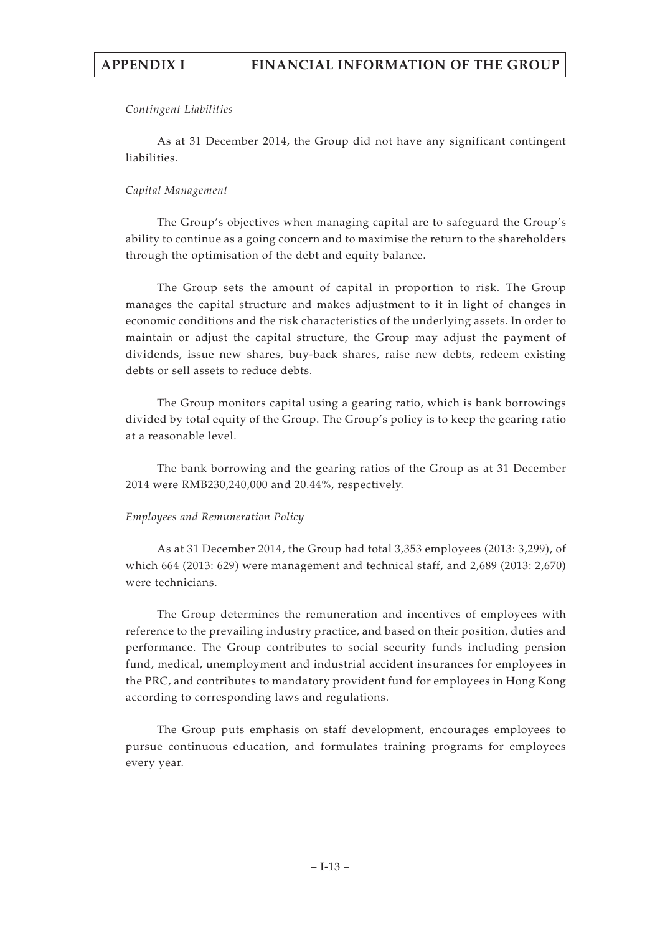#### *Contingent Liabilities*

As at 31 December 2014, the Group did not have any significant contingent liabilities.

## *Capital Management*

The Group's objectives when managing capital are to safeguard the Group's ability to continue as a going concern and to maximise the return to the shareholders through the optimisation of the debt and equity balance.

The Group sets the amount of capital in proportion to risk. The Group manages the capital structure and makes adjustment to it in light of changes in economic conditions and the risk characteristics of the underlying assets. In order to maintain or adjust the capital structure, the Group may adjust the payment of dividends, issue new shares, buy-back shares, raise new debts, redeem existing debts or sell assets to reduce debts.

The Group monitors capital using a gearing ratio, which is bank borrowings divided by total equity of the Group. The Group's policy is to keep the gearing ratio at a reasonable level.

The bank borrowing and the gearing ratios of the Group as at 31 December 2014 were RMB230,240,000 and 20.44%, respectively.

#### *Employees and Remuneration Policy*

As at 31 December 2014, the Group had total 3,353 employees (2013: 3,299), of which 664 (2013: 629) were management and technical staff, and 2,689 (2013: 2,670) were technicians.

The Group determines the remuneration and incentives of employees with reference to the prevailing industry practice, and based on their position, duties and performance. The Group contributes to social security funds including pension fund, medical, unemployment and industrial accident insurances for employees in the PRC, and contributes to mandatory provident fund for employees in Hong Kong according to corresponding laws and regulations.

The Group puts emphasis on staff development, encourages employees to pursue continuous education, and formulates training programs for employees every year.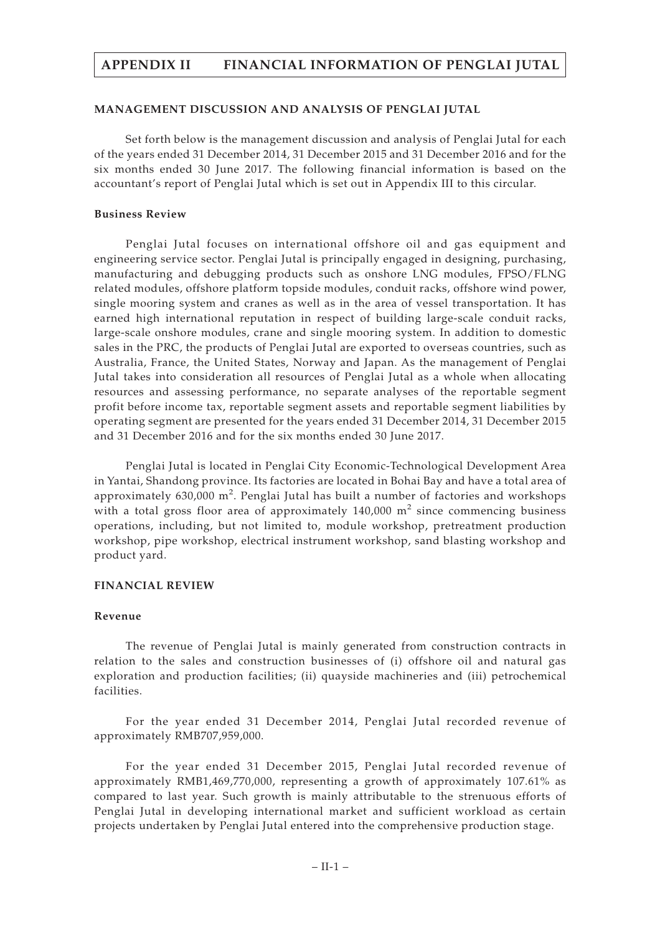#### **MANAGEMENT DISCUSSION AND ANALYSIS OF PENGLAI JUTAL**

Set forth below is the management discussion and analysis of Penglai Jutal for each of the years ended 31 December 2014, 31 December 2015 and 31 December 2016 and for the six months ended 30 June 2017. The following financial information is based on the accountant's report of Penglai Jutal which is set out in Appendix III to this circular.

#### **Business Review**

Penglai Jutal focuses on international offshore oil and gas equipment and engineering service sector. Penglai Jutal is principally engaged in designing, purchasing, manufacturing and debugging products such as onshore LNG modules, FPSO/FLNG related modules, offshore platform topside modules, conduit racks, offshore wind power, single mooring system and cranes as well as in the area of vessel transportation. It has earned high international reputation in respect of building large-scale conduit racks, large-scale onshore modules, crane and single mooring system. In addition to domestic sales in the PRC, the products of Penglai Jutal are exported to overseas countries, such as Australia, France, the United States, Norway and Japan. As the management of Penglai Jutal takes into consideration all resources of Penglai Jutal as a whole when allocating resources and assessing performance, no separate analyses of the reportable segment profit before income tax, reportable segment assets and reportable segment liabilities by operating segment are presented for the years ended 31 December 2014, 31 December 2015 and 31 December 2016 and for the six months ended 30 June 2017.

Penglai Jutal is located in Penglai City Economic-Technological Development Area in Yantai, Shandong province. Its factories are located in Bohai Bay and have a total area of approximately 630,000  $\text{m}^2$ . Penglai Jutal has built a number of factories and workshops with a total gross floor area of approximately  $140,000$  m<sup>2</sup> since commencing business operations, including, but not limited to, module workshop, pretreatment production workshop, pipe workshop, electrical instrument workshop, sand blasting workshop and product yard.

#### **FINANCIAL REVIEW**

## **Revenue**

The revenue of Penglai Jutal is mainly generated from construction contracts in relation to the sales and construction businesses of (i) offshore oil and natural gas exploration and production facilities; (ii) quayside machineries and (iii) petrochemical facilities.

For the year ended 31 December 2014, Penglai Jutal recorded revenue of approximately RMB707,959,000.

For the year ended 31 December 2015, Penglai Jutal recorded revenue of approximately RMB1,469,770,000, representing a growth of approximately 107.61% as compared to last year. Such growth is mainly attributable to the strenuous efforts of Penglai Jutal in developing international market and sufficient workload as certain projects undertaken by Penglai Jutal entered into the comprehensive production stage.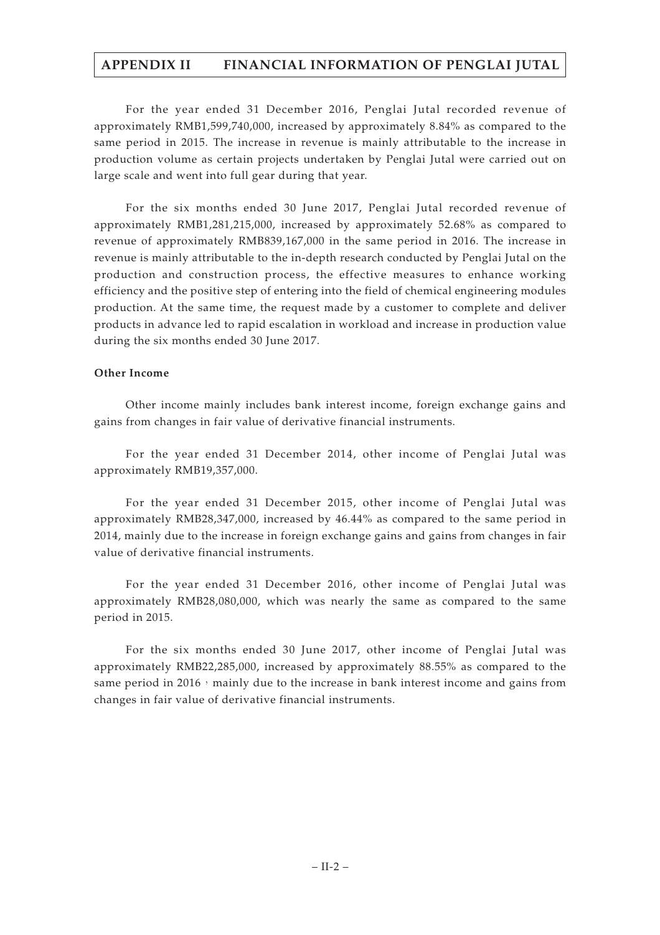For the year ended 31 December 2016, Penglai Jutal recorded revenue of approximately RMB1,599,740,000, increased by approximately 8.84% as compared to the same period in 2015. The increase in revenue is mainly attributable to the increase in production volume as certain projects undertaken by Penglai Jutal were carried out on large scale and went into full gear during that year.

For the six months ended 30 June 2017, Penglai Jutal recorded revenue of approximately RMB1,281,215,000, increased by approximately 52.68% as compared to revenue of approximately RMB839,167,000 in the same period in 2016. The increase in revenue is mainly attributable to the in-depth research conducted by Penglai Jutal on the production and construction process, the effective measures to enhance working efficiency and the positive step of entering into the field of chemical engineering modules production. At the same time, the request made by a customer to complete and deliver products in advance led to rapid escalation in workload and increase in production value during the six months ended 30 June 2017.

# **Other Income**

Other income mainly includes bank interest income, foreign exchange gains and gains from changes in fair value of derivative financial instruments.

For the year ended 31 December 2014, other income of Penglai Jutal was approximately RMB19,357,000.

For the year ended 31 December 2015, other income of Penglai Jutal was approximately RMB28,347,000, increased by 46.44% as compared to the same period in 2014, mainly due to the increase in foreign exchange gains and gains from changes in fair value of derivative financial instruments.

For the year ended 31 December 2016, other income of Penglai Jutal was approximately RMB28,080,000, which was nearly the same as compared to the same period in 2015.

For the six months ended 30 June 2017, other income of Penglai Jutal was approximately RMB22,285,000, increased by approximately 88.55% as compared to the same period in 2016, mainly due to the increase in bank interest income and gains from changes in fair value of derivative financial instruments.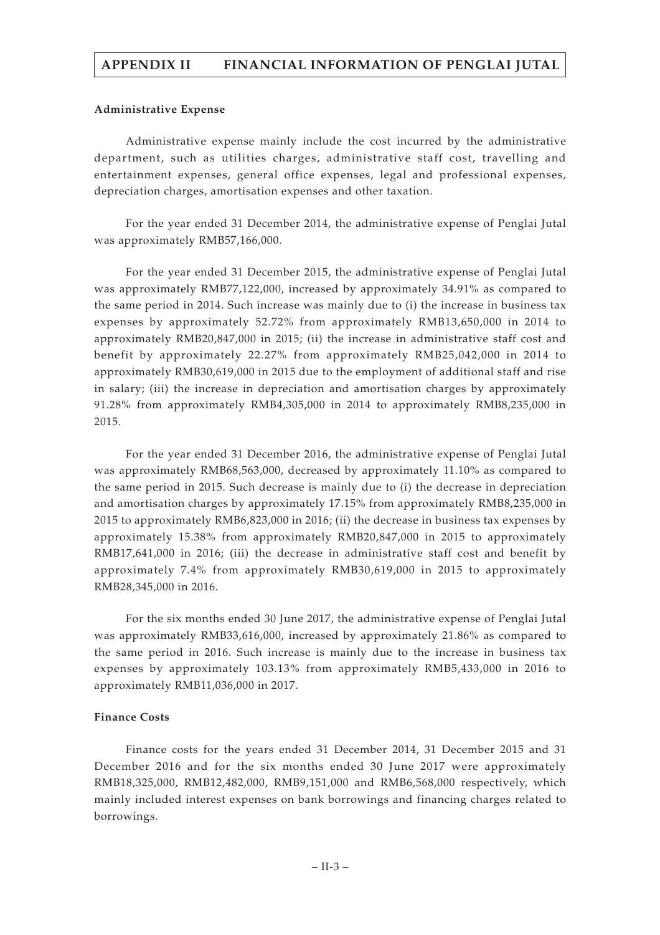#### **Administrative Expense**

Administrative expense mainly include the cost incurred by the administrative department, such as utilities charges, administrative staff cost, travelling and entertainment expenses, general office expenses, legal and professional expenses, depreciation charges, amortisation expenses and other taxation.

For the year ended 31 December 2014, the administrative expense of Penglai Jutal was approximately RMB57,166,000.

For the year ended 31 December 2015, the administrative expense of Penglai Jutal was approximately RMB77,122,000, increased by approximately 34.91% as compared to the same period in 2014. Such increase was mainly due to (i) the increase in business tax expenses by approximately 52.72% from approximately RMB13,650,000 in 2014 to approximately RMB20,847,000 in 2015; (ii) the increase in administrative staff cost and benefit by approximately 22.27% from approximately RMB25,042,000 in 2014 to approximately RMB30,619,000 in 2015 due to the employment of additional staff and rise in salary; (iii) the increase in depreciation and amortisation charges by approximately 91.28% from approximately RMB4,305,000 in 2014 to approximately RMB8,235,000 in 2015.

For the year ended 31 December 2016, the administrative expense of Penglai Jutal was approximately RMB68,563,000, decreased by approximately 11.10% as compared to the same period in 2015. Such decrease is mainly due to (i) the decrease in depreciation and amortisation charges by approximately 17.15% from approximately RMB8,235,000 in 2015 to approximately RMB6,823,000 in 2016; (ii) the decrease in business tax expenses by approximately 15.38% from approximately RMB20,847,000 in 2015 to approximately RMB17,641,000 in 2016; (iii) the decrease in administrative staff cost and benefit by approximately 7.4% from approximately RMB30,619,000 in 2015 to approximately RMB28,345,000 in 2016.

For the six months ended 30 June 2017, the administrative expense of Penglai Jutal was approximately RMB33,616,000, increased by approximately 21.86% as compared to the same period in 2016. Such increase is mainly due to the increase in business tax expenses by approximately 103.13% from approximately RMB5,433,000 in 2016 to approximately RMB11,036,000 in 2017.

# **Finance Costs**

Finance costs for the years ended 31 December 2014, 31 December 2015 and 31 December 2016 and for the six months ended 30 June 2017 were approximately RMB18,325,000, RMB12,482,000, RMB9,151,000 and RMB6,568,000 respectively, which mainly included interest expenses on bank borrowings and financing charges related to borrowings.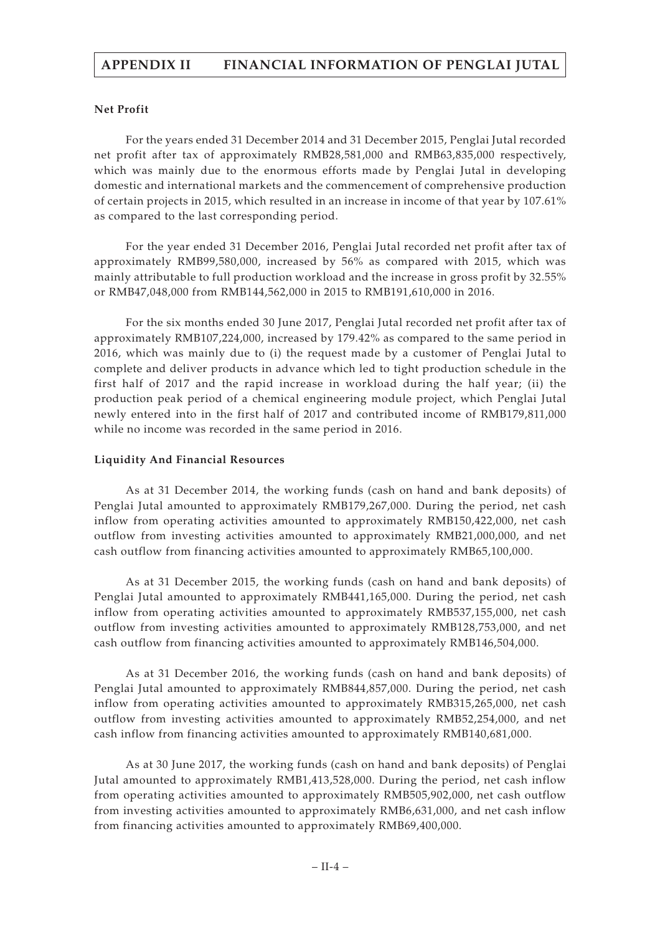## **Net Profit**

For the years ended 31 December 2014 and 31 December 2015, Penglai Jutal recorded net profit after tax of approximately RMB28,581,000 and RMB63,835,000 respectively, which was mainly due to the enormous efforts made by Penglai Jutal in developing domestic and international markets and the commencement of comprehensive production of certain projects in 2015, which resulted in an increase in income of that year by 107.61% as compared to the last corresponding period.

For the year ended 31 December 2016, Penglai Jutal recorded net profit after tax of approximately RMB99,580,000, increased by 56% as compared with 2015, which was mainly attributable to full production workload and the increase in gross profit by 32.55% or RMB47,048,000 from RMB144,562,000 in 2015 to RMB191,610,000 in 2016.

For the six months ended 30 June 2017, Penglai Jutal recorded net profit after tax of approximately RMB107,224,000, increased by 179.42% as compared to the same period in 2016, which was mainly due to (i) the request made by a customer of Penglai Jutal to complete and deliver products in advance which led to tight production schedule in the first half of 2017 and the rapid increase in workload during the half year; (ii) the production peak period of a chemical engineering module project, which Penglai Jutal newly entered into in the first half of 2017 and contributed income of RMB179,811,000 while no income was recorded in the same period in 2016.

## **Liquidity And Financial Resources**

As at 31 December 2014, the working funds (cash on hand and bank deposits) of Penglai Jutal amounted to approximately RMB179,267,000. During the period, net cash inflow from operating activities amounted to approximately RMB150,422,000, net cash outflow from investing activities amounted to approximately RMB21,000,000, and net cash outflow from financing activities amounted to approximately RMB65,100,000.

As at 31 December 2015, the working funds (cash on hand and bank deposits) of Penglai Jutal amounted to approximately RMB441,165,000. During the period, net cash inflow from operating activities amounted to approximately RMB537,155,000, net cash outflow from investing activities amounted to approximately RMB128,753,000, and net cash outflow from financing activities amounted to approximately RMB146,504,000.

As at 31 December 2016, the working funds (cash on hand and bank deposits) of Penglai Jutal amounted to approximately RMB844,857,000. During the period, net cash inflow from operating activities amounted to approximately RMB315,265,000, net cash outflow from investing activities amounted to approximately RMB52,254,000, and net cash inflow from financing activities amounted to approximately RMB140,681,000.

As at 30 June 2017, the working funds (cash on hand and bank deposits) of Penglai Jutal amounted to approximately RMB1,413,528,000. During the period, net cash inflow from operating activities amounted to approximately RMB505,902,000, net cash outflow from investing activities amounted to approximately RMB6,631,000, and net cash inflow from financing activities amounted to approximately RMB69,400,000.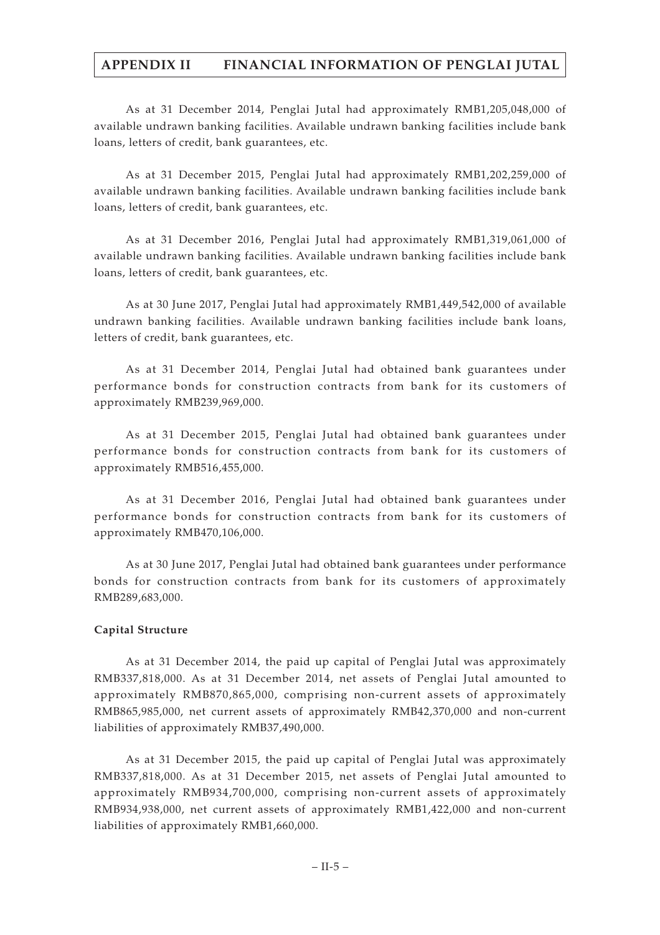As at 31 December 2014, Penglai Jutal had approximately RMB1,205,048,000 of available undrawn banking facilities. Available undrawn banking facilities include bank loans, letters of credit, bank guarantees, etc.

As at 31 December 2015, Penglai Jutal had approximately RMB1,202,259,000 of available undrawn banking facilities. Available undrawn banking facilities include bank loans, letters of credit, bank guarantees, etc.

As at 31 December 2016, Penglai Jutal had approximately RMB1,319,061,000 of available undrawn banking facilities. Available undrawn banking facilities include bank loans, letters of credit, bank guarantees, etc.

As at 30 June 2017, Penglai Jutal had approximately RMB1,449,542,000 of available undrawn banking facilities. Available undrawn banking facilities include bank loans, letters of credit, bank guarantees, etc.

As at 31 December 2014, Penglai Jutal had obtained bank guarantees under performance bonds for construction contracts from bank for its customers of approximately RMB239,969,000.

As at 31 December 2015, Penglai Jutal had obtained bank guarantees under performance bonds for construction contracts from bank for its customers of approximately RMB516,455,000.

As at 31 December 2016, Penglai Jutal had obtained bank guarantees under performance bonds for construction contracts from bank for its customers of approximately RMB470,106,000.

As at 30 June 2017, Penglai Jutal had obtained bank guarantees under performance bonds for construction contracts from bank for its customers of approximately RMB289,683,000.

# **Capital Structure**

As at 31 December 2014, the paid up capital of Penglai Jutal was approximately RMB337,818,000. As at 31 December 2014, net assets of Penglai Jutal amounted to approximately RMB870,865,000, comprising non-current assets of approximately RMB865,985,000, net current assets of approximately RMB42,370,000 and non-current liabilities of approximately RMB37,490,000.

As at 31 December 2015, the paid up capital of Penglai Jutal was approximately RMB337,818,000. As at 31 December 2015, net assets of Penglai Jutal amounted to approximately RMB934,700,000, comprising non-current assets of approximately RMB934,938,000, net current assets of approximately RMB1,422,000 and non-current liabilities of approximately RMB1,660,000.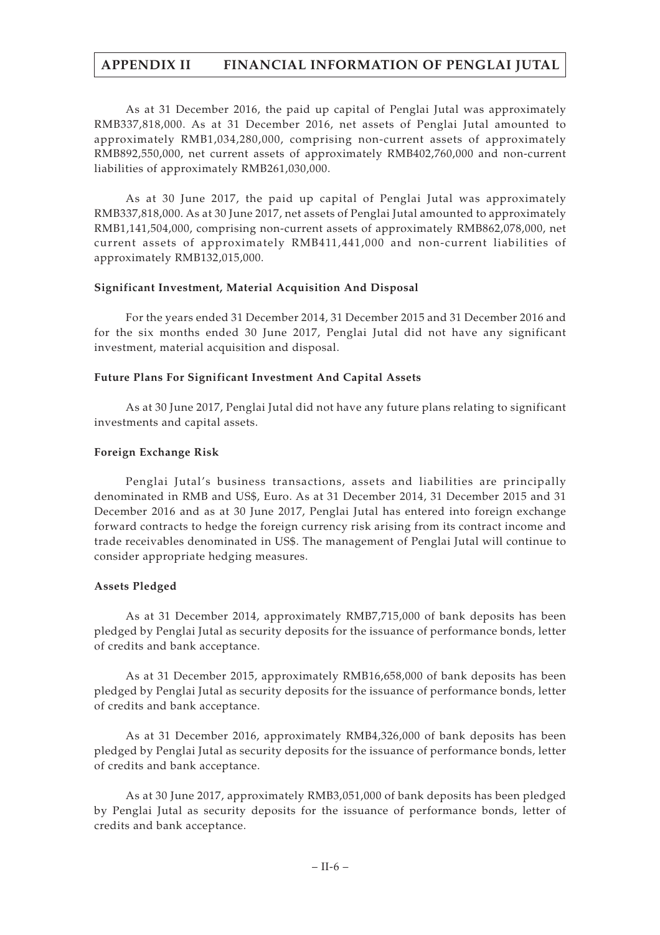As at 31 December 2016, the paid up capital of Penglai Jutal was approximately RMB337,818,000. As at 31 December 2016, net assets of Penglai Jutal amounted to approximately RMB1,034,280,000, comprising non-current assets of approximately RMB892,550,000, net current assets of approximately RMB402,760,000 and non-current liabilities of approximately RMB261,030,000.

As at 30 June 2017, the paid up capital of Penglai Jutal was approximately RMB337,818,000. As at 30 June 2017, net assets of Penglai Jutal amounted to approximately RMB1,141,504,000, comprising non-current assets of approximately RMB862,078,000, net current assets of approximately RMB411,441,000 and non-current liabilities of approximately RMB132,015,000.

## **Significant Investment, Material Acquisition And Disposal**

For the years ended 31 December 2014, 31 December 2015 and 31 December 2016 and for the six months ended 30 June 2017, Penglai Jutal did not have any significant investment, material acquisition and disposal.

## **Future Plans For Significant Investment And Capital Assets**

As at 30 June 2017, Penglai Jutal did not have any future plans relating to significant investments and capital assets.

## **Foreign Exchange Risk**

Penglai Jutal's business transactions, assets and liabilities are principally denominated in RMB and US\$, Euro. As at 31 December 2014, 31 December 2015 and 31 December 2016 and as at 30 June 2017, Penglai Jutal has entered into foreign exchange forward contracts to hedge the foreign currency risk arising from its contract income and trade receivables denominated in US\$. The management of Penglai Jutal will continue to consider appropriate hedging measures.

# **Assets Pledged**

As at 31 December 2014, approximately RMB7,715,000 of bank deposits has been pledged by Penglai Jutal as security deposits for the issuance of performance bonds, letter of credits and bank acceptance.

As at 31 December 2015, approximately RMB16,658,000 of bank deposits has been pledged by Penglai Jutal as security deposits for the issuance of performance bonds, letter of credits and bank acceptance.

As at 31 December 2016, approximately RMB4,326,000 of bank deposits has been pledged by Penglai Jutal as security deposits for the issuance of performance bonds, letter of credits and bank acceptance.

As at 30 June 2017, approximately RMB3,051,000 of bank deposits has been pledged by Penglai Jutal as security deposits for the issuance of performance bonds, letter of credits and bank acceptance.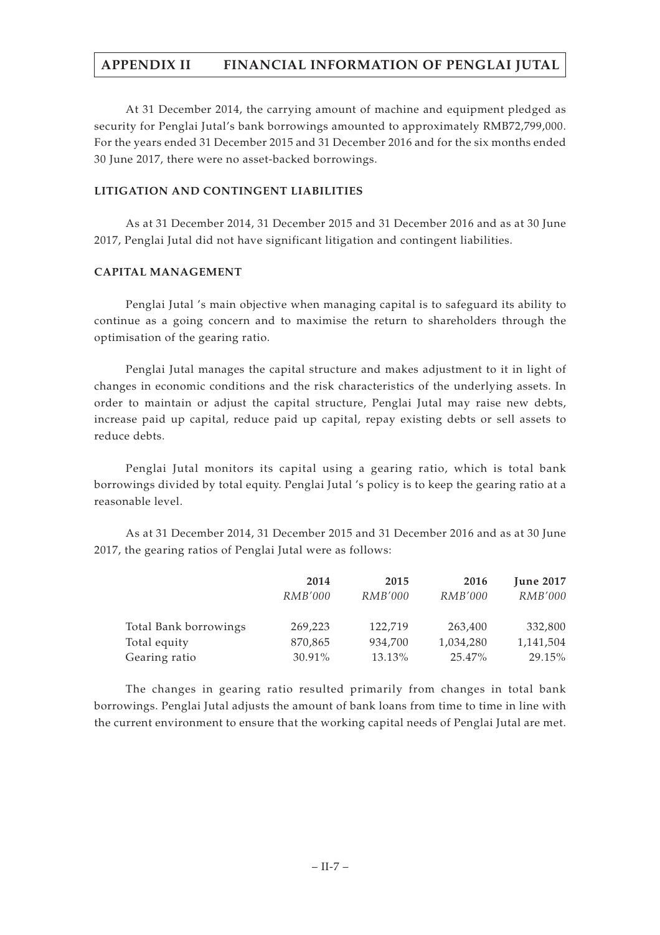At 31 December 2014, the carrying amount of machine and equipment pledged as security for Penglai Jutal's bank borrowings amounted to approximately RMB72,799,000. For the years ended 31 December 2015 and 31 December 2016 and for the six months ended 30 June 2017, there were no asset-backed borrowings.

# **LITIGATION AND CONTINGENT LIABILITIES**

As at 31 December 2014, 31 December 2015 and 31 December 2016 and as at 30 June 2017, Penglai Jutal did not have significant litigation and contingent liabilities.

## **CAPITAL MANAGEMENT**

Penglai Jutal 's main objective when managing capital is to safeguard its ability to continue as a going concern and to maximise the return to shareholders through the optimisation of the gearing ratio.

Penglai Jutal manages the capital structure and makes adjustment to it in light of changes in economic conditions and the risk characteristics of the underlying assets. In order to maintain or adjust the capital structure, Penglai Jutal may raise new debts, increase paid up capital, reduce paid up capital, repay existing debts or sell assets to reduce debts.

Penglai Jutal monitors its capital using a gearing ratio, which is total bank borrowings divided by total equity. Penglai Jutal 's policy is to keep the gearing ratio at a reasonable level.

As at 31 December 2014, 31 December 2015 and 31 December 2016 and as at 30 June 2017, the gearing ratios of Penglai Jutal were as follows:

|                       | 2014           | 2015           | 2016           | <b>June 2017</b> |
|-----------------------|----------------|----------------|----------------|------------------|
|                       | <i>RMB'000</i> | <i>RMB'000</i> | <i>RMB'000</i> | <b>RMB'000</b>   |
| Total Bank borrowings | 269,223        | 122,719        | 263,400        | 332,800          |
| Total equity          | 870,865        | 934,700        | 1,034,280      | 1,141,504        |
| Gearing ratio         | 30.91%         | 13.13%         | 25.47%         | 29.15%           |

The changes in gearing ratio resulted primarily from changes in total bank borrowings. Penglai Jutal adjusts the amount of bank loans from time to time in line with the current environment to ensure that the working capital needs of Penglai Jutal are met.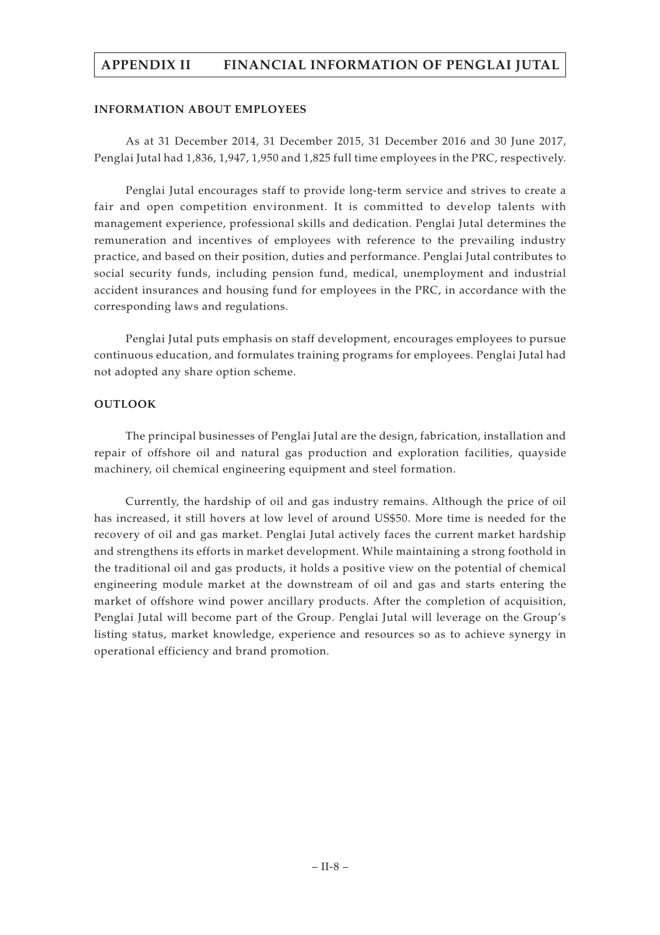## **INFORMATION ABOUT EMPLOYEES**

As at 31 December 2014, 31 December 2015, 31 December 2016 and 30 June 2017, Penglai Jutal had 1,836, 1,947, 1,950 and 1,825 full time employees in the PRC, respectively.

Penglai Jutal encourages staff to provide long-term service and strives to create a fair and open competition environment. It is committed to develop talents with management experience, professional skills and dedication. Penglai Jutal determines the remuneration and incentives of employees with reference to the prevailing industry practice, and based on their position, duties and performance. Penglai Jutal contributes to social security funds, including pension fund, medical, unemployment and industrial accident insurances and housing fund for employees in the PRC, in accordance with the corresponding laws and regulations.

Penglai Jutal puts emphasis on staff development, encourages employees to pursue continuous education, and formulates training programs for employees. Penglai Jutal had not adopted any share option scheme.

## **OUTLOOK**

The principal businesses of Penglai Jutal are the design, fabrication, installation and repair of offshore oil and natural gas production and exploration facilities, quayside machinery, oil chemical engineering equipment and steel formation.

Currently, the hardship of oil and gas industry remains. Although the price of oil has increased, it still hovers at low level of around US\$50. More time is needed for the recovery of oil and gas market. Penglai Jutal actively faces the current market hardship and strengthens its efforts in market development. While maintaining a strong foothold in the traditional oil and gas products, it holds a positive view on the potential of chemical engineering module market at the downstream of oil and gas and starts entering the market of offshore wind power ancillary products. After the completion of acquisition, Penglai Jutal will become part of the Group. Penglai Jutal will leverage on the Group's listing status, market knowledge, experience and resources so as to achieve synergy in operational efficiency and brand promotion.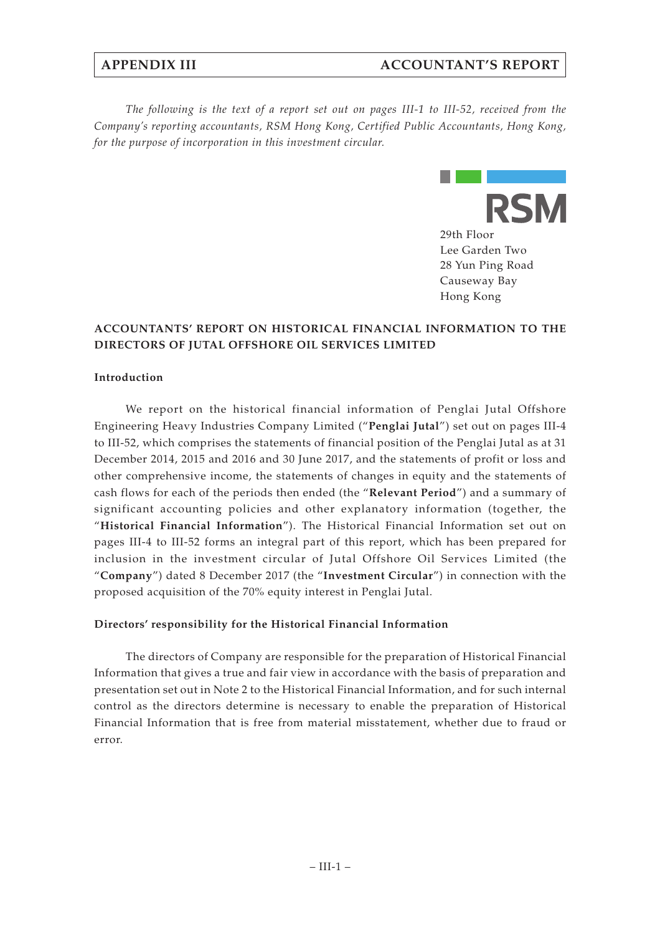*The following is the text of a report set out on pages III-1 to III-52, received from the Company's reporting accountants, RSM Hong Kong, Certified Public Accountants, Hong Kong, for the purpose of incorporation in this investment circular.*



# **ACCOUNTANTS' REPORT ON HISTORICAL FINANCIAL INFORMATION TO THE DIRECTORS OF JUTAL OFFSHORE OIL SERVICES LIMITED**

## **Introduction**

We report on the historical financial information of Penglai Jutal Offshore Engineering Heavy Industries Company Limited ("**Penglai Jutal**") set out on pages III-4 to III-52, which comprises the statements of financial position of the Penglai Jutal as at 31 December 2014, 2015 and 2016 and 30 June 2017, and the statements of profit or loss and other comprehensive income, the statements of changes in equity and the statements of cash flows for each of the periods then ended (the "**Relevant Period**") and a summary of significant accounting policies and other explanatory information (together, the "**Historical Financial Information**"). The Historical Financial Information set out on pages III-4 to III-52 forms an integral part of this report, which has been prepared for inclusion in the investment circular of Jutal Offshore Oil Services Limited (the "**Company**") dated 8 December 2017 (the "**Investment Circular**") in connection with the proposed acquisition of the 70% equity interest in Penglai Jutal.

## **Directors' responsibility for the Historical Financial Information**

The directors of Company are responsible for the preparation of Historical Financial Information that gives a true and fair view in accordance with the basis of preparation and presentation set out in Note 2 to the Historical Financial Information, and for such internal control as the directors determine is necessary to enable the preparation of Historical Financial Information that is free from material misstatement, whether due to fraud or error.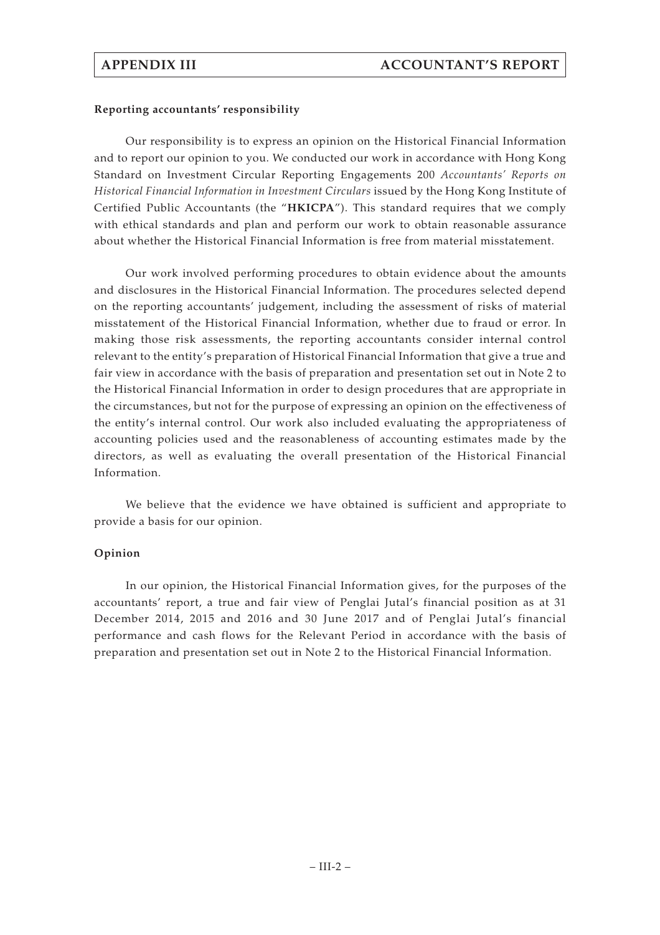## **Reporting accountants' responsibility**

Our responsibility is to express an opinion on the Historical Financial Information and to report our opinion to you. We conducted our work in accordance with Hong Kong Standard on Investment Circular Reporting Engagements 200 *Accountants' Reports on Historical Financial Information in Investment Circulars* issued by the Hong Kong Institute of Certified Public Accountants (the "**HKICPA**"). This standard requires that we comply with ethical standards and plan and perform our work to obtain reasonable assurance about whether the Historical Financial Information is free from material misstatement.

Our work involved performing procedures to obtain evidence about the amounts and disclosures in the Historical Financial Information. The procedures selected depend on the reporting accountants' judgement, including the assessment of risks of material misstatement of the Historical Financial Information, whether due to fraud or error. In making those risk assessments, the reporting accountants consider internal control relevant to the entity's preparation of Historical Financial Information that give a true and fair view in accordance with the basis of preparation and presentation set out in Note 2 to the Historical Financial Information in order to design procedures that are appropriate in the circumstances, but not for the purpose of expressing an opinion on the effectiveness of the entity's internal control. Our work also included evaluating the appropriateness of accounting policies used and the reasonableness of accounting estimates made by the directors, as well as evaluating the overall presentation of the Historical Financial Information.

We believe that the evidence we have obtained is sufficient and appropriate to provide a basis for our opinion.

## **Opinion**

In our opinion, the Historical Financial Information gives, for the purposes of the accountants' report, a true and fair view of Penglai Jutal's financial position as at 31 December 2014, 2015 and 2016 and 30 June 2017 and of Penglai Jutal's financial performance and cash flows for the Relevant Period in accordance with the basis of preparation and presentation set out in Note 2 to the Historical Financial Information.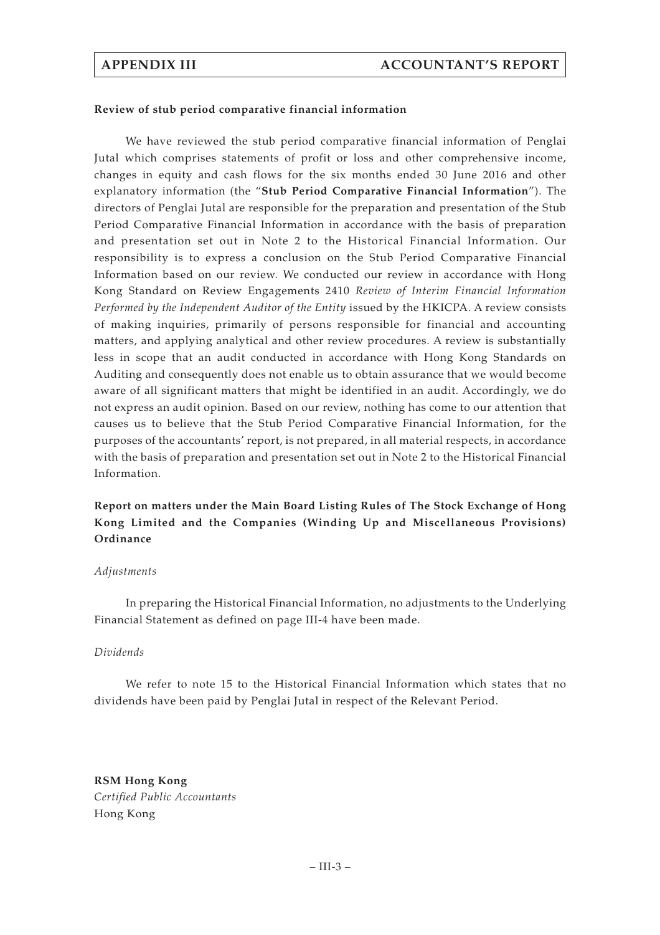#### **Review of stub period comparative financial information**

We have reviewed the stub period comparative financial information of Penglai Jutal which comprises statements of profit or loss and other comprehensive income, changes in equity and cash flows for the six months ended 30 June 2016 and other explanatory information (the "**Stub Period Comparative Financial Information**"). The directors of Penglai Jutal are responsible for the preparation and presentation of the Stub Period Comparative Financial Information in accordance with the basis of preparation and presentation set out in Note 2 to the Historical Financial Information. Our responsibility is to express a conclusion on the Stub Period Comparative Financial Information based on our review. We conducted our review in accordance with Hong Kong Standard on Review Engagements 2410 *Review of Interim Financial Information Performed by the Independent Auditor of the Entity* issued by the HKICPA. A review consists of making inquiries, primarily of persons responsible for financial and accounting matters, and applying analytical and other review procedures. A review is substantially less in scope that an audit conducted in accordance with Hong Kong Standards on Auditing and consequently does not enable us to obtain assurance that we would become aware of all significant matters that might be identified in an audit. Accordingly, we do not express an audit opinion. Based on our review, nothing has come to our attention that causes us to believe that the Stub Period Comparative Financial Information, for the purposes of the accountants' report, is not prepared, in all material respects, in accordance with the basis of preparation and presentation set out in Note 2 to the Historical Financial Information.

**Report on matters under the Main Board Listing Rules of The Stock Exchange of Hong Kong Limited and the Companies (Winding Up and Miscellaneous Provisions) Ordinance**

#### *Adjustments*

In preparing the Historical Financial Information, no adjustments to the Underlying Financial Statement as defined on page III-4 have been made.

## *Dividends*

We refer to note 15 to the Historical Financial Information which states that no dividends have been paid by Penglai Jutal in respect of the Relevant Period.

**RSM Hong Kong** *Certified Public Accountants* Hong Kong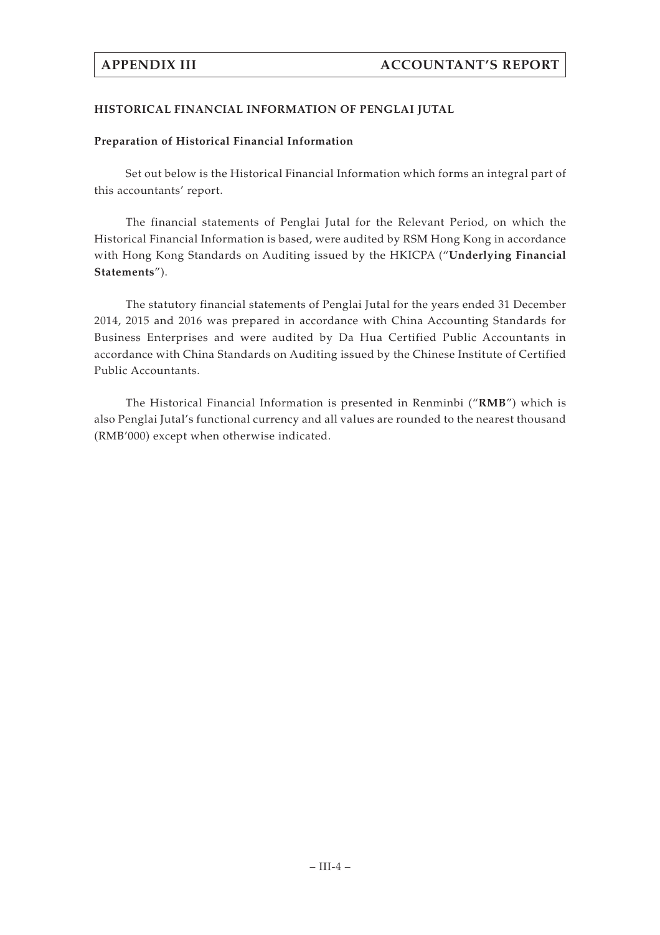# **HISTORICAL FINANCIAL INFORMATION OF PENGLAI JUTAL**

# **Preparation of Historical Financial Information**

Set out below is the Historical Financial Information which forms an integral part of this accountants' report.

The financial statements of Penglai Jutal for the Relevant Period, on which the Historical Financial Information is based, were audited by RSM Hong Kong in accordance with Hong Kong Standards on Auditing issued by the HKICPA ("**Underlying Financial Statements**").

The statutory financial statements of Penglai Jutal for the years ended 31 December 2014, 2015 and 2016 was prepared in accordance with China Accounting Standards for Business Enterprises and were audited by Da Hua Certified Public Accountants in accordance with China Standards on Auditing issued by the Chinese Institute of Certified Public Accountants.

The Historical Financial Information is presented in Renminbi ("**RMB**") which is also Penglai Jutal's functional currency and all values are rounded to the nearest thousand (RMB'000) except when otherwise indicated.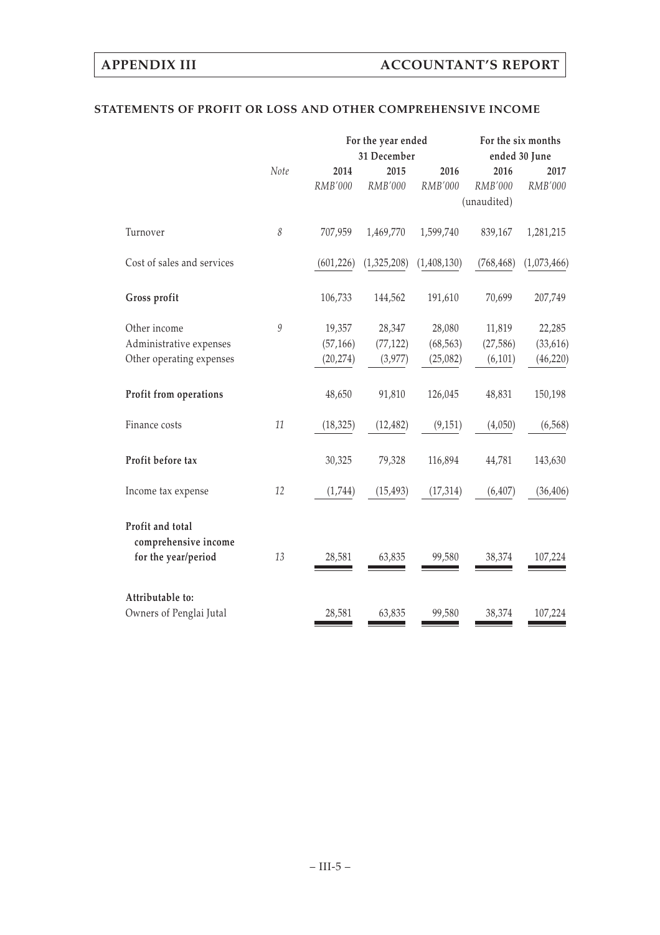# **STATEMENTS OF PROFIT OR LOSS AND OTHER COMPREHENSIVE INCOME**

|                            |              | For the year ended | For the six months |             |             |               |
|----------------------------|--------------|--------------------|--------------------|-------------|-------------|---------------|
|                            |              |                    | 31 December        |             |             | ended 30 June |
|                            | Note         | 2014               | 2015               | 2016        | 2016        | 2017          |
|                            |              | RMB'000            | RMB'000            | RMB'000     | RMB'000     | RMB'000       |
|                            |              |                    |                    |             | (unaudited) |               |
| Turnover                   | $\mathcal S$ | 707,959            | 1,469,770          | 1,599,740   | 839,167     | 1,281,215     |
| Cost of sales and services |              | (601, 226)         | (1,325,208)        | (1,408,130) | (768, 468)  | (1,073,466)   |
| Gross profit               |              | 106,733            | 144,562            | 191,610     | 70,699      | 207,749       |
| Other income               | 9            | 19,357             | 28,347             | 28,080      | 11,819      | 22,285        |
| Administrative expenses    |              | (57, 166)          | (77, 122)          | (68, 563)   | (27, 586)   | (33, 616)     |
| Other operating expenses   |              | (20, 274)          | (3,977)            | (25,082)    | (6, 101)    | (46, 220)     |
| Profit from operations     |              | 48,650             | 91,810             | 126,045     | 48,831      | 150,198       |
| Finance costs              | 11           | (18, 325)          | (12, 482)          | (9, 151)    | (4,050)     | (6, 568)      |
| Profit before tax          |              | 30,325             | 79,328             | 116,894     | 44,781      | 143,630       |
| Income tax expense         | 12           | (1,744)            | (15, 493)          | (17, 314)   | (6, 407)    | (36, 406)     |
| Profit and total           |              |                    |                    |             |             |               |
| comprehensive income       |              |                    |                    |             |             |               |
| for the year/period        | 13           | 28,581             | 63,835             | 99,580      | 38,374      | 107,224       |
| Attributable to:           |              |                    |                    |             |             |               |
| Owners of Penglai Jutal    |              | 28,581             | 63,835             | 99,580      | 38,374      | 107,224       |
|                            |              |                    |                    |             |             |               |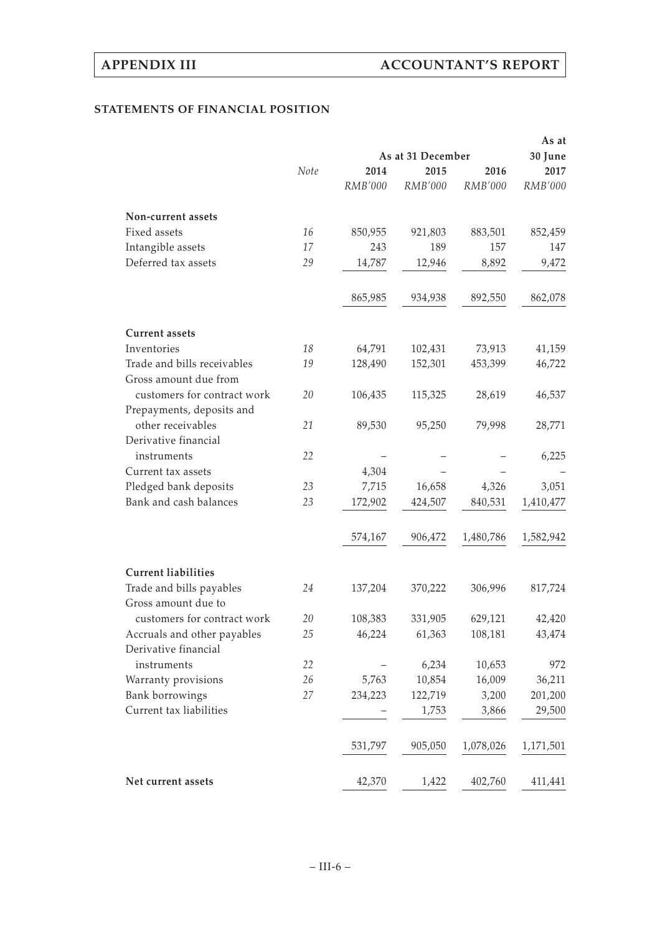# **STATEMENTS OF FINANCIAL POSITION**

|                                                      |      | As at   |                   |           |           |  |  |
|------------------------------------------------------|------|---------|-------------------|-----------|-----------|--|--|
|                                                      |      |         | As at 31 December |           | 30 June   |  |  |
|                                                      | Note | 2014    | 2015              | 2016      | 2017      |  |  |
|                                                      |      | RMB'000 | RMB'000           | RMB'000   | RMB'000   |  |  |
| Non-current assets                                   |      |         |                   |           |           |  |  |
| Fixed assets                                         | 16   | 850,955 | 921,803           | 883,501   | 852,459   |  |  |
| Intangible assets                                    | 17   | 243     | 189               | 157       | 147       |  |  |
| Deferred tax assets                                  | 29   | 14,787  | 12,946            | 8,892     | 9,472     |  |  |
|                                                      |      |         |                   |           |           |  |  |
|                                                      |      | 865,985 | 934,938           | 892,550   | 862,078   |  |  |
| <b>Current assets</b>                                |      |         |                   |           |           |  |  |
| Inventories                                          | 18   | 64,791  | 102,431           | 73,913    | 41,159    |  |  |
| Trade and bills receivables<br>Gross amount due from | 19   | 128,490 | 152,301           | 453,399   | 46,722    |  |  |
| customers for contract work                          | 20   | 106,435 | 115,325           | 28,619    | 46,537    |  |  |
| Prepayments, deposits and<br>other receivables       | 21   | 89,530  | 95,250            | 79,998    | 28,771    |  |  |
| Derivative financial<br>instruments                  | 22   |         |                   |           | 6,225     |  |  |
| Current tax assets                                   |      | 4,304   |                   |           |           |  |  |
| Pledged bank deposits                                | 23   | 7,715   | 16,658            | 4,326     | 3,051     |  |  |
| Bank and cash balances                               | 23   | 172,902 | 424,507           | 840,531   | 1,410,477 |  |  |
|                                                      |      |         |                   |           |           |  |  |
|                                                      |      | 574,167 | 906,472           | 1,480,786 | 1,582,942 |  |  |
| <b>Current liabilities</b>                           |      |         |                   |           |           |  |  |
| Trade and bills payables<br>Gross amount due to      | 24   | 137,204 | 370,222           | 306,996   | 817,724   |  |  |
| customers for contract work                          | 20   | 108,383 | 331,905           | 629,121   | 42,420    |  |  |
| Accruals and other payables                          | 25   | 46,224  | 61,363            | 108,181   | 43,474    |  |  |
| Derivative financial                                 |      |         |                   |           |           |  |  |
| instruments                                          | 22   |         | 6,234             | 10,653    | 972       |  |  |
| Warranty provisions                                  | 26   | 5,763   | 10,854            | 16,009    | 36,211    |  |  |
| Bank borrowings                                      | 27   | 234,223 | 122,719           | 3,200     | 201,200   |  |  |
| Current tax liabilities                              |      |         | 1,753             | 3,866     | 29,500    |  |  |
|                                                      |      | 531,797 | 905,050           | 1,078,026 | 1,171,501 |  |  |
| Net current assets                                   |      | 42,370  | 1,422             | 402,760   | 411,441   |  |  |
|                                                      |      |         |                   |           |           |  |  |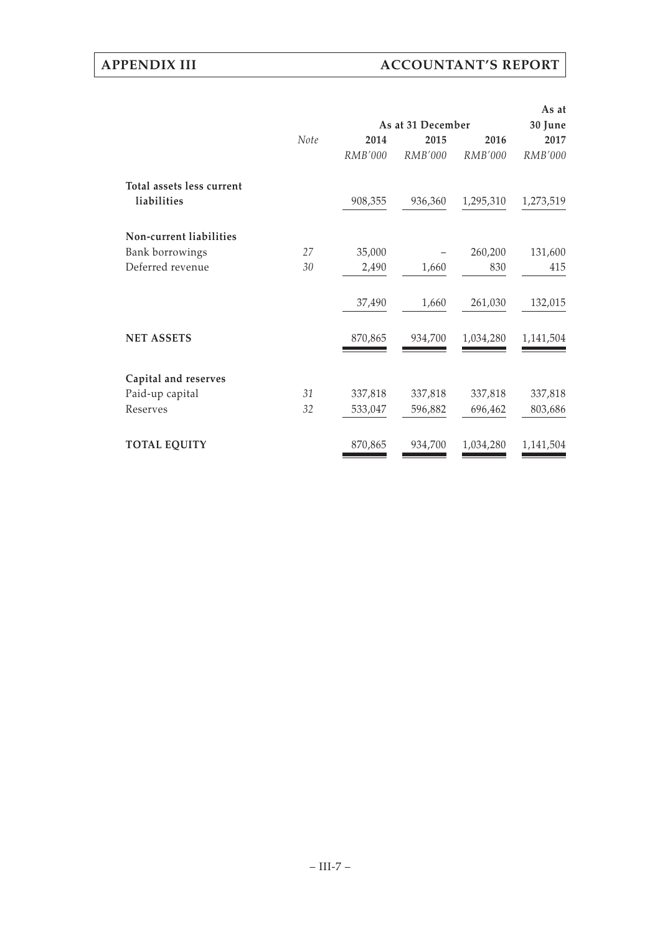# **APPENDIX III ACCOUNTANT'S REPORT**

|                           |      |                   |                |           | As at     |
|---------------------------|------|-------------------|----------------|-----------|-----------|
|                           |      | As at 31 December | 30 June        |           |           |
|                           | Note | 2014              | 2015           | 2016      | 2017      |
|                           |      | RMB'000           | <b>RMB'000</b> | RMB'000   | RMB'000   |
| Total assets less current |      |                   |                |           |           |
| liabilities               |      | 908,355           | 936,360        | 1,295,310 | 1,273,519 |
| Non-current liabilities   |      |                   |                |           |           |
| Bank borrowings           | 27   | 35,000            |                | 260,200   | 131,600   |
| Deferred revenue          | 30   | 2,490             | 1,660          | 830       | 415       |
|                           |      | 37,490            | 1,660          | 261,030   | 132,015   |
| <b>NET ASSETS</b>         |      | 870,865           | 934,700        | 1,034,280 | 1,141,504 |
| Capital and reserves      |      |                   |                |           |           |
| Paid-up capital           | 31   | 337,818           | 337,818        | 337,818   | 337,818   |
| Reserves                  | 32   | 533,047           | 596,882        | 696,462   | 803,686   |
| <b>TOTAL EQUITY</b>       |      | 870,865           | 934,700        | 1,034,280 | 1,141,504 |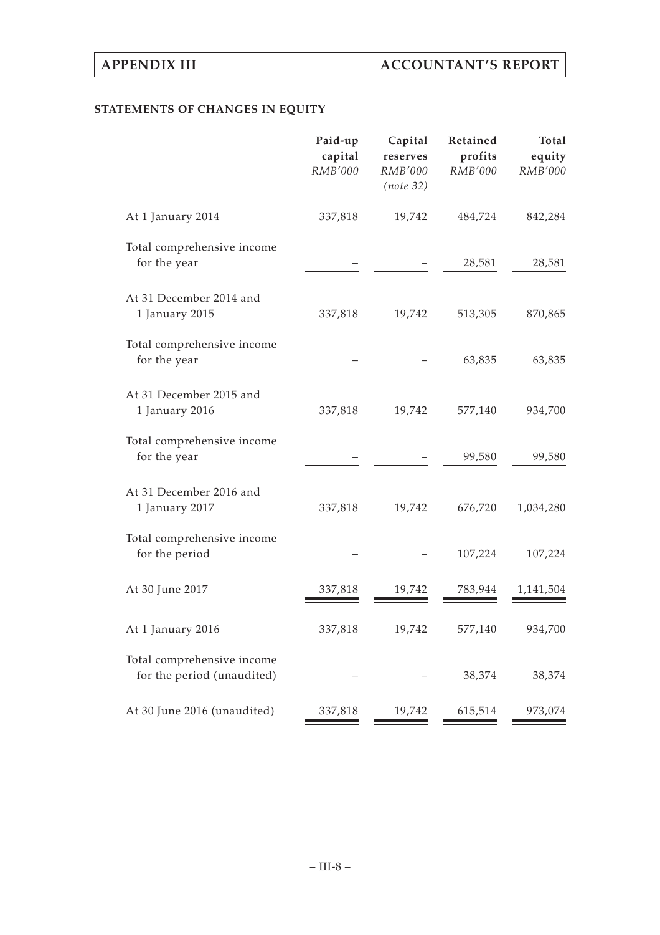# **STATEMENTS OF CHANGES IN EQUITY**

|                                                          | Paid-up<br>capital<br><b>RMB'000</b> | Capital<br>reserves<br>RMB'000<br>(note 32) | Retained<br>profits<br><b>RMB'000</b> | <b>Total</b><br>equity<br><b>RMB'000</b> |
|----------------------------------------------------------|--------------------------------------|---------------------------------------------|---------------------------------------|------------------------------------------|
| At 1 January 2014                                        | 337,818                              | 19,742                                      | 484,724                               | 842,284                                  |
| Total comprehensive income<br>for the year               |                                      |                                             | 28,581                                | 28,581                                   |
| At 31 December 2014 and<br>1 January 2015                | 337,818                              | 19,742                                      | 513,305                               | 870,865                                  |
| Total comprehensive income<br>for the year               |                                      |                                             | 63,835                                | 63,835                                   |
| At 31 December 2015 and<br>1 January 2016                | 337,818                              | 19,742                                      | 577,140                               | 934,700                                  |
| Total comprehensive income<br>for the year               |                                      |                                             | 99,580                                | 99,580                                   |
| At 31 December 2016 and<br>1 January 2017                | 337,818                              | 19,742                                      | 676,720                               | 1,034,280                                |
| Total comprehensive income<br>for the period             |                                      |                                             | 107,224                               | 107,224                                  |
| At 30 June 2017                                          | 337,818                              | 19,742                                      | 783,944                               | 1,141,504                                |
| At 1 January 2016                                        | 337,818                              | 19,742                                      | 577,140                               | 934,700                                  |
| Total comprehensive income<br>for the period (unaudited) |                                      |                                             | 38,374                                | 38,374                                   |
| At 30 June 2016 (unaudited)                              | 337,818                              | 19,742                                      | 615,514                               | 973,074                                  |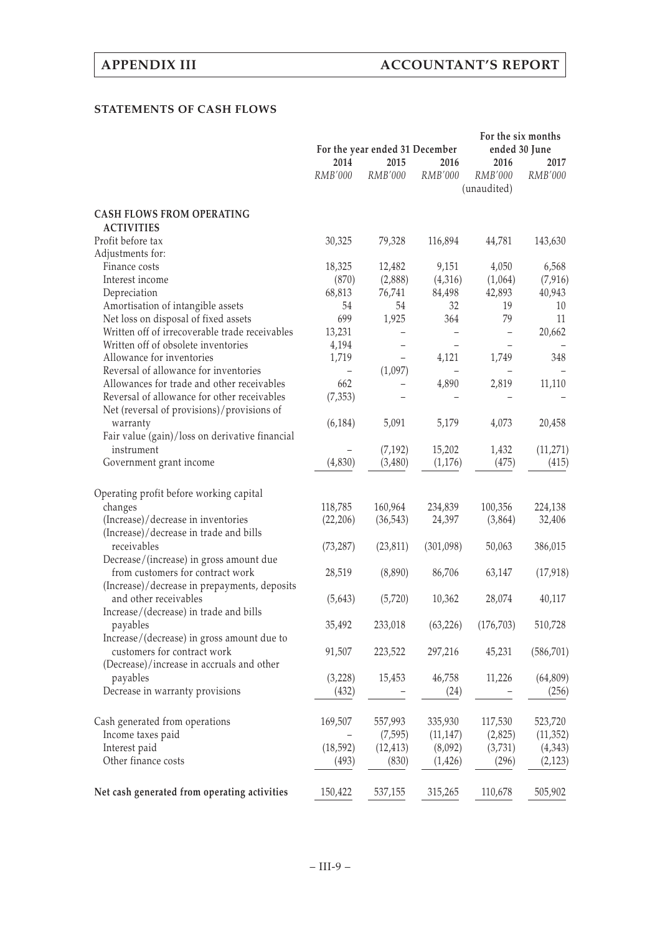## **STATEMENTS OF CASH FLOWS**

|                                                | For the year ended 31 December |           |           | For the six months<br>ended 30 June |                |
|------------------------------------------------|--------------------------------|-----------|-----------|-------------------------------------|----------------|
|                                                | 2014                           | 2015      | 2016      | 2016                                | 2017           |
|                                                | RMB'000                        | RMB'000   | RMB'000   | RMB'000                             | <i>RMB'000</i> |
|                                                |                                |           |           | (unaudited)                         |                |
| <b>CASH FLOWS FROM OPERATING</b>               |                                |           |           |                                     |                |
| <b>ACTIVITIES</b>                              |                                |           |           |                                     |                |
| Profit before tax                              | 30,325                         | 79,328    | 116,894   | 44,781                              | 143,630        |
| Adjustments for:                               |                                |           |           |                                     |                |
| Finance costs                                  | 18,325                         | 12,482    | 9,151     | 4,050                               | 6,568          |
| Interest income                                | (870)                          | (2,888)   | (4,316)   | (1,064)                             | (7, 916)       |
| Depreciation                                   | 68,813                         | 76,741    | 84,498    | 42,893                              | 40,943         |
| Amortisation of intangible assets              | 54                             | 54        | 32        | 19                                  | 10             |
| Net loss on disposal of fixed assets           | 699                            | 1,925     | 364       | 79                                  | 11             |
| Written off of irrecoverable trade receivables | 13,231                         |           |           |                                     | 20,662         |
| Written off of obsolete inventories            | 4,194                          |           |           |                                     |                |
| Allowance for inventories                      | 1,719                          |           | 4,121     | 1,749                               | 348            |
| Reversal of allowance for inventories          |                                | (1,097)   |           |                                     |                |
| Allowances for trade and other receivables     | 662                            |           |           |                                     | 11,110         |
|                                                |                                |           | 4,890     | 2,819                               |                |
| Reversal of allowance for other receivables    | (7, 353)                       |           |           |                                     |                |
| Net (reversal of provisions)/provisions of     |                                |           |           |                                     |                |
| warranty                                       | (6, 184)                       | 5,091     | 5,179     | 4,073                               | 20,458         |
| Fair value (gain)/loss on derivative financial |                                |           |           |                                     |                |
| instrument                                     |                                | (7, 192)  | 15,202    | 1,432                               | (11, 271)      |
| Government grant income                        | (4,830)                        | (3,480)   | (1,176)   | (475)                               | (415)          |
|                                                |                                |           |           |                                     |                |
| Operating profit before working capital        |                                |           |           |                                     |                |
| changes                                        | 118,785                        | 160,964   | 234,839   | 100,356                             | 224,138        |
| (Increase)/decrease in inventories             | (22, 206)                      | (36, 543) | 24,397    | (3,864)                             | 32,406         |
| (Increase)/decrease in trade and bills         |                                |           |           |                                     |                |
| receivables                                    | (73, 287)                      | (23, 811) | (301,098) | 50,063                              | 386,015        |
| Decrease/(increase) in gross amount due        |                                |           |           |                                     |                |
| from customers for contract work               | 28,519                         | (8,890)   | 86,706    | 63,147                              | (17, 918)      |
| (Increase)/decrease in prepayments, deposits   |                                |           |           |                                     |                |
| and other receivables                          | (5,643)                        | (5,720)   | 10,362    | 28,074                              | 40,117         |
|                                                |                                |           |           |                                     |                |
| Increase/(decrease) in trade and bills         |                                |           |           |                                     |                |
| payables                                       | 35,492                         | 233,018   | (63, 226) | (176, 703)                          | 510,728        |
| Increase/(decrease) in gross amount due to     |                                |           |           |                                     |                |
| customers for contract work                    | 91,507                         | 223,522   | 297,216   | 45,231                              | (586, 701)     |
| (Decrease)/increase in accruals and other      |                                |           |           |                                     |                |
| payables                                       | (3,228)                        | 15,453    | 46,758    | 11,226                              | (64, 809)      |
| Decrease in warranty provisions                | (432)                          |           | (24)      |                                     | (256)          |
|                                                |                                |           |           |                                     |                |
| Cash generated from operations                 | 169,507                        | 557,993   | 335,930   | 117,530                             | 523,720        |
| Income taxes paid                              |                                | (7, 595)  | (11, 147) | (2,825)                             | (11, 352)      |
| Interest paid                                  | (18, 592)                      | (12, 413) | (8,092)   | (3,731)                             | (4,343)        |
| Other finance costs                            | (493)                          | (830)     | (1, 426)  | (296)                               | (2, 123)       |
|                                                |                                |           |           |                                     |                |
| Net cash generated from operating activities   | 150,422                        | 537,155   | 315,265   | 110,678                             | 505,902        |
|                                                |                                |           |           |                                     |                |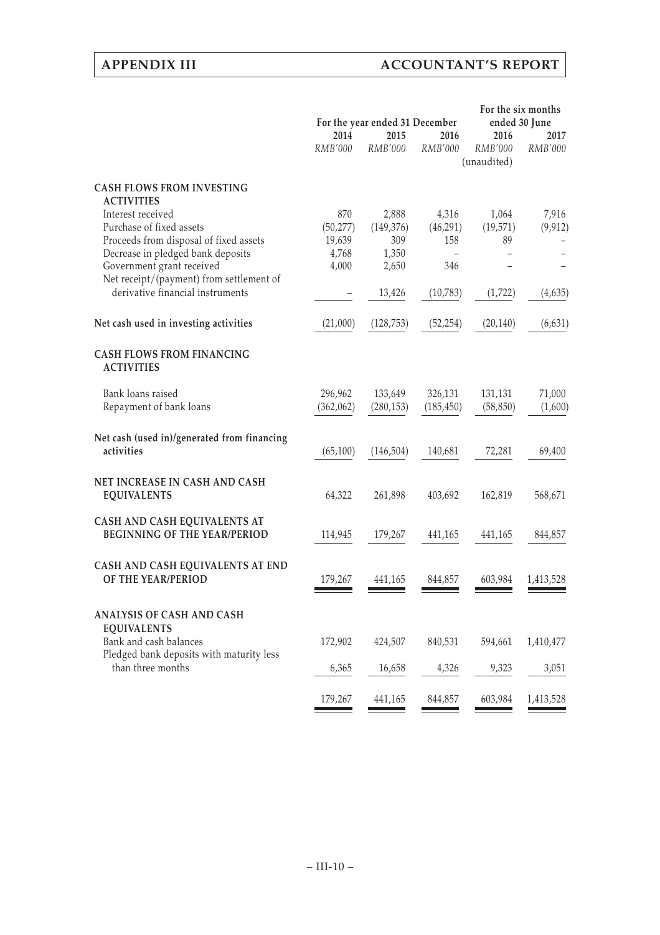|                                                                                                                                                                                |                                              | For the year ended 31 December               |                                  | For the six months<br>ended 30 June |                   |  |
|--------------------------------------------------------------------------------------------------------------------------------------------------------------------------------|----------------------------------------------|----------------------------------------------|----------------------------------|-------------------------------------|-------------------|--|
|                                                                                                                                                                                | 2014<br>RMB'000                              | 2015<br>RMB'000                              | 2016<br>RMB'000                  | 2016<br>RMB'000<br>(unaudited)      | 2017<br>RMB'000   |  |
| <b>CASH FLOWS FROM INVESTING</b>                                                                                                                                               |                                              |                                              |                                  |                                     |                   |  |
| <b>ACTIVITIES</b><br>Interest received<br>Purchase of fixed assets<br>Proceeds from disposal of fixed assets<br>Decrease in pledged bank deposits<br>Government grant received | 870<br>(50, 277)<br>19,639<br>4,768<br>4,000 | 2,888<br>(149, 376)<br>309<br>1,350<br>2,650 | 4,316<br>(46, 291)<br>158<br>346 | 1,064<br>(19, 571)<br>89            | 7,916<br>(9, 912) |  |
| Net receipt/(payment) from settlement of<br>derivative financial instruments                                                                                                   |                                              | 13,426                                       | (10,783)                         | (1, 722)                            | (4,635)           |  |
| Net cash used in investing activities                                                                                                                                          | (21,000)                                     | (128, 753)                                   | (52, 254)                        | (20, 140)                           | (6, 631)          |  |
| <b>CASH FLOWS FROM FINANCING</b><br><b>ACTIVITIES</b>                                                                                                                          |                                              |                                              |                                  |                                     |                   |  |
| Bank loans raised<br>Repayment of bank loans                                                                                                                                   | 296,962<br>(362,062)                         | 133,649<br>(280, 153)                        | 326,131<br>(185, 450)            | 131,131<br>(58, 850)                | 71,000<br>(1,600) |  |
| Net cash (used in)/generated from financing<br>activities                                                                                                                      | (65, 100)                                    | (146, 504)                                   | 140,681                          | 72,281                              | 69,400            |  |
| NET INCREASE IN CASH AND CASH<br><b>EQUIVALENTS</b>                                                                                                                            | 64,322                                       | 261,898                                      | 403,692                          | 162,819                             | 568,671           |  |
| CASH AND CASH EQUIVALENTS AT<br><b>BEGINNING OF THE YEAR/PERIOD</b>                                                                                                            | 114,945                                      | 179,267                                      | 441,165                          | 441,165                             | 844,857           |  |
| CASH AND CASH EQUIVALENTS AT END<br>OF THE YEAR/PERIOD                                                                                                                         | 179,267                                      | 441,165                                      | 844,857                          | 603,984                             | 1,413,528         |  |
| ANALYSIS OF CASH AND CASH<br><b>EQUIVALENTS</b><br>Bank and cash balances                                                                                                      | 172,902                                      | 424,507                                      | 840,531                          | 594,661                             | 1,410,477         |  |
| Pledged bank deposits with maturity less<br>than three months                                                                                                                  | 6,365                                        | 16,658                                       | 4,326                            | 9,323                               | 3,051             |  |
|                                                                                                                                                                                | 179,267                                      | 441,165                                      | 844,857                          | 603,984                             | 1,413,528         |  |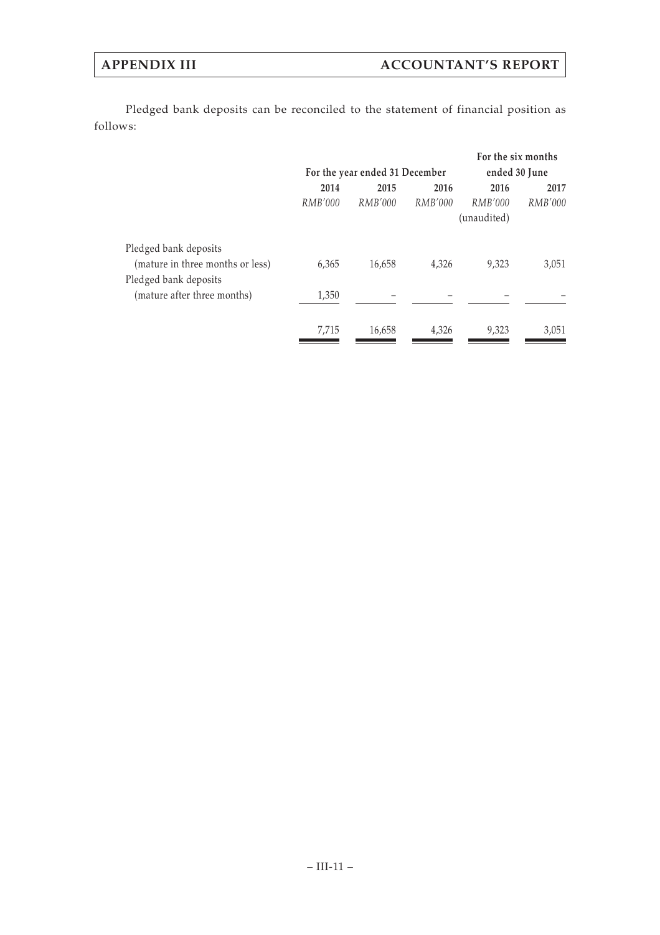Pledged bank deposits can be reconciled to the statement of financial position as follows:

|                                  |                                |                |         |             | For the six months |  |  |
|----------------------------------|--------------------------------|----------------|---------|-------------|--------------------|--|--|
|                                  | For the year ended 31 December |                |         |             | ended 30 June      |  |  |
|                                  | 2014                           | 2015           | 2016    | 2016        | 2017               |  |  |
|                                  | <i>RMB'000</i>                 | <i>RMB'000</i> | RMB'000 | RMB'000     | RMB'000            |  |  |
|                                  |                                |                |         | (unaudited) |                    |  |  |
| Pledged bank deposits            |                                |                |         |             |                    |  |  |
| (mature in three months or less) | 6,365                          | 16,658         | 4,326   | 9,323       | 3,051              |  |  |
| Pledged bank deposits            |                                |                |         |             |                    |  |  |
| (mature after three months)      | 1,350                          |                |         |             |                    |  |  |
|                                  | 7,715                          | 16,658         | 4,326   | 9,323       | 3,051              |  |  |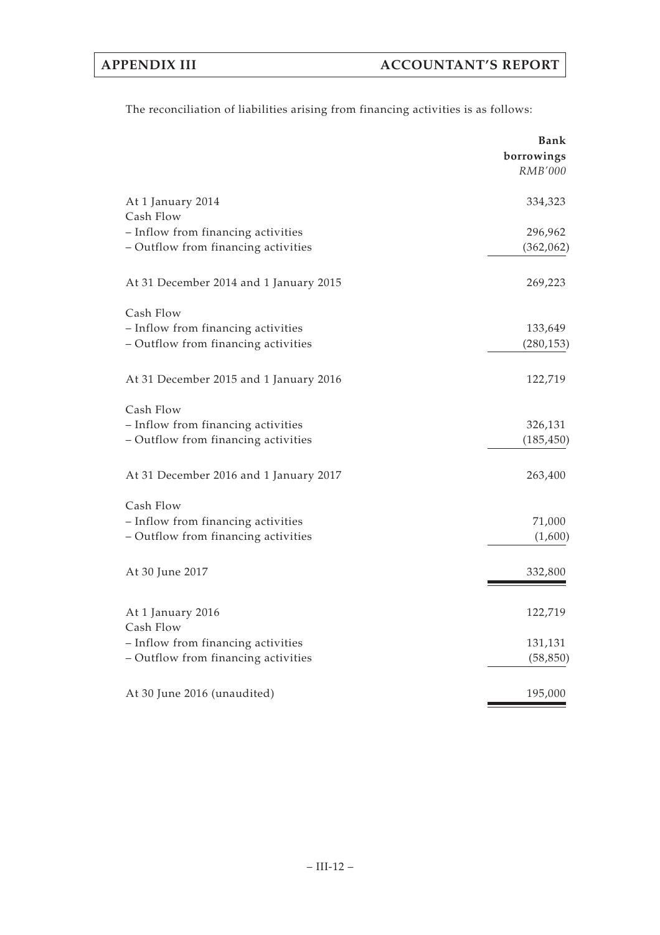| The reconciliation of liabilities arising from financing activities is as follows: |  |  |  |  |  |  |  |
|------------------------------------------------------------------------------------|--|--|--|--|--|--|--|
|------------------------------------------------------------------------------------|--|--|--|--|--|--|--|

|                                        | Bank<br>borrowings<br>RMB'000 |
|----------------------------------------|-------------------------------|
| At 1 January 2014<br>Cash Flow         | 334,323                       |
| - Inflow from financing activities     | 296,962                       |
| - Outflow from financing activities    | (362,062)                     |
| At 31 December 2014 and 1 January 2015 | 269,223                       |
| Cash Flow                              |                               |
| - Inflow from financing activities     | 133,649                       |
| - Outflow from financing activities    | (280, 153)                    |
| At 31 December 2015 and 1 January 2016 | 122,719                       |
| Cash Flow                              |                               |
| - Inflow from financing activities     | 326,131                       |
| - Outflow from financing activities    | (185, 450)                    |
| At 31 December 2016 and 1 January 2017 | 263,400                       |
| Cash Flow                              |                               |
| - Inflow from financing activities     | 71,000                        |
| - Outflow from financing activities    | (1,600)                       |
| At 30 June 2017                        | 332,800                       |
| At 1 January 2016                      | 122,719                       |
| Cash Flow                              |                               |
| - Inflow from financing activities     | 131,131                       |
| - Outflow from financing activities    | (58, 850)                     |
| At 30 June 2016 (unaudited)            | 195,000                       |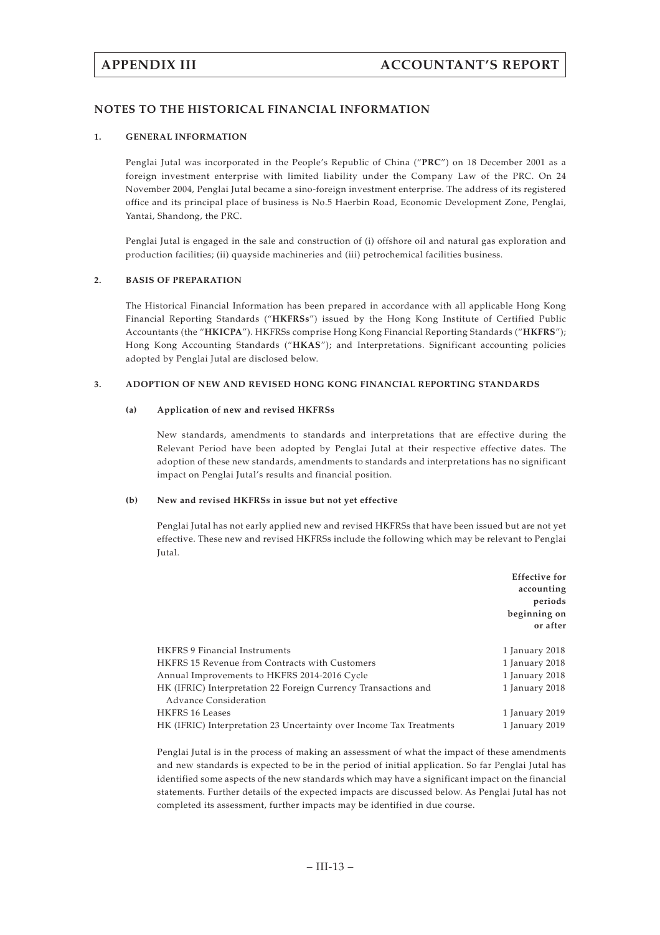## **NOTES TO THE HISTORICAL FINANCIAL INFORMATION**

## **1. GENERAL INFORMATION**

Penglai Jutal was incorporated in the People's Republic of China ("**PRC**") on 18 December 2001 as a foreign investment enterprise with limited liability under the Company Law of the PRC. On 24 November 2004, Penglai Jutal became a sino-foreign investment enterprise. The address of its registered office and its principal place of business is No.5 Haerbin Road, Economic Development Zone, Penglai, Yantai, Shandong, the PRC.

Penglai Jutal is engaged in the sale and construction of (i) offshore oil and natural gas exploration and production facilities; (ii) quayside machineries and (iii) petrochemical facilities business.

### **2. BASIS OF PREPARATION**

The Historical Financial Information has been prepared in accordance with all applicable Hong Kong Financial Reporting Standards ("**HKFRSs**") issued by the Hong Kong Institute of Certified Public Accountants (the "**HKICPA**"). HKFRSs comprise Hong Kong Financial Reporting Standards ("**HKFRS**"); Hong Kong Accounting Standards ("**HKAS**"); and Interpretations. Significant accounting policies adopted by Penglai Jutal are disclosed below.

### **3. ADOPTION OF NEW AND REVISED HONG KONG FINANCIAL REPORTING STANDARDS**

### **(a) Application of new and revised HKFRSs**

New standards, amendments to standards and interpretations that are effective during the Relevant Period have been adopted by Penglai Jutal at their respective effective dates. The adoption of these new standards, amendments to standards and interpretations has no significant impact on Penglai Jutal's results and financial position.

### **(b) New and revised HKFRSs in issue but not yet effective**

Penglai Jutal has not early applied new and revised HKFRSs that have been issued but are not yet effective. These new and revised HKFRSs include the following which may be relevant to Penglai Jutal.

|                                                                     | <b>Effective for</b><br>accounting<br>periods<br>beginning on<br>or after |
|---------------------------------------------------------------------|---------------------------------------------------------------------------|
| HKFRS 9 Financial Instruments                                       | 1 January 2018                                                            |
| <b>HKFRS 15 Revenue from Contracts with Customers</b>               | 1 January 2018                                                            |
| Annual Improvements to HKFRS 2014-2016 Cycle                        | 1 January 2018                                                            |
| HK (IFRIC) Interpretation 22 Foreign Currency Transactions and      | 1 January 2018                                                            |
| Advance Consideration                                               |                                                                           |
| HKFRS 16 Leases                                                     | 1 January 2019                                                            |
| HK (IFRIC) Interpretation 23 Uncertainty over Income Tax Treatments | 1 January 2019                                                            |

Penglai Jutal is in the process of making an assessment of what the impact of these amendments and new standards is expected to be in the period of initial application. So far Penglai Jutal has identified some aspects of the new standards which may have a significant impact on the financial statements. Further details of the expected impacts are discussed below. As Penglai Jutal has not completed its assessment, further impacts may be identified in due course.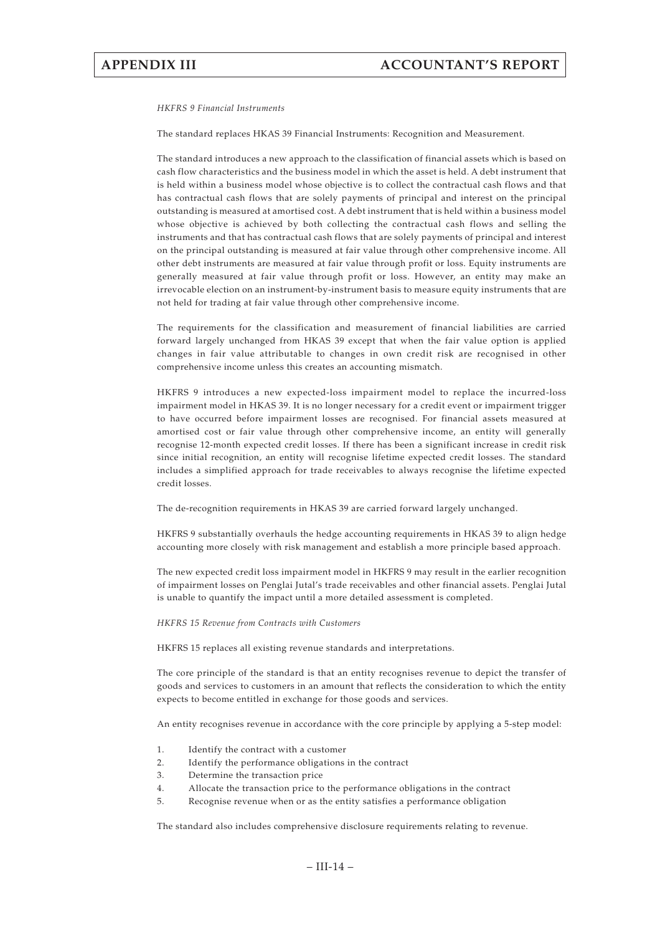#### *HKFRS 9 Financial Instruments*

The standard replaces HKAS 39 Financial Instruments: Recognition and Measurement.

The standard introduces a new approach to the classification of financial assets which is based on cash flow characteristics and the business model in which the asset is held. A debt instrument that is held within a business model whose objective is to collect the contractual cash flows and that has contractual cash flows that are solely payments of principal and interest on the principal outstanding is measured at amortised cost. A debt instrument that is held within a business model whose objective is achieved by both collecting the contractual cash flows and selling the instruments and that has contractual cash flows that are solely payments of principal and interest on the principal outstanding is measured at fair value through other comprehensive income. All other debt instruments are measured at fair value through profit or loss. Equity instruments are generally measured at fair value through profit or loss. However, an entity may make an irrevocable election on an instrument-by-instrument basis to measure equity instruments that are not held for trading at fair value through other comprehensive income.

The requirements for the classification and measurement of financial liabilities are carried forward largely unchanged from HKAS 39 except that when the fair value option is applied changes in fair value attributable to changes in own credit risk are recognised in other comprehensive income unless this creates an accounting mismatch.

HKFRS 9 introduces a new expected-loss impairment model to replace the incurred-loss impairment model in HKAS 39. It is no longer necessary for a credit event or impairment trigger to have occurred before impairment losses are recognised. For financial assets measured at amortised cost or fair value through other comprehensive income, an entity will generally recognise 12-month expected credit losses. If there has been a significant increase in credit risk since initial recognition, an entity will recognise lifetime expected credit losses. The standard includes a simplified approach for trade receivables to always recognise the lifetime expected credit losses.

The de-recognition requirements in HKAS 39 are carried forward largely unchanged.

HKFRS 9 substantially overhauls the hedge accounting requirements in HKAS 39 to align hedge accounting more closely with risk management and establish a more principle based approach.

The new expected credit loss impairment model in HKFRS 9 may result in the earlier recognition of impairment losses on Penglai Jutal's trade receivables and other financial assets. Penglai Jutal is unable to quantify the impact until a more detailed assessment is completed.

#### *HKFRS 15 Revenue from Contracts with Customers*

HKFRS 15 replaces all existing revenue standards and interpretations.

The core principle of the standard is that an entity recognises revenue to depict the transfer of goods and services to customers in an amount that reflects the consideration to which the entity expects to become entitled in exchange for those goods and services.

An entity recognises revenue in accordance with the core principle by applying a 5-step model:

- 1. Identify the contract with a customer
- 2. Identify the performance obligations in the contract
- 3. Determine the transaction price
- 4. Allocate the transaction price to the performance obligations in the contract
- 5. Recognise revenue when or as the entity satisfies a performance obligation

The standard also includes comprehensive disclosure requirements relating to revenue.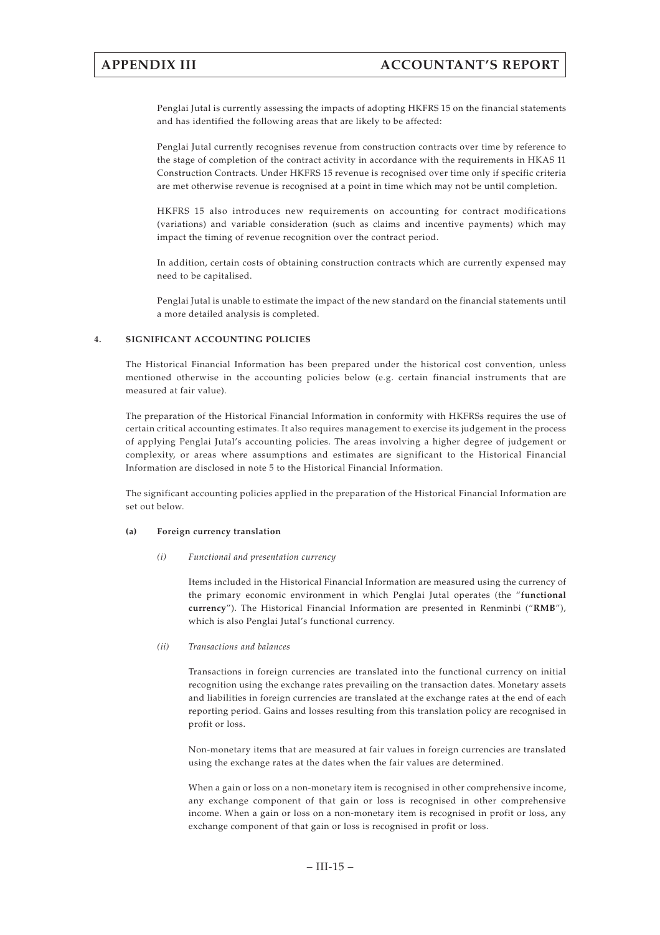Penglai Jutal is currently assessing the impacts of adopting HKFRS 15 on the financial statements and has identified the following areas that are likely to be affected:

Penglai Jutal currently recognises revenue from construction contracts over time by reference to the stage of completion of the contract activity in accordance with the requirements in HKAS 11 Construction Contracts. Under HKFRS 15 revenue is recognised over time only if specific criteria are met otherwise revenue is recognised at a point in time which may not be until completion.

HKFRS 15 also introduces new requirements on accounting for contract modifications (variations) and variable consideration (such as claims and incentive payments) which may impact the timing of revenue recognition over the contract period.

In addition, certain costs of obtaining construction contracts which are currently expensed may need to be capitalised.

Penglai Jutal is unable to estimate the impact of the new standard on the financial statements until a more detailed analysis is completed.

## **4. SIGNIFICANT ACCOUNTING POLICIES**

The Historical Financial Information has been prepared under the historical cost convention, unless mentioned otherwise in the accounting policies below (e.g. certain financial instruments that are measured at fair value).

The preparation of the Historical Financial Information in conformity with HKFRSs requires the use of certain critical accounting estimates. It also requires management to exercise its judgement in the process of applying Penglai Jutal's accounting policies. The areas involving a higher degree of judgement or complexity, or areas where assumptions and estimates are significant to the Historical Financial Information are disclosed in note 5 to the Historical Financial Information.

The significant accounting policies applied in the preparation of the Historical Financial Information are set out below.

### **(a) Foreign currency translation**

### *(i) Functional and presentation currency*

Items included in the Historical Financial Information are measured using the currency of the primary economic environment in which Penglai Jutal operates (the "**functional currency**"). The Historical Financial Information are presented in Renminbi ("**RMB**"), which is also Penglai Jutal's functional currency.

### *(ii) Transactions and balances*

Transactions in foreign currencies are translated into the functional currency on initial recognition using the exchange rates prevailing on the transaction dates. Monetary assets and liabilities in foreign currencies are translated at the exchange rates at the end of each reporting period. Gains and losses resulting from this translation policy are recognised in profit or loss.

Non-monetary items that are measured at fair values in foreign currencies are translated using the exchange rates at the dates when the fair values are determined.

When a gain or loss on a non-monetary item is recognised in other comprehensive income, any exchange component of that gain or loss is recognised in other comprehensive income. When a gain or loss on a non-monetary item is recognised in profit or loss, any exchange component of that gain or loss is recognised in profit or loss.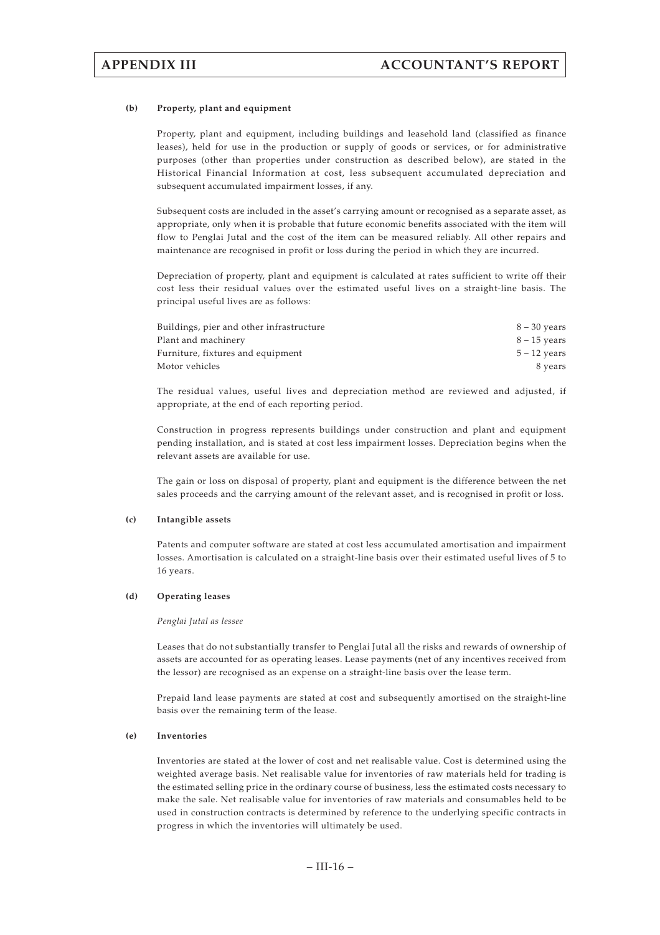### **(b) Property, plant and equipment**

Property, plant and equipment, including buildings and leasehold land (classified as finance leases), held for use in the production or supply of goods or services, or for administrative purposes (other than properties under construction as described below), are stated in the Historical Financial Information at cost, less subsequent accumulated depreciation and subsequent accumulated impairment losses, if any.

Subsequent costs are included in the asset's carrying amount or recognised as a separate asset, as appropriate, only when it is probable that future economic benefits associated with the item will flow to Penglai Jutal and the cost of the item can be measured reliably. All other repairs and maintenance are recognised in profit or loss during the period in which they are incurred.

Depreciation of property, plant and equipment is calculated at rates sufficient to write off their cost less their residual values over the estimated useful lives on a straight-line basis. The principal useful lives are as follows:

| Buildings, pier and other infrastructure | $8 - 30$ years |
|------------------------------------------|----------------|
| Plant and machinery                      | $8 - 15$ years |
| Furniture, fixtures and equipment        | $5 - 12$ years |
| Motor vehicles                           | 8 years        |

The residual values, useful lives and depreciation method are reviewed and adjusted, if appropriate, at the end of each reporting period.

Construction in progress represents buildings under construction and plant and equipment pending installation, and is stated at cost less impairment losses. Depreciation begins when the relevant assets are available for use.

The gain or loss on disposal of property, plant and equipment is the difference between the net sales proceeds and the carrying amount of the relevant asset, and is recognised in profit or loss.

#### **(c) Intangible assets**

Patents and computer software are stated at cost less accumulated amortisation and impairment losses. Amortisation is calculated on a straight-line basis over their estimated useful lives of 5 to 16 years.

### **(d) Operating leases**

#### *Penglai Jutal as lessee*

Leases that do not substantially transfer to Penglai Jutal all the risks and rewards of ownership of assets are accounted for as operating leases. Lease payments (net of any incentives received from the lessor) are recognised as an expense on a straight-line basis over the lease term.

Prepaid land lease payments are stated at cost and subsequently amortised on the straight-line basis over the remaining term of the lease.

### **(e) Inventories**

Inventories are stated at the lower of cost and net realisable value. Cost is determined using the weighted average basis. Net realisable value for inventories of raw materials held for trading is the estimated selling price in the ordinary course of business, less the estimated costs necessary to make the sale. Net realisable value for inventories of raw materials and consumables held to be used in construction contracts is determined by reference to the underlying specific contracts in progress in which the inventories will ultimately be used.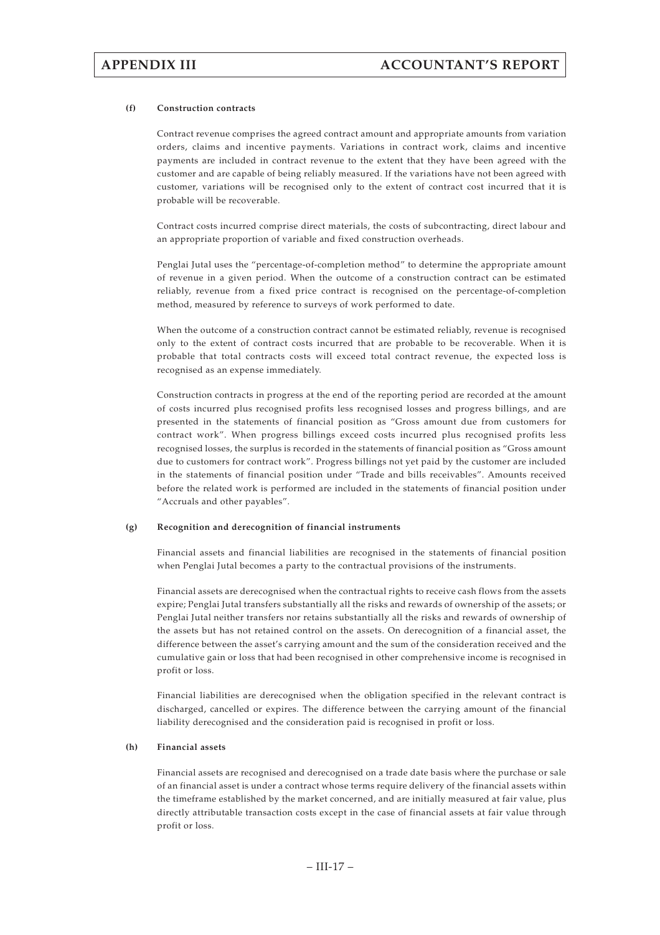#### **(f) Construction contracts**

Contract revenue comprises the agreed contract amount and appropriate amounts from variation orders, claims and incentive payments. Variations in contract work, claims and incentive payments are included in contract revenue to the extent that they have been agreed with the customer and are capable of being reliably measured. If the variations have not been agreed with customer, variations will be recognised only to the extent of contract cost incurred that it is probable will be recoverable.

Contract costs incurred comprise direct materials, the costs of subcontracting, direct labour and an appropriate proportion of variable and fixed construction overheads.

Penglai Jutal uses the "percentage-of-completion method" to determine the appropriate amount of revenue in a given period. When the outcome of a construction contract can be estimated reliably, revenue from a fixed price contract is recognised on the percentage-of-completion method, measured by reference to surveys of work performed to date.

When the outcome of a construction contract cannot be estimated reliably, revenue is recognised only to the extent of contract costs incurred that are probable to be recoverable. When it is probable that total contracts costs will exceed total contract revenue, the expected loss is recognised as an expense immediately.

Construction contracts in progress at the end of the reporting period are recorded at the amount of costs incurred plus recognised profits less recognised losses and progress billings, and are presented in the statements of financial position as "Gross amount due from customers for contract work". When progress billings exceed costs incurred plus recognised profits less recognised losses, the surplus is recorded in the statements of financial position as "Gross amount due to customers for contract work". Progress billings not yet paid by the customer are included in the statements of financial position under "Trade and bills receivables". Amounts received before the related work is performed are included in the statements of financial position under "Accruals and other payables".

#### **(g) Recognition and derecognition of financial instruments**

Financial assets and financial liabilities are recognised in the statements of financial position when Penglai Jutal becomes a party to the contractual provisions of the instruments.

Financial assets are derecognised when the contractual rights to receive cash flows from the assets expire; Penglai Jutal transfers substantially all the risks and rewards of ownership of the assets; or Penglai Jutal neither transfers nor retains substantially all the risks and rewards of ownership of the assets but has not retained control on the assets. On derecognition of a financial asset, the difference between the asset's carrying amount and the sum of the consideration received and the cumulative gain or loss that had been recognised in other comprehensive income is recognised in profit or loss.

Financial liabilities are derecognised when the obligation specified in the relevant contract is discharged, cancelled or expires. The difference between the carrying amount of the financial liability derecognised and the consideration paid is recognised in profit or loss.

### **(h) Financial assets**

Financial assets are recognised and derecognised on a trade date basis where the purchase or sale of an financial asset is under a contract whose terms require delivery of the financial assets within the timeframe established by the market concerned, and are initially measured at fair value, plus directly attributable transaction costs except in the case of financial assets at fair value through profit or loss.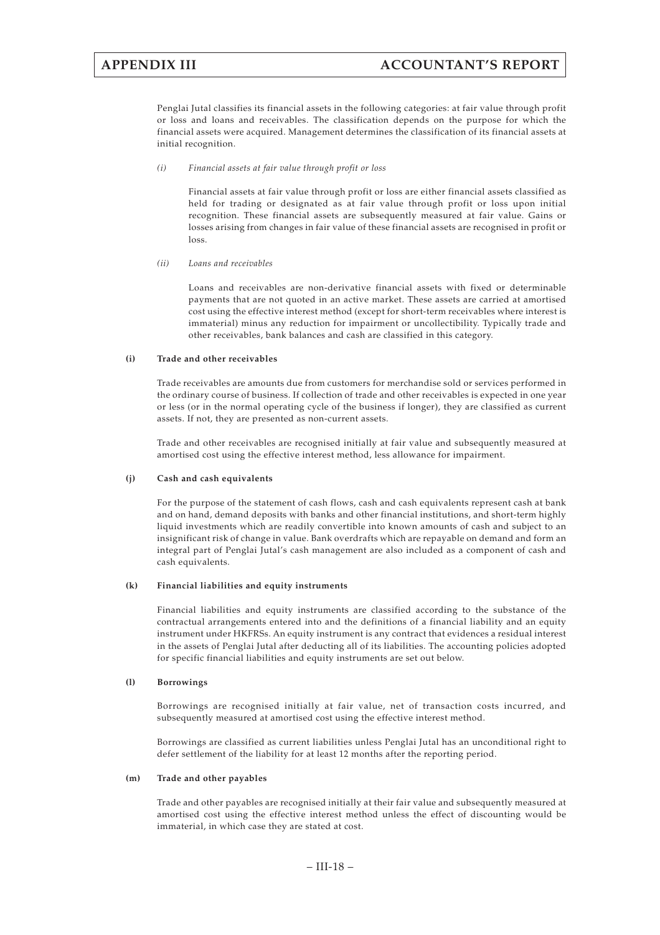Penglai Jutal classifies its financial assets in the following categories: at fair value through profit or loss and loans and receivables. The classification depends on the purpose for which the financial assets were acquired. Management determines the classification of its financial assets at initial recognition.

*(i) Financial assets at fair value through profit or loss*

Financial assets at fair value through profit or loss are either financial assets classified as held for trading or designated as at fair value through profit or loss upon initial recognition. These financial assets are subsequently measured at fair value. Gains or losses arising from changes in fair value of these financial assets are recognised in profit or loss.

### *(ii) Loans and receivables*

Loans and receivables are non-derivative financial assets with fixed or determinable payments that are not quoted in an active market. These assets are carried at amortised cost using the effective interest method (except for short-term receivables where interest is immaterial) minus any reduction for impairment or uncollectibility. Typically trade and other receivables, bank balances and cash are classified in this category.

#### **(i) Trade and other receivables**

Trade receivables are amounts due from customers for merchandise sold or services performed in the ordinary course of business. If collection of trade and other receivables is expected in one year or less (or in the normal operating cycle of the business if longer), they are classified as current assets. If not, they are presented as non-current assets.

Trade and other receivables are recognised initially at fair value and subsequently measured at amortised cost using the effective interest method, less allowance for impairment.

### **(j) Cash and cash equivalents**

For the purpose of the statement of cash flows, cash and cash equivalents represent cash at bank and on hand, demand deposits with banks and other financial institutions, and short-term highly liquid investments which are readily convertible into known amounts of cash and subject to an insignificant risk of change in value. Bank overdrafts which are repayable on demand and form an integral part of Penglai Jutal's cash management are also included as a component of cash and cash equivalents.

### **(k) Financial liabilities and equity instruments**

Financial liabilities and equity instruments are classified according to the substance of the contractual arrangements entered into and the definitions of a financial liability and an equity instrument under HKFRSs. An equity instrument is any contract that evidences a residual interest in the assets of Penglai Jutal after deducting all of its liabilities. The accounting policies adopted for specific financial liabilities and equity instruments are set out below.

### **(l) Borrowings**

Borrowings are recognised initially at fair value, net of transaction costs incurred, and subsequently measured at amortised cost using the effective interest method.

Borrowings are classified as current liabilities unless Penglai Jutal has an unconditional right to defer settlement of the liability for at least 12 months after the reporting period.

### **(m) Trade and other payables**

Trade and other payables are recognised initially at their fair value and subsequently measured at amortised cost using the effective interest method unless the effect of discounting would be immaterial, in which case they are stated at cost.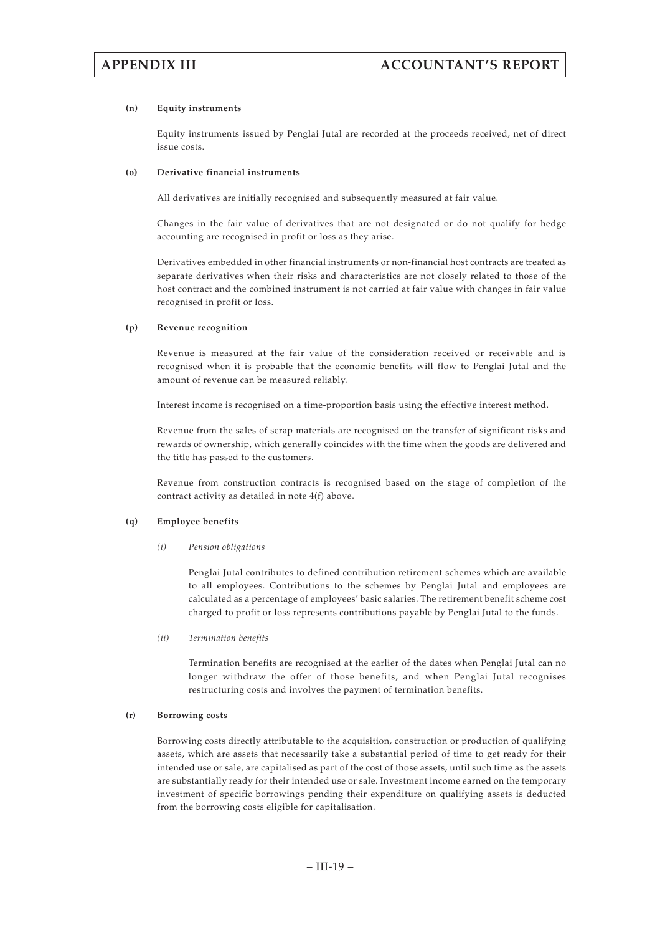### **(n) Equity instruments**

Equity instruments issued by Penglai Jutal are recorded at the proceeds received, net of direct issue costs.

### **(o) Derivative financial instruments**

All derivatives are initially recognised and subsequently measured at fair value.

Changes in the fair value of derivatives that are not designated or do not qualify for hedge accounting are recognised in profit or loss as they arise.

Derivatives embedded in other financial instruments or non-financial host contracts are treated as separate derivatives when their risks and characteristics are not closely related to those of the host contract and the combined instrument is not carried at fair value with changes in fair value recognised in profit or loss.

### **(p) Revenue recognition**

Revenue is measured at the fair value of the consideration received or receivable and is recognised when it is probable that the economic benefits will flow to Penglai Jutal and the amount of revenue can be measured reliably.

Interest income is recognised on a time-proportion basis using the effective interest method.

Revenue from the sales of scrap materials are recognised on the transfer of significant risks and rewards of ownership, which generally coincides with the time when the goods are delivered and the title has passed to the customers.

Revenue from construction contracts is recognised based on the stage of completion of the contract activity as detailed in note 4(f) above.

### **(q) Employee benefits**

### *(i) Pension obligations*

Penglai Jutal contributes to defined contribution retirement schemes which are available to all employees. Contributions to the schemes by Penglai Jutal and employees are calculated as a percentage of employees' basic salaries. The retirement benefit scheme cost charged to profit or loss represents contributions payable by Penglai Jutal to the funds.

### *(ii) Termination benefits*

Termination benefits are recognised at the earlier of the dates when Penglai Jutal can no longer withdraw the offer of those benefits, and when Penglai Jutal recognises restructuring costs and involves the payment of termination benefits.

### **(r) Borrowing costs**

Borrowing costs directly attributable to the acquisition, construction or production of qualifying assets, which are assets that necessarily take a substantial period of time to get ready for their intended use or sale, are capitalised as part of the cost of those assets, until such time as the assets are substantially ready for their intended use or sale. Investment income earned on the temporary investment of specific borrowings pending their expenditure on qualifying assets is deducted from the borrowing costs eligible for capitalisation.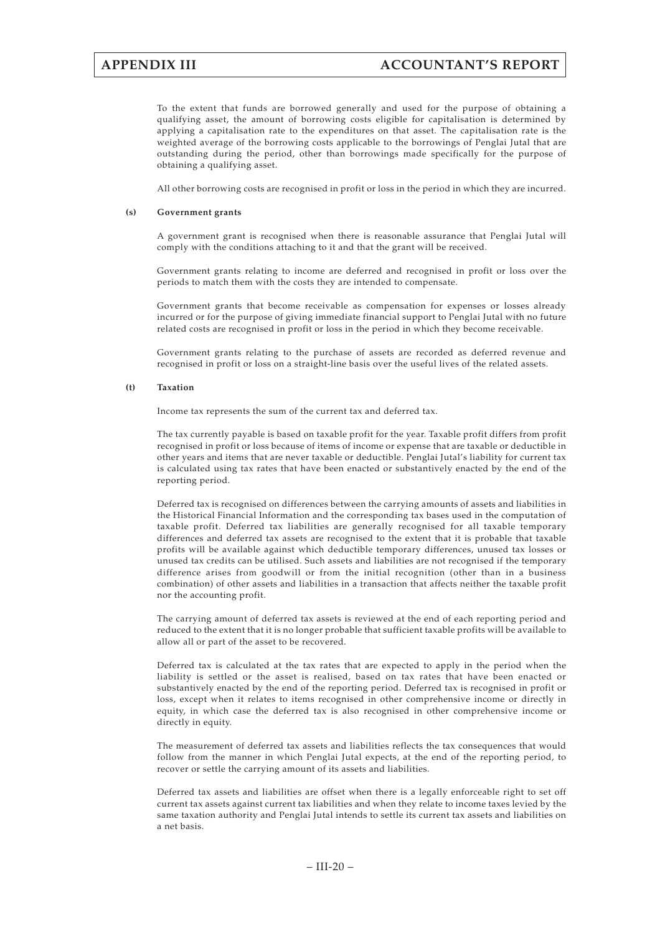To the extent that funds are borrowed generally and used for the purpose of obtaining a qualifying asset, the amount of borrowing costs eligible for capitalisation is determined by applying a capitalisation rate to the expenditures on that asset. The capitalisation rate is the weighted average of the borrowing costs applicable to the borrowings of Penglai Jutal that are outstanding during the period, other than borrowings made specifically for the purpose of obtaining a qualifying asset.

All other borrowing costs are recognised in profit or loss in the period in which they are incurred.

#### **(s) Government grants**

A government grant is recognised when there is reasonable assurance that Penglai Jutal will comply with the conditions attaching to it and that the grant will be received.

Government grants relating to income are deferred and recognised in profit or loss over the periods to match them with the costs they are intended to compensate.

Government grants that become receivable as compensation for expenses or losses already incurred or for the purpose of giving immediate financial support to Penglai Jutal with no future related costs are recognised in profit or loss in the period in which they become receivable.

Government grants relating to the purchase of assets are recorded as deferred revenue and recognised in profit or loss on a straight-line basis over the useful lives of the related assets.

#### **(t) Taxation**

Income tax represents the sum of the current tax and deferred tax.

The tax currently payable is based on taxable profit for the year. Taxable profit differs from profit recognised in profit or loss because of items of income or expense that are taxable or deductible in other years and items that are never taxable or deductible. Penglai Jutal's liability for current tax is calculated using tax rates that have been enacted or substantively enacted by the end of the reporting period.

Deferred tax is recognised on differences between the carrying amounts of assets and liabilities in the Historical Financial Information and the corresponding tax bases used in the computation of taxable profit. Deferred tax liabilities are generally recognised for all taxable temporary differences and deferred tax assets are recognised to the extent that it is probable that taxable profits will be available against which deductible temporary differences, unused tax losses or unused tax credits can be utilised. Such assets and liabilities are not recognised if the temporary difference arises from goodwill or from the initial recognition (other than in a business combination) of other assets and liabilities in a transaction that affects neither the taxable profit nor the accounting profit.

The carrying amount of deferred tax assets is reviewed at the end of each reporting period and reduced to the extent that it is no longer probable that sufficient taxable profits will be available to allow all or part of the asset to be recovered.

Deferred tax is calculated at the tax rates that are expected to apply in the period when the liability is settled or the asset is realised, based on tax rates that have been enacted or substantively enacted by the end of the reporting period. Deferred tax is recognised in profit or loss, except when it relates to items recognised in other comprehensive income or directly in equity, in which case the deferred tax is also recognised in other comprehensive income or directly in equity.

The measurement of deferred tax assets and liabilities reflects the tax consequences that would follow from the manner in which Penglai Jutal expects, at the end of the reporting period, to recover or settle the carrying amount of its assets and liabilities.

Deferred tax assets and liabilities are offset when there is a legally enforceable right to set off current tax assets against current tax liabilities and when they relate to income taxes levied by the same taxation authority and Penglai Jutal intends to settle its current tax assets and liabilities on a net basis.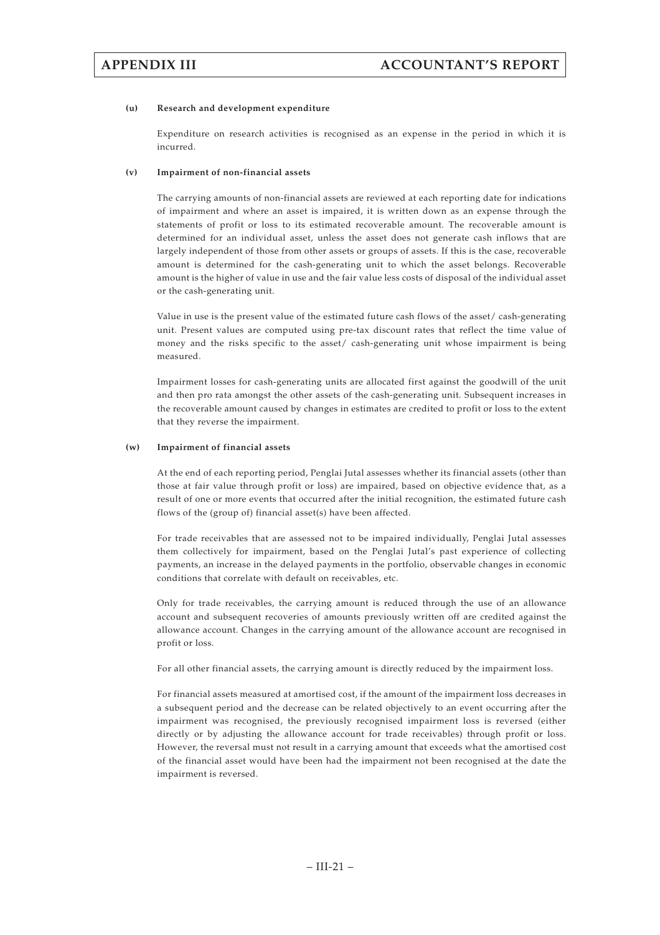### **(u) Research and development expenditure**

Expenditure on research activities is recognised as an expense in the period in which it is incurred.

### **(v) Impairment of non-financial assets**

The carrying amounts of non-financial assets are reviewed at each reporting date for indications of impairment and where an asset is impaired, it is written down as an expense through the statements of profit or loss to its estimated recoverable amount. The recoverable amount is determined for an individual asset, unless the asset does not generate cash inflows that are largely independent of those from other assets or groups of assets. If this is the case, recoverable amount is determined for the cash-generating unit to which the asset belongs. Recoverable amount is the higher of value in use and the fair value less costs of disposal of the individual asset or the cash-generating unit.

Value in use is the present value of the estimated future cash flows of the asset/ cash-generating unit. Present values are computed using pre-tax discount rates that reflect the time value of money and the risks specific to the asset/ cash-generating unit whose impairment is being measured.

Impairment losses for cash-generating units are allocated first against the goodwill of the unit and then pro rata amongst the other assets of the cash-generating unit. Subsequent increases in the recoverable amount caused by changes in estimates are credited to profit or loss to the extent that they reverse the impairment.

### **(w) Impairment of financial assets**

At the end of each reporting period, Penglai Jutal assesses whether its financial assets (other than those at fair value through profit or loss) are impaired, based on objective evidence that, as a result of one or more events that occurred after the initial recognition, the estimated future cash flows of the (group of) financial asset(s) have been affected.

For trade receivables that are assessed not to be impaired individually, Penglai Jutal assesses them collectively for impairment, based on the Penglai Jutal's past experience of collecting payments, an increase in the delayed payments in the portfolio, observable changes in economic conditions that correlate with default on receivables, etc.

Only for trade receivables, the carrying amount is reduced through the use of an allowance account and subsequent recoveries of amounts previously written off are credited against the allowance account. Changes in the carrying amount of the allowance account are recognised in profit or loss.

For all other financial assets, the carrying amount is directly reduced by the impairment loss.

For financial assets measured at amortised cost, if the amount of the impairment loss decreases in a subsequent period and the decrease can be related objectively to an event occurring after the impairment was recognised, the previously recognised impairment loss is reversed (either directly or by adjusting the allowance account for trade receivables) through profit or loss. However, the reversal must not result in a carrying amount that exceeds what the amortised cost of the financial asset would have been had the impairment not been recognised at the date the impairment is reversed.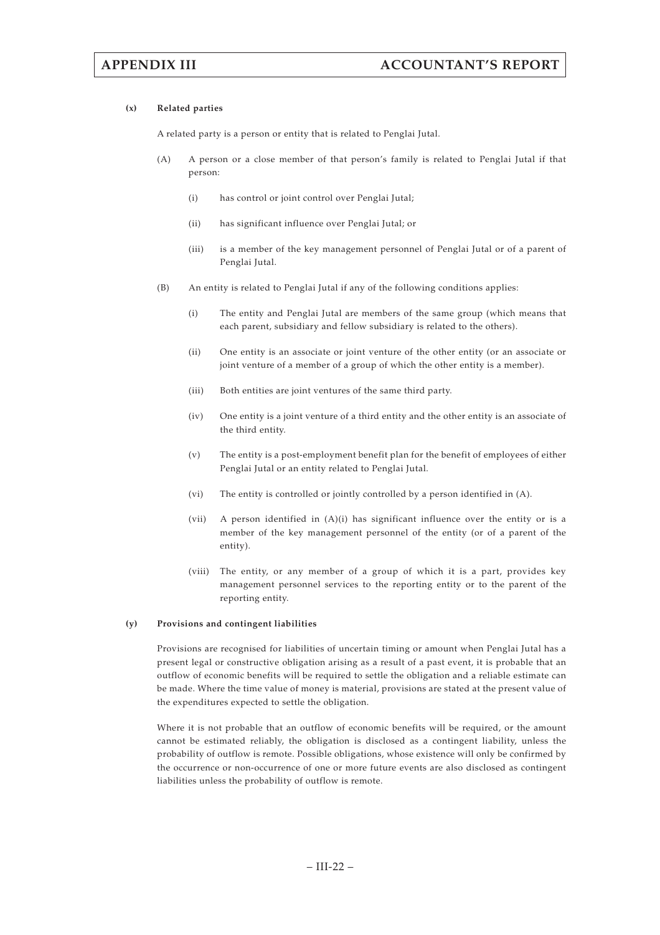### **(x) Related parties**

A related party is a person or entity that is related to Penglai Jutal.

- (A) A person or a close member of that person's family is related to Penglai Jutal if that person:
	- (i) has control or joint control over Penglai Jutal;
	- (ii) has significant influence over Penglai Jutal; or
	- (iii) is a member of the key management personnel of Penglai Jutal or of a parent of Penglai Jutal.
- (B) An entity is related to Penglai Jutal if any of the following conditions applies:
	- (i) The entity and Penglai Jutal are members of the same group (which means that each parent, subsidiary and fellow subsidiary is related to the others).
	- (ii) One entity is an associate or joint venture of the other entity (or an associate or joint venture of a member of a group of which the other entity is a member).
	- (iii) Both entities are joint ventures of the same third party.
	- (iv) One entity is a joint venture of a third entity and the other entity is an associate of the third entity.
	- (v) The entity is a post-employment benefit plan for the benefit of employees of either Penglai Jutal or an entity related to Penglai Jutal.
	- (vi) The entity is controlled or jointly controlled by a person identified in (A).
	- (vii) A person identified in (A)(i) has significant influence over the entity or is a member of the key management personnel of the entity (or of a parent of the entity).
	- (viii) The entity, or any member of a group of which it is a part, provides key management personnel services to the reporting entity or to the parent of the reporting entity.

#### **(y) Provisions and contingent liabilities**

Provisions are recognised for liabilities of uncertain timing or amount when Penglai Jutal has a present legal or constructive obligation arising as a result of a past event, it is probable that an outflow of economic benefits will be required to settle the obligation and a reliable estimate can be made. Where the time value of money is material, provisions are stated at the present value of the expenditures expected to settle the obligation.

Where it is not probable that an outflow of economic benefits will be required, or the amount cannot be estimated reliably, the obligation is disclosed as a contingent liability, unless the probability of outflow is remote. Possible obligations, whose existence will only be confirmed by the occurrence or non-occurrence of one or more future events are also disclosed as contingent liabilities unless the probability of outflow is remote.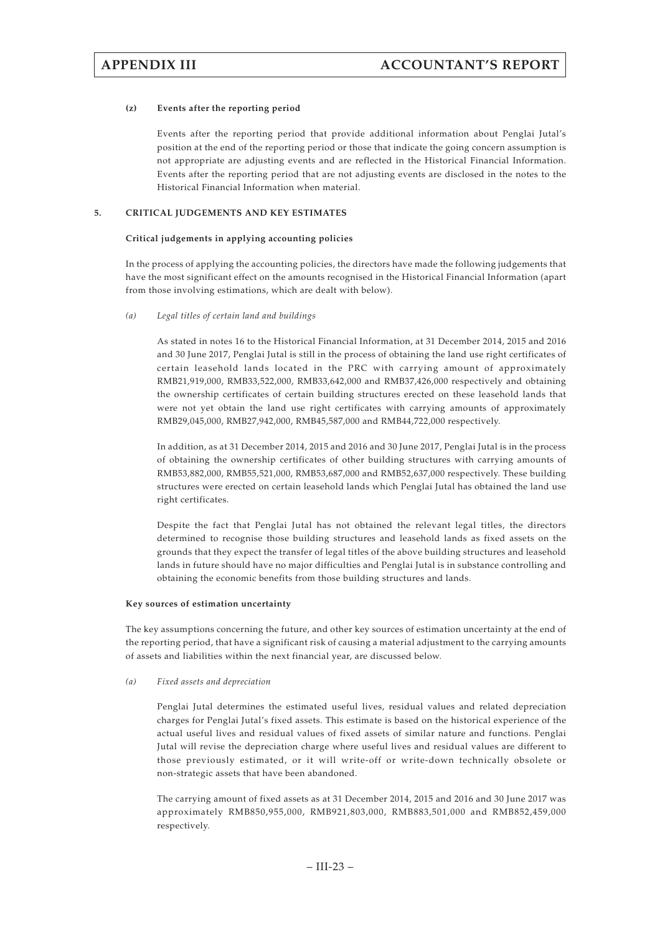### **(z) Events after the reporting period**

Events after the reporting period that provide additional information about Penglai Jutal's position at the end of the reporting period or those that indicate the going concern assumption is not appropriate are adjusting events and are reflected in the Historical Financial Information. Events after the reporting period that are not adjusting events are disclosed in the notes to the Historical Financial Information when material.

## **5. CRITICAL JUDGEMENTS AND KEY ESTIMATES**

#### **Critical judgements in applying accounting policies**

In the process of applying the accounting policies, the directors have made the following judgements that have the most significant effect on the amounts recognised in the Historical Financial Information (apart from those involving estimations, which are dealt with below).

### *(a) Legal titles of certain land and buildings*

As stated in notes 16 to the Historical Financial Information, at 31 December 2014, 2015 and 2016 and 30 June 2017, Penglai Jutal is still in the process of obtaining the land use right certificates of certain leasehold lands located in the PRC with carrying amount of approximately RMB21,919,000, RMB33,522,000, RMB33,642,000 and RMB37,426,000 respectively and obtaining the ownership certificates of certain building structures erected on these leasehold lands that were not yet obtain the land use right certificates with carrying amounts of approximately RMB29,045,000, RMB27,942,000, RMB45,587,000 and RMB44,722,000 respectively.

In addition, as at 31 December 2014, 2015 and 2016 and 30 June 2017, Penglai Jutal is in the process of obtaining the ownership certificates of other building structures with carrying amounts of RMB53,882,000, RMB55,521,000, RMB53,687,000 and RMB52,637,000 respectively. These building structures were erected on certain leasehold lands which Penglai Jutal has obtained the land use right certificates.

Despite the fact that Penglai Jutal has not obtained the relevant legal titles, the directors determined to recognise those building structures and leasehold lands as fixed assets on the grounds that they expect the transfer of legal titles of the above building structures and leasehold lands in future should have no major difficulties and Penglai Jutal is in substance controlling and obtaining the economic benefits from those building structures and lands.

#### **Key sources of estimation uncertainty**

The key assumptions concerning the future, and other key sources of estimation uncertainty at the end of the reporting period, that have a significant risk of causing a material adjustment to the carrying amounts of assets and liabilities within the next financial year, are discussed below.

### *(a) Fixed assets and depreciation*

Penglai Jutal determines the estimated useful lives, residual values and related depreciation charges for Penglai Jutal's fixed assets. This estimate is based on the historical experience of the actual useful lives and residual values of fixed assets of similar nature and functions. Penglai Jutal will revise the depreciation charge where useful lives and residual values are different to those previously estimated, or it will write-off or write-down technically obsolete or non-strategic assets that have been abandoned.

The carrying amount of fixed assets as at 31 December 2014, 2015 and 2016 and 30 June 2017 was approximately RMB850,955,000, RMB921,803,000, RMB883,501,000 and RMB852,459,000 respectively.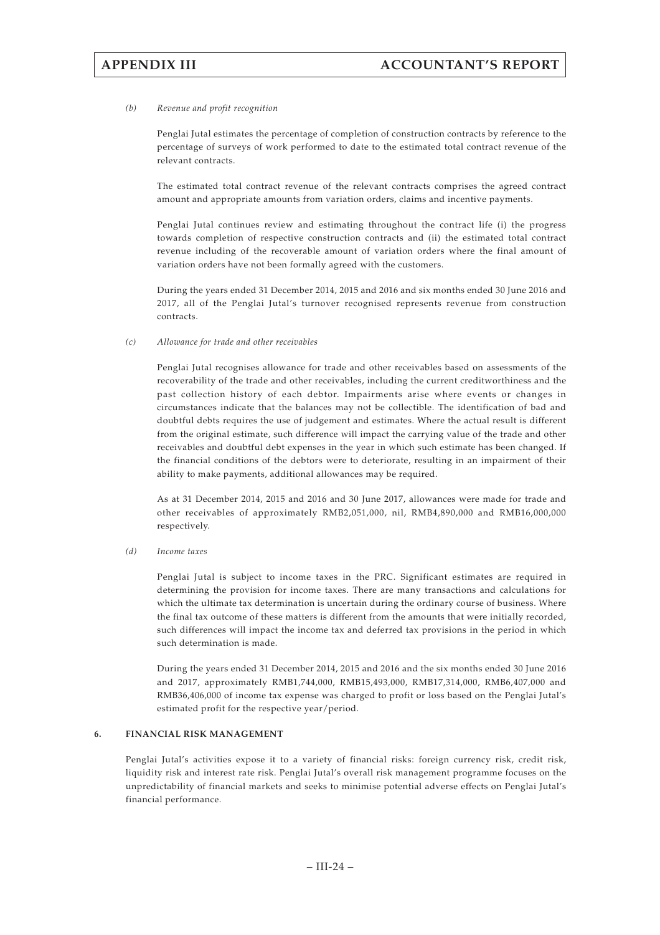### *(b) Revenue and profit recognition*

Penglai Jutal estimates the percentage of completion of construction contracts by reference to the percentage of surveys of work performed to date to the estimated total contract revenue of the relevant contracts.

The estimated total contract revenue of the relevant contracts comprises the agreed contract amount and appropriate amounts from variation orders, claims and incentive payments.

Penglai Jutal continues review and estimating throughout the contract life (i) the progress towards completion of respective construction contracts and (ii) the estimated total contract revenue including of the recoverable amount of variation orders where the final amount of variation orders have not been formally agreed with the customers.

During the years ended 31 December 2014, 2015 and 2016 and six months ended 30 June 2016 and 2017, all of the Penglai Jutal's turnover recognised represents revenue from construction contracts.

*(c) Allowance for trade and other receivables*

Penglai Jutal recognises allowance for trade and other receivables based on assessments of the recoverability of the trade and other receivables, including the current creditworthiness and the past collection history of each debtor. Impairments arise where events or changes in circumstances indicate that the balances may not be collectible. The identification of bad and doubtful debts requires the use of judgement and estimates. Where the actual result is different from the original estimate, such difference will impact the carrying value of the trade and other receivables and doubtful debt expenses in the year in which such estimate has been changed. If the financial conditions of the debtors were to deteriorate, resulting in an impairment of their ability to make payments, additional allowances may be required.

As at 31 December 2014, 2015 and 2016 and 30 June 2017, allowances were made for trade and other receivables of approximately RMB2,051,000, nil, RMB4,890,000 and RMB16,000,000 respectively.

*(d) Income taxes*

Penglai Jutal is subject to income taxes in the PRC. Significant estimates are required in determining the provision for income taxes. There are many transactions and calculations for which the ultimate tax determination is uncertain during the ordinary course of business. Where the final tax outcome of these matters is different from the amounts that were initially recorded, such differences will impact the income tax and deferred tax provisions in the period in which such determination is made.

During the years ended 31 December 2014, 2015 and 2016 and the six months ended 30 June 2016 and 2017, approximately RMB1,744,000, RMB15,493,000, RMB17,314,000, RMB6,407,000 and RMB36,406,000 of income tax expense was charged to profit or loss based on the Penglai Jutal's estimated profit for the respective year/period.

## **6. FINANCIAL RISK MANAGEMENT**

Penglai Jutal's activities expose it to a variety of financial risks: foreign currency risk, credit risk, liquidity risk and interest rate risk. Penglai Jutal's overall risk management programme focuses on the unpredictability of financial markets and seeks to minimise potential adverse effects on Penglai Jutal's financial performance.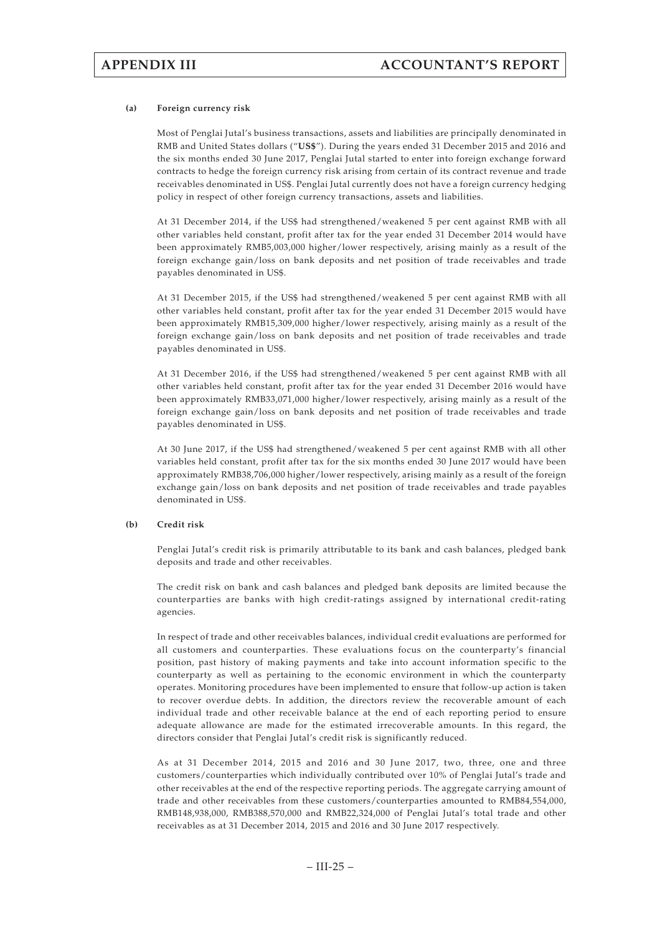### **(a) Foreign currency risk**

Most of Penglai Jutal's business transactions, assets and liabilities are principally denominated in RMB and United States dollars ("**US\$**"). During the years ended 31 December 2015 and 2016 and the six months ended 30 June 2017, Penglai Jutal started to enter into foreign exchange forward contracts to hedge the foreign currency risk arising from certain of its contract revenue and trade receivables denominated in US\$. Penglai Jutal currently does not have a foreign currency hedging policy in respect of other foreign currency transactions, assets and liabilities.

At 31 December 2014, if the US\$ had strengthened/weakened 5 per cent against RMB with all other variables held constant, profit after tax for the year ended 31 December 2014 would have been approximately RMB5,003,000 higher/lower respectively, arising mainly as a result of the foreign exchange gain/loss on bank deposits and net position of trade receivables and trade payables denominated in US\$.

At 31 December 2015, if the US\$ had strengthened/weakened 5 per cent against RMB with all other variables held constant, profit after tax for the year ended 31 December 2015 would have been approximately RMB15,309,000 higher/lower respectively, arising mainly as a result of the foreign exchange gain/loss on bank deposits and net position of trade receivables and trade payables denominated in US\$.

At 31 December 2016, if the US\$ had strengthened/weakened 5 per cent against RMB with all other variables held constant, profit after tax for the year ended 31 December 2016 would have been approximately RMB33,071,000 higher/lower respectively, arising mainly as a result of the foreign exchange gain/loss on bank deposits and net position of trade receivables and trade payables denominated in US\$.

At 30 June 2017, if the US\$ had strengthened/weakened 5 per cent against RMB with all other variables held constant, profit after tax for the six months ended 30 June 2017 would have been approximately RMB38,706,000 higher/lower respectively, arising mainly as a result of the foreign exchange gain/loss on bank deposits and net position of trade receivables and trade payables denominated in US\$.

### **(b) Credit risk**

Penglai Jutal's credit risk is primarily attributable to its bank and cash balances, pledged bank deposits and trade and other receivables.

The credit risk on bank and cash balances and pledged bank deposits are limited because the counterparties are banks with high credit-ratings assigned by international credit-rating agencies.

In respect of trade and other receivables balances, individual credit evaluations are performed for all customers and counterparties. These evaluations focus on the counterparty's financial position, past history of making payments and take into account information specific to the counterparty as well as pertaining to the economic environment in which the counterparty operates. Monitoring procedures have been implemented to ensure that follow-up action is taken to recover overdue debts. In addition, the directors review the recoverable amount of each individual trade and other receivable balance at the end of each reporting period to ensure adequate allowance are made for the estimated irrecoverable amounts. In this regard, the directors consider that Penglai Jutal's credit risk is significantly reduced.

As at 31 December 2014, 2015 and 2016 and 30 June 2017, two, three, one and three customers/counterparties which individually contributed over 10% of Penglai Jutal's trade and other receivables at the end of the respective reporting periods. The aggregate carrying amount of trade and other receivables from these customers/counterparties amounted to RMB84,554,000, RMB148,938,000, RMB388,570,000 and RMB22,324,000 of Penglai Jutal's total trade and other receivables as at 31 December 2014, 2015 and 2016 and 30 June 2017 respectively.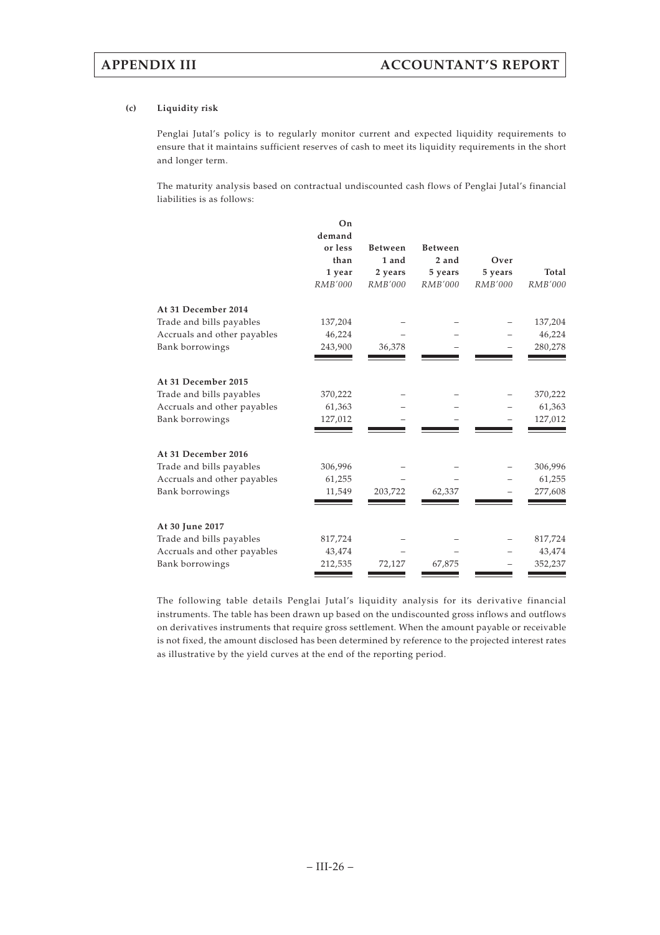## **(c) Liquidity risk**

Penglai Jutal's policy is to regularly monitor current and expected liquidity requirements to ensure that it maintains sufficient reserves of cash to meet its liquidity requirements in the short and longer term.

The maturity analysis based on contractual undiscounted cash flows of Penglai Jutal's financial liabilities is as follows:

|                             | On<br>demand<br>or less | <b>Between</b> | <b>Between</b> |         |         |
|-----------------------------|-------------------------|----------------|----------------|---------|---------|
|                             | than                    | 1 and          | 2 and          | Over    |         |
|                             | 1 year                  | 2 years        | 5 years        | 5 years | Total   |
|                             | RMB'000                 | RMB'000        | RMB'000        | RMB'000 | RMB'000 |
| At 31 December 2014         |                         |                |                |         |         |
| Trade and bills payables    | 137,204                 |                |                |         | 137,204 |
| Accruals and other payables | 46,224                  |                |                |         | 46,224  |
| Bank borrowings             | 243,900                 | 36,378         |                |         | 280,278 |
|                             |                         |                |                |         |         |
| At 31 December 2015         |                         |                |                |         |         |
| Trade and bills payables    | 370,222                 |                |                |         | 370,222 |
| Accruals and other payables | 61,363                  |                |                |         | 61,363  |
| Bank borrowings             | 127,012                 |                |                |         | 127,012 |
| At 31 December 2016         |                         |                |                |         |         |
| Trade and bills payables    | 306,996                 |                |                |         | 306,996 |
| Accruals and other payables | 61,255                  |                |                |         | 61,255  |
| Bank borrowings             | 11,549                  | 203,722        | 62,337         |         | 277,608 |
| At 30 June 2017             |                         |                |                |         |         |
| Trade and bills payables    | 817,724                 |                |                |         | 817,724 |
| Accruals and other payables | 43,474                  |                |                |         | 43,474  |
| Bank borrowings             | 212,535                 | 72,127         | 67,875         |         | 352,237 |

The following table details Penglai Jutal's liquidity analysis for its derivative financial instruments. The table has been drawn up based on the undiscounted gross inflows and outflows on derivatives instruments that require gross settlement. When the amount payable or receivable is not fixed, the amount disclosed has been determined by reference to the projected interest rates as illustrative by the yield curves at the end of the reporting period.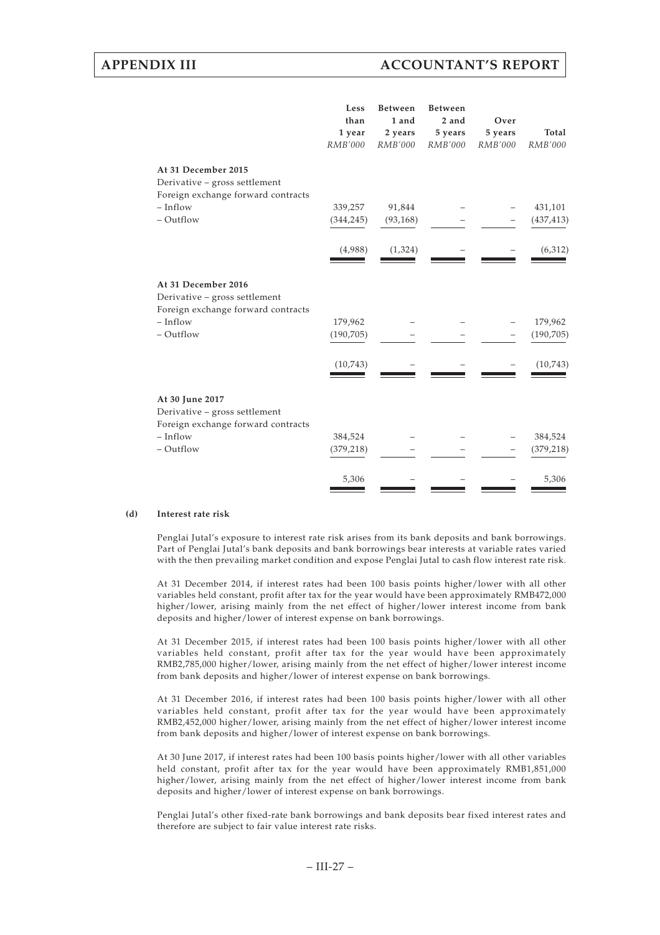# **APPENDIX III ACCOUNTANT'S REPORT**

|                                                                                                                       | Less<br>than<br>1 year<br>RMB'000 | <b>Between</b><br>1 and<br>2 years<br>RMB'000 | <b>Between</b><br>2 and<br>5 years<br>RMB'000 | Over<br>5 years<br>RMB'000 | Total<br>RMB'000      |
|-----------------------------------------------------------------------------------------------------------------------|-----------------------------------|-----------------------------------------------|-----------------------------------------------|----------------------------|-----------------------|
| At 31 December 2015<br>Derivative - gross settlement<br>Foreign exchange forward contracts<br>$-$ Inflow<br>- Outflow | 339,257<br>(344, 245)             | 91,844<br>(93, 168)                           |                                               |                            | 431,101<br>(437, 413) |
|                                                                                                                       | (4,988)                           | (1, 324)                                      |                                               |                            | (6, 312)              |
| At 31 December 2016<br>Derivative - gross settlement<br>Foreign exchange forward contracts                            |                                   |                                               |                                               |                            |                       |
| $- Inflow$<br>- Outflow                                                                                               | 179,962<br>(190, 705)             |                                               |                                               |                            | 179,962<br>(190, 705) |
|                                                                                                                       | (10,743)                          |                                               |                                               |                            | (10,743)              |
| At 30 June 2017<br>Derivative - gross settlement<br>Foreign exchange forward contracts                                |                                   |                                               |                                               |                            |                       |
| $-$ Inflow<br>- Outflow                                                                                               | 384,524<br>(379, 218)             |                                               |                                               |                            | 384,524<br>(379, 218) |
|                                                                                                                       | 5,306                             |                                               |                                               |                            | 5,306                 |

#### **(d) Interest rate risk**

Penglai Jutal's exposure to interest rate risk arises from its bank deposits and bank borrowings. Part of Penglai Jutal's bank deposits and bank borrowings bear interests at variable rates varied with the then prevailing market condition and expose Penglai Jutal to cash flow interest rate risk.

At 31 December 2014, if interest rates had been 100 basis points higher/lower with all other variables held constant, profit after tax for the year would have been approximately RMB472,000 higher/lower, arising mainly from the net effect of higher/lower interest income from bank deposits and higher/lower of interest expense on bank borrowings.

At 31 December 2015, if interest rates had been 100 basis points higher/lower with all other variables held constant, profit after tax for the year would have been approximately RMB2,785,000 higher/lower, arising mainly from the net effect of higher/lower interest income from bank deposits and higher/lower of interest expense on bank borrowings.

At 31 December 2016, if interest rates had been 100 basis points higher/lower with all other variables held constant, profit after tax for the year would have been approximately RMB2,452,000 higher/lower, arising mainly from the net effect of higher/lower interest income from bank deposits and higher/lower of interest expense on bank borrowings.

At 30 June 2017, if interest rates had been 100 basis points higher/lower with all other variables held constant, profit after tax for the year would have been approximately RMB1,851,000 higher/lower, arising mainly from the net effect of higher/lower interest income from bank deposits and higher/lower of interest expense on bank borrowings.

Penglai Jutal's other fixed-rate bank borrowings and bank deposits bear fixed interest rates and therefore are subject to fair value interest rate risks.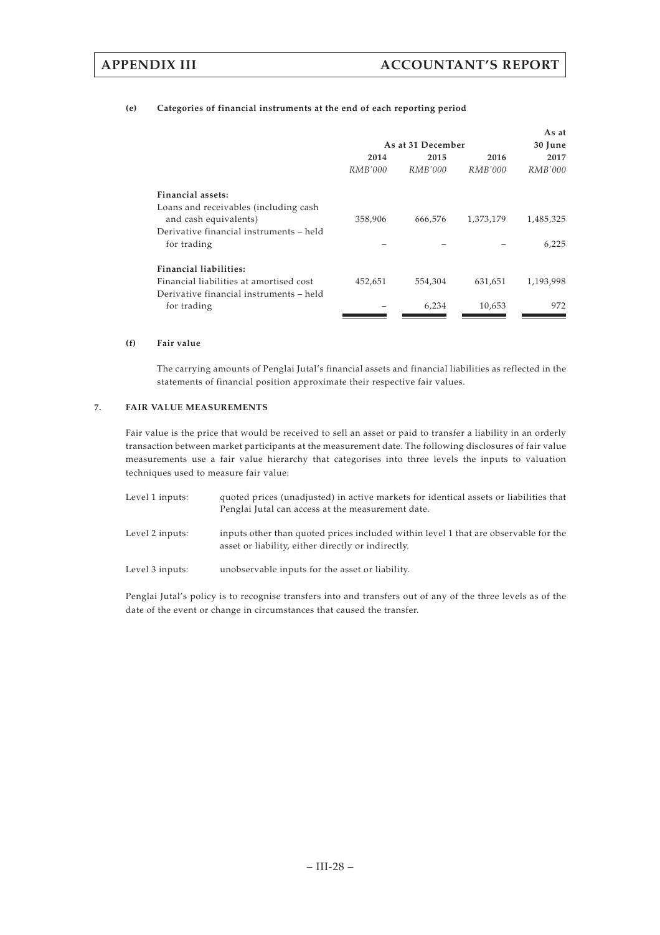## **(e) Categories of financial instruments at the end of each reporting period**

|                                         |         |                   |           | As at     |  |
|-----------------------------------------|---------|-------------------|-----------|-----------|--|
|                                         |         | As at 31 December |           | 30 June   |  |
|                                         | 2014    | 2015              | 2016      | 2017      |  |
|                                         | RMB'000 | RMB'000           | RMB'000   | RMB'000   |  |
| Financial assets:                       |         |                   |           |           |  |
| Loans and receivables (including cash   |         |                   |           |           |  |
| and cash equivalents)                   | 358,906 | 666,576           | 1,373,179 | 1,485,325 |  |
| Derivative financial instruments - held |         |                   |           |           |  |
| for trading                             |         |                   |           | 6,225     |  |
| <b>Financial liabilities:</b>           |         |                   |           |           |  |
| Financial liabilities at amortised cost | 452,651 | 554,304           | 631,651   | 1,193,998 |  |
| Derivative financial instruments – held |         |                   |           |           |  |
| for trading                             |         | 6,234             | 10,653    | 972       |  |
|                                         |         |                   |           |           |  |

### **(f) Fair value**

The carrying amounts of Penglai Jutal's financial assets and financial liabilities as reflected in the statements of financial position approximate their respective fair values.

## **7. FAIR VALUE MEASUREMENTS**

Fair value is the price that would be received to sell an asset or paid to transfer a liability in an orderly transaction between market participants at the measurement date. The following disclosures of fair value measurements use a fair value hierarchy that categorises into three levels the inputs to valuation techniques used to measure fair value:

| Level 1 inputs: | quoted prices (unadjusted) in active markets for identical assets or liabilities that<br>Penglai Jutal can access at the measurement date. |
|-----------------|--------------------------------------------------------------------------------------------------------------------------------------------|
| Level 2 inputs: | inputs other than quoted prices included within level 1 that are observable for the<br>asset or liability, either directly or indirectly.  |
| Level 3 inputs: | unobservable inputs for the asset or liability.                                                                                            |

Penglai Jutal's policy is to recognise transfers into and transfers out of any of the three levels as of the date of the event or change in circumstances that caused the transfer.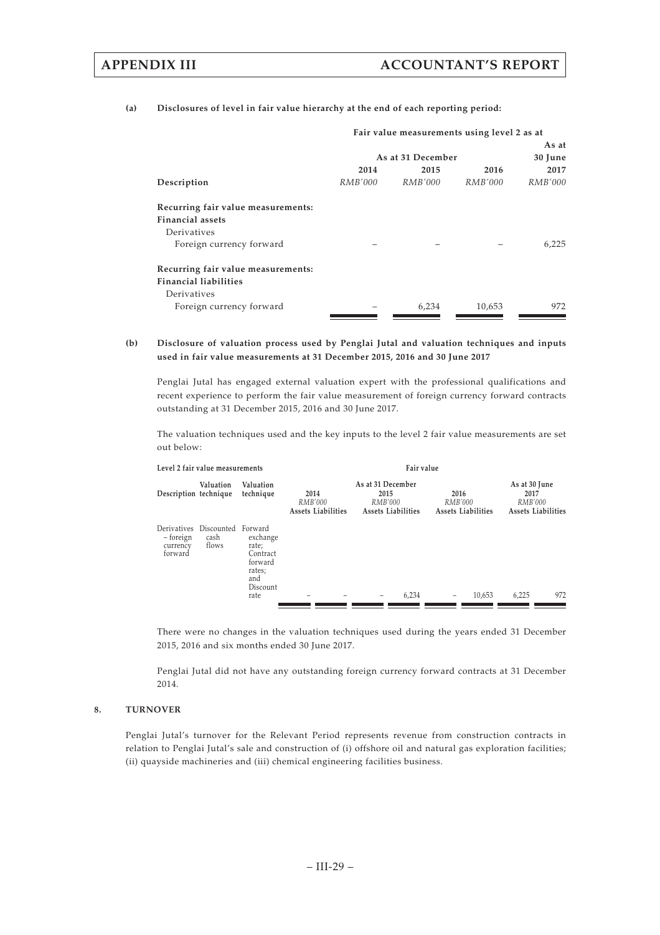### **(a) Disclosures of level in fair value hierarchy at the end of each reporting period:**

|                                    | Fair value measurements using level 2 as at |                   |                |                |  |  |
|------------------------------------|---------------------------------------------|-------------------|----------------|----------------|--|--|
|                                    |                                             |                   |                | As at          |  |  |
|                                    |                                             | As at 31 December |                | 30 June        |  |  |
|                                    | 2014                                        | 2015              | 2016           | 2017           |  |  |
| Description                        | <i>RMB'000</i>                              | <i>RMB'000</i>    | <i>RMB'000</i> | <i>RMB'000</i> |  |  |
| Recurring fair value measurements: |                                             |                   |                |                |  |  |
| <b>Financial assets</b>            |                                             |                   |                |                |  |  |
| Derivatives                        |                                             |                   |                |                |  |  |
| Foreign currency forward           |                                             |                   |                | 6,225          |  |  |
| Recurring fair value measurements: |                                             |                   |                |                |  |  |
| <b>Financial liabilities</b>       |                                             |                   |                |                |  |  |
| Derivatives                        |                                             |                   |                |                |  |  |
| Foreign currency forward           |                                             | 6,234             | 10,653         | 972            |  |  |

### **(b) Disclosure of valuation process used by Penglai Jutal and valuation techniques and inputs used in fair value measurements at 31 December 2015, 2016 and 30 June 2017**

Penglai Jutal has engaged external valuation expert with the professional qualifications and recent experience to perform the fair value measurement of foreign currency forward contracts outstanding at 31 December 2015, 2016 and 30 June 2017.

The valuation techniques used and the key inputs to the level 2 fair value measurements are set out below:

| Level 2 fair value measurements                            |               |                                                                                          | Fair value                            |                                                                   |                                              |                                                        |  |  |
|------------------------------------------------------------|---------------|------------------------------------------------------------------------------------------|---------------------------------------|-------------------------------------------------------------------|----------------------------------------------|--------------------------------------------------------|--|--|
| Description technique                                      | Valuation     | Valuation<br>technique                                                                   | 2014<br>RMB'000<br>Assets Liabilities | As at 31 December<br>2015<br>RMB'000<br><b>Assets Liabilities</b> | 2016<br>RMB'000<br><b>Assets Liabilities</b> | As at 30 June<br>2017<br>RMB'000<br>Assets Liabilities |  |  |
| Derivatives Discounted<br>– foreign<br>currency<br>forward | cash<br>flows | Forward<br>exchange<br>rate;<br>Contract<br>forward<br>rates;<br>and<br>Discount<br>rate |                                       | 6,234<br>-                                                        | 10,653<br>$\overline{\phantom{a}}$           | 972<br>6,225                                           |  |  |

There were no changes in the valuation techniques used during the years ended 31 December 2015, 2016 and six months ended 30 June 2017.

Penglai Jutal did not have any outstanding foreign currency forward contracts at 31 December 2014.

## **8. TURNOVER**

Penglai Jutal's turnover for the Relevant Period represents revenue from construction contracts in relation to Penglai Jutal's sale and construction of (i) offshore oil and natural gas exploration facilities; (ii) quayside machineries and (iii) chemical engineering facilities business.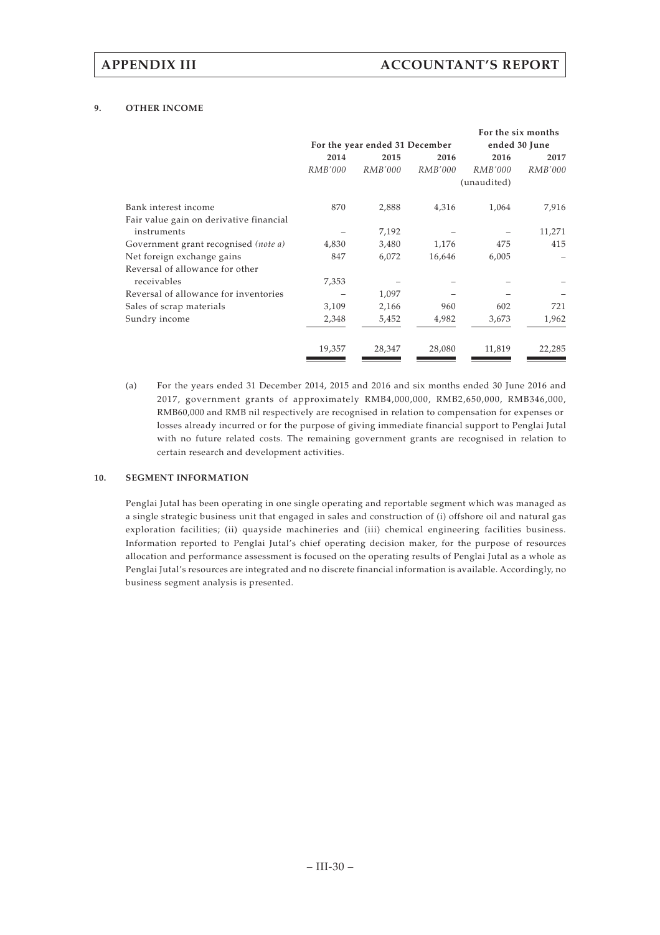## **9. OTHER INCOME**

|                                         |                |                                |                |                | For the six months |
|-----------------------------------------|----------------|--------------------------------|----------------|----------------|--------------------|
|                                         |                | For the year ended 31 December |                | ended 30 June  |                    |
|                                         | 2014           | 2015                           | 2016           | 2016           | 2017               |
|                                         | <i>RMB'000</i> | <i>RMB'000</i>                 | <i>RMB'000</i> | <i>RMB'000</i> | <i>RMB'000</i>     |
|                                         |                |                                |                | (unaudited)    |                    |
| Bank interest income                    | 870            | 2,888                          | 4,316          | 1,064          | 7,916              |
| Fair value gain on derivative financial |                |                                |                |                |                    |
| instruments                             |                | 7,192                          |                |                | 11,271             |
| Government grant recognised (note a)    | 4,830          | 3,480                          | 1,176          | 475            | 415                |
| Net foreign exchange gains              | 847            | 6,072                          | 16,646         | 6,005          |                    |
| Reversal of allowance for other         |                |                                |                |                |                    |
| receivables                             | 7,353          |                                |                |                |                    |
| Reversal of allowance for inventories   |                | 1,097                          |                |                |                    |
| Sales of scrap materials                | 3,109          | 2,166                          | 960            | 602            | 721                |
| Sundry income                           | 2,348          | 5,452                          | 4,982          | 3,673          | 1,962              |
|                                         | 19,357         | 28,347                         | 28,080         | 11,819         | 22,285             |

(a) For the years ended 31 December 2014, 2015 and 2016 and six months ended 30 June 2016 and 2017, government grants of approximately RMB4,000,000, RMB2,650,000, RMB346,000, RMB60,000 and RMB nil respectively are recognised in relation to compensation for expenses or losses already incurred or for the purpose of giving immediate financial support to Penglai Jutal with no future related costs. The remaining government grants are recognised in relation to certain research and development activities.

## **10. SEGMENT INFORMATION**

Penglai Jutal has been operating in one single operating and reportable segment which was managed as a single strategic business unit that engaged in sales and construction of (i) offshore oil and natural gas exploration facilities; (ii) quayside machineries and (iii) chemical engineering facilities business. Information reported to Penglai Jutal's chief operating decision maker, for the purpose of resources allocation and performance assessment is focused on the operating results of Penglai Jutal as a whole as Penglai Jutal's resources are integrated and no discrete financial information is available. Accordingly, no business segment analysis is presented.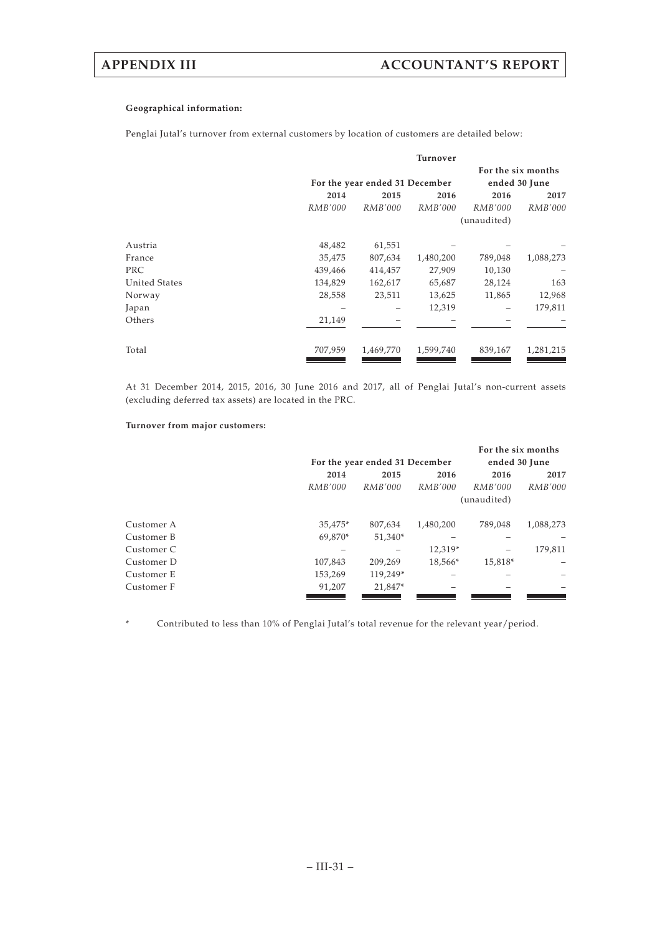## **Geographical information:**

Penglai Jutal's turnover from external customers by location of customers are detailed below:

|                      |         |                                | Turnover       |                |                                     |  |
|----------------------|---------|--------------------------------|----------------|----------------|-------------------------------------|--|
|                      |         | For the year ended 31 December |                |                | For the six months<br>ended 30 June |  |
|                      |         |                                |                |                |                                     |  |
|                      | 2014    | 2015                           | 2016           | 2016           | 2017                                |  |
|                      | RMB'000 | RMB'000                        | <i>RMB'000</i> | <i>RMB'000</i> | <i>RMB'000</i>                      |  |
|                      |         |                                |                | (unaudited)    |                                     |  |
| Austria              | 48,482  | 61,551                         |                |                |                                     |  |
| France               | 35,475  | 807,634                        | 1,480,200      | 789,048        | 1,088,273                           |  |
| <b>PRC</b>           | 439,466 | 414,457                        | 27,909         | 10,130         |                                     |  |
| <b>United States</b> | 134,829 | 162,617                        | 65,687         | 28,124         | 163                                 |  |
| Norway               | 28,558  | 23,511                         | 13,625         | 11,865         | 12,968                              |  |
| Japan                |         |                                | 12,319         |                | 179,811                             |  |
| Others               | 21,149  |                                |                |                |                                     |  |
| Total                | 707,959 | 1,469,770                      | 1,599,740      | 839,167        | 1,281,215                           |  |

At 31 December 2014, 2015, 2016, 30 June 2016 and 2017, all of Penglai Jutal's non-current assets (excluding deferred tax assets) are located in the PRC.

### **Turnover from major customers:**

|            |         |                                |                | For the six months |                |
|------------|---------|--------------------------------|----------------|--------------------|----------------|
|            |         | For the year ended 31 December |                | ended 30 June      |                |
|            | 2014    | 2015                           | 2016           | 2016               | 2017           |
|            | RMB'000 | RMB'000                        | <i>RMB'000</i> | RMB'000            | <i>RMB'000</i> |
|            |         |                                |                | (unaudited)        |                |
| Customer A | 35,475* | 807,634                        | 1,480,200      | 789,048            | 1,088,273      |
| Customer B | 69.870* | 51,340*                        |                |                    |                |
| Customer C |         |                                | 12.319*        |                    | 179,811        |
| Customer D | 107,843 | 209,269                        | 18,566*        | 15,818*            |                |
| Customer E | 153,269 | 119.249*                       |                |                    |                |
| Customer F | 91,207  | 21,847*                        |                |                    |                |
|            |         |                                |                |                    |                |

\* Contributed to less than 10% of Penglai Jutal's total revenue for the relevant year/period.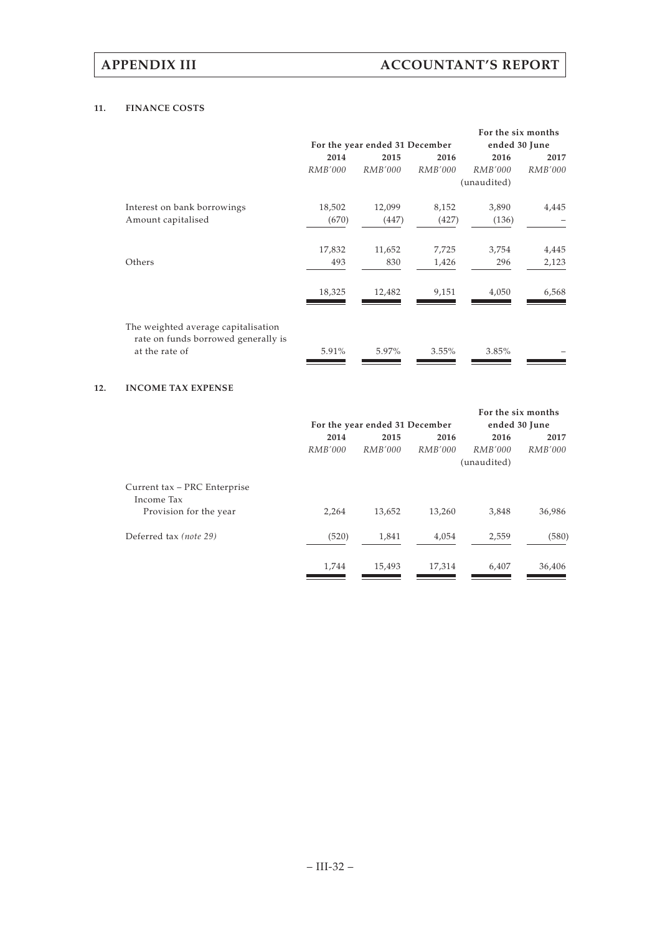## **11. FINANCE COSTS**

|                                                                                              |                |                                |                | For the six months |                |
|----------------------------------------------------------------------------------------------|----------------|--------------------------------|----------------|--------------------|----------------|
|                                                                                              |                | For the year ended 31 December |                | ended 30 June      |                |
|                                                                                              | 2014           | 2015                           | 2016           | 2016               | 2017           |
|                                                                                              | <i>RMB'000</i> | <i>RMB'000</i>                 | <i>RMB'000</i> | <i>RMB'000</i>     | <i>RMB'000</i> |
|                                                                                              |                |                                |                | (unaudited)        |                |
| Interest on bank borrowings                                                                  | 18,502         | 12,099                         | 8,152          | 3,890              | 4,445          |
| Amount capitalised                                                                           | (670)          | (447)                          | (427)          | (136)              |                |
|                                                                                              | 17,832         | 11,652                         | 7,725          | 3,754              | 4,445          |
| Others                                                                                       | 493            | 830                            | 1,426          | 296                | 2,123          |
|                                                                                              | 18,325         | 12,482                         | 9,151          | 4,050              | 6,568          |
| The weighted average capitalisation<br>rate on funds borrowed generally is<br>at the rate of | 5.91%          | 5.97%                          | 3.55%          | 3.85%              |                |

## **12. INCOME TAX EXPENSE**

|                              |         |                                |                | For the six months |                |
|------------------------------|---------|--------------------------------|----------------|--------------------|----------------|
|                              |         | For the year ended 31 December |                | ended 30 June      |                |
|                              | 2014    | 2015                           | 2016           | 2016               | 2017           |
|                              | RMB'000 | <i>RMB'000</i>                 | <i>RMB'000</i> | RMB'000            | <i>RMB'000</i> |
|                              |         |                                |                | (unaudited)        |                |
| Current tax – PRC Enterprise |         |                                |                |                    |                |
| Income Tax                   |         |                                |                |                    |                |
| Provision for the year       | 2,264   | 13,652                         | 13,260         | 3,848              | 36,986         |
| Deferred tax (note 29)       | (520)   | 1,841                          | 4,054          | 2,559              | (580)          |
|                              | 1,744   | 15,493                         | 17,314         | 6,407              | 36,406         |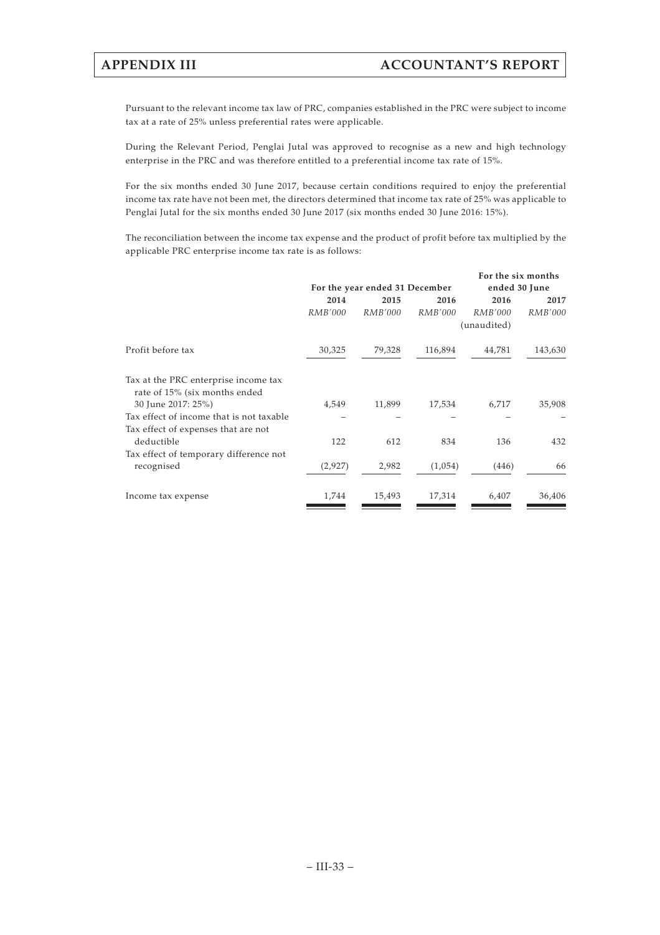Pursuant to the relevant income tax law of PRC, companies established in the PRC were subject to income tax at a rate of 25% unless preferential rates were applicable.

During the Relevant Period, Penglai Jutal was approved to recognise as a new and high technology enterprise in the PRC and was therefore entitled to a preferential income tax rate of 15%.

For the six months ended 30 June 2017, because certain conditions required to enjoy the preferential income tax rate have not been met, the directors determined that income tax rate of 25% was applicable to Penglai Jutal for the six months ended 30 June 2017 (six months ended 30 June 2016: 15%).

The reconciliation between the income tax expense and the product of profit before tax multiplied by the applicable PRC enterprise income tax rate is as follows:

|                                                                       |                | For the year ended 31 December | For the six months<br>ended 30 June |                               |                |
|-----------------------------------------------------------------------|----------------|--------------------------------|-------------------------------------|-------------------------------|----------------|
|                                                                       | 2014           | 2015                           | 2016                                | 2016                          | 2017           |
|                                                                       | <i>RMB'000</i> | <i>RMB'000</i>                 | <i>RMB'000</i>                      | <i>RMB'000</i><br>(unaudited) | <i>RMB'000</i> |
| Profit before tax                                                     | 30,325         | 79,328                         | 116,894                             | 44,781                        | 143,630        |
| Tax at the PRC enterprise income tax<br>rate of 15% (six months ended |                |                                |                                     |                               |                |
| 30 June 2017: 25%)                                                    | 4,549          | 11,899                         | 17,534                              | 6,717                         | 35,908         |
| Tax effect of income that is not taxable                              |                |                                |                                     |                               |                |
| Tax effect of expenses that are not<br>deductible                     | 122            | 612                            | 834                                 | 136                           | 432            |
| Tax effect of temporary difference not<br>recognised                  | (2,927)        | 2,982                          | (1,054)                             | (446)                         | 66             |
| Income tax expense                                                    | 1,744          | 15,493                         | 17,314                              | 6,407                         | 36,406         |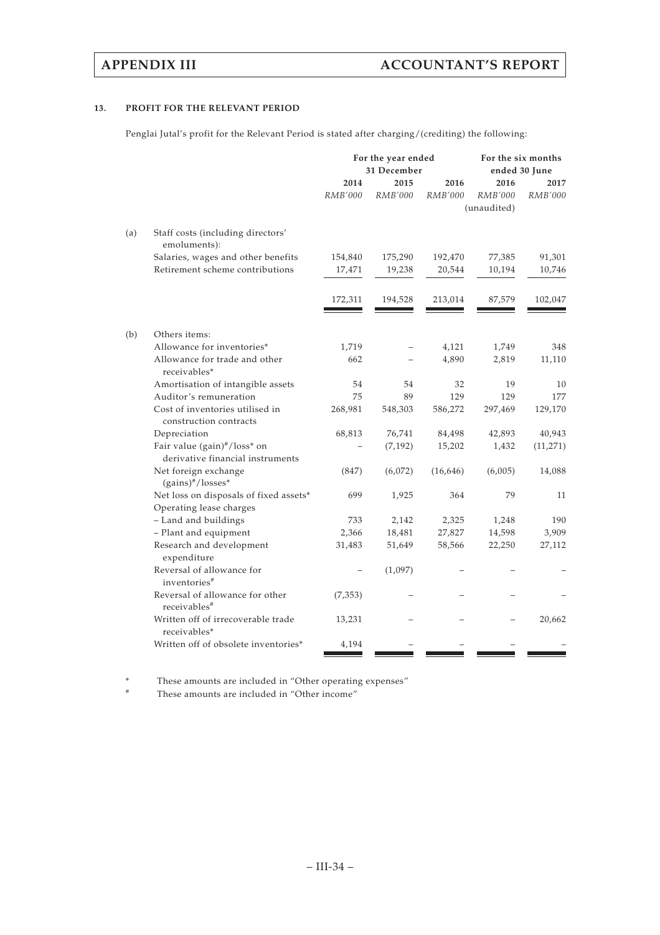## **13. PROFIT FOR THE RELEVANT PERIOD**

Penglai Jutal's profit for the Relevant Period is stated after charging/(crediting) the following:

| 2014<br>2016<br>2016<br>2015<br>2017<br>RMB'000<br>RMB'000<br>RMB'000<br>RMB'000<br>RMB'000<br>(unaudited)<br>Staff costs (including directors'<br>(a)<br>emoluments):<br>Salaries, wages and other benefits<br>154,840<br>175,290<br>192,470<br>77,385<br>91,301<br>Retirement scheme contributions<br>19,238<br>10,194<br>10,746<br>17,471<br>20,544<br>172,311<br>194,528<br>213,014<br>87,579<br>102,047<br>(b)<br>Others items:<br>Allowance for inventories*<br>1,719<br>4,121<br>1,749<br>348<br>Allowance for trade and other<br>662<br>4,890<br>2,819<br>11,110<br>receivables*<br>Amortisation of intangible assets<br>54<br>54<br>32<br>19<br>10<br>75<br>Auditor's remuneration<br>89<br>129<br>129<br>177<br>Cost of inventories utilised in<br>129,170<br>268,981<br>548,303<br>586,272<br>297,469<br>construction contracts<br>40,943<br>Depreciation<br>68,813<br>76,741<br>84,498<br>42,893<br>Fair value (gain)#/loss* on<br>(7, 192)<br>15,202<br>1,432<br>(11, 271)<br>derivative financial instruments<br>Net foreign exchange<br>(847)<br>(6,072)<br>(16, 646)<br>(6,005)<br>14,088<br>(gains)#/losses*<br>Net loss on disposals of fixed assets*<br>79<br>699<br>1,925<br>364<br>11<br>Operating lease charges<br>- Land and buildings<br>733<br>2,142<br>2,325<br>1,248<br>190<br>- Plant and equipment<br>2,366<br>18,481<br>27,827<br>14,598<br>3,909<br>Research and development<br>58,566<br>22,250<br>27,112<br>31,483<br>51,649<br>expenditure<br>Reversal of allowance for<br>(1,097)<br>inventories <sup>#</sup><br>Reversal of allowance for other<br>(7, 353)<br>receivables <sup>#</sup><br>Written off of irrecoverable trade<br>13,231<br>20,662<br>receivables*<br>Written off of obsolete inventories*<br>4,194 |  | For the year ended<br>31 December |  |  | For the six months<br>ended 30 June |  |  |
|--------------------------------------------------------------------------------------------------------------------------------------------------------------------------------------------------------------------------------------------------------------------------------------------------------------------------------------------------------------------------------------------------------------------------------------------------------------------------------------------------------------------------------------------------------------------------------------------------------------------------------------------------------------------------------------------------------------------------------------------------------------------------------------------------------------------------------------------------------------------------------------------------------------------------------------------------------------------------------------------------------------------------------------------------------------------------------------------------------------------------------------------------------------------------------------------------------------------------------------------------------------------------------------------------------------------------------------------------------------------------------------------------------------------------------------------------------------------------------------------------------------------------------------------------------------------------------------------------------------------------------------------------------------------------------------------------------------------------------------------------------|--|-----------------------------------|--|--|-------------------------------------|--|--|
|                                                                                                                                                                                                                                                                                                                                                                                                                                                                                                                                                                                                                                                                                                                                                                                                                                                                                                                                                                                                                                                                                                                                                                                                                                                                                                                                                                                                                                                                                                                                                                                                                                                                                                                                                        |  |                                   |  |  |                                     |  |  |
|                                                                                                                                                                                                                                                                                                                                                                                                                                                                                                                                                                                                                                                                                                                                                                                                                                                                                                                                                                                                                                                                                                                                                                                                                                                                                                                                                                                                                                                                                                                                                                                                                                                                                                                                                        |  |                                   |  |  |                                     |  |  |
|                                                                                                                                                                                                                                                                                                                                                                                                                                                                                                                                                                                                                                                                                                                                                                                                                                                                                                                                                                                                                                                                                                                                                                                                                                                                                                                                                                                                                                                                                                                                                                                                                                                                                                                                                        |  |                                   |  |  |                                     |  |  |
|                                                                                                                                                                                                                                                                                                                                                                                                                                                                                                                                                                                                                                                                                                                                                                                                                                                                                                                                                                                                                                                                                                                                                                                                                                                                                                                                                                                                                                                                                                                                                                                                                                                                                                                                                        |  |                                   |  |  |                                     |  |  |
|                                                                                                                                                                                                                                                                                                                                                                                                                                                                                                                                                                                                                                                                                                                                                                                                                                                                                                                                                                                                                                                                                                                                                                                                                                                                                                                                                                                                                                                                                                                                                                                                                                                                                                                                                        |  |                                   |  |  |                                     |  |  |
|                                                                                                                                                                                                                                                                                                                                                                                                                                                                                                                                                                                                                                                                                                                                                                                                                                                                                                                                                                                                                                                                                                                                                                                                                                                                                                                                                                                                                                                                                                                                                                                                                                                                                                                                                        |  |                                   |  |  |                                     |  |  |
|                                                                                                                                                                                                                                                                                                                                                                                                                                                                                                                                                                                                                                                                                                                                                                                                                                                                                                                                                                                                                                                                                                                                                                                                                                                                                                                                                                                                                                                                                                                                                                                                                                                                                                                                                        |  |                                   |  |  |                                     |  |  |
|                                                                                                                                                                                                                                                                                                                                                                                                                                                                                                                                                                                                                                                                                                                                                                                                                                                                                                                                                                                                                                                                                                                                                                                                                                                                                                                                                                                                                                                                                                                                                                                                                                                                                                                                                        |  |                                   |  |  |                                     |  |  |
|                                                                                                                                                                                                                                                                                                                                                                                                                                                                                                                                                                                                                                                                                                                                                                                                                                                                                                                                                                                                                                                                                                                                                                                                                                                                                                                                                                                                                                                                                                                                                                                                                                                                                                                                                        |  |                                   |  |  |                                     |  |  |
|                                                                                                                                                                                                                                                                                                                                                                                                                                                                                                                                                                                                                                                                                                                                                                                                                                                                                                                                                                                                                                                                                                                                                                                                                                                                                                                                                                                                                                                                                                                                                                                                                                                                                                                                                        |  |                                   |  |  |                                     |  |  |
|                                                                                                                                                                                                                                                                                                                                                                                                                                                                                                                                                                                                                                                                                                                                                                                                                                                                                                                                                                                                                                                                                                                                                                                                                                                                                                                                                                                                                                                                                                                                                                                                                                                                                                                                                        |  |                                   |  |  |                                     |  |  |
|                                                                                                                                                                                                                                                                                                                                                                                                                                                                                                                                                                                                                                                                                                                                                                                                                                                                                                                                                                                                                                                                                                                                                                                                                                                                                                                                                                                                                                                                                                                                                                                                                                                                                                                                                        |  |                                   |  |  |                                     |  |  |
|                                                                                                                                                                                                                                                                                                                                                                                                                                                                                                                                                                                                                                                                                                                                                                                                                                                                                                                                                                                                                                                                                                                                                                                                                                                                                                                                                                                                                                                                                                                                                                                                                                                                                                                                                        |  |                                   |  |  |                                     |  |  |
|                                                                                                                                                                                                                                                                                                                                                                                                                                                                                                                                                                                                                                                                                                                                                                                                                                                                                                                                                                                                                                                                                                                                                                                                                                                                                                                                                                                                                                                                                                                                                                                                                                                                                                                                                        |  |                                   |  |  |                                     |  |  |
|                                                                                                                                                                                                                                                                                                                                                                                                                                                                                                                                                                                                                                                                                                                                                                                                                                                                                                                                                                                                                                                                                                                                                                                                                                                                                                                                                                                                                                                                                                                                                                                                                                                                                                                                                        |  |                                   |  |  |                                     |  |  |
|                                                                                                                                                                                                                                                                                                                                                                                                                                                                                                                                                                                                                                                                                                                                                                                                                                                                                                                                                                                                                                                                                                                                                                                                                                                                                                                                                                                                                                                                                                                                                                                                                                                                                                                                                        |  |                                   |  |  |                                     |  |  |
|                                                                                                                                                                                                                                                                                                                                                                                                                                                                                                                                                                                                                                                                                                                                                                                                                                                                                                                                                                                                                                                                                                                                                                                                                                                                                                                                                                                                                                                                                                                                                                                                                                                                                                                                                        |  |                                   |  |  |                                     |  |  |
|                                                                                                                                                                                                                                                                                                                                                                                                                                                                                                                                                                                                                                                                                                                                                                                                                                                                                                                                                                                                                                                                                                                                                                                                                                                                                                                                                                                                                                                                                                                                                                                                                                                                                                                                                        |  |                                   |  |  |                                     |  |  |
|                                                                                                                                                                                                                                                                                                                                                                                                                                                                                                                                                                                                                                                                                                                                                                                                                                                                                                                                                                                                                                                                                                                                                                                                                                                                                                                                                                                                                                                                                                                                                                                                                                                                                                                                                        |  |                                   |  |  |                                     |  |  |
|                                                                                                                                                                                                                                                                                                                                                                                                                                                                                                                                                                                                                                                                                                                                                                                                                                                                                                                                                                                                                                                                                                                                                                                                                                                                                                                                                                                                                                                                                                                                                                                                                                                                                                                                                        |  |                                   |  |  |                                     |  |  |
|                                                                                                                                                                                                                                                                                                                                                                                                                                                                                                                                                                                                                                                                                                                                                                                                                                                                                                                                                                                                                                                                                                                                                                                                                                                                                                                                                                                                                                                                                                                                                                                                                                                                                                                                                        |  |                                   |  |  |                                     |  |  |
|                                                                                                                                                                                                                                                                                                                                                                                                                                                                                                                                                                                                                                                                                                                                                                                                                                                                                                                                                                                                                                                                                                                                                                                                                                                                                                                                                                                                                                                                                                                                                                                                                                                                                                                                                        |  |                                   |  |  |                                     |  |  |
|                                                                                                                                                                                                                                                                                                                                                                                                                                                                                                                                                                                                                                                                                                                                                                                                                                                                                                                                                                                                                                                                                                                                                                                                                                                                                                                                                                                                                                                                                                                                                                                                                                                                                                                                                        |  |                                   |  |  |                                     |  |  |

\* These amounts are included in "Other operating expenses"

These amounts are included in "Other income"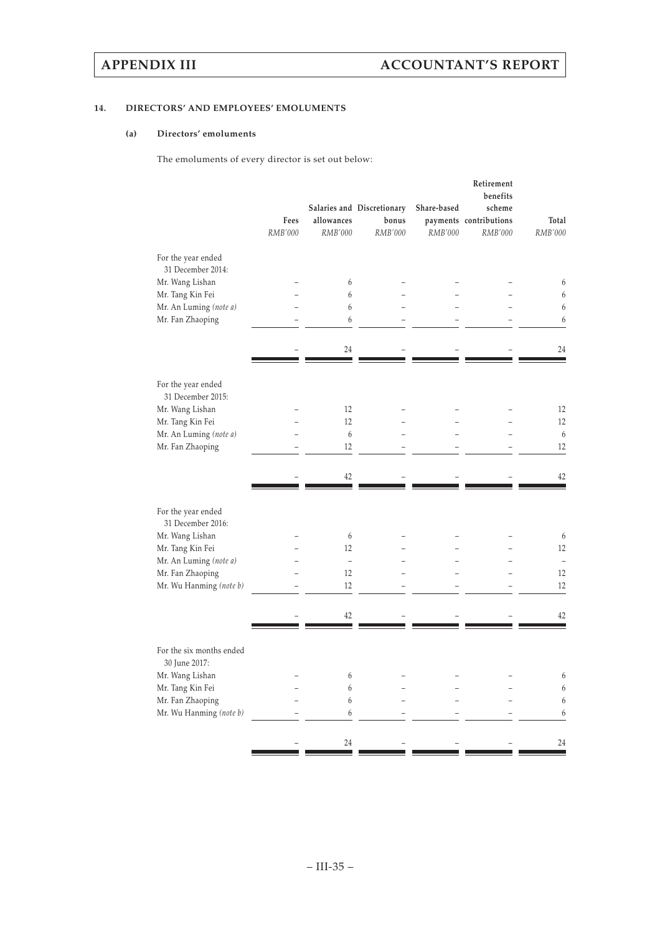## **14. DIRECTORS' AND EMPLOYEES' EMOLUMENTS**

## **(a) Directors' emoluments**

The emoluments of every director is set out below:

|                                           |         |               |                            |             | Retirement<br>benefits |         |
|-------------------------------------------|---------|---------------|----------------------------|-------------|------------------------|---------|
|                                           |         |               | Salaries and Discretionary | Share-based | scheme                 |         |
|                                           | Fees    | allowances    | bonus                      |             | payments contributions | Total   |
|                                           | RMB'000 | RMB'000       | RMB'000                    | RMB'000     | RMB'000                | RMB'000 |
| For the year ended<br>31 December 2014:   |         |               |                            |             |                        |         |
| Mr. Wang Lishan                           |         | 6             |                            |             |                        | 6       |
| Mr. Tang Kin Fei                          |         | 6             |                            |             |                        | 6       |
| Mr. An Luming (note a)                    |         | 6             |                            |             |                        | 6       |
| Mr. Fan Zhaoping                          |         | 6             |                            |             |                        | 6       |
|                                           |         | 24            |                            |             |                        | 24      |
| For the year ended                        |         |               |                            |             |                        |         |
| 31 December 2015:                         |         |               |                            |             |                        |         |
| Mr. Wang Lishan                           |         | 12            |                            |             |                        | 12      |
| Mr. Tang Kin Fei                          |         | 12            |                            |             |                        | 12      |
| Mr. An Luming (note a)                    |         | 6             |                            |             |                        | 6       |
| Mr. Fan Zhaoping                          |         | 12            |                            |             |                        | 12      |
|                                           |         | 42            |                            |             |                        | 42      |
| For the year ended<br>31 December 2016:   |         |               |                            |             |                        |         |
| Mr. Wang Lishan                           |         | 6             |                            |             |                        | 6       |
| Mr. Tang Kin Fei                          |         | 12            |                            |             |                        | 12      |
| Mr. An Luming (note a)                    |         | $\frac{1}{2}$ |                            |             |                        |         |
| Mr. Fan Zhaoping                          |         | 12            |                            |             |                        | 12      |
| Mr. Wu Hanming (note b)                   |         | 12            |                            |             |                        | 12      |
|                                           |         | 42            |                            |             |                        | 42      |
|                                           |         |               |                            |             |                        |         |
| For the six months ended<br>30 June 2017: |         |               |                            |             |                        |         |
| Mr. Wang Lishan                           |         | 6             |                            |             |                        | 6       |
| Mr. Tang Kin Fei                          |         | 6             |                            |             |                        | 6       |
| Mr. Fan Zhaoping                          |         | 6             |                            |             |                        | 6       |
| Mr. Wu Hanming (note b)                   |         | 6             |                            |             |                        | 6       |
|                                           |         | 24            |                            |             |                        | 24      |
|                                           |         |               |                            |             |                        |         |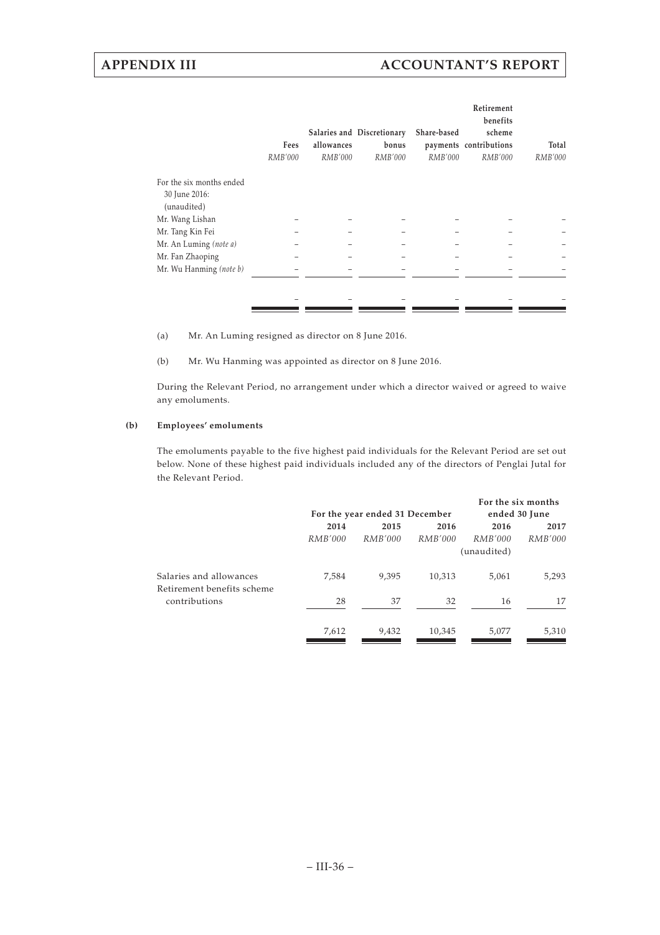|                              | Fees<br>RMB'000 | allowances<br><i>RMB'000</i> | Salaries and Discretionary<br>bonus<br><i>RMB'000</i> | Share-based<br><i>RMB'000</i> | Retirement<br>benefits<br>scheme<br>payments contributions<br>RMB'000 | Total<br>RMB'000 |
|------------------------------|-----------------|------------------------------|-------------------------------------------------------|-------------------------------|-----------------------------------------------------------------------|------------------|
| For the six months ended     |                 |                              |                                                       |                               |                                                                       |                  |
| 30 June 2016:<br>(unaudited) |                 |                              |                                                       |                               |                                                                       |                  |
| Mr. Wang Lishan              |                 |                              |                                                       |                               |                                                                       |                  |
| Mr. Tang Kin Fei             |                 |                              |                                                       |                               |                                                                       |                  |
| Mr. An Luming (note a)       |                 |                              |                                                       |                               |                                                                       |                  |
| Mr. Fan Zhaoping             |                 |                              |                                                       |                               |                                                                       |                  |
| Mr. Wu Hanming (note b)      |                 |                              |                                                       |                               |                                                                       |                  |
|                              |                 |                              |                                                       |                               |                                                                       |                  |
|                              |                 |                              |                                                       |                               |                                                                       |                  |
|                              |                 |                              |                                                       |                               |                                                                       |                  |

(a) Mr. An Luming resigned as director on 8 June 2016.

(b) Mr. Wu Hanming was appointed as director on 8 June 2016.

During the Relevant Period, no arrangement under which a director waived or agreed to waive any emoluments.

### **(b) Employees' emoluments**

The emoluments payable to the five highest paid individuals for the Relevant Period are set out below. None of these highest paid individuals included any of the directors of Penglai Jutal for the Relevant Period.

|         |         |                | For the six months             |                |
|---------|---------|----------------|--------------------------------|----------------|
|         |         | ended 30 June  |                                |                |
| 2014    | 2015    | 2016           | 2016                           | 2017           |
| RMB'000 | RMB'000 | <i>RMB'000</i> | <i>RMB'000</i>                 | <i>RMB'000</i> |
|         |         |                |                                |                |
| 7,584   | 9,395   | 10,313         | 5,061                          | 5,293          |
| 28      | 37      | 32             | 16                             | 17             |
| 7,612   | 9,432   | 10,345         | 5,077                          | 5,310          |
|         |         |                | For the year ended 31 December | (unaudited)    |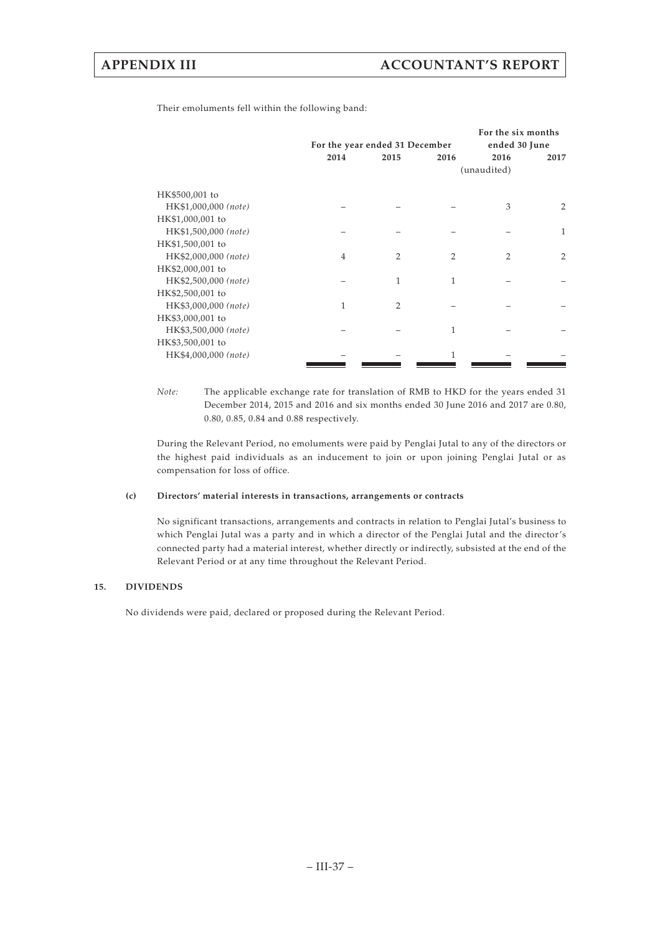Their emoluments fell within the following band:

|                      | For the year ended 31 December | For the six months<br>ended 30 June |                |                |                |
|----------------------|--------------------------------|-------------------------------------|----------------|----------------|----------------|
|                      | 2014                           | 2015                                | 2016           | 2016           | 2017           |
|                      |                                |                                     |                | (unaudited)    |                |
| HK\$500,001 to       |                                |                                     |                |                |                |
| HK\$1,000,000 (note) |                                |                                     |                | 3              | $\overline{2}$ |
| HK\$1,000,001 to     |                                |                                     |                |                |                |
| HK\$1,500,000 (note) |                                |                                     |                |                | 1              |
| HK\$1,500,001 to     |                                |                                     |                |                |                |
| HK\$2,000,000 (note) | $\overline{4}$                 | $\overline{2}$                      | $\overline{2}$ | $\overline{2}$ | $\overline{2}$ |
| HK\$2,000,001 to     |                                |                                     |                |                |                |
| HK\$2,500,000 (note) |                                | 1                                   | 1              |                |                |
| HK\$2,500,001 to     |                                |                                     |                |                |                |
| HK\$3,000,000 (note) | 1                              | $\overline{2}$                      |                |                |                |
| HK\$3,000,001 to     |                                |                                     |                |                |                |
| HK\$3,500,000 (note) |                                |                                     | 1              |                |                |
| HK\$3,500,001 to     |                                |                                     |                |                |                |
| HK\$4,000,000 (note) |                                |                                     | 1              |                |                |
|                      |                                |                                     |                |                |                |

*Note:* The applicable exchange rate for translation of RMB to HKD for the years ended 31 December 2014, 2015 and 2016 and six months ended 30 June 2016 and 2017 are 0.80, 0.80, 0.85, 0.84 and 0.88 respectively.

During the Relevant Period, no emoluments were paid by Penglai Jutal to any of the directors or the highest paid individuals as an inducement to join or upon joining Penglai Jutal or as compensation for loss of office.

### **(c) Directors' material interests in transactions, arrangements or contracts**

No significant transactions, arrangements and contracts in relation to Penglai Jutal's business to which Penglai Jutal was a party and in which a director of the Penglai Jutal and the director's connected party had a material interest, whether directly or indirectly, subsisted at the end of the Relevant Period or at any time throughout the Relevant Period.

## **15. DIVIDENDS**

No dividends were paid, declared or proposed during the Relevant Period.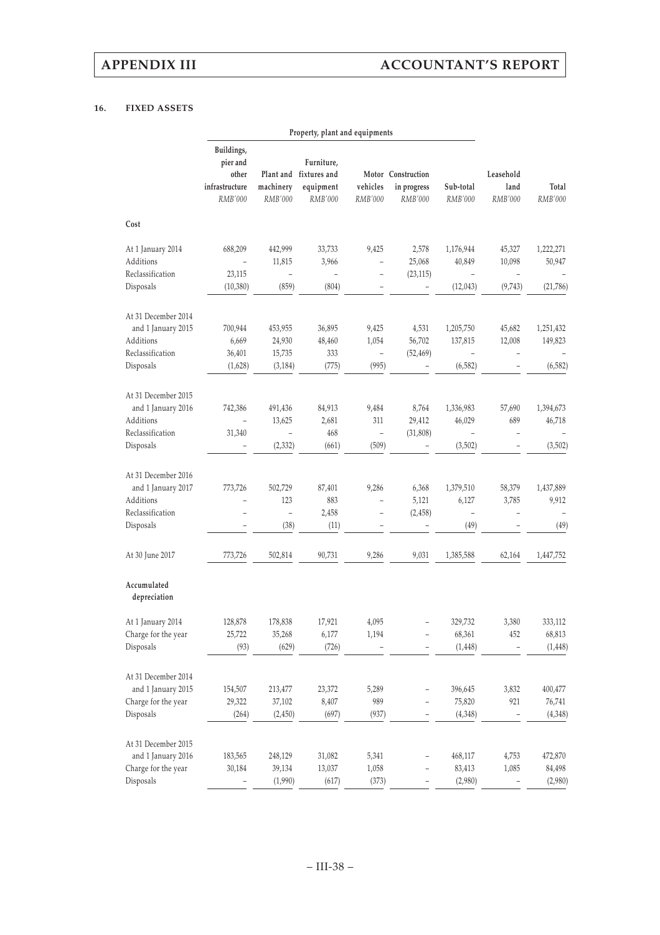## **16. FIXED ASSETS**

|                                | Property, plant and equipments                                      |                                   |                                                                     |                                   |                                              |                      |                              |                     |  |
|--------------------------------|---------------------------------------------------------------------|-----------------------------------|---------------------------------------------------------------------|-----------------------------------|----------------------------------------------|----------------------|------------------------------|---------------------|--|
|                                | Buildings,<br>pier and<br>other<br>infrastructure<br><b>RMB'000</b> | machinery<br><b>RMB'000</b>       | Furniture,<br>Plant and fixtures and<br>equipment<br><b>RMB'000</b> | vehicles<br>RMB'000               | Motor Construction<br>in progress<br>RMB'000 | Sub-total<br>RMB'000 | Leasehold<br>land<br>RMB'000 | Total<br>RMB'000    |  |
| Cost                           |                                                                     |                                   |                                                                     |                                   |                                              |                      |                              |                     |  |
| At 1 January 2014<br>Additions | 688,209                                                             | 442,999<br>11,815                 | 33,733<br>3,966                                                     | 9,425<br>$\overline{\phantom{0}}$ | 2,578<br>25,068                              | 1,176,944<br>40,849  | 45,327<br>10,098             | 1,222,271<br>50,947 |  |
| Reclassification<br>Disposals  | 23,115<br>(10, 380)                                                 | $\overline{\phantom{0}}$<br>(859) | (804)                                                               | $\overline{\phantom{0}}$          | (23, 115)                                    | (12, 043)            | (9,743)                      | (21,786)            |  |
| At 31 December 2014            |                                                                     |                                   |                                                                     |                                   |                                              |                      |                              |                     |  |
| and 1 January 2015             | 700,944                                                             | 453,955                           | 36,895                                                              | 9,425                             | 4,531                                        | 1,205,750            | 45,682                       | 1,251,432           |  |
| Additions                      | 6,669                                                               | 24,930                            | 48,460                                                              | 1,054                             | 56,702                                       | 137,815              | 12,008                       | 149,823             |  |
| Reclassification               | 36,401                                                              | 15,735                            | 333                                                                 | $\overline{\phantom{0}}$          | (52, 469)                                    |                      |                              |                     |  |
| Disposals                      | (1,628)                                                             | (3, 184)                          | (775)                                                               | (995)                             |                                              | (6, 582)             |                              | (6, 582)            |  |
| At 31 December 2015            |                                                                     |                                   |                                                                     |                                   |                                              |                      |                              |                     |  |
| and 1 January 2016             | 742,386                                                             | 491,436                           | 84,913                                                              | 9,484                             | 8,764                                        | 1,336,983            | 57,690                       | 1,394,673           |  |
| Additions                      |                                                                     | 13,625                            | 2,681                                                               | 311                               | 29,412                                       | 46,029               | 689                          | 46,718              |  |
| Reclassification               | 31,340                                                              | -                                 | 468                                                                 | $\overline{\phantom{0}}$          | (31, 808)                                    |                      |                              |                     |  |
| Disposals                      |                                                                     | (2, 332)                          | (661)                                                               | (509)                             |                                              | (3,502)              |                              | (3,502)             |  |
| At 31 December 2016            |                                                                     |                                   |                                                                     |                                   |                                              |                      |                              |                     |  |
| and 1 January 2017             | 773,726                                                             | 502,729                           | 87,401                                                              | 9,286                             | 6,368                                        | 1,379,510            | 58,379                       | 1,437,889           |  |
| Additions                      |                                                                     | 123                               | 883                                                                 |                                   | 5,121                                        | 6,127                | 3,785                        | 9,912               |  |
| Reclassification               |                                                                     | $\overline{\phantom{0}}$          | 2,458                                                               | $\overline{a}$                    | (2, 458)                                     | $\frac{1}{2}$        |                              |                     |  |
| Disposals                      |                                                                     | (38)                              | (11)                                                                |                                   |                                              | (49)                 |                              | (49)                |  |
| At 30 June 2017                | 773,726                                                             | 502,814                           | 90,731                                                              | 9,286                             | 9,031                                        | 1,385,588            | 62,164                       | 1,447,752           |  |
| Accumulated<br>depreciation    |                                                                     |                                   |                                                                     |                                   |                                              |                      |                              |                     |  |
| At 1 January 2014              | 128,878                                                             | 178,838                           | 17,921                                                              | 4,095                             |                                              | 329,732              | 3,380                        | 333,112             |  |
| Charge for the year            | 25,722                                                              | 35,268                            | 6,177                                                               | 1,194                             |                                              | 68,361               | 452                          | 68,813              |  |
| Disposals                      | (93)                                                                | (629)                             | (726)                                                               |                                   |                                              | (1, 448)             |                              | (1, 448)            |  |
| At 31 December 2014            |                                                                     |                                   |                                                                     |                                   |                                              |                      |                              |                     |  |
| and 1 January 2015             | 154,507                                                             | 213,477                           | 23,372                                                              | 5,289                             |                                              | 396,645              | 3,832                        | 400,477             |  |
| Charge for the year            | 29,322                                                              | 37,102                            | 8,407                                                               | 989                               |                                              | 75,820               | 921                          | 76,741              |  |
| Disposals                      | (264)                                                               | (2, 450)                          | (697)                                                               | (937)                             |                                              | (4,348)              |                              | (4, 348)            |  |
| At 31 December 2015            |                                                                     |                                   |                                                                     |                                   |                                              |                      |                              |                     |  |
| and 1 January 2016             | 183,565                                                             | 248,129                           | 31,082                                                              | 5,341                             |                                              | 468,117              | 4,753                        | 472,870             |  |
| Charge for the year            | 30,184                                                              | 39,134                            | 13,037                                                              | 1,058                             |                                              | 83,413               | 1,085                        | 84,498              |  |
| Disposals                      |                                                                     | (1,990)                           | (617)                                                               | (373)                             |                                              | (2,980)              |                              | (2,980)             |  |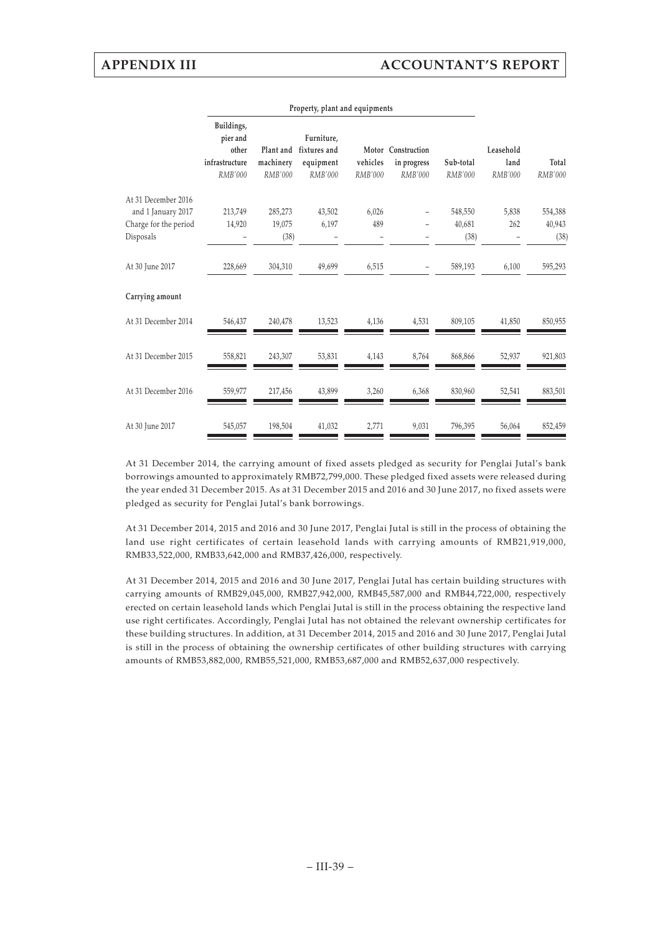|                                           | Property, plant and equipments                                      |                             |                                                              |                            |                                                     |                      |                              |                         |  |
|-------------------------------------------|---------------------------------------------------------------------|-----------------------------|--------------------------------------------------------------|----------------------------|-----------------------------------------------------|----------------------|------------------------------|-------------------------|--|
|                                           | Buildings,<br>pier and<br>other<br>infrastructure<br><b>RMB'000</b> | machinery<br><b>RMB'000</b> | Furniture,<br>Plant and fixtures and<br>equipment<br>RMB'000 | vehicles<br><b>RMB'000</b> | Motor Construction<br>in progress<br><b>RMB'000</b> | Sub-total<br>RMB'000 | Leasehold<br>land<br>RMB'000 | Total<br><b>RMB'000</b> |  |
| At 31 December 2016<br>and 1 January 2017 | 213,749                                                             | 285,273                     | 43,502                                                       | 6,026                      |                                                     | 548,550              | 5,838                        | 554,388                 |  |
| Charge for the period                     | 14,920                                                              | 19,075                      | 6,197                                                        | 489                        |                                                     | 40,681               | 262                          | 40,943                  |  |
| Disposals                                 |                                                                     | (38)                        |                                                              |                            |                                                     | (38)                 |                              | (38)                    |  |
| At 30 June 2017                           | 228,669                                                             | 304,310                     | 49,699                                                       | 6,515                      |                                                     | 589,193              | 6,100                        | 595,293                 |  |
| Carrying amount                           |                                                                     |                             |                                                              |                            |                                                     |                      |                              |                         |  |
| At 31 December 2014                       | 546,437                                                             | 240,478                     | 13,523                                                       | 4,136                      | 4,531                                               | 809,105              | 41,850                       | 850,955                 |  |
| At 31 December 2015                       | 558,821                                                             | 243,307                     | 53,831                                                       | 4,143                      | 8,764                                               | 868,866              | 52,937                       | 921,803                 |  |
| At 31 December 2016                       | 559,977                                                             | 217,456                     | 43,899                                                       | 3,260                      | 6,368                                               | 830,960              | 52,541                       | 883,501                 |  |
| At 30 June 2017                           | 545,057                                                             | 198,504                     | 41,032                                                       | 2,771                      | 9,031                                               | 796,395              | 56,064                       | 852,459                 |  |

At 31 December 2014, the carrying amount of fixed assets pledged as security for Penglai Jutal's bank borrowings amounted to approximately RMB72,799,000. These pledged fixed assets were released during the year ended 31 December 2015. As at 31 December 2015 and 2016 and 30 June 2017, no fixed assets were pledged as security for Penglai Jutal's bank borrowings.

At 31 December 2014, 2015 and 2016 and 30 June 2017, Penglai Jutal is still in the process of obtaining the land use right certificates of certain leasehold lands with carrying amounts of RMB21,919,000, RMB33,522,000, RMB33,642,000 and RMB37,426,000, respectively.

At 31 December 2014, 2015 and 2016 and 30 June 2017, Penglai Jutal has certain building structures with carrying amounts of RMB29,045,000, RMB27,942,000, RMB45,587,000 and RMB44,722,000, respectively erected on certain leasehold lands which Penglai Jutal is still in the process obtaining the respective land use right certificates. Accordingly, Penglai Jutal has not obtained the relevant ownership certificates for these building structures. In addition, at 31 December 2014, 2015 and 2016 and 30 June 2017, Penglai Jutal is still in the process of obtaining the ownership certificates of other building structures with carrying amounts of RMB53,882,000, RMB55,521,000, RMB53,687,000 and RMB52,637,000 respectively.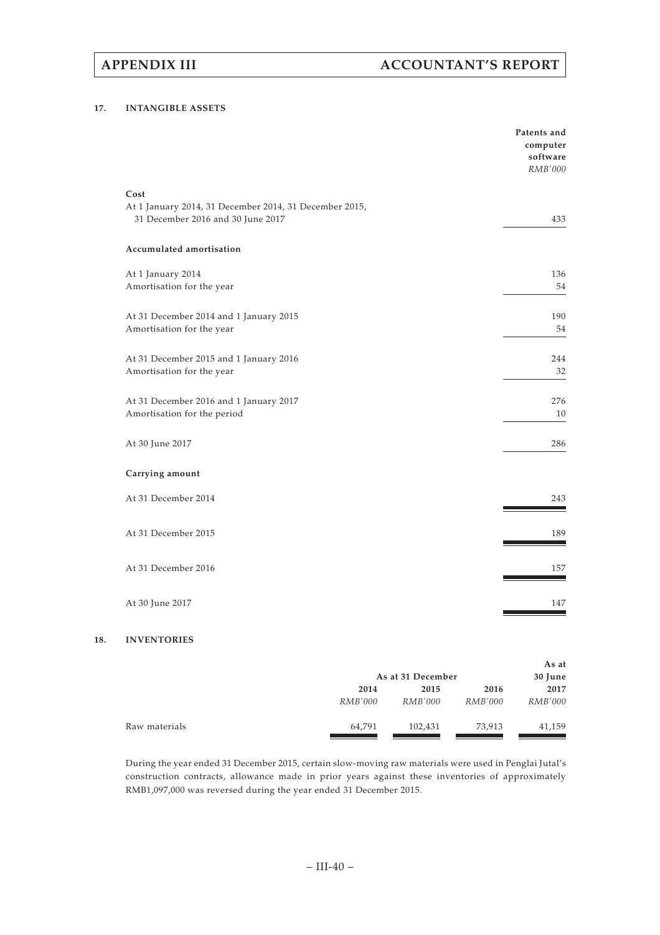# **APPENDIX III ACCOUNTANT'S REPORT**

### **17. INTANGIBLE ASSETS**

|                                                                                             | Patents and<br>computer<br>software<br>RMB'000 |
|---------------------------------------------------------------------------------------------|------------------------------------------------|
| Cost                                                                                        |                                                |
| At 1 January 2014, 31 December 2014, 31 December 2015,<br>31 December 2016 and 30 June 2017 | 433                                            |
| Accumulated amortisation                                                                    |                                                |
| At 1 January 2014                                                                           | 136                                            |
| Amortisation for the year                                                                   | 54                                             |
| At 31 December 2014 and 1 January 2015                                                      | 190                                            |
| Amortisation for the year                                                                   | 54                                             |
| At 31 December 2015 and 1 January 2016                                                      | 244                                            |
| Amortisation for the year                                                                   | 32                                             |
| At 31 December 2016 and 1 January 2017                                                      | 276                                            |
| Amortisation for the period                                                                 | 10                                             |
| At 30 June 2017                                                                             | 286                                            |
| Carrying amount                                                                             |                                                |
| At 31 December 2014                                                                         | 243                                            |
|                                                                                             |                                                |
| At 31 December 2015                                                                         | 189                                            |
| At 31 December 2016                                                                         | 157                                            |
|                                                                                             |                                                |
| At 30 June 2017                                                                             | 147                                            |

## **18. INVENTORIES**

|               |                | As at 31 December |                | As at<br>30 June |
|---------------|----------------|-------------------|----------------|------------------|
|               | 2014           | 2015              | 2016           | 2017             |
|               | <i>RMB'000</i> | <i>RMB'000</i>    | <i>RMB'000</i> | <i>RMB'000</i>   |
| Raw materials | 64,791         | 102,431           | 73,913         | 41,159           |

During the year ended 31 December 2015, certain slow-moving raw materials were used in Penglai Jutal's construction contracts, allowance made in prior years against these inventories of approximately RMB1,097,000 was reversed during the year ended 31 December 2015.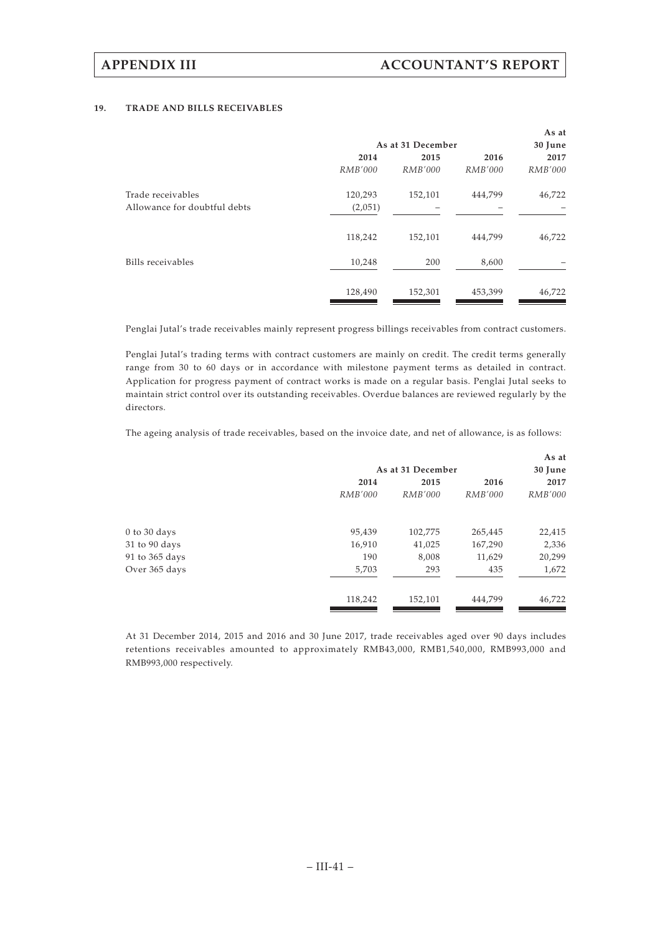### **19. TRADE AND BILLS RECEIVABLES**

|                   |         |                | As at          |
|-------------------|---------|----------------|----------------|
| As at 31 December |         |                | 30 June        |
| 2014              | 2015    | 2016           | 2017           |
| <i>RMB'000</i>    | RMB'000 | <i>RMB'000</i> | <i>RMB'000</i> |
| 120,293           | 152,101 | 444,799        | 46,722         |
| (2,051)           |         |                |                |
| 118,242           | 152,101 | 444,799        | 46,722         |
| 10,248            | 200     | 8,600          |                |
| 128,490           | 152,301 | 453,399        | 46,722         |
|                   |         |                |                |

Penglai Jutal's trade receivables mainly represent progress billings receivables from contract customers.

Penglai Jutal's trading terms with contract customers are mainly on credit. The credit terms generally range from 30 to 60 days or in accordance with milestone payment terms as detailed in contract. Application for progress payment of contract works is made on a regular basis. Penglai Jutal seeks to maintain strict control over its outstanding receivables. Overdue balances are reviewed regularly by the directors.

The ageing analysis of trade receivables, based on the invoice date, and net of allowance, is as follows:

|                |                                  |                                   | As at                                                    |
|----------------|----------------------------------|-----------------------------------|----------------------------------------------------------|
|                |                                  |                                   | 30 June                                                  |
| 2014           | 2015                             | 2016                              | 2017                                                     |
| <i>RMB'000</i> | RMB'000                          | <i>RMB'000</i>                    | RMB'000                                                  |
|                |                                  |                                   | 22,415                                                   |
|                |                                  |                                   | 2,336                                                    |
|                |                                  |                                   | 20,299                                                   |
|                |                                  |                                   |                                                          |
|                |                                  |                                   | 1,672                                                    |
| 118,242        | 152,101                          | 444,799                           | 46,722                                                   |
|                | 95,439<br>16,910<br>190<br>5,703 | 102,775<br>41,025<br>8,008<br>293 | As at 31 December<br>265,445<br>167,290<br>11,629<br>435 |

At 31 December 2014, 2015 and 2016 and 30 June 2017, trade receivables aged over 90 days includes retentions receivables amounted to approximately RMB43,000, RMB1,540,000, RMB993,000 and RMB993,000 respectively.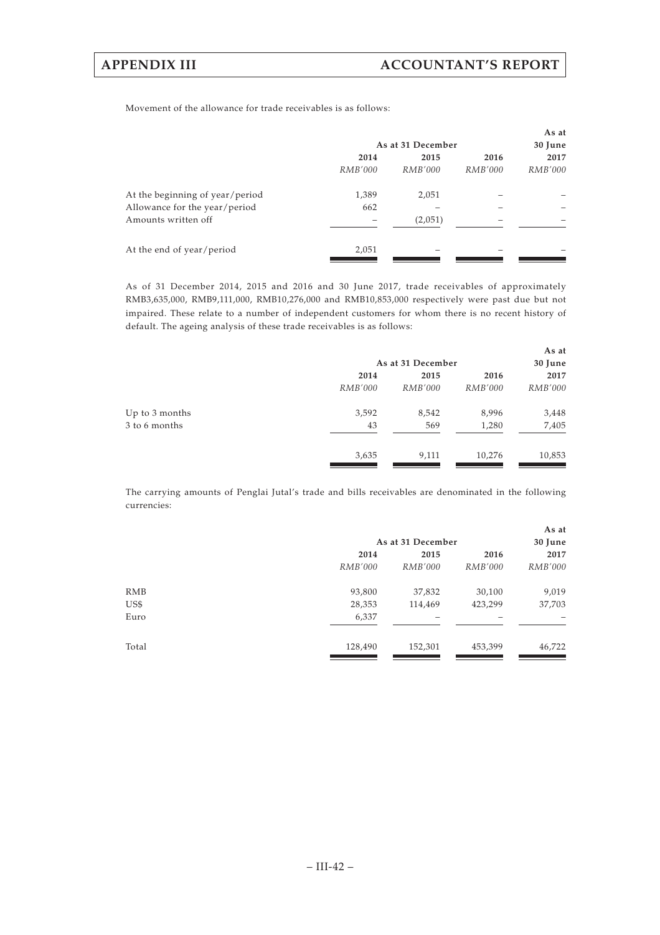Movement of the allowance for trade receivables is as follows:

|                                 |                |                   |                | As at          |
|---------------------------------|----------------|-------------------|----------------|----------------|
|                                 |                | As at 31 December |                | 30 June        |
|                                 | 2014           | 2015              | 2016           | 2017           |
|                                 | <i>RMB'000</i> | <i>RMB'000</i>    | <i>RMB'000</i> | <i>RMB'000</i> |
| At the beginning of year/period | 1,389          | 2,051             |                |                |
| Allowance for the year/period   | 662            |                   |                |                |
| Amounts written off             |                | (2,051)           |                |                |
| At the end of year/period       | 2,051          |                   |                |                |

As of 31 December 2014, 2015 and 2016 and 30 June 2017, trade receivables of approximately RMB3,635,000, RMB9,111,000, RMB10,276,000 and RMB10,853,000 respectively were past due but not impaired. These relate to a number of independent customers for whom there is no recent history of default. The ageing analysis of these trade receivables is as follows:

|                |                | As at 31 December |                | As at<br>30 June |
|----------------|----------------|-------------------|----------------|------------------|
|                | 2014           | 2015              | 2016           | 2017             |
|                | <i>RMB'000</i> | <i>RMB'000</i>    | <i>RMB'000</i> | <i>RMB'000</i>   |
| Up to 3 months | 3,592          | 8,542             | 8,996          | 3,448            |
| 3 to 6 months  | 43             | 569               | 1,280          | 7,405            |
|                | 3,635          | 9,111             | 10,276         | 10,853           |

The carrying amounts of Penglai Jutal's trade and bills receivables are denominated in the following currencies:

|            |                |                   |                | As at          |
|------------|----------------|-------------------|----------------|----------------|
|            |                | As at 31 December |                | 30 June        |
|            | 2014           | 2015              | 2016           | 2017           |
|            | <i>RMB'000</i> | <i>RMB'000</i>    | <i>RMB'000</i> | <i>RMB'000</i> |
| <b>RMB</b> | 93,800         | 37,832            | 30,100         | 9,019          |
| US\$       | 28,353         | 114,469           | 423,299        | 37,703         |
| Euro       | 6,337          |                   |                |                |
| Total      | 128,490        | 152,301           | 453,399        | 46,722         |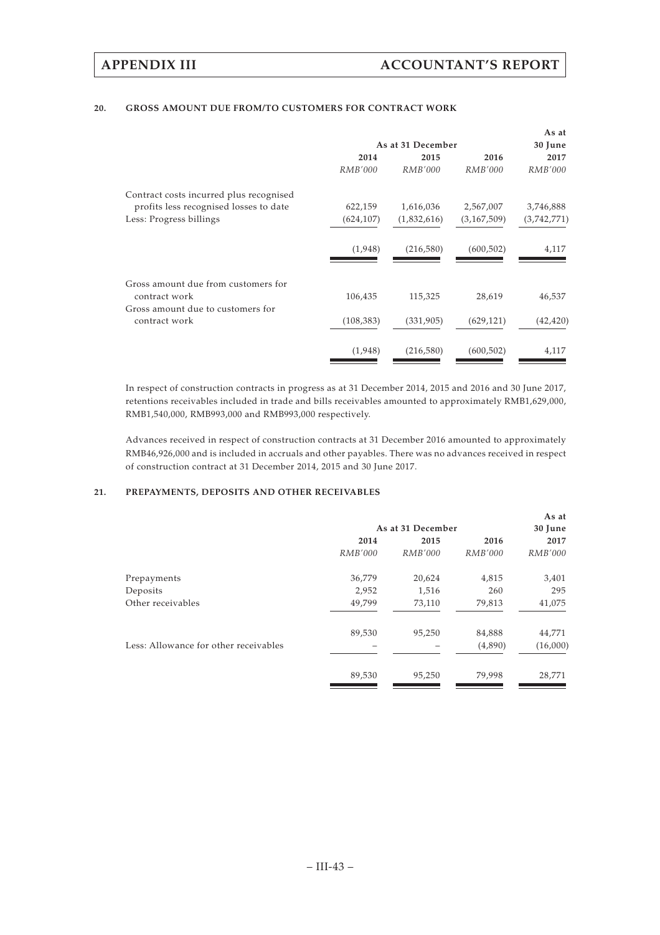## **20. GROSS AMOUNT DUE FROM/TO CUSTOMERS FOR CONTRACT WORK**

|                                         |                   |                |             | As at          |
|-----------------------------------------|-------------------|----------------|-------------|----------------|
|                                         | As at 31 December |                |             | 30 June        |
|                                         | 2014              | 2015           | 2016        | 2017           |
|                                         | <i>RMB'000</i>    | <i>RMB'000</i> | RMB'000     | <i>RMB'000</i> |
| Contract costs incurred plus recognised |                   |                |             |                |
| profits less recognised losses to date  | 622,159           | 1,616,036      | 2,567,007   | 3,746,888      |
| Less: Progress billings                 | (624, 107)        | (1,832,616)    | (3,167,509) | (3,742,771)    |
|                                         | (1,948)           | (216,580)      | (600, 502)  | 4,117          |
| Gross amount due from customers for     |                   |                |             |                |
| contract work                           | 106,435           | 115,325        | 28,619      | 46,537         |
| Gross amount due to customers for       |                   |                |             |                |
| contract work                           | (108, 383)        | (331, 905)     | (629, 121)  | (42, 420)      |
|                                         | (1,948)           | (216,580)      | (600, 502)  | 4,117          |

In respect of construction contracts in progress as at 31 December 2014, 2015 and 2016 and 30 June 2017, retentions receivables included in trade and bills receivables amounted to approximately RMB1,629,000, RMB1,540,000, RMB993,000 and RMB993,000 respectively.

Advances received in respect of construction contracts at 31 December 2016 amounted to approximately RMB46,926,000 and is included in accruals and other payables. There was no advances received in respect of construction contract at 31 December 2014, 2015 and 30 June 2017.

## **21. PREPAYMENTS, DEPOSITS AND OTHER RECEIVABLES**

|                |                |                | As at             |
|----------------|----------------|----------------|-------------------|
|                |                |                | 30 June           |
| 2014           | 2015           | 2016           | 2017              |
| <i>RMB'000</i> | <i>RMB'000</i> | <i>RMB'000</i> | <i>RMB'000</i>    |
| 36,779         | 20,624         | 4,815          | 3,401             |
| 2,952          | 1,516          | 260            | 295               |
| 49,799         | 73,110         | 79,813         | 41,075            |
| 89,530         | 95,250         | 84,888         | 44,771            |
|                |                | (4,890)        | (16,000)          |
| 89,530         | 95,250         | 79,998         | 28,771            |
|                |                |                | As at 31 December |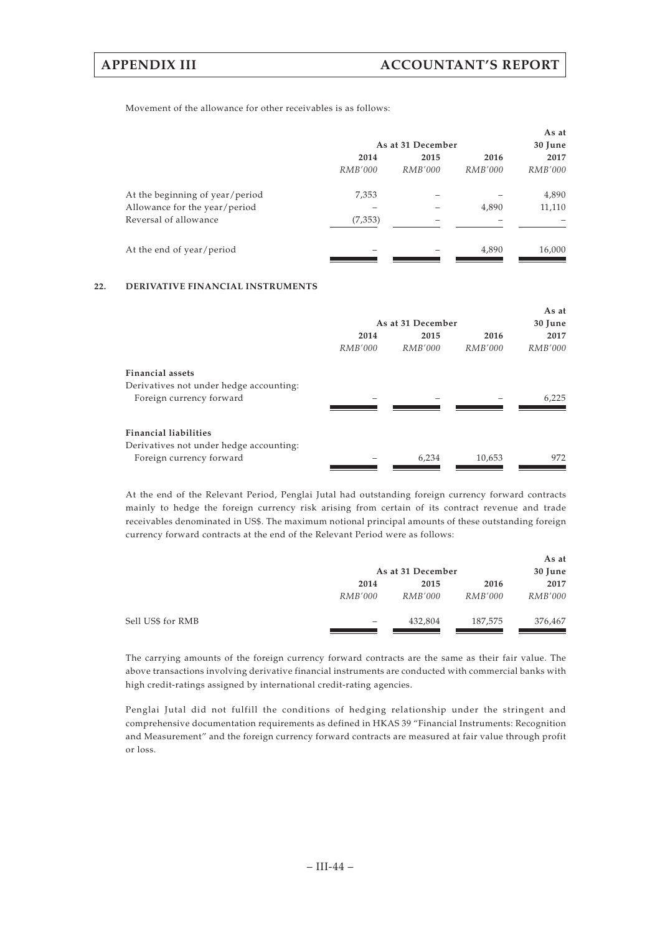Movement of the allowance for other receivables is as follows:

|                                 | As at 31 December |         |                | As at<br>30 June |
|---------------------------------|-------------------|---------|----------------|------------------|
|                                 | 2014              | 2015    | 2016           | 2017             |
|                                 | <i>RMB'000</i>    | RMB'000 | <i>RMB'000</i> | <i>RMB'000</i>   |
| At the beginning of year/period | 7,353             |         |                | 4,890            |
| Allowance for the year/period   |                   |         | 4,890          | 11,110           |
| Reversal of allowance           | (7,353)           |         |                |                  |
| At the end of year/period       |                   |         | 4,890          | 16,000           |

## **22. DERIVATIVE FINANCIAL INSTRUMENTS**

|                                         |                |                   |                | As at          |
|-----------------------------------------|----------------|-------------------|----------------|----------------|
|                                         |                | As at 31 December |                | 30 June        |
|                                         | 2014           | 2015              | 2016           | 2017           |
|                                         | <i>RMB'000</i> | RMB'000           | <i>RMB'000</i> | <i>RMB'000</i> |
| <b>Financial assets</b>                 |                |                   |                |                |
| Derivatives not under hedge accounting: |                |                   |                |                |
| Foreign currency forward                |                |                   |                | 6,225          |
|                                         |                |                   |                |                |
| <b>Financial liabilities</b>            |                |                   |                |                |
| Derivatives not under hedge accounting: |                |                   |                |                |
| Foreign currency forward                |                | 6,234             | 10,653         | 972            |
|                                         |                |                   |                |                |

At the end of the Relevant Period, Penglai Jutal had outstanding foreign currency forward contracts mainly to hedge the foreign currency risk arising from certain of its contract revenue and trade receivables denominated in US\$. The maximum notional principal amounts of these outstanding foreign currency forward contracts at the end of the Relevant Period were as follows:

|                   |                          |                   |                | As at          |
|-------------------|--------------------------|-------------------|----------------|----------------|
|                   |                          | As at 31 December |                | 30 June        |
|                   | 2014                     | 2015              | 2016           | 2017           |
|                   | <i>RMB'000</i>           | <i>RMB'000</i>    | <i>RMB'000</i> | <i>RMB'000</i> |
| Sell US\$ for RMB | $\overline{\phantom{0}}$ | 432,804           | 187,575        | 376,467        |

The carrying amounts of the foreign currency forward contracts are the same as their fair value. The above transactions involving derivative financial instruments are conducted with commercial banks with high credit-ratings assigned by international credit-rating agencies.

Penglai Jutal did not fulfill the conditions of hedging relationship under the stringent and comprehensive documentation requirements as defined in HKAS 39 "Financial Instruments: Recognition and Measurement" and the foreign currency forward contracts are measured at fair value through profit or loss.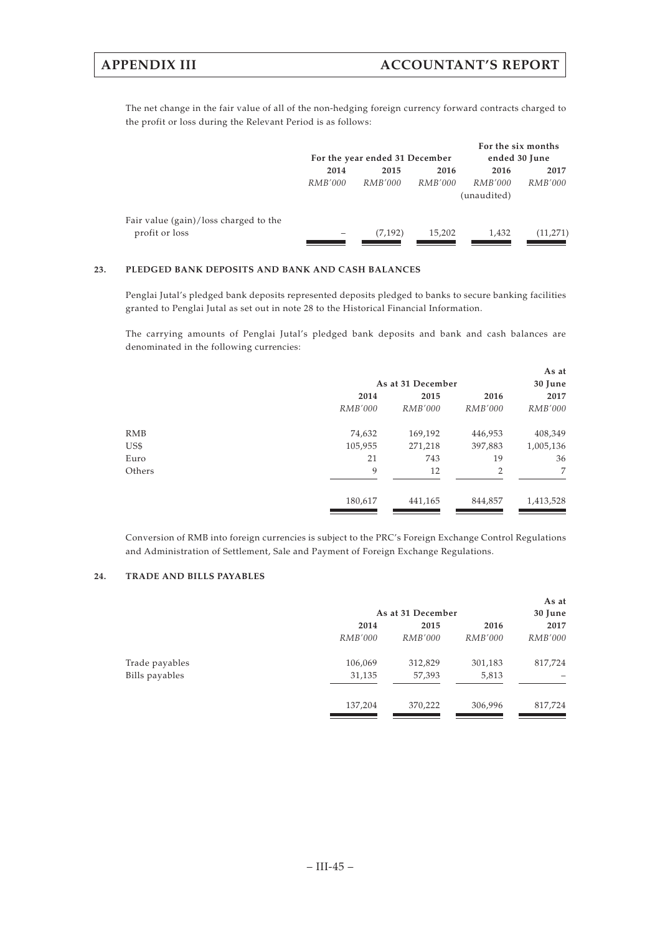The net change in the fair value of all of the non-hedging foreign currency forward contracts charged to the profit or loss during the Relevant Period is as follows:

|                                                         |         | For the year ended 31 December |                | For the six months<br>ended 30 June |                |
|---------------------------------------------------------|---------|--------------------------------|----------------|-------------------------------------|----------------|
|                                                         | 2014    | 2015                           | 2016           | 2016                                | 2017           |
|                                                         | RMB'000 | RMB'000                        | <i>RMB'000</i> | <i>RMB'000</i><br>(unaudited)       | <i>RMB'000</i> |
| Fair value (gain)/loss charged to the<br>profit or loss |         | (7, 192)                       | 15,202         | 1,432                               | (11,271)       |

### **23. PLEDGED BANK DEPOSITS AND BANK AND CASH BALANCES**

Penglai Jutal's pledged bank deposits represented deposits pledged to banks to secure banking facilities granted to Penglai Jutal as set out in note 28 to the Historical Financial Information.

The carrying amounts of Penglai Jutal's pledged bank deposits and bank and cash balances are denominated in the following currencies:

|                |                   |                | As at          |  |
|----------------|-------------------|----------------|----------------|--|
|                | As at 31 December |                |                |  |
| 2014           | 2015              | 2016           | 2017           |  |
| <i>RMB'000</i> | <i>RMB'000</i>    | <i>RMB'000</i> | <i>RMB'000</i> |  |
| 74,632         | 169,192           | 446,953        | 408,349        |  |
| 105,955        | 271,218           | 397,883        | 1,005,136      |  |
| 21             | 743               | 19             | 36             |  |
| 9              | 12                | 2              | 7              |  |
| 180,617        | 441,165           | 844,857        | 1,413,528      |  |
|                |                   |                |                |  |

Conversion of RMB into foreign currencies is subject to the PRC's Foreign Exchange Control Regulations and Administration of Settlement, Sale and Payment of Foreign Exchange Regulations.

## **24. TRADE AND BILLS PAYABLES**

|                |                | As at 31 December |                | As at<br>30 June |
|----------------|----------------|-------------------|----------------|------------------|
|                | 2014           | 2015              | 2016           | 2017             |
|                | <i>RMB'000</i> | <i>RMB'000</i>    | <i>RMB'000</i> | <i>RMB'000</i>   |
| Trade payables | 106,069        | 312,829           | 301,183        | 817,724          |
| Bills payables | 31,135         | 57,393            | 5,813          |                  |
|                | 137,204        | 370,222           | 306,996        | 817,724          |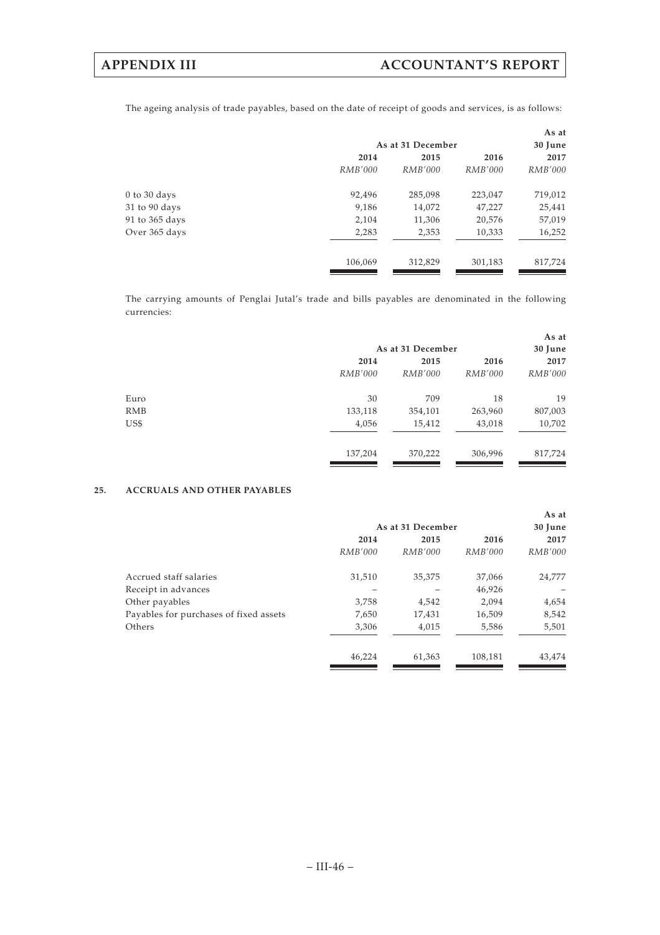The ageing analysis of trade payables, based on the date of receipt of goods and services, is as follows:

|                  |         |                   |                | As at          |  |
|------------------|---------|-------------------|----------------|----------------|--|
|                  |         | As at 31 December |                |                |  |
|                  | 2014    | 2015              | 2016           | 2017           |  |
|                  | RMB'000 | RMB'000           | <i>RMB'000</i> | <i>RMB'000</i> |  |
| $0$ to $30$ days | 92,496  | 285,098           | 223,047        | 719,012        |  |
| 31 to 90 days    | 9,186   | 14,072            | 47,227         | 25,441         |  |
| 91 to 365 days   | 2,104   | 11,306            | 20,576         | 57,019         |  |
| Over 365 days    | 2,283   | 2,353             | 10,333         | 16,252         |  |
|                  | 106,069 | 312,829           | 301,183        | 817,724        |  |
|                  |         |                   |                |                |  |

The carrying amounts of Penglai Jutal's trade and bills payables are denominated in the following currencies:

|                |                   |                | As at          |  |
|----------------|-------------------|----------------|----------------|--|
|                | As at 31 December |                |                |  |
| 2014           | 2015              | 2016           | 2017           |  |
| <i>RMB'000</i> | <i>RMB'000</i>    | <i>RMB'000</i> | <i>RMB'000</i> |  |
| 30             | 709               | 18             | 19             |  |
| 133,118        | 354,101           | 263,960        | 807,003        |  |
| 4,056          | 15,412            | 43,018         | 10,702         |  |
| 137,204        | 370,222           | 306,996        | 817,724        |  |
|                |                   |                |                |  |

## **25. ACCRUALS AND OTHER PAYABLES**

|                                        |                   |                |                | As at          |
|----------------------------------------|-------------------|----------------|----------------|----------------|
|                                        | As at 31 December |                | 30 June        |                |
|                                        | 2014              | 2015           | 2016           | 2017           |
|                                        | <i>RMB'000</i>    | <i>RMB'000</i> | <i>RMB'000</i> | <i>RMB'000</i> |
| Accrued staff salaries                 | 31,510            | 35,375         | 37,066         | 24,777         |
| Receipt in advances                    |                   |                | 46,926         |                |
| Other payables                         | 3,758             | 4,542          | 2,094          | 4,654          |
| Payables for purchases of fixed assets | 7,650             | 17,431         | 16,509         | 8,542          |
| Others                                 | 3,306             | 4,015          | 5,586          | 5,501          |
|                                        | 46,224            | 61,363         | 108,181        | 43.474         |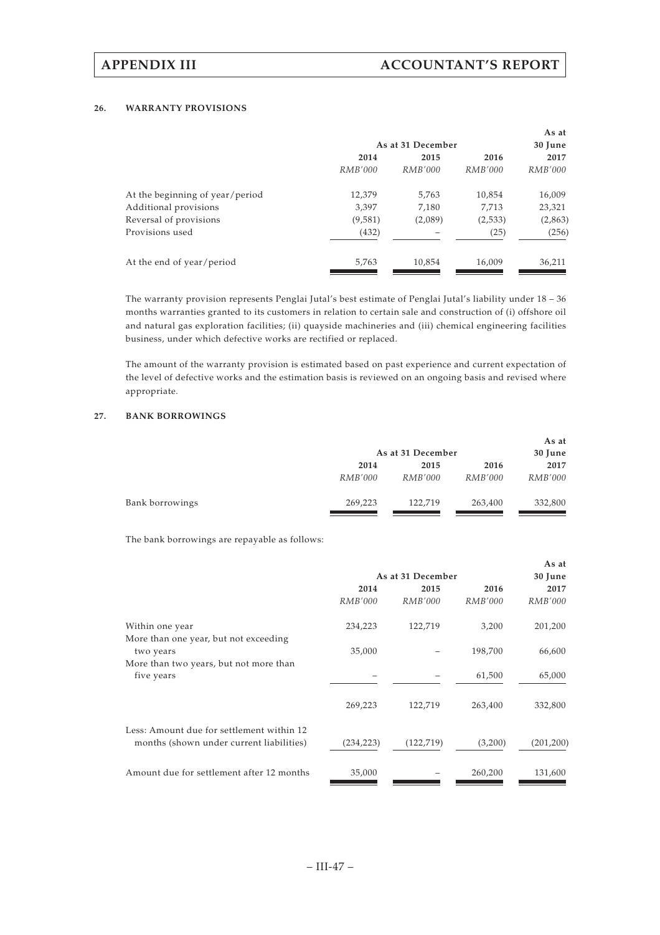### **26. WARRANTY PROVISIONS**

|                                 |                   |         |                | As at          |
|---------------------------------|-------------------|---------|----------------|----------------|
|                                 | As at 31 December |         | 30 June        |                |
|                                 | 2014              | 2015    | 2016           | 2017           |
|                                 | <i>RMB'000</i>    | RMB'000 | <i>RMB'000</i> | <i>RMB'000</i> |
| At the beginning of year/period | 12,379            | 5,763   | 10,854         | 16,009         |
| Additional provisions           | 3,397             | 7,180   | 7.713          | 23,321         |
| Reversal of provisions          | (9,581)           | (2,089) | (2,533)        | (2,863)        |
| Provisions used                 | (432)             |         | (25)           | (256)          |
| At the end of year/period       | 5,763             | 10,854  | 16,009         | 36,211         |
|                                 |                   |         |                |                |

The warranty provision represents Penglai Jutal's best estimate of Penglai Jutal's liability under 18 – 36 months warranties granted to its customers in relation to certain sale and construction of (i) offshore oil and natural gas exploration facilities; (ii) quayside machineries and (iii) chemical engineering facilities business, under which defective works are rectified or replaced.

The amount of the warranty provision is estimated based on past experience and current expectation of the level of defective works and the estimation basis is reviewed on an ongoing basis and revised where appropriate.

## **27. BANK BORROWINGS**

|                 |                | As at 31 December |                | As at<br>30 June |
|-----------------|----------------|-------------------|----------------|------------------|
|                 | 2014           | 2015              | 2016           | 2017             |
|                 | <i>RMB'000</i> | <i>RMB'000</i>    | <i>RMB'000</i> | <i>RMB'000</i>   |
| Bank borrowings | 269,223        | 122,719           | 263,400        | 332,800          |

The bank borrowings are repayable as follows:

|                                                                                       |                   |                |                | As at          |
|---------------------------------------------------------------------------------------|-------------------|----------------|----------------|----------------|
|                                                                                       | As at 31 December |                |                | 30 June        |
|                                                                                       | 2014              | 2015           | 2016           | 2017           |
|                                                                                       | RMB'000           | <i>RMB'000</i> | <i>RMB'000</i> | <i>RMB'000</i> |
| Within one year                                                                       | 234,223           | 122,719        | 3,200          | 201,200        |
| More than one year, but not exceeding<br>two years                                    | 35,000            |                | 198,700        | 66,600         |
| More than two years, but not more than<br>five years                                  |                   |                | 61,500         | 65,000         |
|                                                                                       | 269,223           | 122,719        | 263,400        | 332,800        |
| Less: Amount due for settlement within 12<br>months (shown under current liabilities) | (234, 223)        | (122, 719)     | (3,200)        | (201, 200)     |
| Amount due for settlement after 12 months                                             | 35,000            |                | 260,200        | 131,600        |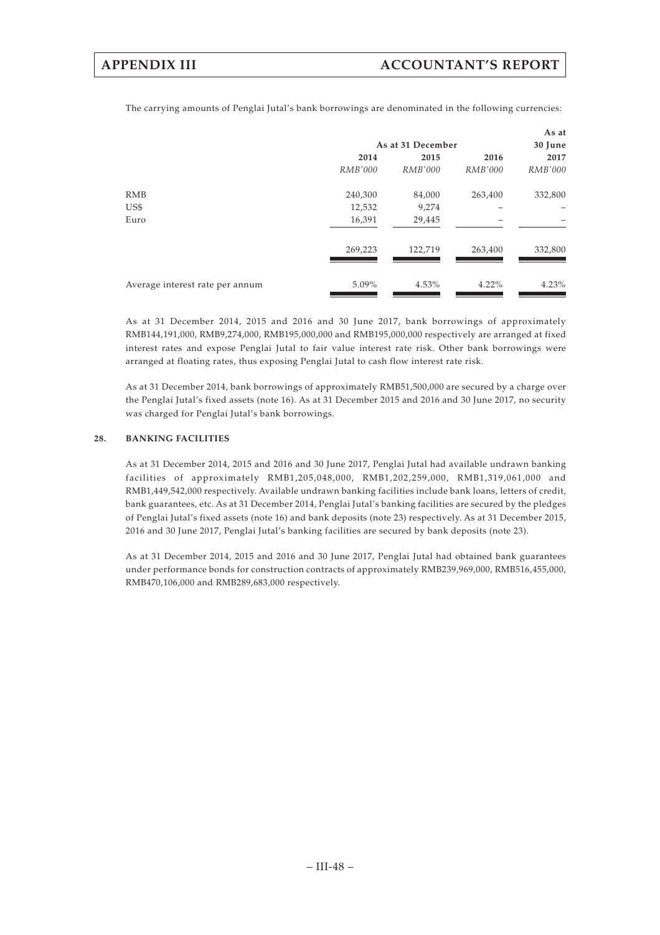The carrying amounts of Penglai Jutal's bank borrowings are denominated in the following currencies:

|                                 |                   |                |                | As at          |
|---------------------------------|-------------------|----------------|----------------|----------------|
|                                 | As at 31 December |                | 30 June        |                |
|                                 | 2014              | 2015           | 2016           | 2017           |
|                                 | <i>RMB'000</i>    | <i>RMB'000</i> | <i>RMB'000</i> | <i>RMB'000</i> |
| <b>RMB</b>                      | 240,300           | 84,000         | 263,400        | 332,800        |
| US\$                            | 12,532            | 9,274          |                |                |
| Euro                            | 16,391            | 29,445         |                |                |
|                                 | 269,223           | 122,719        | 263,400        | 332,800        |
| Average interest rate per annum | $5.09\%$          | 4.53%          | $4.22\%$       | 4.23%          |

As at 31 December 2014, 2015 and 2016 and 30 June 2017, bank borrowings of approximately RMB144,191,000, RMB9,274,000, RMB195,000,000 and RMB195,000,000 respectively are arranged at fixed interest rates and expose Penglai Jutal to fair value interest rate risk. Other bank borrowings were arranged at floating rates, thus exposing Penglai Jutal to cash flow interest rate risk.

As at 31 December 2014, bank borrowings of approximately RMB51,500,000 are secured by a charge over the Penglai Jutal's fixed assets (note 16). As at 31 December 2015 and 2016 and 30 June 2017, no security was charged for Penglai Jutal's bank borrowings.

### **28. BANKING FACILITIES**

As at 31 December 2014, 2015 and 2016 and 30 June 2017, Penglai Jutal had available undrawn banking facilities of approximately RMB1,205,048,000, RMB1,202,259,000, RMB1,319,061,000 and RMB1,449,542,000 respectively. Available undrawn banking facilities include bank loans, letters of credit, bank guarantees, etc. As at 31 December 2014, Penglai Jutal's banking facilities are secured by the pledges of Penglai Jutal's fixed assets (note 16) and bank deposits (note 23) respectively. As at 31 December 2015, 2016 and 30 June 2017, Penglai Jutal's banking facilities are secured by bank deposits (note 23).

As at 31 December 2014, 2015 and 2016 and 30 June 2017, Penglai Jutal had obtained bank guarantees under performance bonds for construction contracts of approximately RMB239,969,000, RMB516,455,000, RMB470,106,000 and RMB289,683,000 respectively.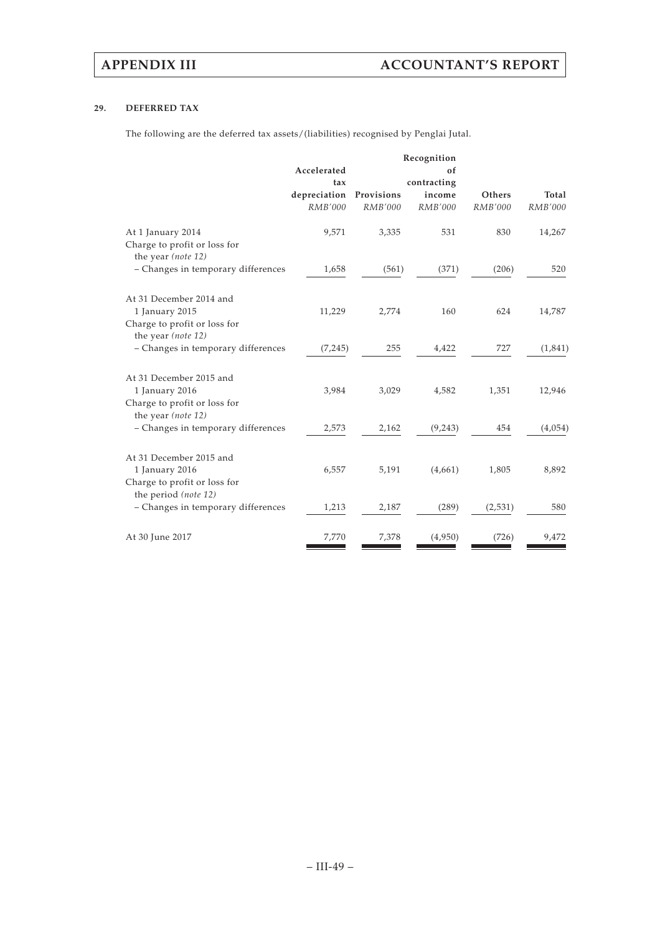## **29. DEFERRED TAX**

The following are the deferred tax assets/(liabilities) recognised by Penglai Jutal.

| Accelerated |                                                                                    | of                                    |                                                                 |                                 |
|-------------|------------------------------------------------------------------------------------|---------------------------------------|-----------------------------------------------------------------|---------------------------------|
| tax         |                                                                                    |                                       |                                                                 |                                 |
|             |                                                                                    |                                       |                                                                 | Total                           |
|             |                                                                                    |                                       |                                                                 | RMB'000                         |
| 9,571       | 3,335                                                                              | 531                                   | 830                                                             | 14,267                          |
|             |                                                                                    |                                       |                                                                 |                                 |
| 1,658       | (561)                                                                              | (371)                                 | (206)                                                           | 520                             |
|             |                                                                                    |                                       |                                                                 |                                 |
|             |                                                                                    |                                       |                                                                 | 14,787                          |
|             |                                                                                    |                                       |                                                                 |                                 |
|             |                                                                                    |                                       |                                                                 | (1,841)                         |
|             |                                                                                    |                                       |                                                                 |                                 |
|             |                                                                                    |                                       |                                                                 |                                 |
| 3,984       | 3,029                                                                              | 4,582                                 | 1,351                                                           | 12,946                          |
|             |                                                                                    |                                       |                                                                 |                                 |
| 2,573       | 2,162                                                                              | (9, 243)                              | 454                                                             | (4,054)                         |
|             |                                                                                    |                                       |                                                                 |                                 |
| 6,557       | 5,191                                                                              | (4,661)                               | 1,805                                                           | 8,892                           |
|             |                                                                                    |                                       |                                                                 |                                 |
| 1,213       | 2,187                                                                              | (289)                                 | (2,531)                                                         | 580                             |
| 7,770       | 7,378                                                                              | (4,950)                               | (726)                                                           | 9,472                           |
|             | depreciation<br>RMB'000<br>11,229<br>(7,245)<br>- Changes in temporary differences | Provisions<br>RMB'000<br>2,774<br>255 | Recognition<br>contracting<br>income<br>RMB'000<br>160<br>4,422 | Others<br>RMB'000<br>624<br>727 |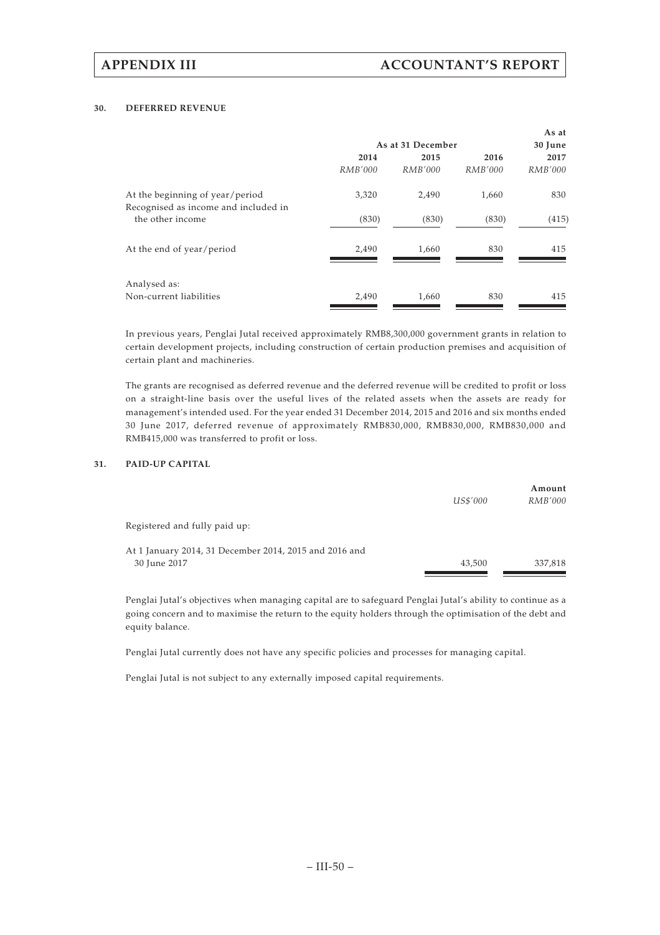### **30. DEFERRED REVENUE**

|                                                                         |                   |         |                | As at          |
|-------------------------------------------------------------------------|-------------------|---------|----------------|----------------|
|                                                                         | As at 31 December |         |                | 30 June        |
|                                                                         | 2014              | 2015    | 2016           | 2017           |
|                                                                         | <i>RMB'000</i>    | RMB'000 | <i>RMB'000</i> | <i>RMB'000</i> |
| At the beginning of year/period<br>Recognised as income and included in | 3,320             | 2,490   | 1,660          | 830            |
| the other income                                                        | (830)             | (830)   | (830)          | (415)          |
| At the end of year/period                                               | 2,490             | 1,660   | 830            | 415            |
| Analysed as:<br>Non-current liabilities                                 | 2,490             | 1,660   | 830            | 415            |

In previous years, Penglai Jutal received approximately RMB8,300,000 government grants in relation to certain development projects, including construction of certain production premises and acquisition of certain plant and machineries.

The grants are recognised as deferred revenue and the deferred revenue will be credited to profit or loss on a straight-line basis over the useful lives of the related assets when the assets are ready for management's intended used. For the year ended 31 December 2014, 2015 and 2016 and six months ended 30 June 2017, deferred revenue of approximately RMB830,000, RMB830,000, RMB830,000 and RMB415,000 was transferred to profit or loss.

### **31. PAID-UP CAPITAL**

|                                                        |          | Amount         |
|--------------------------------------------------------|----------|----------------|
|                                                        | US\$'000 | <i>RMB'000</i> |
| Registered and fully paid up:                          |          |                |
| At 1 January 2014, 31 December 2014, 2015 and 2016 and |          |                |
| 30 June 2017                                           | 43,500   | 337,818        |

Penglai Jutal's objectives when managing capital are to safeguard Penglai Jutal's ability to continue as a going concern and to maximise the return to the equity holders through the optimisation of the debt and equity balance.

Penglai Jutal currently does not have any specific policies and processes for managing capital.

Penglai Jutal is not subject to any externally imposed capital requirements.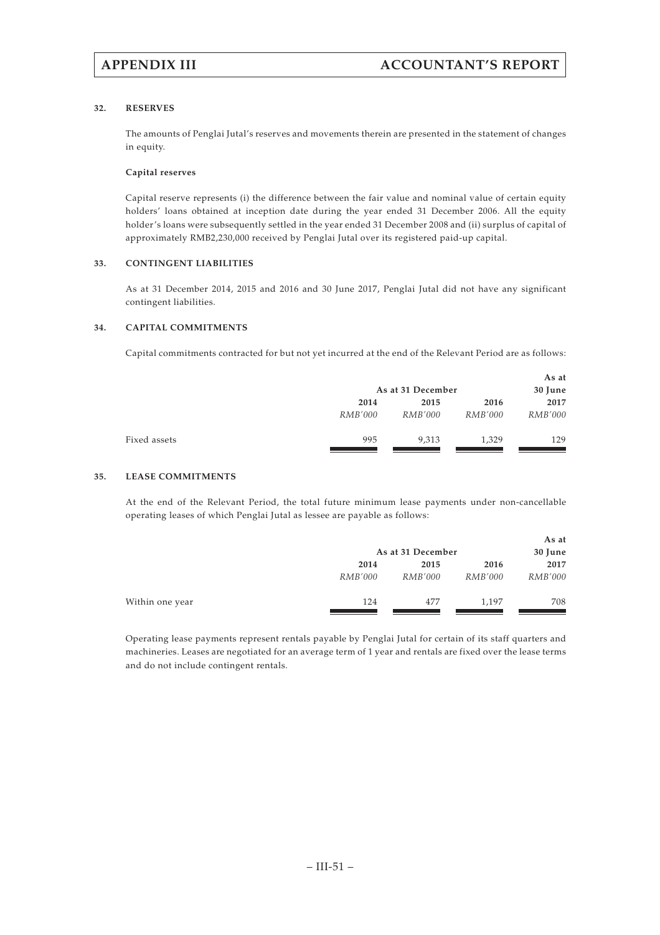### **32. RESERVES**

The amounts of Penglai Jutal's reserves and movements therein are presented in the statement of changes in equity.

### **Capital reserves**

Capital reserve represents (i) the difference between the fair value and nominal value of certain equity holders' loans obtained at inception date during the year ended 31 December 2006. All the equity holder's loans were subsequently settled in the year ended 31 December 2008 and (ii) surplus of capital of approximately RMB2,230,000 received by Penglai Jutal over its registered paid-up capital.

### **33. CONTINGENT LIABILITIES**

As at 31 December 2014, 2015 and 2016 and 30 June 2017, Penglai Jutal did not have any significant contingent liabilities.

### **34. CAPITAL COMMITMENTS**

Capital commitments contracted for but not yet incurred at the end of the Relevant Period are as follows:

|              |                |                   |                | As at          |
|--------------|----------------|-------------------|----------------|----------------|
|              |                | As at 31 December |                | 30 June        |
|              | 2014           | 2015              | 2016           | 2017           |
|              | <i>RMB'000</i> | <i>RMB'000</i>    | <i>RMB'000</i> | <i>RMB'000</i> |
| Fixed assets | 995            | 9,313             | 1,329          | 129            |

### **35. LEASE COMMITMENTS**

At the end of the Relevant Period, the total future minimum lease payments under non-cancellable operating leases of which Penglai Jutal as lessee are payable as follows:

|                 |                |                   |                | As at          |
|-----------------|----------------|-------------------|----------------|----------------|
|                 |                | As at 31 December |                | 30 June        |
|                 | 2014           | 2015              | 2016           | 2017           |
|                 | <i>RMB'000</i> | <i>RMB'000</i>    | <i>RMB'000</i> | <i>RMB'000</i> |
| Within one year | 124            | 477               | 1.197          | 708            |

Operating lease payments represent rentals payable by Penglai Jutal for certain of its staff quarters and machineries. Leases are negotiated for an average term of 1 year and rentals are fixed over the lease terms and do not include contingent rentals.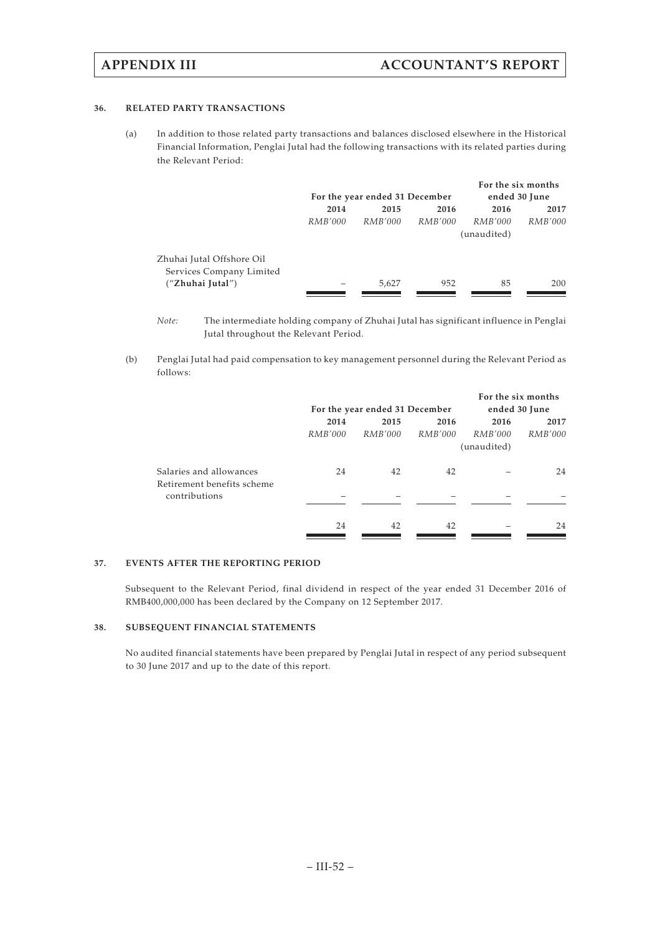### **36. RELATED PARTY TRANSACTIONS**

(a) In addition to those related party transactions and balances disclosed elsewhere in the Historical Financial Information, Penglai Jutal had the following transactions with its related parties during the Relevant Period:

|                           |                      |                                |                | For the six months |                |
|---------------------------|----------------------|--------------------------------|----------------|--------------------|----------------|
|                           |                      | For the year ended 31 December | ended 30 June  |                    |                |
|                           | 2014<br>2016<br>2015 |                                |                | 2016               | 2017           |
|                           | <i>RMB'000</i>       | <i>RMB'000</i>                 | <i>RMB'000</i> | <i>RMB'000</i>     | <i>RMB'000</i> |
|                           |                      |                                |                | (unaudited)        |                |
| Zhuhai Jutal Offshore Oil |                      |                                |                |                    |                |
| Services Company Limited  |                      |                                |                |                    |                |
| ("Zhuhai Jutal")          |                      | 5.627                          | 952            | 85                 | 200            |
|                           |                      |                                |                |                    |                |

*Note:* The intermediate holding company of Zhuhai Jutal has significant influence in Penglai Jutal throughout the Relevant Period.

(b) Penglai Jutal had paid compensation to key management personnel during the Relevant Period as follows:

|                            |         |                                |                |             | For the six months |
|----------------------------|---------|--------------------------------|----------------|-------------|--------------------|
|                            |         | For the year ended 31 December |                |             | ended 30 June      |
|                            | 2014    | 2015                           | 2016           | 2016        | 2017               |
|                            | RMB'000 | RMB'000                        | <i>RMB'000</i> | RMB'000     | <i>RMB'000</i>     |
|                            |         |                                |                | (unaudited) |                    |
| Salaries and allowances    | 24      | 42                             | 42             |             | 24                 |
| Retirement benefits scheme |         |                                |                |             |                    |
| contributions              |         |                                |                |             |                    |
|                            | 24      | 42                             | 42             |             | 24                 |
|                            |         |                                |                |             |                    |

### **37. EVENTS AFTER THE REPORTING PERIOD**

Subsequent to the Relevant Period, final dividend in respect of the year ended 31 December 2016 of RMB400,000,000 has been declared by the Company on 12 September 2017.

## **38. SUBSEQUENT FINANCIAL STATEMENTS**

No audited financial statements have been prepared by Penglai Jutal in respect of any period subsequent to 30 June 2017 and up to the date of this report.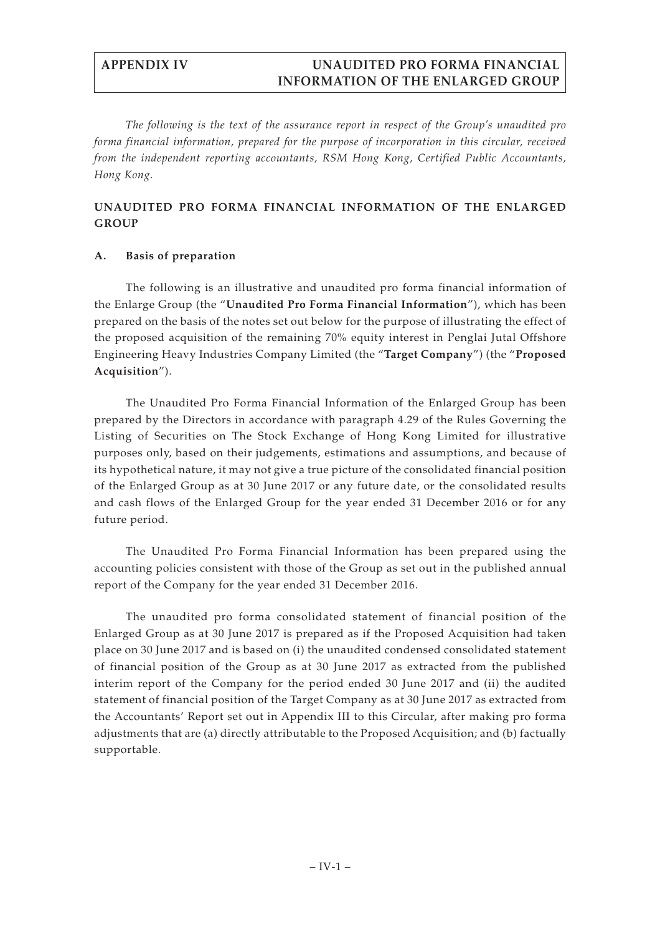*The following is the text of the assurance report in respect of the Group's unaudited pro forma financial information, prepared for the purpose of incorporation in this circular, received from the independent reporting accountants, RSM Hong Kong, Certified Public Accountants, Hong Kong.*

# **UNAUDITED PRO FORMA FINANCIAL INFORMATION OF THE ENLARGED GROUP**

# **A. Basis of preparation**

The following is an illustrative and unaudited pro forma financial information of the Enlarge Group (the "**Unaudited Pro Forma Financial Information**"), which has been prepared on the basis of the notes set out below for the purpose of illustrating the effect of the proposed acquisition of the remaining 70% equity interest in Penglai Jutal Offshore Engineering Heavy Industries Company Limited (the "**Target Company**") (the "**Proposed Acquisition**").

The Unaudited Pro Forma Financial Information of the Enlarged Group has been prepared by the Directors in accordance with paragraph 4.29 of the Rules Governing the Listing of Securities on The Stock Exchange of Hong Kong Limited for illustrative purposes only, based on their judgements, estimations and assumptions, and because of its hypothetical nature, it may not give a true picture of the consolidated financial position of the Enlarged Group as at 30 June 2017 or any future date, or the consolidated results and cash flows of the Enlarged Group for the year ended 31 December 2016 or for any future period.

The Unaudited Pro Forma Financial Information has been prepared using the accounting policies consistent with those of the Group as set out in the published annual report of the Company for the year ended 31 December 2016.

The unaudited pro forma consolidated statement of financial position of the Enlarged Group as at 30 June 2017 is prepared as if the Proposed Acquisition had taken place on 30 June 2017 and is based on (i) the unaudited condensed consolidated statement of financial position of the Group as at 30 June 2017 as extracted from the published interim report of the Company for the period ended 30 June 2017 and (ii) the audited statement of financial position of the Target Company as at 30 June 2017 as extracted from the Accountants' Report set out in Appendix III to this Circular, after making pro forma adjustments that are (a) directly attributable to the Proposed Acquisition; and (b) factually supportable.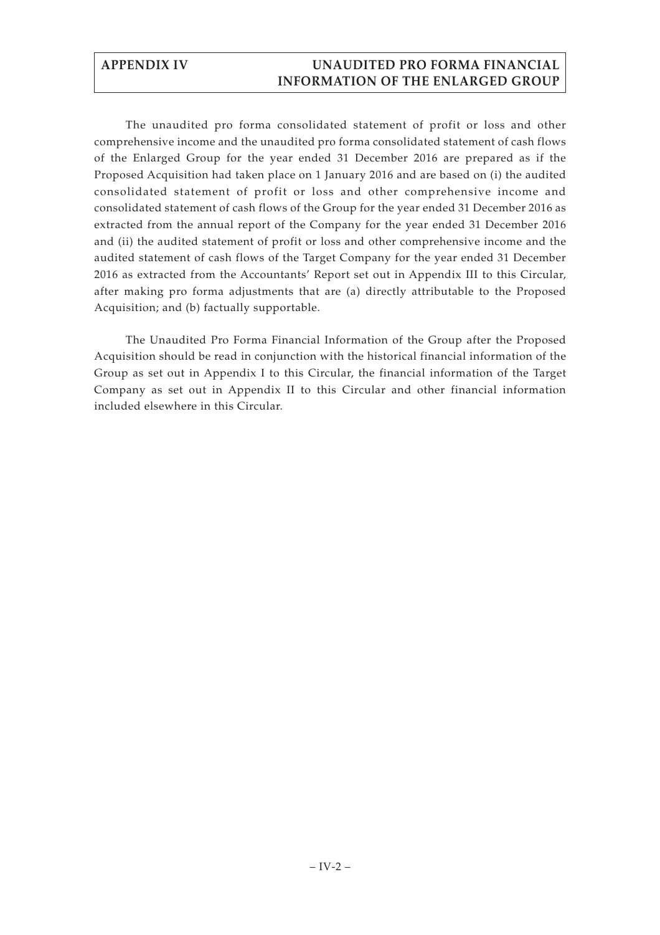The unaudited pro forma consolidated statement of profit or loss and other comprehensive income and the unaudited pro forma consolidated statement of cash flows of the Enlarged Group for the year ended 31 December 2016 are prepared as if the Proposed Acquisition had taken place on 1 January 2016 and are based on (i) the audited consolidated statement of profit or loss and other comprehensive income and consolidated statement of cash flows of the Group for the year ended 31 December 2016 as extracted from the annual report of the Company for the year ended 31 December 2016 and (ii) the audited statement of profit or loss and other comprehensive income and the audited statement of cash flows of the Target Company for the year ended 31 December 2016 as extracted from the Accountants' Report set out in Appendix III to this Circular, after making pro forma adjustments that are (a) directly attributable to the Proposed Acquisition; and (b) factually supportable.

The Unaudited Pro Forma Financial Information of the Group after the Proposed Acquisition should be read in conjunction with the historical financial information of the Group as set out in Appendix I to this Circular, the financial information of the Target Company as set out in Appendix II to this Circular and other financial information included elsewhere in this Circular.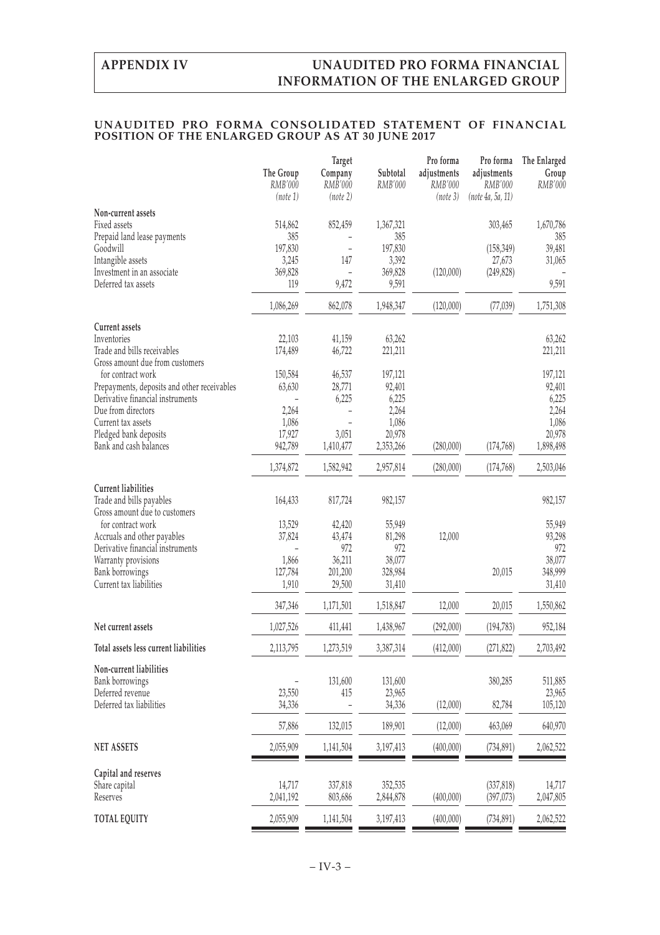## **UNAUDITED PRO FORMA CONSOLIDATED STATEMENT OF FINANCIAL POSITION OF THE ENLARGED GROUP AS AT 30 JUNE 2017**

|                                                   |                | <b>Target</b>  |                   | Pro forma   | Pro forma         | The Enlarged      |
|---------------------------------------------------|----------------|----------------|-------------------|-------------|-------------------|-------------------|
|                                                   | The Group      | Company        | Subtotal          | adjustments | adjustments       | Group             |
|                                                   | RMB'000        | RMB'000        | RMB'000           | RMB'000     | RMB'000           | RMB'000           |
|                                                   | (note 1)       | (note 2)       |                   | (note 3)    | (note 4a, 5a, 11) |                   |
| Non-current assets                                |                |                |                   |             |                   |                   |
| Fixed assets                                      | 514,862        | 852,459        | 1,367,321         |             | 303,465           | 1,670,786         |
| Prepaid land lease payments                       | 385            |                | 385               |             |                   | 385               |
| Goodwill                                          | 197,830        |                | 197,830           |             | (158, 349)        | 39,481            |
| Intangible assets                                 | 3,245          | 147            | 3,392             |             | 27,673            | 31,065            |
| Investment in an associate<br>Deferred tax assets | 369,828<br>119 | 9,472          | 369,828<br>9,591  | (120,000)   | (249, 828)        | 9,591             |
|                                                   |                |                |                   |             |                   |                   |
|                                                   | 1,086,269      | 862,078        | 1,948,347         | (120,000)   | (77, 039)         | 1,751,308         |
| Current assets                                    |                |                |                   |             |                   |                   |
| Inventories                                       | 22,103         | 41,159         | 63,262            |             |                   | 63,262            |
| Trade and bills receivables                       | 174,489        | 46,722         | 221,211           |             |                   | 221,211           |
| Gross amount due from customers                   |                |                |                   |             |                   |                   |
| for contract work                                 | 150,584        | 46,537         | 197,121           |             |                   | 197,121           |
| Prepayments, deposits and other receivables       | 63,630         | 28,771         | 92,401            |             |                   | 92,401            |
| Derivative financial instruments                  |                | 6,225          | 6,225             |             |                   | 6,225             |
| Due from directors                                | 2,264          |                | 2,264             |             |                   | 2,264             |
| Current tax assets                                | 1,086          |                | 1,086             |             |                   | 1,086             |
| Pledged bank deposits                             | 17,927         | 3,051          | 20,978            |             |                   | 20,978            |
| Bank and cash balances                            | 942,789        | 1,410,477      | 2,353,266         | (280,000)   | (174, 768)        | 1,898,498         |
|                                                   | 1,374,872      | 1,582,942      | 2,957,814         | (280,000)   | (174, 768)        | 2,503,046         |
| <b>Current liabilities</b>                        |                |                |                   |             |                   |                   |
| Trade and bills payables                          | 164,433        | 817,724        | 982,157           |             |                   | 982,157           |
| Gross amount due to customers                     |                |                |                   |             |                   |                   |
| for contract work                                 | 13,529         | 42,420         | 55,949            |             |                   | 55,949            |
| Accruals and other payables                       | 37,824         | 43,474         | 81,298            | 12,000      |                   | 93,298            |
| Derivative financial instruments                  |                | 972            | 972               |             |                   | 972               |
| Warranty provisions                               | 1,866          | 36,211         | 38,077            |             |                   | 38,077            |
| Bank borrowings                                   | 127,784        | 201,200        | 328,984           |             | 20,015            | 348,999           |
| Current tax liabilities                           | 1,910          | 29,500         | 31,410            |             |                   | 31,410            |
|                                                   | 347,346        | 1,171,501      | 1,518,847         | 12,000      | 20,015            | 1,550,862         |
| Net current assets                                | 1,027,526      | 411,441        | 1,438,967         | (292,000)   | (194, 783)        | 952,184           |
| Total assets less current liabilities             | 2,113,795      | 1,273,519      | 3,387,314         | (412,000)   | (271, 822)        | 2,703,492         |
|                                                   |                |                |                   |             |                   |                   |
| Non-current liabilities                           |                |                |                   |             | 380,285           |                   |
| Bank borrowings<br>Deferred revenue               | 23,550         | 131,600<br>415 | 131,600<br>23,965 |             |                   | 511,885           |
| Deferred tax liabilities                          | 34,336         |                | 34,336            | (12,000)    | 82,784            | 23,965<br>105,120 |
|                                                   |                |                |                   |             |                   |                   |
|                                                   | 57,886         | 132,015        | 189,901           | (12,000)    | 463,069           | 640,970           |
| <b>NET ASSETS</b>                                 | 2,055,909      | 1,141,504      | 3,197,413         | (400,000)   | (734, 891)        | 2,062,522         |
| Capital and reserves                              |                |                |                   |             |                   |                   |
| Share capital                                     | 14,717         | 337,818        | 352,535           |             | (337, 818)        | 14,717            |
| Reserves                                          | 2,041,192      | 803,686        | 2,844,878         | (400,000)   | (397, 073)        | 2,047,805         |
|                                                   |                |                |                   |             |                   |                   |
| TOTAL EQUITY                                      | 2,055,909      | 1,141,504      | 3,197,413         | (400,000)   | (734, 891)        | 2,062,522         |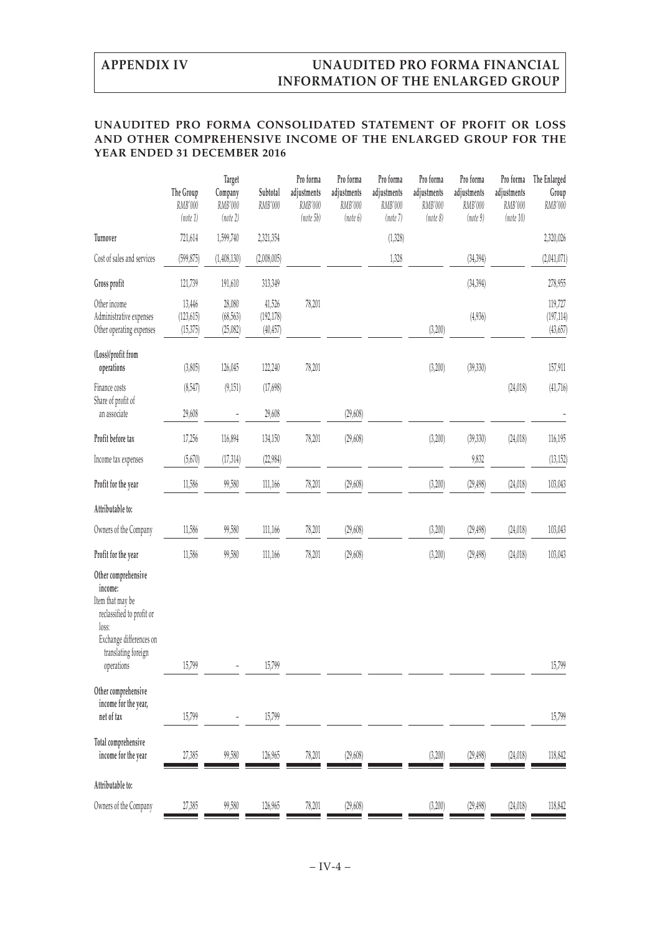## **UNAUDITED PRO FORMA CONSOLIDATED STATEMENT OF PROFIT OR LOSS AND OTHER COMPREHENSIVE INCOME OF THE ENLARGED GROUP FOR THE YEAR ENDED 31 DECEMBER 2016**

|                                                                                                                                                          | The Group                         | Target<br>Company               | Subtotal                          | Pro forma<br>adjustments | Pro forma<br>adjustments | Pro forma<br>adjustments | Pro forma<br>adjustments | Pro forma<br>adjustments | Pro forma<br>adjustments | The Enlarged<br>Group              |
|----------------------------------------------------------------------------------------------------------------------------------------------------------|-----------------------------------|---------------------------------|-----------------------------------|--------------------------|--------------------------|--------------------------|--------------------------|--------------------------|--------------------------|------------------------------------|
|                                                                                                                                                          | RMB'000<br>(note 1)               | RMB'000<br>(note 2)             | RMB'000                           | RMB'000<br>(note5b)      | RMB'000<br>(note 6)      | RMB'000<br>(note 7)      | RMB'000<br>(note 8)      | RMB'000<br>(note 9)      | RMB'000<br>(note 10)     | RMB'000                            |
| Turnover                                                                                                                                                 | 721,614                           | 1,599,740                       | 2,321,354                         |                          |                          | (1, 328)                 |                          |                          |                          | 2,320,026                          |
| Cost of sales and services                                                                                                                               | (599, 875)                        | (1,408,130)                     | (2,008,005)                       |                          |                          | 1,328                    |                          | (34, 394)                |                          | (2,041,071)                        |
| Gross profit                                                                                                                                             | 121,739                           | 191,610                         | 313,349                           |                          |                          |                          |                          | (34, 394)                |                          | 278,955                            |
| Other income<br>Administrative expenses<br>Other operating expenses                                                                                      | 13,446<br>(123, 615)<br>(15, 375) | 28,080<br>(68, 563)<br>(25,082) | 41,526<br>(192, 178)<br>(40, 457) | 78,201                   |                          |                          | (3,200)                  | (4,936)                  |                          | 119,727<br>(197, 114)<br>(43, 657) |
| (Loss)/profit from<br>operations                                                                                                                         | (3,805)                           | 126,045                         | 122,240                           | 78,201                   |                          |                          | (3,200)                  | (39, 330)                |                          | 157,911                            |
| Finance costs<br>Share of profit of                                                                                                                      | (8, 547)                          | (9, 151)                        | (17,698)                          |                          |                          |                          |                          |                          | (24, 018)                | (41,716)                           |
| an associate                                                                                                                                             | 29,608                            |                                 | 29,608                            |                          | (29, 608)                |                          |                          |                          |                          |                                    |
| Profit before tax                                                                                                                                        | 17,256                            | 116,894                         | 134,150                           | 78,201                   | (29, 608)                |                          | (3,200)                  | (39, 330)                | (24, 018)                | 116,195                            |
| Income tax expenses                                                                                                                                      | (5,670)                           | (17, 314)                       | (22, 984)                         |                          |                          |                          |                          | 9,832                    |                          | (13, 152)                          |
| Profit for the year                                                                                                                                      | 11,586                            | 99,580                          | 111,166                           | 78,201                   | (29, 608)                |                          | (3,200)                  | (29, 498)                | (24, 018)                | 103,043                            |
| Attributable to:                                                                                                                                         |                                   |                                 |                                   |                          |                          |                          |                          |                          |                          |                                    |
| Owners of the Company                                                                                                                                    | 11,586                            | 99,580                          | 111,166                           | 78,201                   | (29, 608)                |                          | (3,200)                  | (29, 498)                | (24, 018)                | 103,043                            |
| Profit for the year                                                                                                                                      | 11,586                            | 99,580                          | 111,166                           | 78,201                   | (29, 608)                |                          | (3,200)                  | (29, 498)                | (24, 018)                | 103,043                            |
| Other comprehensive<br>income:<br>Item that may be<br>reclassified to profit or<br>loss:<br>Exchange differences on<br>translating foreign<br>operations | 15,799                            |                                 | 15,799                            |                          |                          |                          |                          |                          |                          | 15,799                             |
| Other comprehensive<br>income for the year,<br>net of tax                                                                                                | 15,799                            |                                 | 15,799                            |                          |                          |                          |                          |                          |                          | 15,799                             |
| Total comprehensive<br>income for the year                                                                                                               | 27,385                            | 99,580                          | 126,965                           | 78,201                   | (29, 608)                |                          | (3,200)                  | (29, 498)                | (24, 018)                | 118,842                            |
| Attributable to:                                                                                                                                         |                                   |                                 |                                   |                          |                          |                          |                          |                          |                          |                                    |
| Owners of the Company                                                                                                                                    | 27,385                            | 99,580                          | 126,965                           | 78,201                   | (29, 608)                |                          | (3,200)                  | (29, 498)                | (24, 018)                | 118,842                            |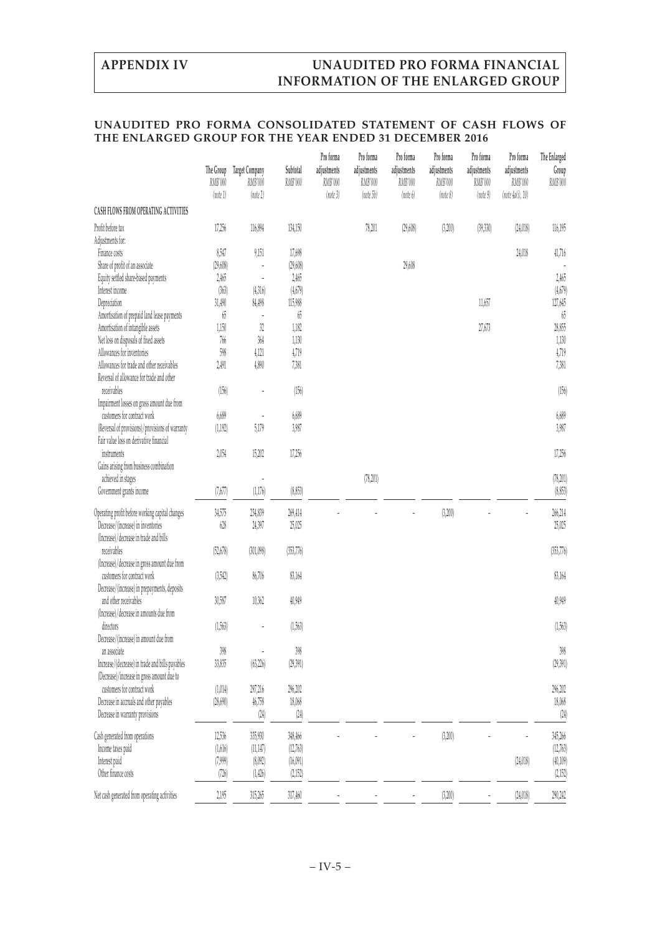## **UNAUDITED PRO FORMA CONSOLIDATED STATEMENT OF CASH FLOWS OF THE ENLARGED GROUP FOR THE YEAR ENDED 31 DECEMBER 2016**

|                                                                                            | The Group<br>RMB'000<br>(note 1) | <b>Target Company</b><br>RMB'000<br>(note 2) | Subtotal<br>RMB'000 | Pro forma<br>adjustments<br>RMB'000<br>(note 3) | Pro forma<br>adjustments<br>RMB'000<br>(note 5b) | Pro forma<br>adjustments<br>RMB'000<br>(note 6) | Pro forma<br>adjustments<br>RMB'000<br>(note 8) | Pro forma<br>adjustments<br>RMB'000<br>(note 9) | Pro forma<br>adjustments<br>RMB'000<br>(note 4a(i), 10) | The Enlarged<br>Group<br>RMB'000 |
|--------------------------------------------------------------------------------------------|----------------------------------|----------------------------------------------|---------------------|-------------------------------------------------|--------------------------------------------------|-------------------------------------------------|-------------------------------------------------|-------------------------------------------------|---------------------------------------------------------|----------------------------------|
| CASH FLOWS FROM OPERATING ACTIVITIES                                                       |                                  |                                              |                     |                                                 |                                                  |                                                 |                                                 |                                                 |                                                         |                                  |
| Profit before tax<br>Adjustments for:                                                      | 17,256                           | 116,894                                      | 134,150             |                                                 | 78,201                                           | (29, 608)                                       | (3,200)                                         | (39, 330)                                       | (24,018)                                                | 116,195                          |
| Finance costs                                                                              | 8,547                            | 9,151                                        | 17,698              |                                                 |                                                  |                                                 |                                                 |                                                 | 24,018                                                  | 41,716                           |
| Share of profit of an associate                                                            | (29,608)                         |                                              | (29,608)            |                                                 |                                                  | 29,608                                          |                                                 |                                                 |                                                         |                                  |
| Equity settled share-based payments                                                        | 2,465                            |                                              | 2,465               |                                                 |                                                  |                                                 |                                                 |                                                 |                                                         | 2,465                            |
| Interest income                                                                            | (363)                            | (4,316)                                      | (4,679)             |                                                 |                                                  |                                                 |                                                 |                                                 |                                                         | (4,679)                          |
| Depreciation                                                                               | 31,490                           | 84,498                                       | 115,988             |                                                 |                                                  |                                                 |                                                 | 11,657                                          |                                                         | 127,645                          |
| Amortisation of prepaid land lease payments                                                | $65$                             |                                              | $65\,$              |                                                 |                                                  |                                                 |                                                 |                                                 |                                                         | $65\,$                           |
| Amortisation of intangible assets                                                          | 1,150                            | 32                                           | 1,182               |                                                 |                                                  |                                                 |                                                 | 27,673                                          |                                                         | 28,855                           |
| Net loss on disposals of fixed assets                                                      | $766\,$                          | 364                                          | 1,130               |                                                 |                                                  |                                                 |                                                 |                                                 |                                                         | 1,130                            |
| Allowances for inventories                                                                 | 598                              | 4,121                                        | 4,719               |                                                 |                                                  |                                                 |                                                 |                                                 |                                                         | 4,719                            |
| Allowances for trade and other receivables                                                 | 2,491                            | 4,890                                        | 7,381               |                                                 |                                                  |                                                 |                                                 |                                                 |                                                         | 7,381                            |
| Reversal of allowance for trade and other                                                  |                                  |                                              |                     |                                                 |                                                  |                                                 |                                                 |                                                 |                                                         |                                  |
| receivables                                                                                | (156)                            |                                              | (156)               |                                                 |                                                  |                                                 |                                                 |                                                 |                                                         | (156)                            |
| Impairment losses on gross amount due from                                                 |                                  |                                              |                     |                                                 |                                                  |                                                 |                                                 |                                                 |                                                         |                                  |
| customers for contract work                                                                | 6,689                            |                                              | 6,689               |                                                 |                                                  |                                                 |                                                 |                                                 |                                                         | 6,689                            |
| (Reversal of provisions)/provisions of warranty<br>Fair value loss on derivative financial | (1, 192)                         | 5,179                                        | 3,987               |                                                 |                                                  |                                                 |                                                 |                                                 |                                                         | 3,987                            |
| instruments                                                                                | 2,054                            | 15,202                                       | 17,256              |                                                 |                                                  |                                                 |                                                 |                                                 |                                                         | 17,256                           |
| Gains arising from business combination                                                    |                                  |                                              |                     |                                                 |                                                  |                                                 |                                                 |                                                 |                                                         |                                  |
| achieved in stages                                                                         |                                  |                                              |                     |                                                 | (78, 201)                                        |                                                 |                                                 |                                                 |                                                         | (78,201)                         |
| Government grants income                                                                   | (7,677)                          | (1,176)                                      | (8,853)             |                                                 |                                                  |                                                 |                                                 |                                                 |                                                         | (8,853)                          |
| Operating profit before working capital changes                                            | 34,575                           | 234,839                                      | 269,414             |                                                 |                                                  |                                                 | (3,200)                                         |                                                 |                                                         | 266,214                          |
| Decrease/(increase) in inventories                                                         | $628$                            | 24,397                                       | 25,025              |                                                 |                                                  |                                                 |                                                 |                                                 |                                                         | 25,025                           |
| (Increase)/decrease in trade and bills                                                     |                                  |                                              |                     |                                                 |                                                  |                                                 |                                                 |                                                 |                                                         |                                  |
| receivables                                                                                | (52, 678)                        | (301,098)                                    | (353, 776)          |                                                 |                                                  |                                                 |                                                 |                                                 |                                                         | (353, 776)                       |
| (Increase)/decrease in gross amount due from                                               |                                  |                                              |                     |                                                 |                                                  |                                                 |                                                 |                                                 |                                                         |                                  |
| customers for contract work                                                                | (3,542)                          | 86,706                                       | 83,164              |                                                 |                                                  |                                                 |                                                 |                                                 |                                                         | 83,164                           |
| Decrease/(increase) in prepayments, deposits                                               |                                  |                                              |                     |                                                 |                                                  |                                                 |                                                 |                                                 |                                                         |                                  |
| and other receivables                                                                      | 30,587                           | 10,362                                       | 40,949              |                                                 |                                                  |                                                 |                                                 |                                                 |                                                         | 40,949                           |
| (Increase)/decrease in amounts due from                                                    |                                  |                                              |                     |                                                 |                                                  |                                                 |                                                 |                                                 |                                                         |                                  |
| directors                                                                                  | (1,563)                          |                                              | (1,563)             |                                                 |                                                  |                                                 |                                                 |                                                 |                                                         | (1,563)                          |
| Decrease/(increase) in amount due from                                                     |                                  |                                              |                     |                                                 |                                                  |                                                 |                                                 |                                                 |                                                         |                                  |
| an associate                                                                               | 398                              |                                              | 398                 |                                                 |                                                  |                                                 |                                                 |                                                 |                                                         | 398                              |
| Increase/(decrease) in trade and bills payables                                            | 33,835                           | (63, 226)                                    | (29,391)            |                                                 |                                                  |                                                 |                                                 |                                                 |                                                         | (29, 391)                        |
| (Decrease)/increase in gross amount due to                                                 |                                  |                                              |                     |                                                 |                                                  |                                                 |                                                 |                                                 |                                                         |                                  |
| customers for contract work                                                                | (1,014)                          | 297,216                                      | 296,202             |                                                 |                                                  |                                                 |                                                 |                                                 |                                                         | 296,202                          |
| Decrease in accruals and other payables                                                    | (28,690)                         | 46,758                                       | 18,068              |                                                 |                                                  |                                                 |                                                 |                                                 |                                                         | 18,068                           |
| Decrease in warranty provisions                                                            |                                  | $(24)$                                       | $\left( 24\right)$  |                                                 |                                                  |                                                 |                                                 |                                                 |                                                         | (24)                             |
| Cash generated from operations                                                             | 12,536                           | 335,930                                      | 348,466             |                                                 |                                                  |                                                 | (3,200)                                         |                                                 |                                                         | 345,266                          |
| Income taxes paid                                                                          | (1,616)                          | (11, 147)                                    | (12,763)            |                                                 |                                                  |                                                 |                                                 |                                                 |                                                         | (12,763)                         |
| Interest paid                                                                              | (7,999)                          | (8,092)                                      | (16,091)            |                                                 |                                                  |                                                 |                                                 |                                                 | (24, 018)                                               | (40,109)                         |
| Other finance costs                                                                        | (726)                            | (1, 426)                                     | (2,152)             |                                                 |                                                  |                                                 |                                                 |                                                 |                                                         | (2,152)                          |
|                                                                                            |                                  |                                              |                     |                                                 |                                                  |                                                 |                                                 |                                                 |                                                         |                                  |
| Net cash generated from operating activities                                               | 2,195                            | 315,265                                      | 317,460             |                                                 |                                                  |                                                 | (3,200)                                         |                                                 | (24, 018)                                               | 290,242                          |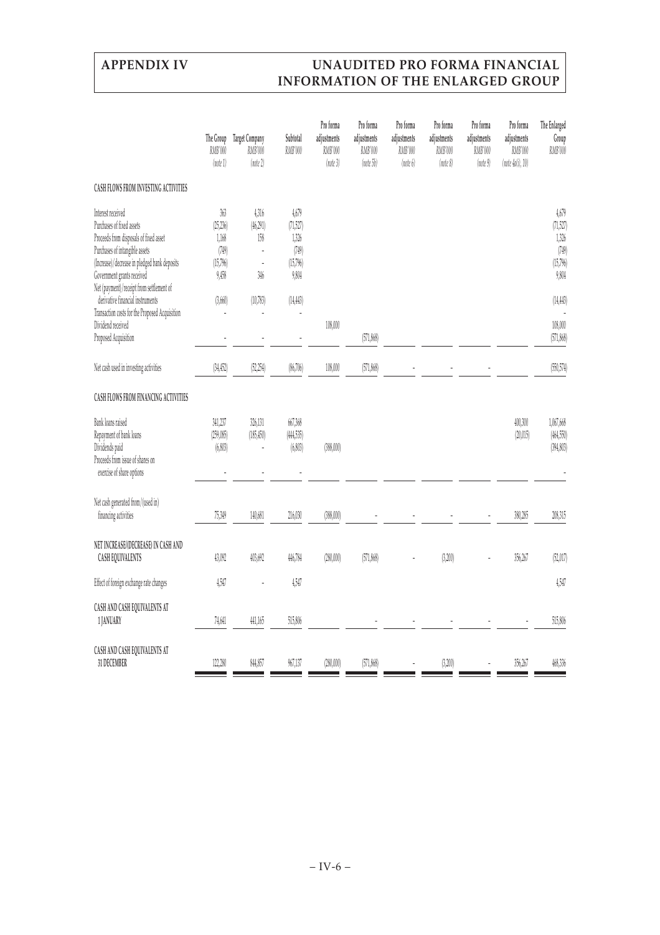|                                                                                                                                                                                                                                                      | The Group<br>RMB'000<br>(note 1)                        | <b>Target Company</b><br>RMB'000<br>(note 2) | Subtotal<br>RMB'000                                      | Pro forma<br>adjustments<br>RMB'000<br>(note 3) | Pro forma<br>adjustments<br>RMB'000<br>(note 5b) | Pro forma<br>adjustments<br>RMB'000<br>(note 6) | Pro forma<br>adjustments<br>RMB'000<br>(note 8) | Pro forma<br>adjustments<br>RMB'000<br>(note 9) | Pro forma<br>adjustments<br>RMB'000<br>(note 4a(i), 10) | The Enlarged<br>Group<br>RMB'000                         |
|------------------------------------------------------------------------------------------------------------------------------------------------------------------------------------------------------------------------------------------------------|---------------------------------------------------------|----------------------------------------------|----------------------------------------------------------|-------------------------------------------------|--------------------------------------------------|-------------------------------------------------|-------------------------------------------------|-------------------------------------------------|---------------------------------------------------------|----------------------------------------------------------|
| CASH FLOWS FROM INVESTING ACTIVITIES                                                                                                                                                                                                                 |                                                         |                                              |                                                          |                                                 |                                                  |                                                 |                                                 |                                                 |                                                         |                                                          |
| Interest received<br>Purchases of fixed assets<br>Proceeds from disposals of fixed asset<br>Purchases of intangible assets<br>(Increase)/decrease in pledged bank deposits<br>Government grants received<br>Net (payment)/receipt from settlement of | 363<br>(25, 236)<br>1,168<br>(749)<br>(15,796)<br>9,458 | 4,316<br>(46, 291)<br>158<br>Ĭ.<br>Ĭ.<br>346 | 4,679<br>(71,527)<br>1,326<br>(749)<br>(15,796)<br>9,804 |                                                 |                                                  |                                                 |                                                 |                                                 |                                                         | 4,679<br>(71,527)<br>1,326<br>(749)<br>(15,796)<br>9,804 |
| derivative financial instruments<br>Transaction costs for the Proposed Acquisition                                                                                                                                                                   | (3,660)                                                 | (10,783)                                     | (14, 443)                                                |                                                 |                                                  |                                                 |                                                 |                                                 |                                                         | (14, 443)                                                |
| Dividend received<br>Proposed Acquisition                                                                                                                                                                                                            |                                                         |                                              |                                                          | 108,000                                         | (571, 868)                                       |                                                 |                                                 |                                                 |                                                         | 108,000<br>(571, 868)                                    |
| Net cash used in investing activities                                                                                                                                                                                                                | (34, 452)                                               | (52, 254)                                    | (86,706)                                                 | 108,000                                         | (571, 868)                                       |                                                 |                                                 |                                                 |                                                         | (550, 574)                                               |
| <b>CASH FLOWS FROM FINANCING ACTIVITIES</b>                                                                                                                                                                                                          |                                                         |                                              |                                                          |                                                 |                                                  |                                                 |                                                 |                                                 |                                                         |                                                          |
| Bank loans raised<br>Repayment of bank loans<br>Dividends paid<br>Proceeds from issue of shares on<br>exercise of share options                                                                                                                      | 341,237<br>(259,085)<br>(6, 803)                        | 326,131<br>(185, 450)                        | 667,368<br>(444,535)<br>(6,803)                          | (388,000)                                       |                                                  |                                                 |                                                 |                                                 | 400,300<br>(20,015)                                     | 1,067,668<br>(464, 550)<br>(394, 803)                    |
| Net cash generated from/(used in)<br>financing activities                                                                                                                                                                                            | 75,349                                                  | 140,681                                      | 216,030                                                  | (388,000)                                       |                                                  |                                                 |                                                 |                                                 | 380,285                                                 | 208,315                                                  |
| NET INCREASE/(DECREASE) IN CASH AND<br>CASH EQUIVALENTS                                                                                                                                                                                              | 43,092                                                  | 403,692                                      | 446,784                                                  | (280,000)                                       | (571,868)                                        |                                                 | (3, 200)                                        |                                                 | 356,267                                                 | (52, 017)                                                |
| Effect of foreign exchange rate changes                                                                                                                                                                                                              | 4,547                                                   |                                              | 4,547                                                    |                                                 |                                                  |                                                 |                                                 |                                                 |                                                         | 4,547                                                    |
| CASH AND CASH EQUIVALENTS AT<br>1 JANUARY                                                                                                                                                                                                            | 74,641                                                  | 441,165                                      | 515,806                                                  |                                                 |                                                  |                                                 |                                                 |                                                 |                                                         | 515,806                                                  |
| CASH AND CASH EQUIVALENTS AT<br>31 DECEMBER                                                                                                                                                                                                          | 122,280                                                 | 844,857                                      | 967,137                                                  | (280,000)                                       | (571, 868)                                       |                                                 | (3,200)                                         |                                                 | 356,267                                                 | 468,336                                                  |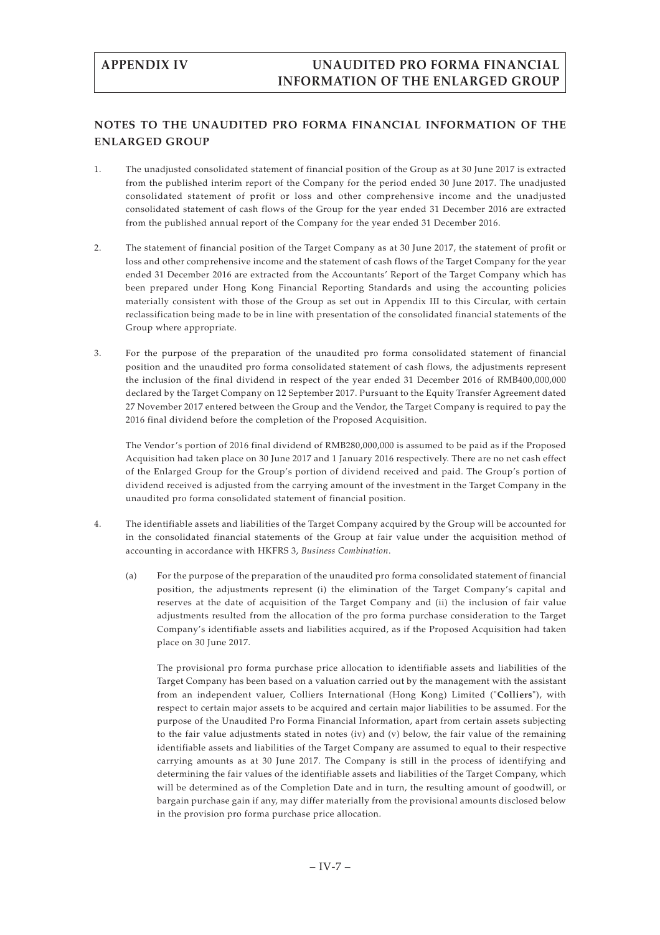# **NOTES TO THE UNAUDITED PRO FORMA FINANCIAL INFORMATION OF THE ENLARGED GROUP**

- 1. The unadjusted consolidated statement of financial position of the Group as at 30 June 2017 is extracted from the published interim report of the Company for the period ended 30 June 2017. The unadjusted consolidated statement of profit or loss and other comprehensive income and the unadjusted consolidated statement of cash flows of the Group for the year ended 31 December 2016 are extracted from the published annual report of the Company for the year ended 31 December 2016.
- 2. The statement of financial position of the Target Company as at 30 June 2017, the statement of profit or loss and other comprehensive income and the statement of cash flows of the Target Company for the year ended 31 December 2016 are extracted from the Accountants' Report of the Target Company which has been prepared under Hong Kong Financial Reporting Standards and using the accounting policies materially consistent with those of the Group as set out in Appendix III to this Circular, with certain reclassification being made to be in line with presentation of the consolidated financial statements of the Group where appropriate.
- 3. For the purpose of the preparation of the unaudited pro forma consolidated statement of financial position and the unaudited pro forma consolidated statement of cash flows, the adjustments represent the inclusion of the final dividend in respect of the year ended 31 December 2016 of RMB400,000,000 declared by the Target Company on 12 September 2017. Pursuant to the Equity Transfer Agreement dated 27 November 2017 entered between the Group and the Vendor, the Target Company is required to pay the 2016 final dividend before the completion of the Proposed Acquisition.

The Vendor's portion of 2016 final dividend of RMB280,000,000 is assumed to be paid as if the Proposed Acquisition had taken place on 30 June 2017 and 1 January 2016 respectively. There are no net cash effect of the Enlarged Group for the Group's portion of dividend received and paid. The Group's portion of dividend received is adjusted from the carrying amount of the investment in the Target Company in the unaudited pro forma consolidated statement of financial position.

- 4. The identifiable assets and liabilities of the Target Company acquired by the Group will be accounted for in the consolidated financial statements of the Group at fair value under the acquisition method of accounting in accordance with HKFRS 3, *Business Combination*.
	- (a) For the purpose of the preparation of the unaudited pro forma consolidated statement of financial position, the adjustments represent (i) the elimination of the Target Company's capital and reserves at the date of acquisition of the Target Company and (ii) the inclusion of fair value adjustments resulted from the allocation of the pro forma purchase consideration to the Target Company's identifiable assets and liabilities acquired, as if the Proposed Acquisition had taken place on 30 June 2017.

The provisional pro forma purchase price allocation to identifiable assets and liabilities of the Target Company has been based on a valuation carried out by the management with the assistant from an independent valuer, Colliers International (Hong Kong) Limited ("**Colliers**"), with respect to certain major assets to be acquired and certain major liabilities to be assumed. For the purpose of the Unaudited Pro Forma Financial Information, apart from certain assets subjecting to the fair value adjustments stated in notes (iv) and (v) below, the fair value of the remaining identifiable assets and liabilities of the Target Company are assumed to equal to their respective carrying amounts as at 30 June 2017. The Company is still in the process of identifying and determining the fair values of the identifiable assets and liabilities of the Target Company, which will be determined as of the Completion Date and in turn, the resulting amount of goodwill, or bargain purchase gain if any, may differ materially from the provisional amounts disclosed below in the provision pro forma purchase price allocation.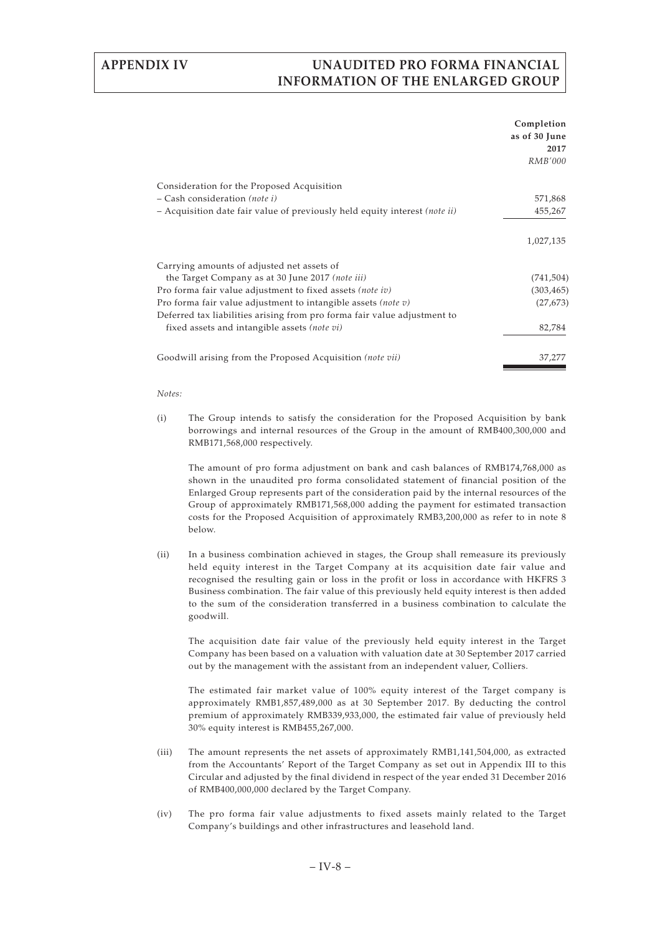|                                                                            | Completion<br>as of 30 June |
|----------------------------------------------------------------------------|-----------------------------|
|                                                                            | 2017                        |
|                                                                            | <i>RMB'000</i>              |
| Consideration for the Proposed Acquisition                                 |                             |
| $-$ Cash consideration (note i)                                            | 571,868                     |
| - Acquisition date fair value of previously held equity interest (note ii) | 455,267                     |
|                                                                            | 1,027,135                   |
| Carrying amounts of adjusted net assets of                                 |                             |
| the Target Company as at 30 June 2017 (note iii)                           | (741, 504)                  |
| Pro forma fair value adjustment to fixed assets (note iv)                  | (303, 465)                  |
| Pro forma fair value adjustment to intangible assets (note $v$ )           | (27, 673)                   |
| Deferred tax liabilities arising from pro forma fair value adjustment to   |                             |
| fixed assets and intangible assets (note vi)                               | 82,784                      |
| Goodwill arising from the Proposed Acquisition (note vii)                  | 37,277                      |

### *Notes:*

(i) The Group intends to satisfy the consideration for the Proposed Acquisition by bank borrowings and internal resources of the Group in the amount of RMB400,300,000 and RMB171,568,000 respectively.

The amount of pro forma adjustment on bank and cash balances of RMB174,768,000 as shown in the unaudited pro forma consolidated statement of financial position of the Enlarged Group represents part of the consideration paid by the internal resources of the Group of approximately RMB171,568,000 adding the payment for estimated transaction costs for the Proposed Acquisition of approximately RMB3,200,000 as refer to in note 8 below.

(ii) In a business combination achieved in stages, the Group shall remeasure its previously held equity interest in the Target Company at its acquisition date fair value and recognised the resulting gain or loss in the profit or loss in accordance with HKFRS 3 Business combination. The fair value of this previously held equity interest is then added to the sum of the consideration transferred in a business combination to calculate the goodwill.

The acquisition date fair value of the previously held equity interest in the Target Company has been based on a valuation with valuation date at 30 September 2017 carried out by the management with the assistant from an independent valuer, Colliers.

The estimated fair market value of 100% equity interest of the Target company is approximately RMB1,857,489,000 as at 30 September 2017. By deducting the control premium of approximately RMB339,933,000, the estimated fair value of previously held 30% equity interest is RMB455,267,000.

- (iii) The amount represents the net assets of approximately RMB1,141,504,000, as extracted from the Accountants' Report of the Target Company as set out in Appendix III to this Circular and adjusted by the final dividend in respect of the year ended 31 December 2016 of RMB400,000,000 declared by the Target Company.
- (iv) The pro forma fair value adjustments to fixed assets mainly related to the Target Company's buildings and other infrastructures and leasehold land.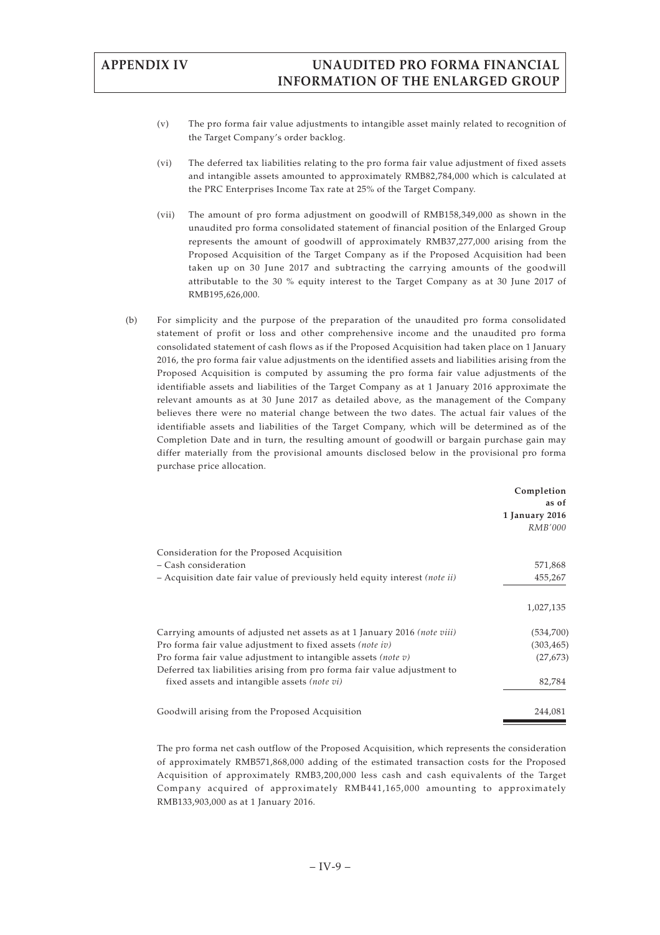- (v) The pro forma fair value adjustments to intangible asset mainly related to recognition of the Target Company's order backlog.
- (vi) The deferred tax liabilities relating to the pro forma fair value adjustment of fixed assets and intangible assets amounted to approximately RMB82,784,000 which is calculated at the PRC Enterprises Income Tax rate at 25% of the Target Company.
- (vii) The amount of pro forma adjustment on goodwill of RMB158,349,000 as shown in the unaudited pro forma consolidated statement of financial position of the Enlarged Group represents the amount of goodwill of approximately RMB37,277,000 arising from the Proposed Acquisition of the Target Company as if the Proposed Acquisition had been taken up on 30 June 2017 and subtracting the carrying amounts of the goodwill attributable to the 30 % equity interest to the Target Company as at 30 June 2017 of RMB195,626,000.
- (b) For simplicity and the purpose of the preparation of the unaudited pro forma consolidated statement of profit or loss and other comprehensive income and the unaudited pro forma consolidated statement of cash flows as if the Proposed Acquisition had taken place on 1 January 2016, the pro forma fair value adjustments on the identified assets and liabilities arising from the Proposed Acquisition is computed by assuming the pro forma fair value adjustments of the identifiable assets and liabilities of the Target Company as at 1 January 2016 approximate the relevant amounts as at 30 June 2017 as detailed above, as the management of the Company believes there were no material change between the two dates. The actual fair values of the identifiable assets and liabilities of the Target Company, which will be determined as of the Completion Date and in turn, the resulting amount of goodwill or bargain purchase gain may differ materially from the provisional amounts disclosed below in the provisional pro forma purchase price allocation.

|                                                                                   | Completion<br>as of<br>1 January 2016<br><i>RMB'000</i> |
|-----------------------------------------------------------------------------------|---------------------------------------------------------|
| Consideration for the Proposed Acquisition                                        |                                                         |
| – Cash consideration                                                              | 571,868                                                 |
| - Acquisition date fair value of previously held equity interest <i>(note ii)</i> | 455,267                                                 |
|                                                                                   | 1,027,135                                               |
| Carrying amounts of adjusted net assets as at 1 January 2016 <i>(note viii)</i>   | (534,700)                                               |
| Pro forma fair value adjustment to fixed assets (note iv)                         | (303, 465)                                              |
| Pro forma fair value adjustment to intangible assets (note $v$ )                  | (27, 673)                                               |
| Deferred tax liabilities arising from pro forma fair value adjustment to          |                                                         |
| fixed assets and intangible assets (note vi)                                      | 82,784                                                  |
| Goodwill arising from the Proposed Acquisition                                    | 244,081                                                 |

The pro forma net cash outflow of the Proposed Acquisition, which represents the consideration of approximately RMB571,868,000 adding of the estimated transaction costs for the Proposed Acquisition of approximately RMB3,200,000 less cash and cash equivalents of the Target Company acquired of approximately RMB441,165,000 amounting to approximately RMB133,903,000 as at 1 January 2016.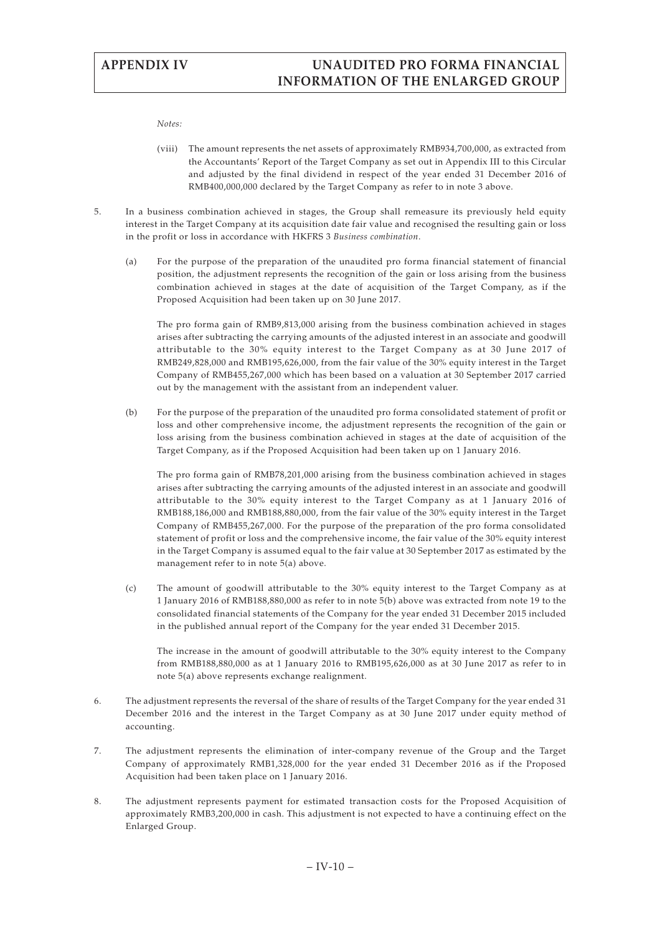*Notes:*

- (viii) The amount represents the net assets of approximately RMB934,700,000, as extracted from the Accountants' Report of the Target Company as set out in Appendix III to this Circular and adjusted by the final dividend in respect of the year ended 31 December 2016 of RMB400,000,000 declared by the Target Company as refer to in note 3 above.
- 5. In a business combination achieved in stages, the Group shall remeasure its previously held equity interest in the Target Company at its acquisition date fair value and recognised the resulting gain or loss in the profit or loss in accordance with HKFRS 3 *Business combination*.
	- (a) For the purpose of the preparation of the unaudited pro forma financial statement of financial position, the adjustment represents the recognition of the gain or loss arising from the business combination achieved in stages at the date of acquisition of the Target Company, as if the Proposed Acquisition had been taken up on 30 June 2017.

The pro forma gain of RMB9,813,000 arising from the business combination achieved in stages arises after subtracting the carrying amounts of the adjusted interest in an associate and goodwill attributable to the 30% equity interest to the Target Company as at 30 June 2017 of RMB249,828,000 and RMB195,626,000, from the fair value of the 30% equity interest in the Target Company of RMB455,267,000 which has been based on a valuation at 30 September 2017 carried out by the management with the assistant from an independent valuer.

(b) For the purpose of the preparation of the unaudited pro forma consolidated statement of profit or loss and other comprehensive income, the adjustment represents the recognition of the gain or loss arising from the business combination achieved in stages at the date of acquisition of the Target Company, as if the Proposed Acquisition had been taken up on 1 January 2016.

The pro forma gain of RMB78,201,000 arising from the business combination achieved in stages arises after subtracting the carrying amounts of the adjusted interest in an associate and goodwill attributable to the 30% equity interest to the Target Company as at 1 January 2016 of RMB188,186,000 and RMB188,880,000, from the fair value of the 30% equity interest in the Target Company of RMB455,267,000. For the purpose of the preparation of the pro forma consolidated statement of profit or loss and the comprehensive income, the fair value of the 30% equity interest in the Target Company is assumed equal to the fair value at 30 September 2017 as estimated by the management refer to in note 5(a) above.

(c) The amount of goodwill attributable to the 30% equity interest to the Target Company as at 1 January 2016 of RMB188,880,000 as refer to in note 5(b) above was extracted from note 19 to the consolidated financial statements of the Company for the year ended 31 December 2015 included in the published annual report of the Company for the year ended 31 December 2015.

The increase in the amount of goodwill attributable to the 30% equity interest to the Company from RMB188,880,000 as at 1 January 2016 to RMB195,626,000 as at 30 June 2017 as refer to in note 5(a) above represents exchange realignment.

- 6. The adjustment represents the reversal of the share of results of the Target Company for the year ended 31 December 2016 and the interest in the Target Company as at 30 June 2017 under equity method of accounting.
- 7. The adjustment represents the elimination of inter-company revenue of the Group and the Target Company of approximately RMB1,328,000 for the year ended 31 December 2016 as if the Proposed Acquisition had been taken place on 1 January 2016.
- 8. The adjustment represents payment for estimated transaction costs for the Proposed Acquisition of approximately RMB3,200,000 in cash. This adjustment is not expected to have a continuing effect on the Enlarged Group.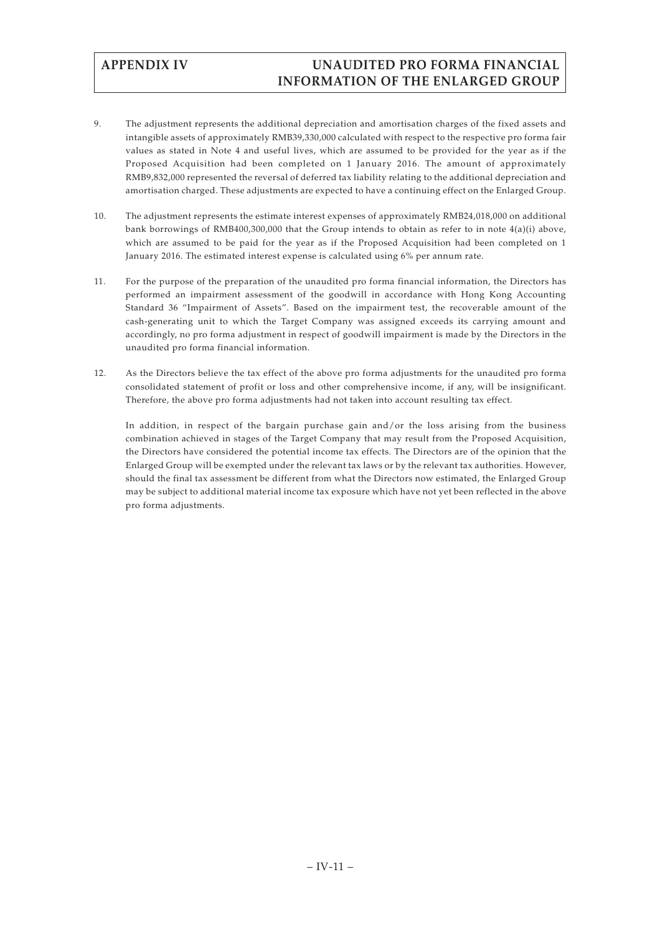- 9. The adjustment represents the additional depreciation and amortisation charges of the fixed assets and intangible assets of approximately RMB39,330,000 calculated with respect to the respective pro forma fair values as stated in Note 4 and useful lives, which are assumed to be provided for the year as if the Proposed Acquisition had been completed on 1 January 2016. The amount of approximately RMB9,832,000 represented the reversal of deferred tax liability relating to the additional depreciation and amortisation charged. These adjustments are expected to have a continuing effect on the Enlarged Group.
- 10. The adjustment represents the estimate interest expenses of approximately RMB24,018,000 on additional bank borrowings of RMB400,300,000 that the Group intends to obtain as refer to in note 4(a)(i) above, which are assumed to be paid for the year as if the Proposed Acquisition had been completed on 1 January 2016. The estimated interest expense is calculated using 6% per annum rate.
- 11. For the purpose of the preparation of the unaudited pro forma financial information, the Directors has performed an impairment assessment of the goodwill in accordance with Hong Kong Accounting Standard 36 "Impairment of Assets". Based on the impairment test, the recoverable amount of the cash-generating unit to which the Target Company was assigned exceeds its carrying amount and accordingly, no pro forma adjustment in respect of goodwill impairment is made by the Directors in the unaudited pro forma financial information.
- 12. As the Directors believe the tax effect of the above pro forma adjustments for the unaudited pro forma consolidated statement of profit or loss and other comprehensive income, if any, will be insignificant. Therefore, the above pro forma adjustments had not taken into account resulting tax effect.

In addition, in respect of the bargain purchase gain and/or the loss arising from the business combination achieved in stages of the Target Company that may result from the Proposed Acquisition, the Directors have considered the potential income tax effects. The Directors are of the opinion that the Enlarged Group will be exempted under the relevant tax laws or by the relevant tax authorities. However, should the final tax assessment be different from what the Directors now estimated, the Enlarged Group may be subject to additional material income tax exposure which have not yet been reflected in the above pro forma adjustments.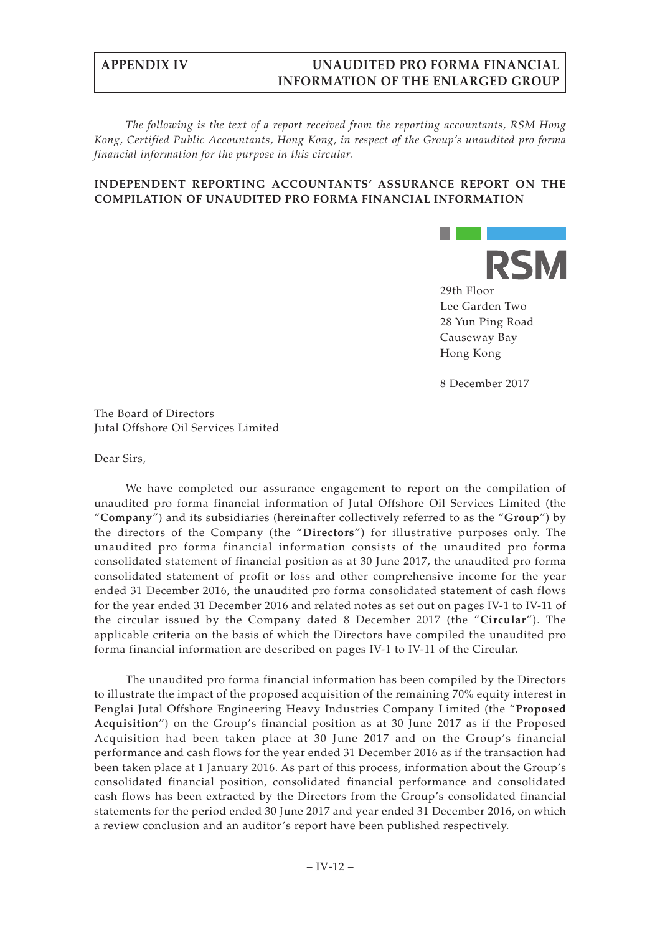*The following is the text of a report received from the reporting accountants, RSM Hong Kong, Certified Public Accountants, Hong Kong, in respect of the Group's unaudited pro forma financial information for the purpose in this circular.*

## **INDEPENDENT REPORTING ACCOUNTANTS' ASSURANCE REPORT ON THE COMPILATION OF UNAUDITED PRO FORMA FINANCIAL INFORMATION**



8 December 2017

The Board of Directors Jutal Offshore Oil Services Limited

Dear Sirs,

We have completed our assurance engagement to report on the compilation of unaudited pro forma financial information of Jutal Offshore Oil Services Limited (the "**Company**") and its subsidiaries (hereinafter collectively referred to as the "**Group**") by the directors of the Company (the "**Directors**") for illustrative purposes only. The unaudited pro forma financial information consists of the unaudited pro forma consolidated statement of financial position as at 30 June 2017, the unaudited pro forma consolidated statement of profit or loss and other comprehensive income for the year ended 31 December 2016, the unaudited pro forma consolidated statement of cash flows for the year ended 31 December 2016 and related notes as set out on pages IV-1 to IV-11 of the circular issued by the Company dated 8 December 2017 (the "**Circular**"). The applicable criteria on the basis of which the Directors have compiled the unaudited pro forma financial information are described on pages IV-1 to IV-11 of the Circular.

The unaudited pro forma financial information has been compiled by the Directors to illustrate the impact of the proposed acquisition of the remaining 70% equity interest in Penglai Jutal Offshore Engineering Heavy Industries Company Limited (the "**Proposed Acquisition**") on the Group's financial position as at 30 June 2017 as if the Proposed Acquisition had been taken place at 30 June 2017 and on the Group's financial performance and cash flows for the year ended 31 December 2016 as if the transaction had been taken place at 1 January 2016. As part of this process, information about the Group's consolidated financial position, consolidated financial performance and consolidated cash flows has been extracted by the Directors from the Group's consolidated financial statements for the period ended 30 June 2017 and year ended 31 December 2016, on which a review conclusion and an auditor's report have been published respectively.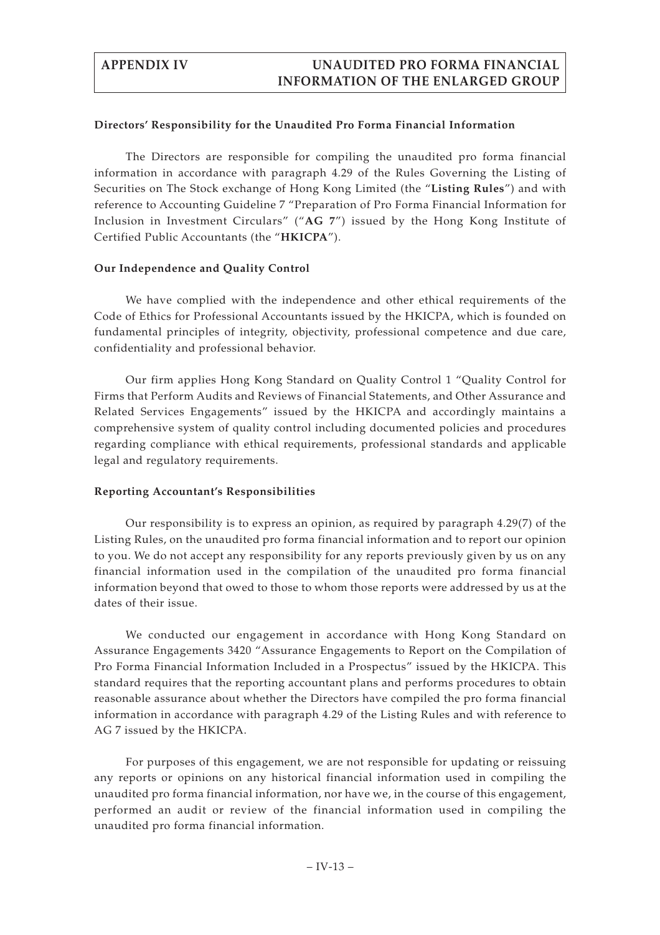## **Directors' Responsibility for the Unaudited Pro Forma Financial Information**

The Directors are responsible for compiling the unaudited pro forma financial information in accordance with paragraph 4.29 of the Rules Governing the Listing of Securities on The Stock exchange of Hong Kong Limited (the "**Listing Rules**") and with reference to Accounting Guideline 7 "Preparation of Pro Forma Financial Information for Inclusion in Investment Circulars" ("**AG 7**") issued by the Hong Kong Institute of Certified Public Accountants (the "**HKICPA**").

## **Our Independence and Quality Control**

We have complied with the independence and other ethical requirements of the Code of Ethics for Professional Accountants issued by the HKICPA, which is founded on fundamental principles of integrity, objectivity, professional competence and due care, confidentiality and professional behavior.

Our firm applies Hong Kong Standard on Quality Control 1 "Quality Control for Firms that Perform Audits and Reviews of Financial Statements, and Other Assurance and Related Services Engagements" issued by the HKICPA and accordingly maintains a comprehensive system of quality control including documented policies and procedures regarding compliance with ethical requirements, professional standards and applicable legal and regulatory requirements.

### **Reporting Accountant's Responsibilities**

Our responsibility is to express an opinion, as required by paragraph 4.29(7) of the Listing Rules, on the unaudited pro forma financial information and to report our opinion to you. We do not accept any responsibility for any reports previously given by us on any financial information used in the compilation of the unaudited pro forma financial information beyond that owed to those to whom those reports were addressed by us at the dates of their issue.

We conducted our engagement in accordance with Hong Kong Standard on Assurance Engagements 3420 "Assurance Engagements to Report on the Compilation of Pro Forma Financial Information Included in a Prospectus" issued by the HKICPA. This standard requires that the reporting accountant plans and performs procedures to obtain reasonable assurance about whether the Directors have compiled the pro forma financial information in accordance with paragraph 4.29 of the Listing Rules and with reference to AG 7 issued by the HKICPA.

For purposes of this engagement, we are not responsible for updating or reissuing any reports or opinions on any historical financial information used in compiling the unaudited pro forma financial information, nor have we, in the course of this engagement, performed an audit or review of the financial information used in compiling the unaudited pro forma financial information.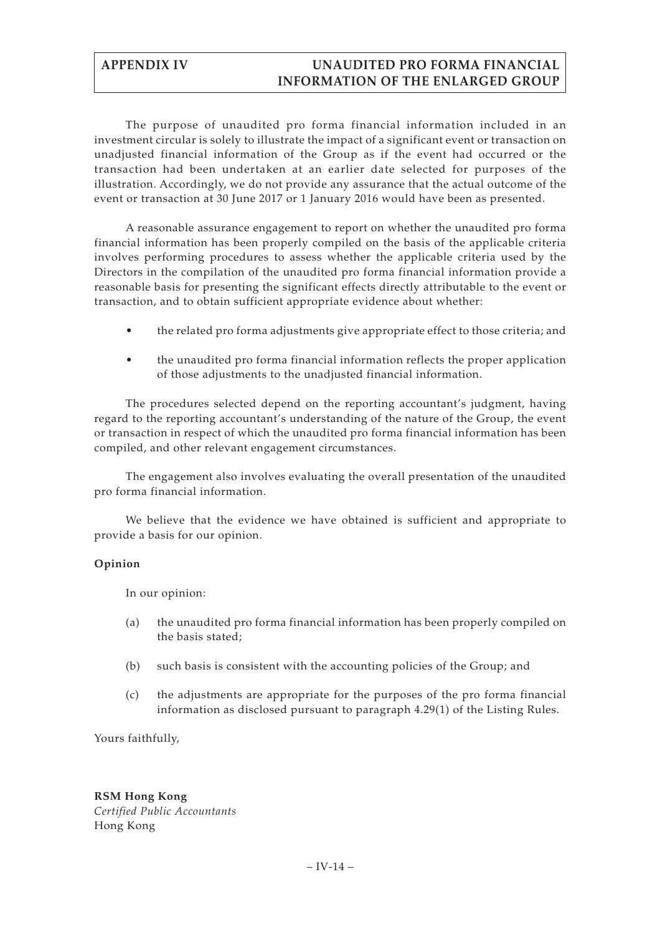The purpose of unaudited pro forma financial information included in an investment circular is solely to illustrate the impact of a significant event or transaction on unadjusted financial information of the Group as if the event had occurred or the transaction had been undertaken at an earlier date selected for purposes of the illustration. Accordingly, we do not provide any assurance that the actual outcome of the event or transaction at 30 June 2017 or 1 January 2016 would have been as presented.

A reasonable assurance engagement to report on whether the unaudited pro forma financial information has been properly compiled on the basis of the applicable criteria involves performing procedures to assess whether the applicable criteria used by the Directors in the compilation of the unaudited pro forma financial information provide a reasonable basis for presenting the significant effects directly attributable to the event or transaction, and to obtain sufficient appropriate evidence about whether:

- the related pro forma adjustments give appropriate effect to those criteria; and
- the unaudited pro forma financial information reflects the proper application of those adjustments to the unadjusted financial information.

The procedures selected depend on the reporting accountant's judgment, having regard to the reporting accountant's understanding of the nature of the Group, the event or transaction in respect of which the unaudited pro forma financial information has been compiled, and other relevant engagement circumstances.

The engagement also involves evaluating the overall presentation of the unaudited pro forma financial information.

We believe that the evidence we have obtained is sufficient and appropriate to provide a basis for our opinion.

## **Opinion**

In our opinion:

- (a) the unaudited pro forma financial information has been properly compiled on the basis stated;
- (b) such basis is consistent with the accounting policies of the Group; and
- (c) the adjustments are appropriate for the purposes of the pro forma financial information as disclosed pursuant to paragraph 4.29(1) of the Listing Rules.

Yours faithfully,

# **RSM Hong Kong**

*Certified Public Accountants* Hong Kong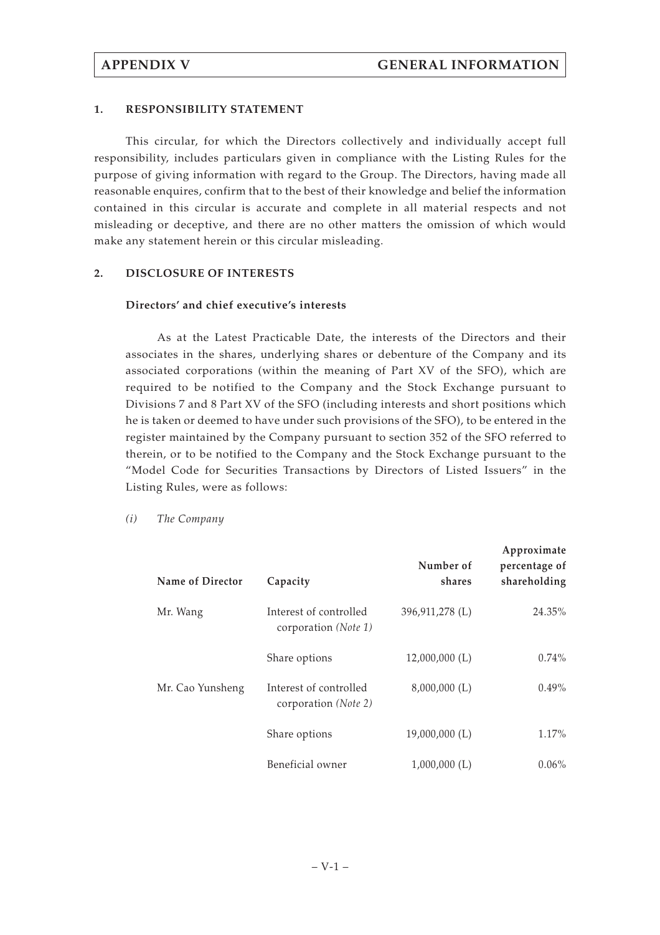## **1. RESPONSIBILITY STATEMENT**

This circular, for which the Directors collectively and individually accept full responsibility, includes particulars given in compliance with the Listing Rules for the purpose of giving information with regard to the Group. The Directors, having made all reasonable enquires, confirm that to the best of their knowledge and belief the information contained in this circular is accurate and complete in all material respects and not misleading or deceptive, and there are no other matters the omission of which would make any statement herein or this circular misleading.

## **2. DISCLOSURE OF INTERESTS**

## **Directors' and chief executive's interests**

As at the Latest Practicable Date, the interests of the Directors and their associates in the shares, underlying shares or debenture of the Company and its associated corporations (within the meaning of Part XV of the SFO), which are required to be notified to the Company and the Stock Exchange pursuant to Divisions 7 and 8 Part XV of the SFO (including interests and short positions which he is taken or deemed to have under such provisions of the SFO), to be entered in the register maintained by the Company pursuant to section 352 of the SFO referred to therein, or to be notified to the Company and the Stock Exchange pursuant to the "Model Code for Securities Transactions by Directors of Listed Issuers" in the Listing Rules, were as follows:

*(i) The Company*

| Name of Director | Capacity                                       | Number of<br>shares | Approximate<br>percentage of<br>shareholding |
|------------------|------------------------------------------------|---------------------|----------------------------------------------|
| Mr. Wang         | Interest of controlled<br>corporation (Note 1) | 396,911,278 (L)     | 24.35%                                       |
|                  | Share options                                  | $12,000,000$ (L)    | $0.74\%$                                     |
| Mr. Cao Yunsheng | Interest of controlled<br>corporation (Note 2) | $8,000,000$ (L)     | $0.49\%$                                     |
|                  | Share options                                  | 19,000,000 (L)      | 1.17%                                        |
|                  | Beneficial owner                               | 1,000,000(L)        | $0.06\%$                                     |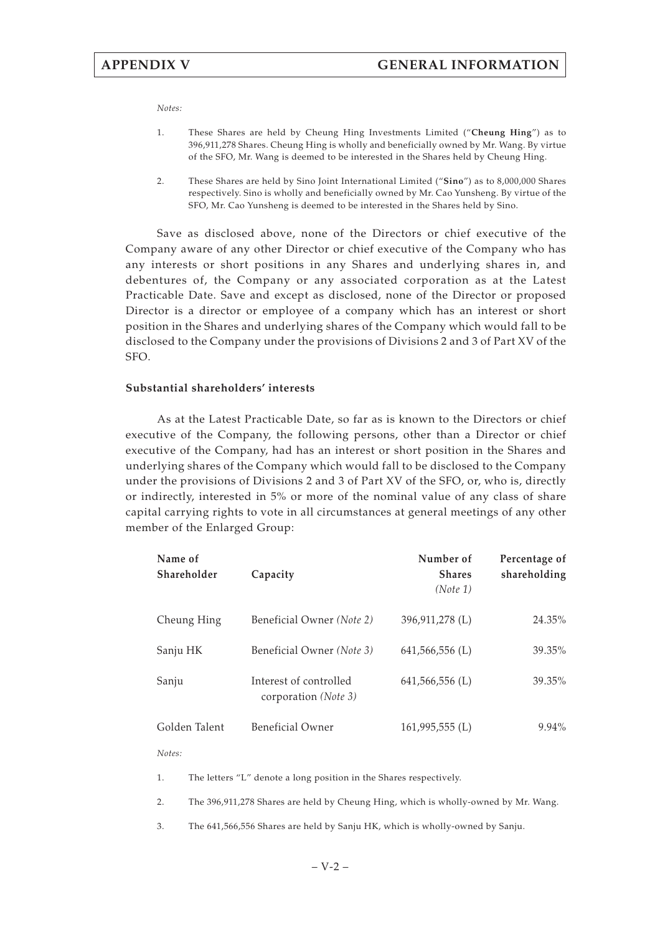*Notes:*

- 1. These Shares are held by Cheung Hing Investments Limited ("**Cheung Hing**") as to 396,911,278 Shares. Cheung Hing is wholly and beneficially owned by Mr. Wang. By virtue of the SFO, Mr. Wang is deemed to be interested in the Shares held by Cheung Hing.
- 2. These Shares are held by Sino Joint International Limited ("**Sino**") as to 8,000,000 Shares respectively. Sino is wholly and beneficially owned by Mr. Cao Yunsheng. By virtue of the SFO, Mr. Cao Yunsheng is deemed to be interested in the Shares held by Sino.

Save as disclosed above, none of the Directors or chief executive of the Company aware of any other Director or chief executive of the Company who has any interests or short positions in any Shares and underlying shares in, and debentures of, the Company or any associated corporation as at the Latest Practicable Date. Save and except as disclosed, none of the Director or proposed Director is a director or employee of a company which has an interest or short position in the Shares and underlying shares of the Company which would fall to be disclosed to the Company under the provisions of Divisions 2 and 3 of Part XV of the SFO.

## **Substantial shareholders' interests**

As at the Latest Practicable Date, so far as is known to the Directors or chief executive of the Company, the following persons, other than a Director or chief executive of the Company, had has an interest or short position in the Shares and underlying shares of the Company which would fall to be disclosed to the Company under the provisions of Divisions 2 and 3 of Part XV of the SFO, or, who is, directly or indirectly, interested in 5% or more of the nominal value of any class of share capital carrying rights to vote in all circumstances at general meetings of any other member of the Enlarged Group:

| Name of<br>Shareholder | Capacity                                                | Number of<br><b>Shares</b><br>(Note 1) | Percentage of<br>shareholding |
|------------------------|---------------------------------------------------------|----------------------------------------|-------------------------------|
| Cheung Hing            | Beneficial Owner (Note 2)                               | 396,911,278 (L)                        | 24.35%                        |
| Sanju HK               | Beneficial Owner (Note 3)                               | $641,566,556$ (L)                      | 39.35%                        |
| Sanju                  | Interest of controlled<br>corporation ( <i>Note 3</i> ) | $641,566,556$ (L)                      | 39.35%                        |
| Golden Talent          | <b>Beneficial Owner</b>                                 | $161,995,555$ (L)                      | $9.94\%$                      |

*Notes:*

1. The letters "L" denote a long position in the Shares respectively.

2. The 396,911,278 Shares are held by Cheung Hing, which is wholly-owned by Mr. Wang.

3. The 641,566,556 Shares are held by Sanju HK, which is wholly-owned by Sanju.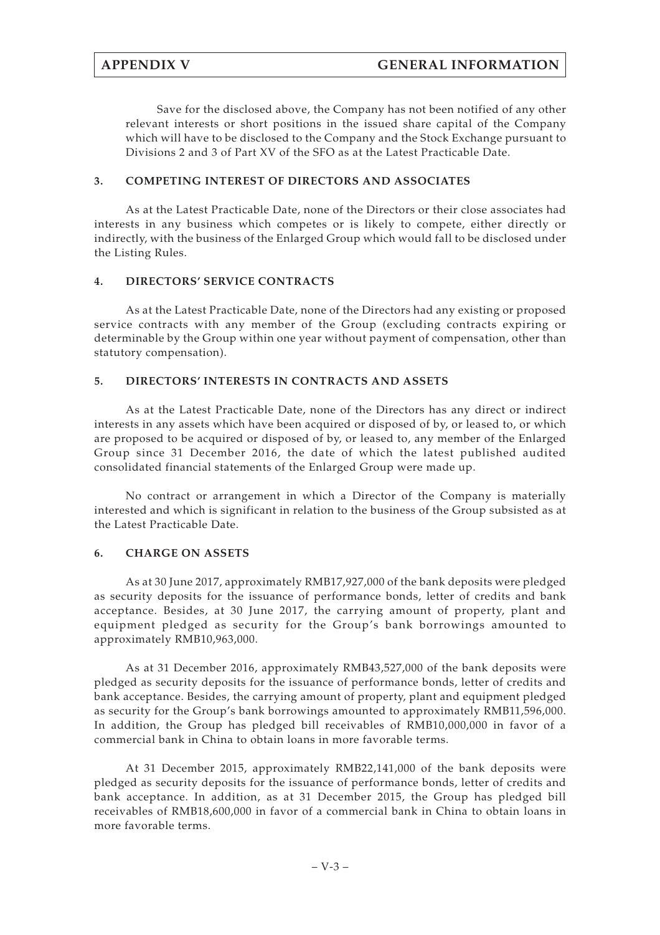Save for the disclosed above, the Company has not been notified of any other relevant interests or short positions in the issued share capital of the Company which will have to be disclosed to the Company and the Stock Exchange pursuant to Divisions 2 and 3 of Part XV of the SFO as at the Latest Practicable Date.

## **3. COMPETING INTEREST OF DIRECTORS AND ASSOCIATES**

As at the Latest Practicable Date, none of the Directors or their close associates had interests in any business which competes or is likely to compete, either directly or indirectly, with the business of the Enlarged Group which would fall to be disclosed under the Listing Rules.

# **4. DIRECTORS' SERVICE CONTRACTS**

As at the Latest Practicable Date, none of the Directors had any existing or proposed service contracts with any member of the Group (excluding contracts expiring or determinable by the Group within one year without payment of compensation, other than statutory compensation).

# **5. DIRECTORS' INTERESTS IN CONTRACTS AND ASSETS**

As at the Latest Practicable Date, none of the Directors has any direct or indirect interests in any assets which have been acquired or disposed of by, or leased to, or which are proposed to be acquired or disposed of by, or leased to, any member of the Enlarged Group since 31 December 2016, the date of which the latest published audited consolidated financial statements of the Enlarged Group were made up.

No contract or arrangement in which a Director of the Company is materially interested and which is significant in relation to the business of the Group subsisted as at the Latest Practicable Date.

# **6. CHARGE ON ASSETS**

As at 30 June 2017, approximately RMB17,927,000 of the bank deposits were pledged as security deposits for the issuance of performance bonds, letter of credits and bank acceptance. Besides, at 30 June 2017, the carrying amount of property, plant and equipment pledged as security for the Group's bank borrowings amounted to approximately RMB10,963,000.

As at 31 December 2016, approximately RMB43,527,000 of the bank deposits were pledged as security deposits for the issuance of performance bonds, letter of credits and bank acceptance. Besides, the carrying amount of property, plant and equipment pledged as security for the Group's bank borrowings amounted to approximately RMB11,596,000. In addition, the Group has pledged bill receivables of RMB10,000,000 in favor of a commercial bank in China to obtain loans in more favorable terms.

At 31 December 2015, approximately RMB22,141,000 of the bank deposits were pledged as security deposits for the issuance of performance bonds, letter of credits and bank acceptance. In addition, as at 31 December 2015, the Group has pledged bill receivables of RMB18,600,000 in favor of a commercial bank in China to obtain loans in more favorable terms.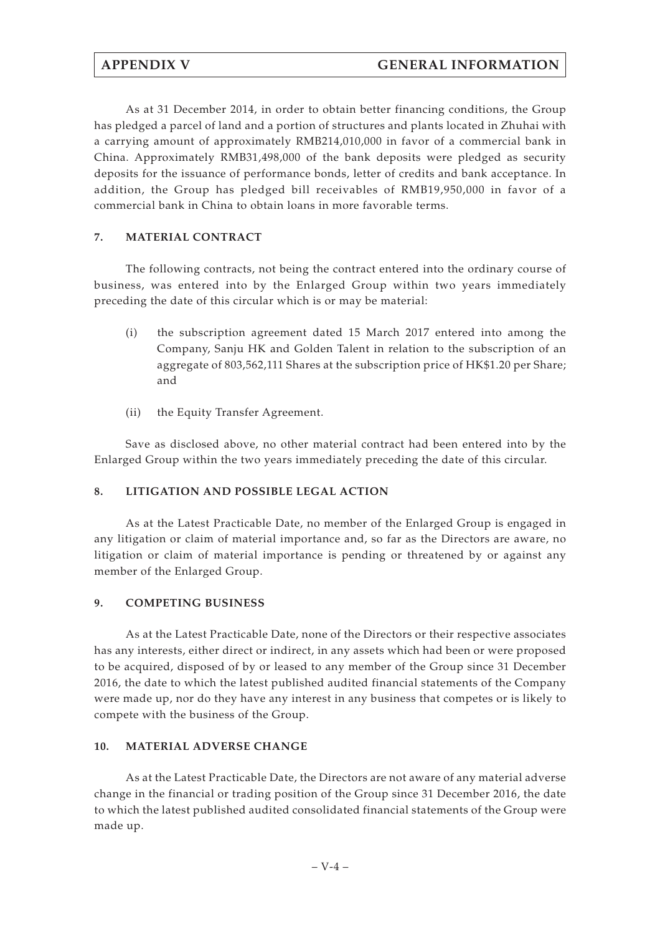As at 31 December 2014, in order to obtain better financing conditions, the Group has pledged a parcel of land and a portion of structures and plants located in Zhuhai with a carrying amount of approximately RMB214,010,000 in favor of a commercial bank in China. Approximately RMB31,498,000 of the bank deposits were pledged as security deposits for the issuance of performance bonds, letter of credits and bank acceptance. In addition, the Group has pledged bill receivables of RMB19,950,000 in favor of a commercial bank in China to obtain loans in more favorable terms.

# **7. MATERIAL CONTRACT**

The following contracts, not being the contract entered into the ordinary course of business, was entered into by the Enlarged Group within two years immediately preceding the date of this circular which is or may be material:

- (i) the subscription agreement dated 15 March 2017 entered into among the Company, Sanju HK and Golden Talent in relation to the subscription of an aggregate of 803,562,111 Shares at the subscription price of HK\$1.20 per Share; and
- (ii) the Equity Transfer Agreement.

Save as disclosed above, no other material contract had been entered into by the Enlarged Group within the two years immediately preceding the date of this circular.

# **8. LITIGATION AND POSSIBLE LEGAL ACTION**

As at the Latest Practicable Date, no member of the Enlarged Group is engaged in any litigation or claim of material importance and, so far as the Directors are aware, no litigation or claim of material importance is pending or threatened by or against any member of the Enlarged Group.

# **9. COMPETING BUSINESS**

As at the Latest Practicable Date, none of the Directors or their respective associates has any interests, either direct or indirect, in any assets which had been or were proposed to be acquired, disposed of by or leased to any member of the Group since 31 December 2016, the date to which the latest published audited financial statements of the Company were made up, nor do they have any interest in any business that competes or is likely to compete with the business of the Group.

# **10. MATERIAL ADVERSE CHANGE**

As at the Latest Practicable Date, the Directors are not aware of any material adverse change in the financial or trading position of the Group since 31 December 2016, the date to which the latest published audited consolidated financial statements of the Group were made up.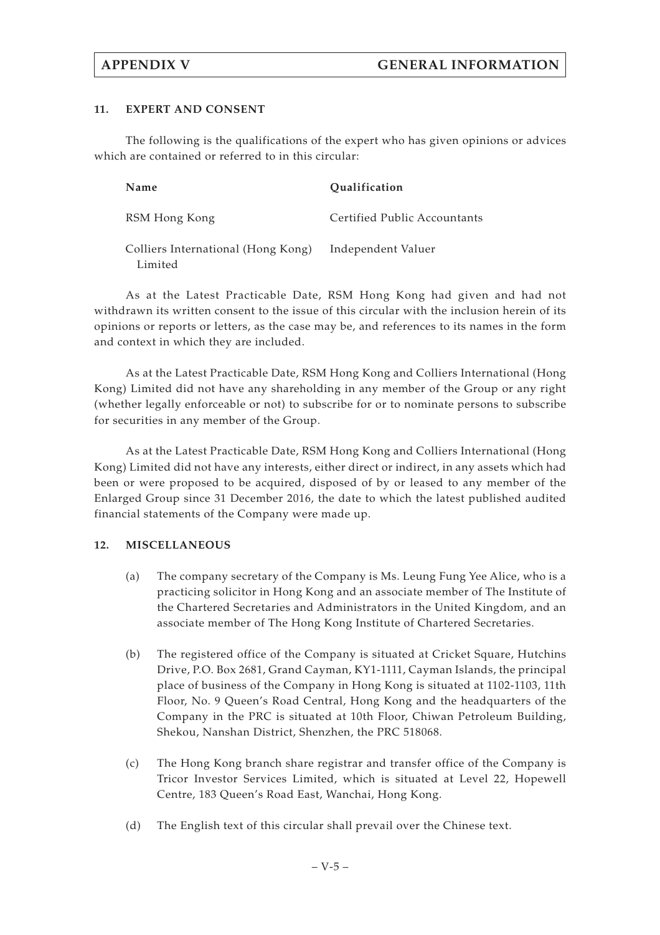## **11. EXPERT AND CONSENT**

The following is the qualifications of the expert who has given opinions or advices which are contained or referred to in this circular:

| Name                                          | <b>Oualification</b>         |
|-----------------------------------------------|------------------------------|
| RSM Hong Kong                                 | Certified Public Accountants |
| Colliers International (Hong Kong)<br>Limited | Independent Valuer           |

As at the Latest Practicable Date, RSM Hong Kong had given and had not withdrawn its written consent to the issue of this circular with the inclusion herein of its opinions or reports or letters, as the case may be, and references to its names in the form and context in which they are included.

As at the Latest Practicable Date, RSM Hong Kong and Colliers International (Hong Kong) Limited did not have any shareholding in any member of the Group or any right (whether legally enforceable or not) to subscribe for or to nominate persons to subscribe for securities in any member of the Group.

As at the Latest Practicable Date, RSM Hong Kong and Colliers International (Hong Kong) Limited did not have any interests, either direct or indirect, in any assets which had been or were proposed to be acquired, disposed of by or leased to any member of the Enlarged Group since 31 December 2016, the date to which the latest published audited financial statements of the Company were made up.

## **12. MISCELLANEOUS**

- (a) The company secretary of the Company is Ms. Leung Fung Yee Alice, who is a practicing solicitor in Hong Kong and an associate member of The Institute of the Chartered Secretaries and Administrators in the United Kingdom, and an associate member of The Hong Kong Institute of Chartered Secretaries.
- (b) The registered office of the Company is situated at Cricket Square, Hutchins Drive, P.O. Box 2681, Grand Cayman, KY1-1111, Cayman Islands, the principal place of business of the Company in Hong Kong is situated at 1102-1103, 11th Floor, No. 9 Queen's Road Central, Hong Kong and the headquarters of the Company in the PRC is situated at 10th Floor, Chiwan Petroleum Building, Shekou, Nanshan District, Shenzhen, the PRC 518068.
- (c) The Hong Kong branch share registrar and transfer office of the Company is Tricor Investor Services Limited, which is situated at Level 22, Hopewell Centre, 183 Queen's Road East, Wanchai, Hong Kong.
- (d) The English text of this circular shall prevail over the Chinese text.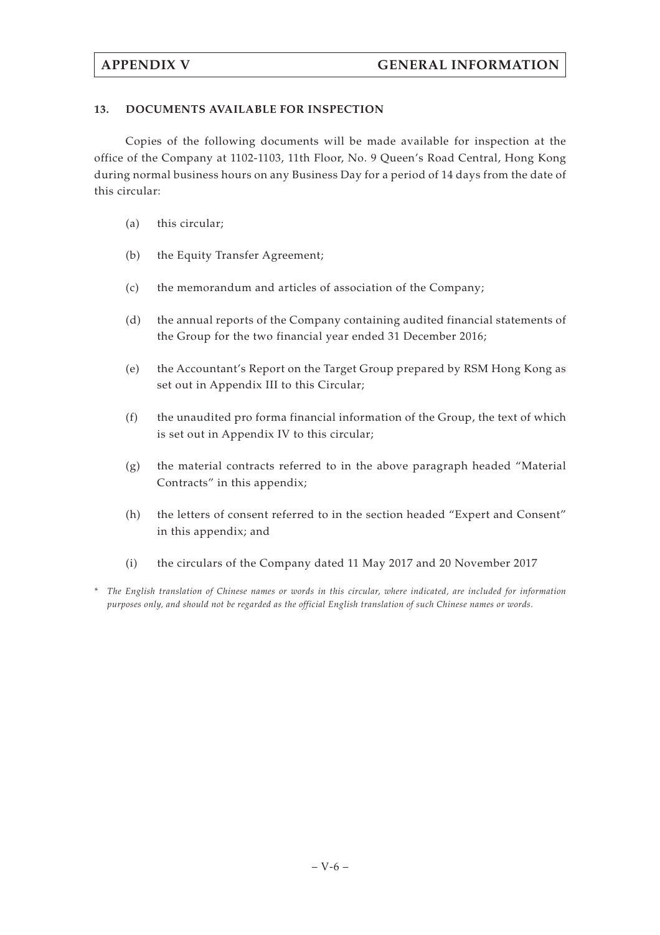# **13. DOCUMENTS AVAILABLE FOR INSPECTION**

Copies of the following documents will be made available for inspection at the office of the Company at 1102-1103, 11th Floor, No. 9 Queen's Road Central, Hong Kong during normal business hours on any Business Day for a period of 14 days from the date of this circular:

- (a) this circular;
- (b) the Equity Transfer Agreement;
- (c) the memorandum and articles of association of the Company;
- (d) the annual reports of the Company containing audited financial statements of the Group for the two financial year ended 31 December 2016;
- (e) the Accountant's Report on the Target Group prepared by RSM Hong Kong as set out in Appendix III to this Circular;
- (f) the unaudited pro forma financial information of the Group, the text of which is set out in Appendix IV to this circular;
- $(g)$  the material contracts referred to in the above paragraph headed "Material" Contracts" in this appendix;
- (h) the letters of consent referred to in the section headed "Expert and Consent" in this appendix; and
- (i) the circulars of the Company dated 11 May 2017 and 20 November 2017
- *\* The English translation of Chinese names or words in this circular, where indicated, are included for information purposes only, and should not be regarded as the official English translation of such Chinese names or words.*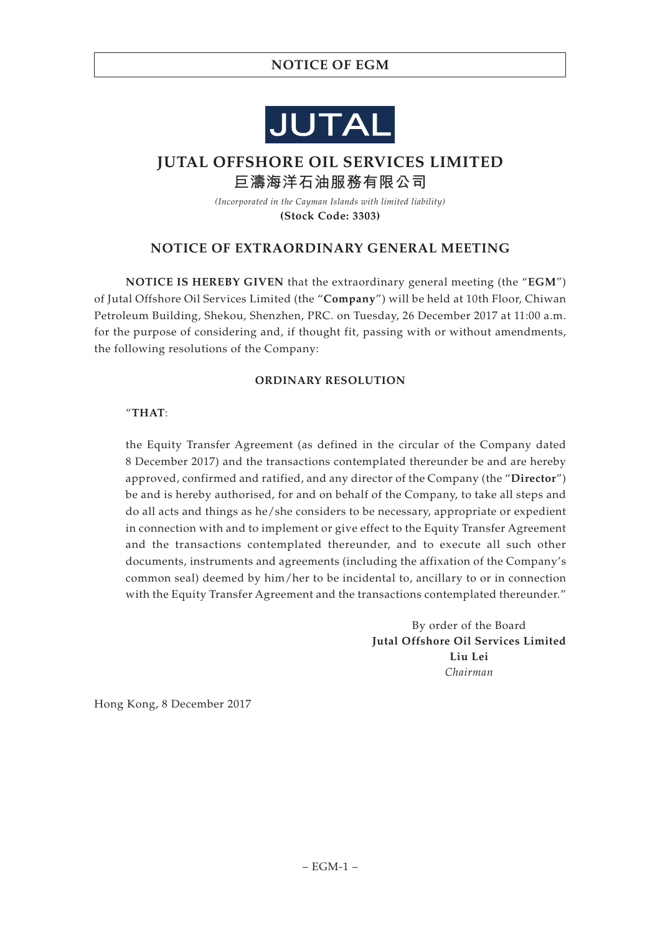# **NOTICE OF EGM**



# **JUTAL OFFSHORE OIL SERVICES LIMITED 巨濤海洋石油服務有限公司**

*(Incorporated in the Cayman Islands with limited liability)* **(Stock Code: 3303)**

# **NOTICE OF EXTRAORDINARY GENERAL MEETING**

**NOTICE IS HEREBY GIVEN** that the extraordinary general meeting (the "**EGM**") of Jutal Offshore Oil Services Limited (the "**Company**") will be held at 10th Floor, Chiwan Petroleum Building, Shekou, Shenzhen, PRC. on Tuesday, 26 December 2017 at 11:00 a.m. for the purpose of considering and, if thought fit, passing with or without amendments, the following resolutions of the Company:

## **ORDINARY RESOLUTION**

## "**THAT**:

the Equity Transfer Agreement (as defined in the circular of the Company dated 8 December 2017) and the transactions contemplated thereunder be and are hereby approved, confirmed and ratified, and any director of the Company (the "**Director**") be and is hereby authorised, for and on behalf of the Company, to take all steps and do all acts and things as he/she considers to be necessary, appropriate or expedient in connection with and to implement or give effect to the Equity Transfer Agreement and the transactions contemplated thereunder, and to execute all such other documents, instruments and agreements (including the affixation of the Company's common seal) deemed by him/her to be incidental to, ancillary to or in connection with the Equity Transfer Agreement and the transactions contemplated thereunder."

> By order of the Board **Jutal Offshore Oil Services Limited Liu Lei** *Chairman*

Hong Kong, 8 December 2017